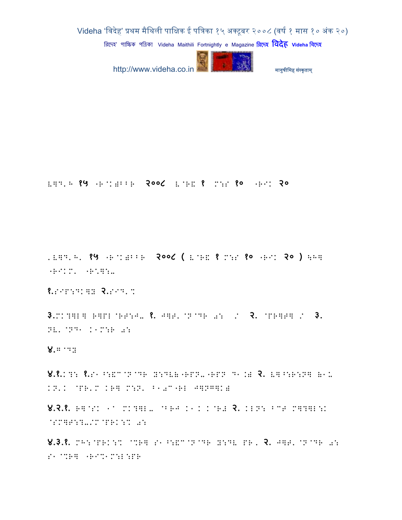িরেদহ' পািkক পিtকা Videha Maithili Fortnightly e Magazine িরেদহ िवदेह **Videha** িবেদহ



 $E = \frac{1}{2}$  .  $\frac{1}{2}$   $\frac{1}{2}$   $\frac{1}{2}$   $\frac{1}{2}$   $\frac{1}{2}$   $\frac{1}{2}$   $\frac{1}{2}$   $\frac{1}{2}$   $\frac{1}{2}$   $\frac{1}{2}$   $\frac{1}{2}$   $\frac{1}{2}$   $\frac{1}{2}$   $\frac{1}{2}$   $\frac{1}{2}$   $\frac{1}{2}$   $\frac{1}{2}$   $\frac{1}{2}$   $\frac{1}{2}$   $\frac{1}{2}$   $\frac{1}{2$ 

 $V: E \oplus V$  .  $V: E \oplus V$  .  $V: E \oplus V$  .  $V: E \oplus V$  .  $V: E \oplus V$  .  $V: E \oplus V$  .  $V: E \oplus V$  .  $V: E \oplus V$  .  $V: E \oplus V$  .  $V: E \oplus V$  .  $V: E \oplus V$  .  $V: E \oplus V$  .  $V: E \oplus V$  .  $V: E \oplus V$  .  $V: E \oplus V$  .  $V: E \oplus V$  .  $V: E \oplus V$  .  $V: E \oplus V$  .  $V: E \$ "RENT. "RING".

१.SIP:DK]Y २.SID'%

३.MK?]L] R]PL@RT:J- १. J]T'@N@DR 0: / २. @PR]T] / ३. **NUMBER OF STREET** 

 $8.444$ 

४.१.K?: १.S1^:&C@N@DR Y:DV("RPN-"RPN D1.) २. V]^:R:N] (1U KNY MENTINE TAN'NY BIOGRAPHIA

४.२.१. RENOT POSTER 2009 REPORT OF A RICHARD PORTHOLOGY @SM]T:?-/M@PRK:% 0:

४.३.१. MH: MRK: YOUR SHIPS PROTO PRODUCED PR, 2. JER. OP PR, 25 S1@%R] "RI%1M:L:PR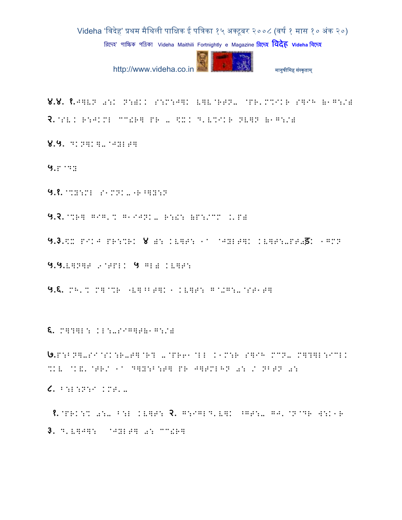িরেদহ' পািkক পিtকা Videha Maithili Fortnightly e Magazine িরেদহ िवदेह **Videha** িবেদহ



४.४. १.<del>J</del>BN 0:K PYBIC 2575-80 E8E 992. TP. 77718 2878 B-8578

२. SET PARTIE CCERT PR & RIT PLETCH PERP BORYON

४.५. मा प्रमा महाराम सम

 $9.9.9.9$ 

**9.8.** THEFER STRINGER

9.2. THE BREAK BRACK BOARD BRACK CONFIDENT

 $9.3.82.27$  PP: PR: TERMS:  $8.43.71.7431.7411.711.7411.711.7411.51$  . PTD

५.५.V]N]T 9@TPLK ५ GL) KV]T:

 $9.6.$  MH, MOMENTH ALBERTA MILBERT CONTROL MEASURE

 $\Sigma$ . Manager School Signals (1995)

७.P:BN]-SI@SK:R-T]@R? -@PR61@LL K1M:R S]IH MCN- M]?]L:ICLK %KV @K&'@TR/ 1A D]Y:B:T] PR J]TMLHN 0: / NBTN 0:

८. B:L:N:I KMT'-

 $\mathcal{R}$ : PRK: PRK: B:L KONGRESS  $\mathcal{R}$ , G:PRCH: C.H.D. CHES. GOT: GREEN WEST: 3. H. EHANY | CANDER 21 CCEPE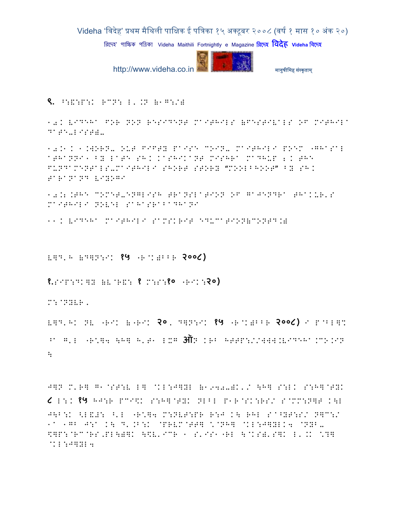িরেদহ' পািkক পিtকা Videha Maithili Fortnightly e Magazine িরেদহ िवदेह **Videha** িবেদহ



९. PHERENT RUNNER E. NE RONNER

10. VIDEHA FOR NON RESIDENT MAITHILS (FESTIVALS OF MITHILA DATE-LIST)-

10.1. 1.WORN- OUT FIFTY PAISE COIN- MAITHILI POEM "GHASAL ATHANNI" BY LATE SH. KASHIKANT MISHRA MADHUP 2. THE FUNDAMENTALS-MAITHILI SHORT STORY **"**MOOLBHOOT**"** BY SH. FARANCE SERVICE

10.2.THE COMET-ENGLISH TRANSLATION OF GAJENDRA THAKUR'S MAITHILI NOVEL SAHASRABADHANI

11. VIDEHA MAITHILI SAMSKRIT EDUCATION(CONTD.)

 $E = E^T$  (D)  $E = E^T$  (D)  $E^T$  (D)  $E^T$  (D)  $E^T$  (D)  $E^T$  (D)  $E^T$  (D)  $E^T$  (D)  $E^T$  (D)  $E^T$  (D)  $E^T$  (D)  $E^T$  (D)  $E^T$  (D)  $E^T$  (D)  $E^T$  (D)  $E^T$  (D)  $E^T$  (D)  $E^T$  (D)  $E^T$  (D)  $E^T$  (D)  $E^T$  (D)  $E^T$  (

 $8.5$ P:PH:PH: 8.DET:  $8.7$ P:PH:0  $(9.80, 1.80)$ 

 $T: TXH$ 

 $E\oplus E$  ,  $E$   $\oplus E$   $\oplus E$   $\oplus E$   $\oplus E$   $\oplus E$   $\oplus E$   $\oplus E$   $\oplus E$   $\oplus E$   $\oplus E$   $\oplus E$   $\oplus E$   $\oplus E$   $\oplus E$   $\oplus E$   $\oplus E$   $\oplus E$   $\oplus E$   $\oplus E$   $\oplus E$   $\oplus E$   $\oplus E$   $\oplus E$   $\oplus E$   $\oplus E$   $\oplus E$   $\oplus E$   $\oplus E$   $\oplus E$   $\oplus$ ^A G'L "R\*]4 \H] H'T1 LXG ऑN KRB HTTP://WWW.VIDEHA.CO.IN  $\ddot{\cdot}$ 

JAN MYANG GALI GALI DI SEBELI DI SELENGAN SILI SEBELI YANG MENGI  $\zeta$ ::: १५ Haye Post Syemmer Phase Reporter Stronger Chr JA:N: K:B:K (K: GANA: CAPLEATE PAR (K. PA: C) M:PAN: PR RA 1A 1GB J:A K\ D'.B:K @PRVM@TT] \*@NH] @KL:J]YLK4 @NYB-  $\mathcal{R}$  of the corresponding  $\mathcal{R}$  is the corresponding  $\mathcal{R}$  is the corresponding to the corresponding  $\mathcal{R}$ @KL:J]YL4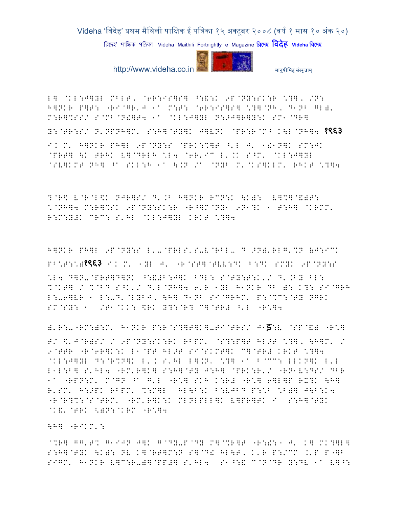িরেদহ' পািkক পিtকা Videha Maithili Fortnightly e Magazine িরেদহ िवदेह **Videha** িবেদহ



LA MILINAARI MALEK, MENNYMEN PHENY SKIMPING NE MARI SA HENER PHP: "RPINE, A PT (MES ) GENERATE STATUR, TEN MEA. M:REV. SSM SS/ SS/ SS/ SS/ SS/ SM1 1A 2001 1A 2001 1A 2002 1A 2003

 $\pi$ s Separt D. Specific Streeter Department of the Streeter of  $\pi$ 

I. M' H]NKR PH]L 9P@NY:S @PRK:%]T ^'L J' 1!1N]K SM:JK @PRT] \K TRHK V]@DRLH \*L4 @6R'IC L'.K S^M' @KL:J]YL  $\overline{AB}$ KMT NH $\overline{B}$  and  $\overline{AB}$  is the set of  $\overline{AB}$  . The state of  $\overline{AB}$  and  $\overline{AB}$  and  $\overline{AB}$ 

?@R\$ V@R@L\$K NJR]S/ D'.B H]NKR RCN:K \K): V]%]@&)T:  $\Lambda$  (DHE4) M:REBOL (DECORREN) SHORE PROCORES (DD) BONY (ROMANY). R:M:M:M:Y:K.H: M:S4HH (BCF 54H.

HARDE PHAL 9P NYSIN'S LONGER PORCH NEU DI SPECHE DE L'ON GANYO PROVENSISSE PROVIDED IN THE REPORT OF THE SMY SMY SMY SMY TO THE SMY SMY OF THE SMY CONTINUES. \*L4 D]N-@PRT]D]NK ^:&#B:J]K BDL: S@TY:T:K'/ D'.BY BL: %@KT] / %@BD S^K'/ D'L@NH]4 6'R 1YL H1NKR DB ): K?: SI@GRH L:-6]VR 1 L:-D'@LYBJ, \H] D1NB SI@GRHM' P:@%C:@TY NGRK SMOSH: 1 /T2 / T10 / REV YP: 1 / THE YANGER OF THE SERVE

) al end (established) expose the notified tides needs of  $\overline{S}$ hall institute ((end) THAT THE SAME OF DEPOSITION OF THE SAME OF THE RELEASED AND THE SAME  $\mathcal{P}$ 9@TTR "R@6R]K:K L1@PT HL>T SI@SKMT]K C]@TR# KRKT \*?]4 @KL:J]YL D:@R%N]K L'. S'HL L].N' \*?] 1A B@CC: LLKN]K L'L L1L:B] S'HL4 "RM'R]K] S:H]@TY J:H] @PRK:R'/ "RN1V:DS/ DBR 1A "RPN:M' M@GN ^A G'L "R\*] SKH K:R# "R\*] 6]L]P RX?K \H] R.SM. PROBY BERN, MRTH, PERENT FRIPE RRTH NEW PRENTY "RAC" "RAT" "ROPORTAL" "RANDER" "RATH I SING I SING I SING I SING I SING I SING I SING I SING I SING I SING I @K&'@TRK <)N:@KRM "R\*]4

 $\frac{1}{2}$   $\frac{1}{2}$   $\frac{1}{2}$   $\frac{1}{2}$   $\frac{1}{2}$   $\frac{1}{2}$   $\frac{1}{2}$   $\frac{1}{2}$   $\frac{1}{2}$   $\frac{1}{2}$   $\frac{1}{2}$   $\frac{1}{2}$   $\frac{1}{2}$   $\frac{1}{2}$   $\frac{1}{2}$   $\frac{1}{2}$   $\frac{1}{2}$   $\frac{1}{2}$   $\frac{1}{2}$   $\frac{1}{2}$   $\frac{1}{2}$   $\frac{1}{2}$ 

@%R] GG'T% G1IJN J]K G@DY-P@DY M]@%R]T "R:!:" J' K] MK?]L] S:H]@TYK \K): NV K]@RT]M:N S]@D! HL\T, K'R P:/CM .'P P"]B SIGM' HINKR VICE SIGM SIGM STATES OF THE STATE OF SHIP!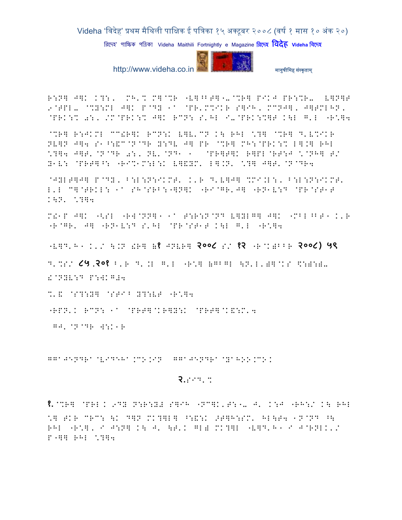িরেদহ' পািkক পিtকা Videha Maithili Fortnightly e Magazine িরেদহ िवदेह **Videha** িবেদহ



R:NI AN (TH, MH'S MINH MIRR, THE PIK HIS RESONANCE 9@TPL- @%Y:ML J]K P@DY 1A @PR'M%IKR S]IH, MCNJ], J]TMLHN, @PRK:% 0:, /M@PRK:% J]K RCN: S'HL I-@PRK:%]T K\L G'L "R\*]4

@%R] R:JKML CC!R]K RCN:K V]V'CN K\ RHL \*?] @%R] D'V%IKR NV]N J]4 S1^:&C@N@DR Y:DV J] PR @%R] MH:@PRK:% L].] RHL  $\Lambda$ dra (ara) jo je ostal od 1 jona (ara) i presenarju sa presenarju sa presenarju s YA: AN' TERRA PEO PROTRIMENTO ARESENO (ERISPO NORTH ARR) NY MPRA

MADE POR STRID PERSONIC KORTHOLISH SERVICE SERVICE L'L C]@TRKL: 1A SH@SRB:"]N]K "RI@GR'J] "RN1V:D @PR@ST1T  $\texttt{N} \in \mathbb{R}^{n \times n}$ 

TH AU AN SARATH "THERM WANDER WAS ARRESTED TO  $R$  (R)  $R$   $\rightarrow$   $R$   $\rightarrow$   $R$   $\rightarrow$   $R$   $\rightarrow$   $R$   $\rightarrow$   $R$   $\rightarrow$   $R$   $\rightarrow$   $R$   $\rightarrow$   $R$   $\rightarrow$   $R$   $\rightarrow$   $R$   $\rightarrow$   $R$   $\rightarrow$   $R$   $\rightarrow$   $R$   $\rightarrow$   $R$   $\rightarrow$   $R$   $\rightarrow$   $R$   $\rightarrow$   $R$   $\rightarrow$   $R$   $\rightarrow$   $R$   $\rightarrow$   $R$   $\rightarrow$   $R$   $\rightarrow$   $R$   $\rightarrow$   $R$   $\rightarrow$ 

 $V: \mathbb{R}^n$  ,  $V: \mathbb{R}^n$  ,  $V: \mathbb{R}^n$  (1)  $V: \mathbb{R}^n$  (1)  $V: \mathbb{R}^n$  (1)  $V: \mathbb{R}^n$  (1)  $V: \mathbb{R}^n$  (1)  $V: \mathbb{R}^n$  (1)  $V: \mathbb{R}^n$  (1)  $V: \mathbb{R}^n$  (1)  $V: \mathbb{R}^n$  (1)  $V: \mathbb{R}^n$  (1)  $V: \mathbb{R}^n$  (1)  $V: \$ 

D'%S/ ८५,२०१ B'R D'.L G'L "R\*] (GBGL \N'L')]@KS \$:):)-

!@NYV:D P:WKG#4

 $\frac{1}{2}$ ,  $\frac{1}{2}$ ,  $\frac{1}{2}$ ,  $\frac{1}{2}$ ,  $\frac{1}{2}$ ,  $\frac{1}{2}$ ,  $\frac{1}{2}$ ,  $\frac{1}{2}$ ,  $\frac{1}{2}$ ,  $\frac{1}{2}$ ,  $\frac{1}{2}$ ,  $\frac{1}{2}$ ,  $\frac{1}{2}$ ,  $\frac{1}{2}$ ,  $\frac{1}{2}$ ,  $\frac{1}{2}$ ,  $\frac{1}{2}$ ,  $\frac{1}{2}$ ,  $\frac{1}{2}$ ,  $\frac{1}{2}$ ,  $\$ 

 $R$ PPN'K RCN: 14  $R$  and  $R$  and  $R$  are  $R$  and  $R$  . The  $R$  is a  $R$  and  $R$  and  $R$ 

GHT GROUP OF WELLINGTON

GGALENDRA MENDRAMA SIDEHA.CO.IN GGAJENDRA ANG TAGAJENDRA ANG TANGGALENDRA ANG TANGGALENDRA ANG TAGAJENDRA ANG

## $2.3333333$

१. THE TERRIT PIRING PERSON PRESENT AL CIA (PANITIE PA) \*] TKR CRC: \K D]N MK?]L] ^:&:K >T]H:SM' HL\T4 1N@ND ^\ RHL "PROBL) I J:N (ANDB) I DAY (AL) (ABL) D'HE BOINT BERNE, PARTIE AT PROBLEMAT P .99 P.H. T. T. T. T.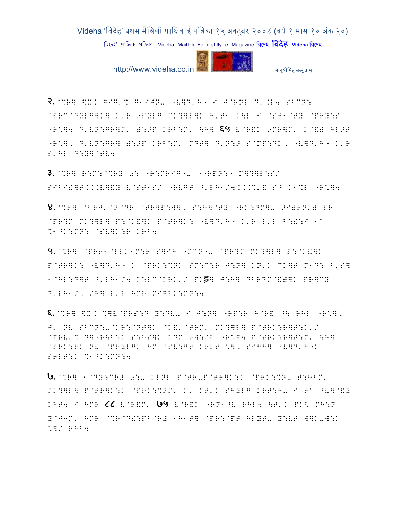িরেদহ' পািkক পিtকা Videha Maithili Fortnightly e Magazine িরেদহ िवदेह **Videha** িবেদহ



२. MBB BIL BAR, M. BARD, ALBERTA CA. BARDE, B. G. H. RAD @PRC@DYLG]K] K'R 9PYLG MK?]L]K H'T1 K\L I @ST1@TY @PRY:S "ANIBA" B. ERNBRBY, "BNOR" (AFNN), ARB: **RY** E. TRIC (ANRBR), CORB. HEOR "RENA ): D'VIS GRIPHAE (BELAEVIS D'ALDI, "O'NDAR" D'ANDER (DELL'ARDEN) (DELL'ARDEN) EN 2003 B S'HL D:Y]@TV4

३.@%R] R:M:@%RY 0: "R:MRIG"- ""RPN:" M]?]L:S/ SIGI PARA DO CERDO "ELIGARIZ" (PAERA) "PLI PRIZINO O CONDIDI "RIMI" (PAINERA)

४.@%R] @BRJ'@N@DR @TR]P:W], S:H]@TY "RK:DM]- >I)RN') PR @PR?M MK?]L] P:@K&]K P@TR]K: "V]D'H" K'R L'L B:!:I 1A %1^K:MN: @SV]K:R KRB4

५.@%R] @PR61@LLK1M:R S]IH "MCN"- @PR?M MK?]L] P:@K&]K P. "PERD S. "PERPUR K OO "TEEDSTON, SONYTSE" PSOR OOD, DOON TO BE ON THE PUSHR 1@HL:D]T ^'LH1/4 K:LC@KRK'/ PKड़] J:H] DBRDM@&)]K PR]CY D'LH1/, /H] L'L HMR MIGLK:MN:4

६.@%R] \$X. %]V@PRS:D Y:DV- I J:N] "RP:R H@R& ^\ RHL "R\*], J' NV SBCN:-@KR:@NT]K @K&'@TRM' MK?]L] P@TRK:R]T:K'/ @PRV'% D]"R\B:K S:HS]K KDM 9W:/L "R\*]4 P@TRK:R]T:M' \H] @PRK:RK NV @PRYLGK HM @SV:GT KRKT \*], SIGH] "V]D'H"K SGEET SCHOOL

७.@%R] 1@DY:CR# 0:- KLNL P@TR-P@TR]K:K @PRK:%N- T:HBM' MACHER PORTRESS (PRESENTE KATER (BRIT: I PARTIE AT PARTIES KHI4 I HMR 66 E HET, 199 E HET (1976) REPORTS THREE MATCH YO JAMO AS A THE MELTING PART OF HALL AND HE REAL PROPERTY WITH  $\mathcal{P}$  $\overline{1}, \overline{2}, \overline{1}, \overline{2}, \overline{3}, \overline{4}, \overline{4}, \overline{4}, \overline{4}, \overline{4}, \overline{4}, \overline{4}, \overline{4}, \overline{4}, \overline{4}, \overline{4}, \overline{4}, \overline{4}, \overline{4}, \overline{4}, \overline{4}, \overline{4}, \overline{4}, \overline{4}, \overline{4}, \overline{4}, \overline{4}, \overline{4}, \overline{4}, \overline{4}, \overline{4}, \overline{4}, \overline{4}, \overline{4}, \overline{4}, \overline{4}, \overline{$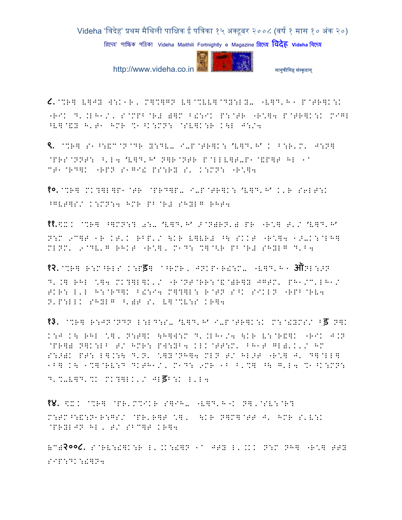িরেদহ' পািkক পিtকা Videha Maithili Fortnightly e Magazine িরেদহ िवदेह **Videha** িবেদহ



८.@%R] V]JY W:K1R, M]%]GN V]@%VV]@DY:LY- "V]D'H" P@TR]K:K "RIK D'.LH1/, S@MPB@R# )]M B!:IK P:@TR "R\*]4 P@TR]K:K MIGL ^V]@&Y H'T1 HMR %1^K:MN: @SV]K:R K\L J:/4

९. @%R] S1^:&C@N@DR Y:DV- I-P@TR]K: **'**V]D'H**'** K B:R'M' J:N] @PRS@NNT: ^'L4 **'**V]D'H**'** N]R@NTR P@LLV]T-P1@&P]T HL 1A TH SHAD GREE SCHOOL PSIGH SI SIGER GRIEG

१०.@%R] MK?]L]P1@TR @PRD]P- I-P@TR]K: **'**V]D'H**'** K'R S6LT:K ^GVT]S/ K:MN:4 HMR PB@R# SHYLG RHT4

११.\$X. @%R] ^]MN:? 0:- **'**V]D'H**'** >@N)RN') PR "R\*] T'/ **'**V]D'H**'** N:M 9CHE (RR VEL) REPLY EDE ENDER OR HIVR PORT (RR VEL) MIRN, SYMELO RHKT "RYDE", MID: %DO RHKT PROFESIONER "RYDE"

१२. WHE PANDER CONST. MENT, JULIE PEANS, JEEP, P. SMR NUR D'.] RHL \*]4 MK?]L]K'/ "R@NT@RR:@&@)R]Y JGTM' PH1/C'LH1/ THE ROOT RESPECT FOR STRIPE ROOT ROOM IN STRIP WHEN THE R N'P:LL SHYLG SHEYLG SHYLG SHYLG

१३. @%R] R:JN@NDN L:LD:S- **'**V]D'H**'** I-P@TR]K:K M:@!YMS/ Bड़ N]K K:J KORT AN DIE KONING OOR DE DIE DIE DIE DIE DIE VAN VAN DIE VIERSE IN DIE DIE VIERSE AARDEELIGE IN DIE DIE D @PR]) N]K:LB T/ HMR: PW:YB4 KLK@TT:M' BH1T GL)'K'/ HM S:>)K PT: L].:\ D'N' \*]Y@NH]4 MLN T/ HL>T "R\*] J' D]@LL] 1B] K\ 1%]@RV:D DKTH1/, M1D: 9MR 1B B'%] ^\ G'L4 %1^K:MN:  $D$  . The set of  $U$  and  $U$  and  $U$  and  $\overline{S}$ :  $V$  and  $V$  . The set of  $U$ 

१४. and one official service service shows the production M:THO: THE SERVE OF THE SERVE ON THE SERVE OF THE STRIKT THE STRIKT IN THE STRIKT  $\mathcal{M}$ MPRH HR, H. S. SPACE SER

(E"BROOK. SMRK:RRV:R E. MARRY PY PRE E. MI 27T 25T PHE PRIT PRE SIP:DK:!]N4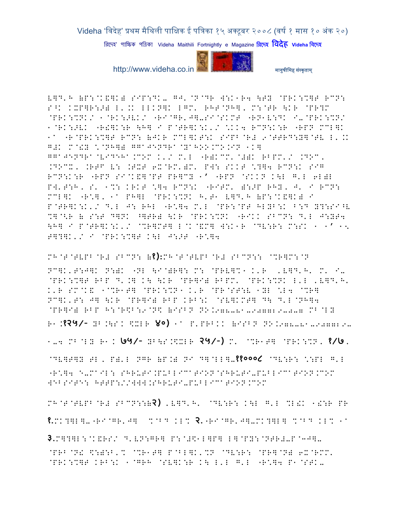িরেদহ' পািkক পিtকা Videha Maithili Fortnightly e Magazine িরেদহ िवदेह **Videha** িবেদহ



 $\,$ B, A)  $\,$  B, B, B (P)  $\,$  B)  $\,$  G  $\,$  G  $\,$  (P)  $\,$   $\,$   $\,$  ,  $\,$   $\,$  (P)  $\,$   $\,$  (P)  $\,$   $\,$  (P)  $\,$  (P)  $\,$  (P)  $\,$  (P)  $\,$  (P)  $\,$  (P)  $\,$  (P)  $\,$  (P)  $\,$  (P)  $\,$  (P)  $\,$  (P)  $\,$  (P)  $\,$  ( S^K KXP]R:>) L'.K LLKN]K LGM' RHT@NH], M:@TR \KR @PR?M @PRK:%NK/ 1@RK:>VK/ "RI@GR'J]-SI@SKMT "RN1V:DK I-@PRK:%N/ 1@RK:>VK "R!]K:R \H] I P@TR]K:K'/ \*KK4 RCN:K:R "RPN MCL]K 1A "R@PRK:%]T RCN: (JKR MCL]KT:K SIPB@R# 9@TTRD:Y]@TV L'.K G#K MONTH NO YAHA GAJENDA MARYA MARYA YA SARA GGAJENDRA@VIDEHA.COM K'/ M'L "R)KCM'@#)K RBPM'/ .DOC, .DOCX, .RTF V: .TXT 6X@RM')M' PW: SKKT \*?]4 RCN:K SIG RCN:K:R "RPN SI@K&]@PT PR]CY 1**'** "RPN @SKKN K\L G'L 6L)L PW'T:H, S' 1%: KRKT \*]4 RCN:K "RITM' ):>P RHY, J' I RCN: MCLARI, 1A PHIL A PHIL MORE AND LOCAL AND LATER HIM OCCUPATION P@TR]K:K'/ D'L J: RHL "R\*]4 M'L @PR:@PT HLYB:K B:D Y?:SI^V %]@<R ( S:T D]NK ^]TR) \KR @PRK:%NK "RIKK SBCN: D'L J:YT4 \H] I P@TR]K:K'/ @%R]MT] L@K@&M] W:K1R @DV:R: M:SK 1 1**'** 15 THE REAL PROPERTY IS AN ALLET THE SECTION OF THE SECTION OF THE SECTION OF THE SECTION OF THE SECTION OF THE S

MH@T@TWPE@R# SBCN: (1):MH@T@T@T@T@T@T@TWPB@R# SPCN: (1):MH@T@T@T@

NC]K'T:J]K N:)K "NL \I@)R]: M: @PRV]%" K'R 'V]D'H' M' I- @PRK:%]T RBP D'.] K\ \KR @PR]I) RBPM' @PRK:%NK L'L 'V]D'H' K. BY SMACK "@ KYRT PRESIDENT KONG "PROSPER" KOR @ NEW YOR #L NC]K'T: J] \KR @PR]I) RBP KRB:K @SV]KMT] D\ D'L@NH]4 @PR]I) RBP H:@R\$B:9@N\$ (ISBN NO.978-81-907729-0-7 MB@LY R1.1894/- BR. BEL BURE (80) 1A PERBECK (BRITE PRISESSES SPEED AS

1-4 MB@LY R1. ७५/- YB\S.\$XLR २५/-) M' @%R1T] @PRK:%N, १/७,

@DV]T]Y TL, P)'L NGR (P.) NI D]@LL]-११०००८ @DV:R: \*:PL G'L "R\*]4 E-MAIL: SHRUTI.PUBLICATION@SHRUTI-PUBLICATION.COM WEBSITE: HTTP://WWW.SHRUTI-PUBLICATION.COM

MH@T@TVPB@R# SBCN::(२) 'V]D'H' @DV:R: K\L G'L %L!K 1!:R PR १.MY RHEAD ARTHER AND CONTROL OF REAL ARTHERS AND MONEY OF THE CONTROL OF THE CONTROL OF THE CONTROL OF THE CO ३.MARAH SI DEREZI IR: BOSARA IRIS NASI ARPAI (EA IRIB IOPARAL) (HAAL) @PRB@N! \$:):B'% @%R1T] P@BL]K'%N @DV:R: @PR]@N) 6X@RMM' @PRK:%]T KRB:K 1@GRH @SV]K:R K\ L'L G'L "R\*]4 P1@STK-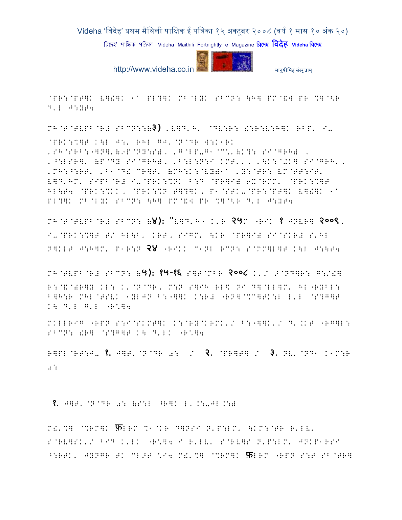িরেদহ' পািkক পিtকা Videha Maithili Fortnightly e Magazine িরেদহ िवदेह **Videha** িবেদহ



 $\overline{\phantom{a}}$  (Press)  $\overline{\phantom{a}}$  (Respectively,  $\overline{\phantom{a}}$  ) and  $\overline{\phantom{a}}$  (Proposition ) and  $\overline{\phantom{a}}$  (Proposition ) and  $\overline{\phantom{a}}$ **T.: ST.NEW** 

MH@T@TVPB@R# SBCN::(३) 'V]D'H' @DV:R: !:R:V:H]K RBP' I-

@PRK:%]T K\L J:' RHL GJ'@N@DR W:K1RK 'SH@SRB:"]N]'(9P@NY:S), 'G@LP-G1@C\*'(K?: SI@GRH) ,  $\sim$  PM SPR), and the Grid Here Signification of the  $\sim$  . In Signification of the Kimty .TRY'NHE, 'B' 'ME TRAF, BIRY'Y' (MHE)' (MY)1ARY BIJARY'A.  $E$ B'HM' SIP SIPP IN SIPPE I-DONE I-BORG PREFECTIVE CONTROLLED AND ANNOUNCE HEAR: MARK: WARD MARK: WARD MARK SHOW: N PL?BC MP (BE SPY) SPR PM WH PR "R "LE TE LIG"

MH TATALET THAN REPORT AND MARK IS SACKED AND RIVE TO THE SACK OF THE REPORT OF THE RIGHT ROOS, I-@PRK:%]T T/ HL\B' KRT, SIGM' \KR @PR]I) SI@SKR# S'HL  $\mathcal{P}(\mathcal{R})$  is a set of  $\mathcal{R}$  . The same in the same problem is the same of  $\mathcal{R}$ 

MH@TVPB@R# SBCN: 89): १५-१६ SBR ND R Rood K.M. SMDPRES GSMSR R: NE NAPHRO CENOCL: MY MH RONNER SHAW BEROPA AN NE NE HEN OPENED SO B)H:R MHL@TSVK 1YLJN B: AD (P. R. ANN) (C. 1963) (ASDN) 1YLJN B: LE @S.C. L'ESTINHE  $H: E \to E$  and  $H: E \to E$ 

MKLLER ART "PER SESAMENT "DE SAME IN BITLE "A DE SARRE "LE SARRE "PER BEST  $SUSY$   $BUSY$   $SUSY$   $SUSY$   $SUSY$   $SUSY$ 

R]PL@RT:J- १. J]T'@N@DR 0: / २. @PR]T] / ३. NV'@ND1 K1M:R  $\mathbf{d}$  :

१. <del>J</del>HA 1919 AN BENT 1992 I. C.J.41 CAR

ME, THE STRONG **W**ERM THE DEPARTMENT WINDER SERVICE RILL. SMRLASKI/ BID SKYAR I RILL SMRLAD DINKR "PIDERED  $R^*$  and  $R^*$  and  $R^*$  and  $R^*$  are  $R^*$  . Then the  $R^*$  and  $R^*$  is  $R^*$  same  $R^*$  same  $R^*$  same  $R^*$  and  $R^*$  and  $R^*$  and  $R^*$  and  $R^*$  and  $R^*$  and  $R^*$  and  $R^*$  and  $R^*$  and  $R^*$  and  $R^*$  and  $R$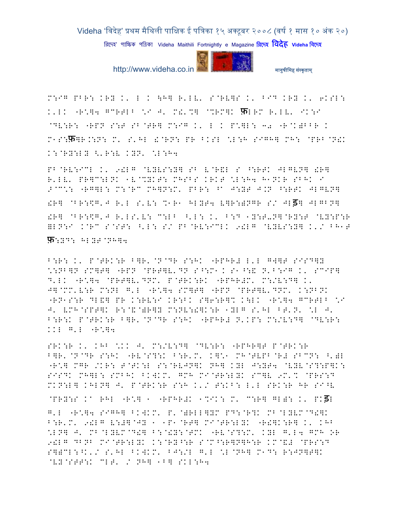িরেদহ' পািkক পিtকা Videha Maithili Fortnightly e Magazine িরেদহ िवदेह **Videha** িবেদহ



MYSER PRINCIPE KI L'ARR BILL KOBLAR KI REPORTS KONSTRU K.BI "RYAN AMPALA" VY A. MELSA "SPMAN **V**ERT PLEEL" YOUR @DV:R: "RPN S:T SB@TR] M:IG K' L K P\*]L: 30 "R@K)BBR K MN: S'HRIGHE SYNS MORT IN SIGHT IN SIGHT IN DIE BEGRUIK HAT DIE DIE DIE DIE MUNISIPALITEIT OP DIE DIE MUNISIPA K: A ROBOT A ROBOT A ROBOT A ROBOT A ROBOT A ROBOT A ROBOT A ROBOT A ROBOT A ROBOT A ROBOT A ROBOT A ROBOT A R<br>Vers and a robot a robot a robot a robot a robot a robot a robot a robot a robot a robot a robot a robot a rob

PP@RECK:ANT\_OUTCOMERCERTY\_APROXYS: R'LEL' PRAMALBI KENTAIRA DAPATR'ILAH MENGHATAK BIR PASTAI >@C\*: "RG]L: M:@RC MH]N:M' PBR: ^A J:YT J.N ^:RTK JLGVN] ERE DESTRIA BIL PIET THE ALDER ERETHORE PIACS SE ALACTE ERE OFBYTH. A BLEEN EY MYER (RIEY: C: FYM FOYELME OBORY: MENOTH =LN:I .@RC S@ST: ^'L: S/ PB@RV:ICLK 9!LG @VYVS:Y] K'/ BH1T

 $W: \mathbb{R}^n$ : Herman Harmonian B:R: K' P@TRK:R B]R'@N@DR S:HK "RPHR# L'L GW]T SISD]Y  $N$ SP BR (STBPB) (PPR) (PPPBL) "ROC STST" (P): S1: N'B: R1. S1^: STSTB D.K: "RIAG" PRPARA PDD. PORPINEI "RPPRAD, DNIANPROI. J]@MM'V:R M:NL G'L "R\*]4 SM]T] "RPN @PRT]V'DNM' K:NBNK "REPORTED THINK PROVINCES" (PER CORRENTLY RECOVATION #TERETOICS J'AL CALENTARI BY TENGRADO DYRIGARI YR 1808 ROSI PROFIZOLOGI 19. B:R:K P@TRK:R B]R'@N@DR S:HK "RPHR# N'KP: M:/V:D] @DV:R:

BURS SES SON STATES OF SHEET IN THE SECRET SERVER SEARCHER IN A SALE OF THE SERVER OF SALES AND DRIVING A SALE "R\*] MGR /KR: T@TK:L S:@RVJN]K NH] KYL J:YT4 @VYV@S?:P]K: SISDK MHELS SUPPLIFICATE GMH MICHAELE SCHE WOLT TERRY MC PAER (1963) P. P. PORECAR (2009) C. A. SACER E. E. SRCAR (1963) PROSPER

@PRY:S KA RHL "R\*] 1 "RPHR#K 1%IK: M' C:R] GL): K' PKड़L

B.E "BSMA SYMAN FINIS BY MBEEMIN PRYDEN IN MODISTMEN B:R'M' 9:R'M' R'ANG V' 9:P'M' PANGHERTRE MANGHERTRE RESERVE TO A LA KE KHBI KE KHBI KE KE KHBI KE KHBI KE KHBI \*LN] J' MB@LYVM@D!] B:@!Y:@TMK "RV@S?:M' KYL G'L4 GMH OR 9!LG DBNB MI@TR:LYK K:@RY^:R S@M^:R]N]H:R KM@&# @PRS:D S])CL:^K'/ S'HL BKWKM' BJ:/L G'L \*L@NH] M1D: R:JN]T]K

WORKSON, MIR . 9 HUB . 1 H . 1 H . 1 H .

SRK:R K' KHB \*KK J' M:/V:D] @DV:R: "RPHR]T P@TRK:R

KKL GYL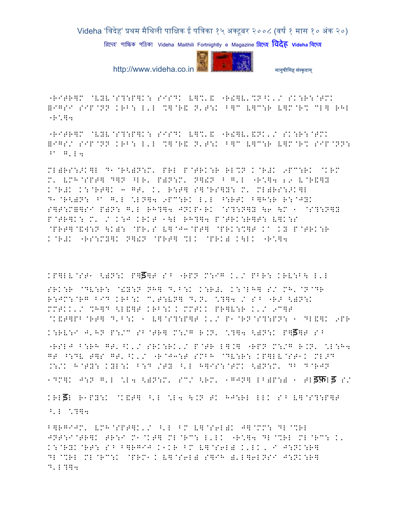িরেদহ' পািkক পিtকা Videha Maithili Fortnightly e Magazine িরেদহ िवदेह **Videha** িবেদহ



"RITREMO" (B.B. SYSTEM S. STYLM) BAN, B. (BRAB, NAK), N. SKSB SKY BOREO EST TE LES LI SURFE RIAN (AT' BUTE BUTE TE THE PH  $\mathcal{A}$  is a function of  $\mathcal{A}$ 

"RITREAD" (B.B. GOODER V. SISDA V. BAG. B. (BEAR), BR. I. S. SCOR VEG. =IGS/ SIP@NN KRB: L'L %]@R& N'T:K B]C V]C:R V]M@R% SIP@NN:  $\mathcal{L}^{\text{max}}$  GeV  $\mathcal{L}^{\text{max}}$ 

ML)RS:>K]L D1@R<)N:M' PRL P@TRK:R RL%N K@R#K 9PC:RK @KRM M. VAMH SPTAR (PRIM P)N PADSAM, CHRIB (P)R' P.E. (PASRA 29 VACARER K: MEAD ( CONSTRAINT) A: (P.E.) ( C.) S) BOAR ( POINT MORT DO ) ( DI AIR POINT RI D) NELADA (P) A.: NIDA GAL LEMARI (P)I (PARA) PAPAR RAYADI S'ABSI BARA BERG ALE BANAN ARI PADI MENGAN ABI AN 'NYNYANA POTREARD NO MOVING TO A SERIES AND THE POTREAR TO THE VEHICLE AND NEW @PRT]@&W:N \K): @PR'S V]@J3@PT] @PRK:%]T KA KY P@TRK:R K "R.E." (RS:MY) (RS:MY) (RS:R (RS:MY) (RS:MY) (RS:MY) (RS:MY) (RS:MY) (RS:MY) (RS:MY) (RS:MY) (RS:MY) (RS:MY)

KPALKYM: KAPY PASAR Y' GRY PYS CLI PPR CRESTA LI

SRK:R @DV:R: @!Y:N NH] D'B:K K:R#' K:@LH] S/ MH'@N@DR R:JM:@RG BID KRB:K C'T:VN] D'N' \*?]4 / S^ "R> <)N:K MATKALI MATKA KRBI KRATI KOMA PRINSIPI KATA PRI

@K&T]PB@RT] D'B:K 1 V]@S?:P]T K'/ P1@RN@S?:PN: 1 DL&]K 9PR

1DM]K J:N G'L \*L4 <)N:M' SC/ <RM' 1GJN] LB)P:) 1 TLड़फ़Lड़ S/

THS: RICH COURTS: LAN ROOM RICH IN THIS ROOM

JNT:I@TR]K TR:I M1@KT] ML@RC: L'LK "R\*]4 DL@%RL ML@RC: K'

BJRGIV VAN SPERENDEN DIE VOLGONIE SOME BIJ DIE VOORTING VAN VONG

K: SO BORT: SO BORT: SOCIETY AND SAFE OF THE SOCIETY OF THE SOCIETY OF THE SOCIETY OF THE SOCIETY OF THE SOCIETY OF THE SOCIETY OF THE SOCIETY OF THE SOCIETY OF THE SOCIETY OF THE SOCIETY OF THE SOCIETY OF THE SOCIETY OF T DL MORL MI MARC: KRROY I: LA GGALA (2478) ALIANIDIS (450.584)

 $\overline{1}$   $\overline{1}$   $\overline{1}$   $\overline{1}$   $\overline{1}$   $\overline{1}$   $\overline{1}$   $\overline{1}$   $\overline{1}$   $\overline{1}$   $\overline{1}$   $\overline{1}$   $\overline{1}$   $\overline{1}$   $\overline{1}$   $\overline{1}$   $\overline{1}$   $\overline{1}$   $\overline{1}$   $\overline{1}$   $\overline{1}$   $\overline{1}$   $\overline{1}$   $\overline{1}$   $\overline{$ 

D'L?]4

"RSLJ B:RH GT'^K'/ SRK:RK'/ P@TR L].] "RPN M:/G R.N' \*L:H4

GT AN THE STATE OF THE STATE OF THE SMALL STATE OF THE ENDING MELTIC. .:/K H@TY: KYL:K B:D /TY ^'L H]IS:@TMK <)N:M' DB D@RJN

K:RV:I J'HO:T P:/T SP MER PY/F RIP, NORR SAPY SPSSE ST

http://www.videha.co.in<br>सानुबंधित संस्कृताम्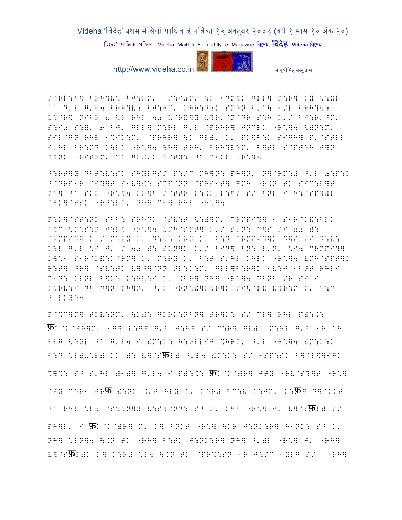িরেদহ' পািkক পিtকা Videha Maithili Fortnightly e Magazine িরেদহ िवदेह **Videha** িবেদহ



SORE SARL: BARRES (RASBO) SISINGO, SECONDORE CREER ORDER COESASEE KA D'ELEC'HER BRHONE KAN BINGER (MARINA BERNE V:@R\$ NIBR 8 <R RHL 40 V@R&]Y V]R'@N@DR S:H K'/ BJ:R'^M' STER STAR OF BUILDING TIME WILL GENERAL GENERAL MENTION SILMA RHL 1%IKI, MRHRI BI ALL LI PIATRI SIMA PI MEL S. RECEPTED BROWN BREAK TRHERS CHARGE SOPHER ANY DER "RITREM" DA GLI K'ATH P' MILL ANGEL

^:RT]Y DBT:V:SK SHYLGS/ P:/C MH]N: PH]N' N]@RM:# ^'L 0:P:K  $\overline{X}$  stripped and the stripped of the stripped of the stripped of the stripped of the stripped of the stripped of the stripped of the stripped of the stripped of the stripped of the stripped of the stripped of the stri  $\mathcal{P}^{AB}$  (for state of each sympath in the set of the set of the set of  $\mathcal{P}$ THE THIS SEPTIC COME THE RHL SHILL

P:CA SPERI & PERI (SEG: SRHD, TETPIR & PERIDII) FAT STACKS PARA (RSAN ETROCERA (LV SLOV PAR SPT mandy TRIPPIR (A) CORROL THAN CRROL FOR TRIPPIR THE SPOTCHS KAL ALI NA AL' Z' 40 BI KIJAD LIJI FARD FIRI ELIK. NAK MEZEADO KAN STAR KOMIS STAR KOMIS KOMIS START AV KOMIS KOMIS KOMIS START GEVEN DER NEDDELLA "RED START "RED "RED SOM D R:TA CORRESPO EN PRIMEIRO DE TENSON DE L'ARITA EN L'ARITA PAR L'ARITA EN PO M1D: KLNL B\$K: K:RV:I K' .BR] NH] "R\*]4 DBNB /R SI I K:RAV: I DB PHR, RE HRIEN: RH RIE RHEN L. PR  $^{\circ}$  . : : : : : : : :

POSTED BILLEY, AND RIGHTS DRUG BAN IS CONFIDENT  $\overline{\Psi}$ Kong)Rime Rime (R) Source (R) And the Company of the Company of  $\overline{\Psi}$ LLG <:YL ^A G'L4 I !M:K: H:9LLIG %HRM' ^'L "R\*]4 !M:K:K B:D \*LELLED \*LOOD #SOKE "DE #OFFING BING" AND \$PERTY BE \$PERTY FOR INDICATABLE BE \$PERTY AND \$PERTY BE \$PERTY BLOW  $\mathbb{R}^n$  ) so so so the state  $\mathbb{R}^n$  is the state  $\mathbb{R}^n$  in the state  $\mathbb{R}^n$  . The state  $\mathbb{R}^n$ /TY C:R1 TRफ़ !:NK .'T HLY K' K:R# BC:V K:JM' K:फ़] D]@KKT  $\mathcal{P}^{\mathcal{P}}$  and the symplectic state  $\mathcal{P}^{\mathcal{P}}$  is the solution of  $\mathcal{P}^{\mathcal{P}}$  and  $\mathcal{P}^{\mathcal{P}}$ PHEL' I WORK COMBET TO CHOOK THE THE HIST THE THINK HIS SO KEY AT L NH] \*LN]4 \.N TK "RH] B:TK J:NK:R] NH] ^')L "R\*] J' "RH] RASH**R**EAL CA CHA SHA ASR AL SERVHER (R ANST (BEA 22) (RHA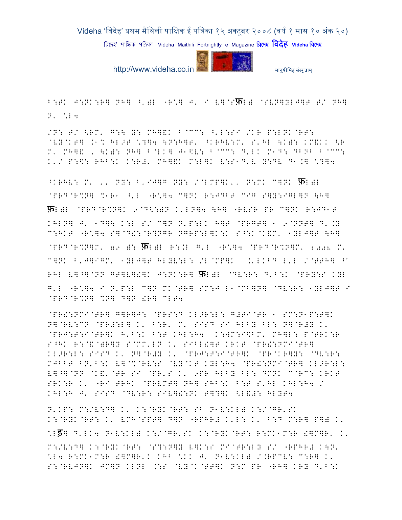িরেদহ' পািkক পিtকা Videha Maithili Fortnightly e Magazine িরেদহ िवदेह **Videha** িবেদহ



B:TK J:NK:R] NH] ^')L "R\*] J' I V]@Sफ़L) @SVN]YLJ]T T/ NH] N' \*L4

/N: T/ <RM' G:\ Y: MH]&K B@CC: ^'L:SI /KR P:LNK@RT: MUNICAR .1% TO AESAR (1984 APIARA) . KLAAINI SI KOKA SI ANG 1900 SI KA M. MHE. , KIER PHE PMELE AREA POTTE TOE CONTROLPED BOTTE K./ P:\$: RHP: ROOM: RHB: MIND: MIND: RHP: R.D. BHT: MY: DONORA

^KRHV: M' '' NY: B'IJ]G NY: /@LMP]K'' N:MK C]NK फ़L)L @PRD@R%N] %1R1 ^'L "R\*]4 C]NK R:JDBT CIG S]Y:IGL]N \H]  $\overline{\mathbf{y}}$ D)L and the property is the property of the property  $\mathbf{y}$  and  $\mathbf{y}$  are called  $\mathbf{y}$  . KHLAND JO 1999 (SAL) YO MNA ALIKAI DONNA MARA MARANG DONNA MAGA T:H:# \B\TH :T 'R:YE: 'BT?TB ?TBP:LIT \: {'\!` 'S:' 'LIL \: \ILJ\_T 4H2 \H\T @PRD@R%N]M' 79 ): फ़L)L R:.L G'L "R\*]4 @PRD@R%N]M' 2008 M' C]NK B'J]IGM' 1YLJ]T HLYV:L: /L@MP]K .'LKBD L'L /@TTH] ^A RHL LAND VA GEALARE GIRLIE **W**EB: MINN M.PIC WEBE: CAL B.E. GENAA K S.PH MAR IN MAA 2014 EE NICHSA MAHA EE NICHS @PRD@R%N] %N] D]N !R] CLT4

@PR!:NMI@TR] G]R]J: @PRS:D KL>R:L: G#TI@TR 1 SM:N1P:T]K N]@RV:CN @PR#:L] K' B:R' M' SISD SI HLBY BL: N]@R#Y K' @PRJ:T:I@TR]K H'B:K B:T KHL:H4 K:WM:I\$BM' MH]L: P@TRK:R SO FROM A RICHARIA SO SOMO RICHI SI SI SI SIBLE A SIBLI ALL'INDIANA PARA IN ANNO MI DI RICHARDI ANNO MI DI RIC KL: SISD KALANG KALANG KERANG KERANG KERANG KERANG KERANG KERANG KERANG KERANG KERANG KERANG KERANG KERANG KER MJBBT BN'B:K V]@%@RV:S @VY@KT KYL:H4 @PR!:NMI@TR] KL>R:L:  $\,$  B, H, H, The Sign and Si  $\,$  and Si  $\,$  D,  $\,$   $\,$  D,  $\,$   $\,$  D,  $\,$  D,  $\,$  D,  $\,$  D,  $\,$  D,  $\,$   $\,$  D,  $\,$  D,  $\,$  D,  $\,$  D,  $\,$  D,  $\,$  D,  $\,$  D,  $\,$  D,  $\,$  D,  $\,$  D,  $\,$  D,  $\,$  D,  $\,$  D,  $\,$  SRK:R K' "RI TRHK @PRVMT] NH] SHB:K B:T S'HL KHL:H4 / KHL:H JAL: SISDA MARININ SISDA SING BAGAN KE KAN TIGA SI

N. CES CSZESTROL (SS SBR) MARS EN DREDGERT CSZ MRAZY K: SPO) DERS K. KOR SPPHE PHR (PPHR# K.ES K. K'S' DSP DSPHE PHA K.  $\mathbb{R}$  By The P-Exchanging Corporation (1)  $\mathbb{R}$  is the second corporation (1) M:/L:P# (15/PH)/P#S /K4:P#B:L#C52 MY/P#SHB:K/ (PPPHR KAD) \*L4 R:MK1M:R !]M]R'K KHB \*KK J' N1V:KL) /.RPCV: C:R] K'

S: DEAPH) ANDROINE . SEE THAN MANY SARE . S PR "RHD" (PA "RESI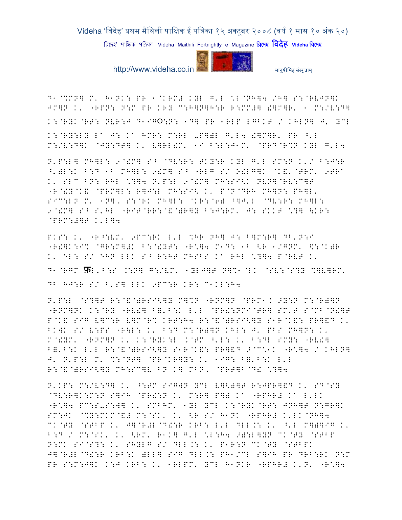িরেদহ' পািkক পিtকা Videha Maithili Fortnightly e Magazine িরেদহ िवदेह **Videha** িবেদহ



DA MODRA DI AKRO MATERA MERANGA KALIMA KI NA MRAAH INA PERARAK JM]N K' "RPN: N:M PR KRY C:H]N]H:R R:MM#] !]M]R' 1 M:/V:D] K: NEIL NEIL BLEN: N-PRONTH (PR 18 1888) ERRIE / KONFER (2018) K:@RY:LY LA J: KA HMR: M:RL -P])L G'L4 !]M]R' PR ^'L M:/V:D]K @JY:DT] K' V]RL!M' 1I B:L:J1M' @PRD@R%N KYL G'L4

N'P:L] MH]L: 9@!M] S^ @DV:R: TKY:R KYL G'L SM:N K'/ B:J:R ^')L:K B:D 1B MH]L: 9!M] S^ "RLG S/ O!LG]K @K&'@TRM' 9TRA K' SLC BN: RHL \*244 P.PH. 2 NOTH THEST NORRH FEATURE "R@!Y@K& @PRM]L: R]J:L MH:SI< K' P@N@DRH MH]N: PH]L' SICH:LA MONIA MENING MENGENG MENING MENING MENING MENING 9@!M] S^ S'HL "RIT@RR:@&@)R]Y B:J:RM' J: SKKT \*?] \KR: @PRM:#]T K'L]4

PKS: K' "R^:VM' 9PC:RK L'L %HR NH] J: B]M:R] DB'N:I "RECAT BY THE STACK OF STORES" (RECATED TO THE REPORT OF THE TOWN K. HI: SV EAR EL: S' BIAR MAPE KO BAR NHA R'HLA K. DROM THE STRING STORE REVENSE AND HER SPENCED ON SOME THE SPEED. DB HJ:R S/ B'S] LLK 9PC:R KR: C1KL:H4

N'P:L @S?]T R:@&@)RSI<]Y M]%N "RNM]N @PRM1. >Y:N M:@R)]N "REPORTED IN NEW "RELARCH BILFNI" BILE "PREGNEDY NARR "SOL A "S" OF "PARE P@K& SIG V]C:R V]M@R% KRT:H4 R:@&@)RSI<]Y S1R@K&: PR]&D K' BKWAK SA WARAT REGERI DI PAS MATERIA DA BERTANG MARAI MARINTING DI L M YEARY, "PRESTABLIC, "IN MEAL NEW YORK" PLEN ON A NINE SENSE SOME PRESEA B='B:K L'L R:@&@)RSI<]Y S1R@K&: PR]&D >@C\*1K "R\*]4 / KHLN] J' N'P:L M' %:@NT] @PR@KR]Y: K' 1IG: B='B:K L'L R: MINERAL PRESTAIN FROM HIS MORE THE STREET

N. MIR: M:/V:DIGH K. (1987) SIGHT WORLD REVENSED AN INCOME AND MIRINAL CONTROL OF STATE @DV:R]K:M:N S]IH @PR!:N K' M:R] P]) KA "RPHR# KA L'LK "R\*]4 PC:S-S:W] K' SMBHM' 1YL YCL K:@RYK@RT: JNH]T N:GR]K SM:JK @%Y:MKM@&# M:@SK' K' <R S/ H1NK "RPHR# K'LK@NH]4 CO GREET AND ME CHARGE CHARGE CONSTRUCTION AND CHARGE CO B:D / M:@SK' K' <RM' R1K] G'L \*L:H4 >):L]YN CK@TY @STBP N:MK SI@S?: K' SHYLG S/ DLL.: K' P1R:N CK@TY @STBPK JOR DE LOREN LARGE IN SIG DE LA PHILOS PRINCIPE DE DARI PRO PR SYNGARI INA IRPI K. (REPUL HTE H(RIB) (RPHR# K.P. (RTAR)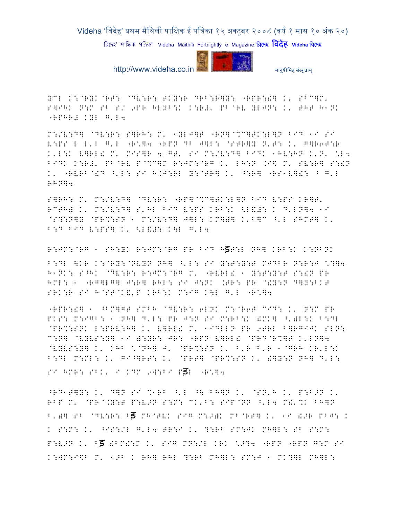িরেদহ' পািkক পিtকা Videha Maithili Fortnightly e Magazine িরেদহ िवदेह **Videha** িবেদহ



YCL C: THE THAN: TRENHING ACYMINA TRANSPORT (APPEND) (2008) TROL S]IHK N:M SB S/ 9PR HLYB:K K:R#' PB@RV YLJN: K' THT H1NK "RPHR# KYNE G.L4

M:/V:D:P# (1915-19) MH:PP: MU (801-1419) (1914-1914-1914-1914) (1915-1916) V:PS L L'L G'L "R\*]4 "RPN DB J]L: @STR]Y N'T: K' G]R6T:R K.EN: KAREEN M. MARAAR A GAL RA MNING 1978 FAN. HALNAD I.D. NEA BIAN CORA E PEMBERMON PARTENEN C. BARN CAN TE BERW PER K' "RIR'ST LIN P'RORR BYBB K' "RR "RPLEBS FALL RHN]4

S]RH: M' M:/V:D] @DV:R: "RP]@%C]TK:L]N BID V:PS KR]T' RCTH) K' M:/V:D] S'HL BID V:PS KRB:K <L&#: K D'LN]4 1I @S?:N]Y @PR%:SN 1 M:/V:D] J]L: KM])] K'B]C ^'L SHMT] K' B:D BID V:PS[ K] C ( COLOR S ) ( C ( C ) ( C ) ( C ) ( C ) ( C ) ( C ) ( C ) ( C ) ( C ) ( C ) ( C ) ( C ) ( C

R:JM: YH & PH:H: B:JM: YH PR BID HS:L 2HB CBPH (1988)

B:DL \KR K:@RY:@NVYN NH] ^'L: SI Y:T:Y:T MJDBR N:R:J \*?]4 H(S): S^H() (ML)B): R:JM: PH (), (BLB)2 ( S:HIM: S:2N PR HML: 1 "RGBER DE SANG BRIT PR @ YOUR PR @ PR @ YEEN .TRINK SRK:R SI HOSTOCK:R SRING: MYIG KARA MILL GRUPH

"RPR:!] 1 ^BM]GT SMBH @DV:R: 6LNK M:@R6T CID: K' N:M PR PKS: MYSTER: 1 NHE T.ER PR JY: SY MARINE AND ROWLER IN THE @PR%:SNK L:PRV:H] K' V]RL! M' 1IDLLN PR 9TRL B]RGIJK SLN: C:NER C:NIN ENIR (1998): JR: JR: PROPORT PROPORT (1998): TRIPPER (1998): TRIPPER (1998): TRIPPER (1998): TRIPP @VYVS:Y] K' KHB \*@NH] J' @PR%:SN K' B'R B'R 1@GRH KR'L:K B:N M: MORIE NO. CONTROL M: SN K' MORIE AT A "PRONE D'AN CONTROL D'EST (MORIE D'AN CONTROL D'EST)

SI HMR: SBK' I KOM 949 I SS PRIH

^RD1T]Y: K' D]N SI %1RB ^'L ^\ BH]N K' @SN'H K' P:B>N K' RBP M' @PR@.Y:T P:V>N S:M: CK'B: SIP@NN ^'L4 M!'%K BH]N B')] SB @DV:R: Bड़ MH@TVK SIG M:>)K MB@RT] K' 1I !>R PBJ: K K S:M: K' S:M: B:H SHE K' ?: THE STAR TANK SHIPS PALP N: FS SPEAR N: PPR TRACH THE NPR FOR THE SIGN OF K:NAM:NARH] M. (1)B (1)B B RH (1)B H (1) 1 MH] N. SM:J 1 MK (1) 1 MH] N. SM: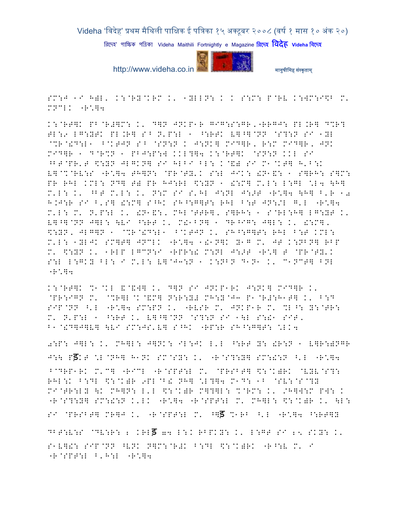িরেদহ' পািkক পিtকা Videha Maithili Fortnightly e Magazine িরেদহ िवदेह **Videha** িবেদহ



SM:J 1I H)L' K:@RY@KRM K' 1YLLN: K K S:M: P@RV K:WM:I\$B M'  $TPT11 - 4P144$ 

K: MERRIK PRODERING (K. DRAGORIEK B. PARGENAR, PERRAGORI DEN DISPO THE SECTION SO THE SECTION POSSIBLE CONSTRUCTION OF THE STATE OF SIDE OF SIDE  $\mathcal{S}^*$ @%R@!D:L1 ^@KTJN S^ @SN:N K J:NK] MID]R, R:M MID]R, JNK MARRE 1 DAGRADA 1 PRJERE 11 PARTIK 1 ROBERT 1 DEN KRI ^BT@PR'T \$:YN JLGKN] SI HLBI BL: K@&) SI M1@KT] H'B:K BUSTORI GROUP SERVE THINGS FOR ANY BIRD POUR FURNISHED PR RHL COLA DYN FE PR HYGH: KABR K EAON OLIA 1981 NIA AFN. MIL: K' N' B' M'L: K' N' N' SI S'HL SI S'HL JE S'HL JE S'HL JI: T "R'H' N' H' I: N H.J:R SI B'SI SATE SHE SHIRING BE BAS ATAL B. CHIAR M'LE'S M'L' M'LE'SE (11, NEW BYL), MAE MARARE, SYRHAN 1 SOME NARR EPYRROLI  $\mathbb{R}$ HI FILM  $\mathbb{R}$  -FILM  $\mathbb{R}$  (see ). DROIG:  $\mathbb{R}$  is the field  $\mathbb{R}$  is the  $\mathbb{R}$  drop  $\mathbb{R}$  , and  $\mathbb{R}$ \$:YN, JLG]N 1 @%R@!D:L1 ^@KTJN K' SH^:G]T: RHL B:T KML: M'L: 1YLJK SM]T] JNCLK "R\*]4 1!1N]K Y1G M' JT K:NBN] RBP M. \$:YOU A: YEAR AFTLANT HERE'S MIND FINE HERE A TRETHOLI S:L L:GRI BL: I EN VOLEN EBN MAND AL INDIDE RADALI DI MADMEBLEDE  $\cdot$   $\vdots$   $\cdot$   $\cdot$   $\cdot$ 

K:@RT\_MACH\_EMERIK #8 SANDER AND SINCRESS @PR:IGN M' @%R]L@K@&M] N:R:Y# MH:Y@J3 P1@R#:H1T] K' B:D SIPONI RI RAJA SUSPI L. "REJE U. "PNIR M' J. "RI PA STR MA M. P:P:L (A) TERR (1) SEPPENDE NOTES FOR A RESINER FOR SI B1@ "DIVIDENT" ALCOHOLOGIC SHIP SHAIL " (APINA "SHANGHAN" NECA

0:P: J]L: K' MH]L: J]NK: IL:JK L'L ^:RT Y: !R:N 1 V]R:)NGR JES PS: KT THE HIN SMORE OF STREE SMART TO CHINA ^@DRP1RK M'C] "RICL "R@SPT:L M' @PRSBT] \$:@K)RK @VYV@S?: RHES: PSTE RSCORE WEETER BREAKETHE DATA AF SVENSYNTE MICHAE R: MARN E.E \$: NAME MARHIN S MEN I. (AAREN BAN I "R@S?:Y] SM:!:N K'LK "R\*]4 "R@SPT:L M' MH]L: \$:@K)R K' \L: SI MPRIPE DRES LO ROSPER DO PES SIR AL "RISH" PREFE DBT:S @DV:S & REALIST 2008 PROVISION: A COMPARY AND STATE REALISTS OF STATE REAL ASSESSED.  $S$  (similar controls the significant binary response to the state  $\sigma$  ,  $\sigma$  ,  $\sigma$ "How Radia Robert Books (1984)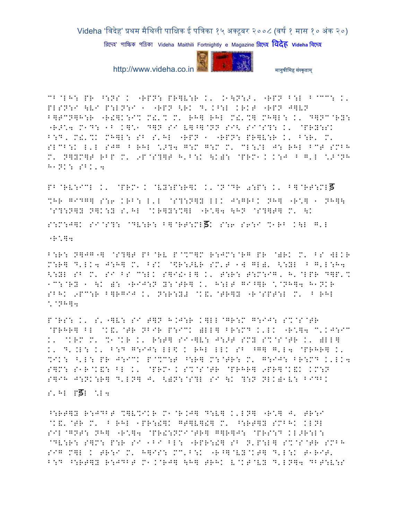িরেদহ' পািkক পিtকা Videha Maithili Fortnightly e Magazine িরেদহ िवदेह **Videha** িবেদহ



TO MORE CONSTRAINS AND ASSESSED AND COMPANY PLOTE ALS PHINES (APP OR DO ... IN THIS ARD "RPN ARD" BURCHER: HERING MILT M. BHU BHI MILTU MHUIS (1990) BUI  $R$  . The signal control of the signal signal signal signal  $R$  . The signal signal signal signal signal signal signal signal signal signal signal signal signal signal signal signal signal signal signal signal signal signa B:D, M!'%K MH]L: SB S'HL "RPN 1 "RPN: PR]V:R K' B:R' M' SLCB: K LIL SHACH PHL TURE AND AND DUCK TENSE AN PHECHOLIC SOME M. PHOMBE BER M. GRAMAGE ALEAN ANDER ARBOY KENNIN KA E ALE NURAWA Henry Street Street

PROBLEM I. MERV: MURICHE I. MONTH WICL FENDIS %HR GIDG] S:6 KRB: L'L @S?:N]Y LLK J:GRBK NH] "R\*] 1 NH]\ @S?:N]Y N]K:Y S'HL @KR]Y:%]L "R\*]4 \HN @S?]T] M' \K

STIME SYTH CRIEVERS BOOKS: SIMPLE SERVICE CHIPS!

 $H^4$ 

B:R: N]JG"] @S?]T PB@RV P@%C]M R:JM:@RG PR @)RK M' BS WLKR MIRE M.E.G PIRE M. PEL MENJER EN.B PE REE, NNH (P.E. END) SAH SB M. SP BS MAI SHREER (, SABA SAMAR, R. NIN MH.M  $\sim$  75 (100  $\times$  ):  $\sim$  81  $\times$  81  $\times$  41  $\times$  81  $\times$  81  $\times$  81  $\times$  81  $\times$  81  $\times$  81  $\times$  81  $\times$  81  $\times$  81  $\times$  81  $\times$ SBHK 9PC:R B]RGIJ K' N:R:Y# @K&'@TR]Y "R@SPT:L M' ^ RHL  $\sim$   $\sim$   $\sim$   $\sim$ 

P@RS: K' S'"]V: SI T]N H.J:R K]LL@GR:M G:IJ: S%@S@TR @PRHR] BL @K&'@TR NBIR P:ICK )LL] BR:MD K'LK "R\*]4 C'KJ:IC K' MER R' W' ME KY BYE SY'HEY PYF SAR SAMY SE KY HIT K' D'.L: K' B:D G:IJ: LL\$ K RHL LLK SB ^G] G'L4 @PRHR] K' %IK: ^'L: PR J:ICK P@%C:T ^:R] M:@TR: M' G:IJ: BR:MD K'LK4 S]M: S1R@K&: BL K' @PRM1. S%@S@TR @PRHR] 9PR]@K&K KM:N SAIH JING DAN DILANG DILANG DILANG DILANG DILANG DILANG DILANG DILANG DILANG DILANG DILANG DILANG DILANG DILA

 $S: H = P\overline{S}$ :  $S: H$ 

^:RT]Y R:JDBT %]V%IKR M1@R.J] D:V] K'LN] "R\*] J' TR:I MAKATAN MERHATRAN MENGERAN MERENGAN KURANGAN SARAT SIL@GNT: NH] "R\*]4 @PR!:NMI@TR] G]R]J: @PRS:D KL>R:L: @DV:R: S]M: P:R SI 1BI BL: "RPR:!] SB N'P:L] S%@S@TR SMBH SIG MIL K TRIS M. PRIN MAIN SERIEN DEN ALLE TIE DIE B:D ^:RT]Y R:JDBT M1.@RJ] \H] TRHK V@KT@VY D'LN]4 DBT:V:S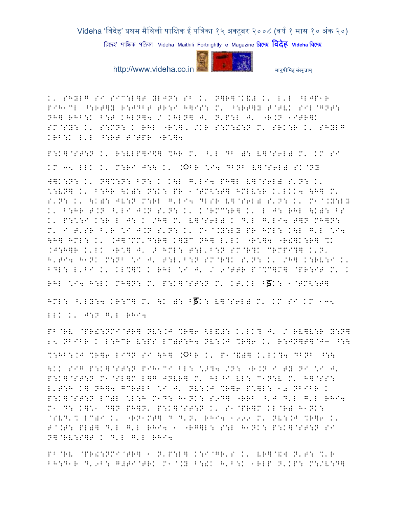িরেদহ' পািkক পিtকা Videha Maithili Fortnightly e Magazine িরেদহ िवदेह **Videha** িবেদহ



K' SHYLG SI SICILI SHOWLG SI SIC:L'ING KO KA' L'ULIPIRA K' L'ULIPIRA K' L'ULIPIRA KI KU NG KI NA KI LILIPIRA K PIH TE SERVER REAGN AND TREES AND RIGHT TREES TREES NHE: PHISIC PSE CHLNHA / CHLNH H. N.N NHL H. SE NY SYRPHI SM@SY: K' S:MN: K RHL "R\*], /KR S:M:!:N M' SRK:R K' SHYLG KRB:K LI SHA PYPP (RTH)

P:K]@ST:N K' R:VLP]I\$] %HR M' ^'L DB ): V]@S6L) M' KM SI KM 35 LLK K' M:RI J:\ K' .◌BR \*I4 DBNB V]@S6L) SK@NY

WHISPS I. PHOSPS FRS I INE PLEYS PHH SHOPPER A CREA \*:VN] K' B:HR \K): N:K: PR 1@TM<:T] HMLV:R K'LKK4 \H] M' S'N: K' \K): JV:N M:RL G'LI4 DLSR V]@S6L) S'N: K' M1@.Y:LY K'. P:HR T.H. T.HR T.H. KY KY L' L'HOMEN (1) BS TRE RHE ALBETTE K', P:titar (1960) (1960) (1968) T. KA'Yad'a (1971) A. K. A. A. AAR VIRARY M. I T'SR B'R B'R AN SYNCH I THAN SYNCH HAD AN AN ING \H] HML: K' .J]@MM'D:R] K]YC NH] L'LK "R\*]4 "R!]K:R] %K .J:H]R K'LK "R\*] J' > HML: T:L'B:N SM@R?K CRMPI?] K'N' H.BYA H1NK MAR: NY A. BALISAR EMPERIENT E. AN I MAR KABEN I. BOR: EVER (2003) K RHD: L'BI KI ANNO 2009 (PARE POSTROPE CORPORATE ON CO

RHL \*I4 H:LK MH]N: M' P:K]@ST:N M' KT'KL Bड़K: 1@TM<:T]

 $H$ MI: Alian (Program of  $K$ ): Bs  $H$   $\overline{S}$ : Alian shi as  $T$  (C  $H$  and  $T$  and HI: L'ANT M.I BASA

PR "PE: "PRESTRIK "BRACK PESTIA" "DRAK KERUS I. EI 7 (A. ) I. PEARSE (BSPA)  $\pm$  s, the star is the view of the normal term in the star  $\pm$  the star  $\pm$   $\pm$ 

%:HB:.J %R]6 LIDN SI \H] .◌BR K' P1@&)] K'LK?4 DBNB ^:\

 $\kappa$  significant pihit best check  $\kappa$  and  $\kappa$  and  $\kappa$ P:K]@ST:N M1@SL]M L]G JNVR] M' HL^I VL: C1N:V M' H]@SS: L.P:H CB PHB4 GCRPL (20 H. PEGIN TEBR PIBR K. PHCFB C P:K]@ST:N LC)L \*L:H M1D: H1NK: S9D] "RRB ^'J D'L G'L RHI4 M1 D: K]\*1 D]N PH]N' P:K]@ST:N K' S1@PR]M KL@R) H1NK: @SVD'% LC)I K' "RN1MT] D D'N' RHI4 1999 M' NV:.J %R]6 K' T@.T: PL)] D'L G'L RHI4 1 "RG]L: S:L H1NK: P:K]@ST:N SI NAMES OF REAL RESIDENCE

PROBL OPERING GEB : N.PIER (1950BELF (1) LEBORE GLEG (10) BH:D1R D'9B: G#TI@TRK M1@.Y B:!K H'B:K 1RLP N'KP: M:/V:D]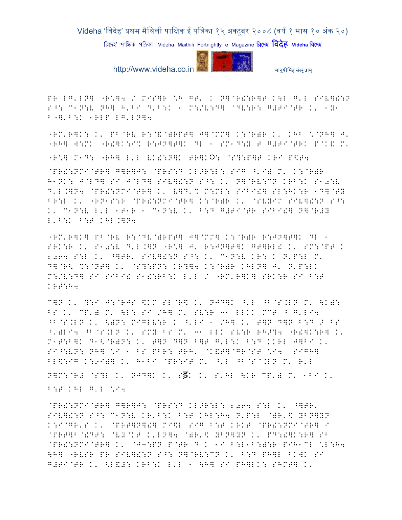িরেদহ' পািkক পিtকা Videha Maithili Fortnightly e Magazine িরেদহ िवदेह **Videha** িবেদহ



PR LA.194 (PIA: / MISH (PAC) & PH GIRE (H AL G'LAG) SON: CHI D'A H'BI D'AINS (CHILIPE) CHINE ANN CHE CLOSE B"]'B:K 1RLP LG'LN]4

"RM'R]K: K' PB@RV R:@&@)RPT] J]@MM] K:@R)R K' KHB \*@NH] J' "RHA WEST, "REGALEST REPRAINS TO "RICH" RED A SOME REGALES POSSIBLE TO

"RENE DY TROPHE ELE ELEMENT REBON "MINDER LEP" PRA

@PR!:NMI@TR] G]R]J: @PRS:D KL>R:L: SIG ^'I) M' K:@R)R H1NK: J@LD] SI J@LD] SIV]!:N S^: K' N]@RV:CN KRB:K S10:V D.1.1994 | TRANSVINDE I. | 199.1.10111 SIBI:N SL:HK:R | 199.79 BR:L K' "RN'INE" "PRINATY MER (S'ANDE) K' "MIGYT FYLRING" FY K. TYPEL EVEN HAT TYPEL IV FOR AND THE SYRNE PATHUR L'B: PH CHISSE

"RAD", BADAR (IPP) TRACTAR TARETAR (AR) TO THO 1 TEAR (IPP) PARTIES TO THE U. SRC'HE CO. SYGHE MOE CHR (FENH) AO BHARHAHO AAHHEE CO. SC'H'TH' C 1204 STO I. TRE STORES STORE THREE SINGS DRIGH WINDER I. MITHERS IFTH IN GHE CHIPE A. D. EGI M:/L'ATH SIK SIRK: SK L'APPIL ELE / "PRIN PHI B: FRI AP: FK FAR KRT:H4

MAR I. ANG ANGKAR KIT PIGKAL (PAMAL ALI ANGKIR T. AIBN BS K. TEACH SYSTEM IN SERVE WORKER COMPANY ^B@S.LN K' <)N: MIGLV:R K ^'LI 1 /H] K' T]N D]N B:D > BS  $\sim$  10 Papel at the St.L. Computer state of the St.Lake St.Lake St.Lake Minimum and  $\sim$ MORTH DOOR ON THE DIRECT DIRECT BIKE BEEN AND COMPANY OF A LIGHT CONTINUES. SIC:VA: PS PBR: TAS PROFESS (BER) = TRHER TRH TRH TAS PARAGE BL\$:IG K:PING K: HIS MODEL OF A CONSTRUCTION OF THE PROPERTY OF A BOOK OF MY RELATIONSHIP OF A BOOK OF A LONG M

NAM: M: M: N: M: M: NO S: SS: N: S: H: S: H: S: S: S: S: S: S: S: S: S: S: S: S: S

B:T KHL G'L \*I4

@PR!:NMI@TR] G]R]J: @PRS:D KL>R:L: 2064 S:L K' ^]TR' SIVEREND SIY: THORE CHLIFN) FNB CHENHE OLDNE (MBL:R) BFORBO K:I@GR'S K' @PRT]N]!] MI\$L SIG B:T KRKT @PR!:NMI@TR] I @PRT]B@!DT: @VY@KT K'LN]4 @)R'\$ YBN]YN K' PD:!]K:R] SB @PR!:NMI@TR] K' @J3:PN P@TR D K 1I B:L1B:):R PIH1CL \*L:H4 \H] "RVSR PR SIV]!:N S^: N]@RV:CN K' B:D PH]L BKWK SI BATIME C. AIRAY CERNI LI SA BAR YA PHRICH YATHRI K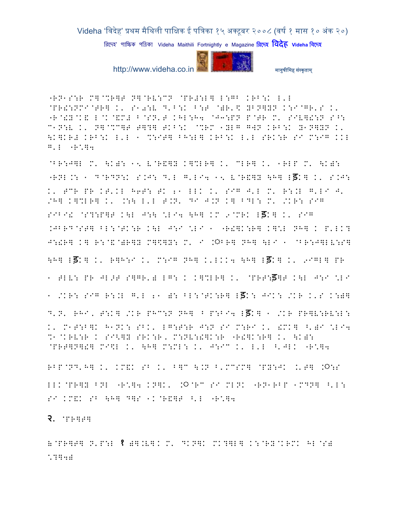িরেদহ' পািkক পিtকা Videha Maithili Fortnightly e Magazine িরেদহ िवदेह **Videha** িবেদহ



"RN1S:R MINISTER "RN1S:R MINISTER" | RN1S:R MINISTER | RN1S:R MINISTER | RN1S:R MINISTER | RN1S:R MINISTER | R @PR!:NMI@TR] K' S10:V D'B:K B:T @)R'\$ YBN]YN K:I@GR'S K'  $R$  . The contract of the state of the state  $R$  and  $R$  is the state  $\mathcal{R}$  . The state  $\mathcal{R}$  is the state  $\mathcal{R}$ TK PAL (1) PRITTER (PRAB: PLEAT (TAP) KRB:K RAP (1953) BKPRBP (1) \K]KR# KRB:K L'L 1 %:IT] BH:L] KRB:K L'L SRK:R SI M:IG KKL  $H_1$   $\uparrow$   $H_2$   $\uparrow$   $H_3$   $\uparrow$ 

WORKSHIM MY ROOM OF A LAND MARKET WAS ARRESTED FOR A LANGUAGE MARKET WAS ARRESTED FOR A LANGUAGE MARKET WAS ARR "HALL: 1 DOMAGN: KIRN DI BIRA 15 KORAGHI HAN ES ROLL KIRI K. ATA PA KAJI H6T: TK 21 LLK KY SIG JIL M. A12 J. MI SIG J /H] K]%LR] K' .:\ L'L T.N' DI J.N K] BDL: M' /KR: SIG SIBI MO TETERER CHE ASH NEINE HAR CO DITORD E**S**OR CO SIGN .JBRD@ST@BRIGE@STARIN: I:I FLI 1 "REAL IS A PEACH I:I "REAL III "REAL III" "REAL III" "REAL III" "REAL III" "R J:RES CS R: M' RESS CSCORE N' I . M' I COVES DES SERVICIONES EN L'INDIA  $\#$ H:IS:H:I, PH-IK' M: TIMP THE MILL AND IS:H M: WHIP TH  $\sim$  PELY TR ALSE SAME. E EMY I LANCER I. MINEYSAR IN AY MEASURE 1 /KR: SIG R:.L G'L 21 ): BL:@TK:R] Lड़K: JIK: /KR K'S K:)] D.B. RHI, FRIE MIR PHC: PHE : PRIVA IS:E / MIR PREGREES! K', MIT:BIK HIT: RIS SEKI LG:T:RIGINE (AGD) SK MIGHT (LG:TICH) ALGEM NEMA %1%1@KRP:C SPRAGE SPIRE, MRGKAGGINE (PEGGINAGE I. RIGR @PRT]N]!] MI\$L K' \H] M:ML: K' J:IC K' L'L ^'JLK "R\*]4

RBP@ND'H] K' KM&K SB K' B]C \.N B'MCSM] @PY:JK .'T] .◌:S LLK@PR]Y BNL "R\*]4 KN]K' .◌@RC SI MLNK "RN1RBP 1MDN] ^'L:  $S$  is the second of the second  $S$  in the  $S$ 

 $2.$   $PPRFFR$ 

(@PR#T#FL@L@S). 8 )].V.F.T. MESSENGER MARKET MAKE MAKE MESSENGER MAKE MESSENGER MAK  $^{\circ}$ .  $^{\circ}$  :  $^{\circ}$  :  $^{\circ}$  :  $^{\circ}$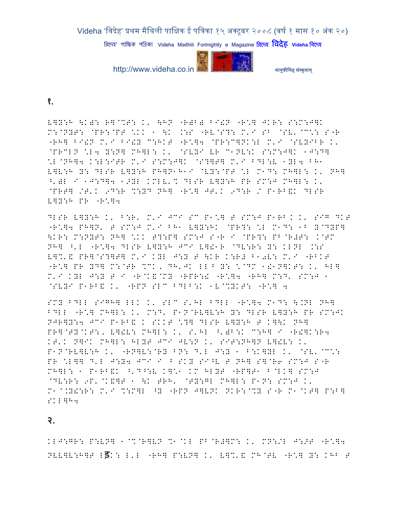িরেদহ' পািkক পিtকা Videha Maithili Fortnightly e Magazine িরেদহ िवदेह **Videha** িবেদহ



१.

 $\,$  RH366 (A): RF "RPS" (), (A69) (A686 R) PICB (A186 R) PS" PICB-PRI M: MAR: @PR: PR: WI: @PT #KK 1 \K .:S "RV" SB @SV' SB @SV "RH] BI!N M'I BI!Y C:HKT "R\*]4 @PR:C]NK:L M'I @SVYIBR K' @PRCLN \*L4 Y:N] MH]L: K' @SVYI VR C1NV:K S:M:J]K 1J:D] \*L@NH]4 K:L:ITR M'I S:M:J]K @S?]T] M'I BDL:V 1YL4 BH1  $\mathbb{E}[\mathbb{H}\mathbb{E}[\mathbb{V}]\times\mathbb{H}\mathbb{E}[\mathbb{V}]\times\mathbb{E}[\mathbb{H}\mathbb{E}[\mathbb{V}]\times\mathbb{H}\times\mathbb{H}]$  . Moreover, the main  $\mathbb{E}[\mathbb{V}]\times\mathbb{E}[\mathbb{V}]\times\mathbb{E}[\mathbb{V}]\times\mathbb{H}\times\mathbb{H}]$ ^')L I 1J:D]4 1>YL KMLV'% DLSR V]Y:H PR SM:J MH]L: K' @PRT] /T'K 9D:R %:YD NH] "R\*] JT'K 9D:R / P1RB&K DLSR **W:H PR "R\*14"** 

DESP EARSE IS FAR. T.K ATK PT PHIA B PTAK PHPIIS IS PHOTOS "R\*]4 PH]N' T SM:J M'I BH1 V]Y:HK @PR?: \*L M1D: 1B Y@DYP] \KR: M:NYT: NH] \*KK T?:P] SM:J S"R I @PR?: PB@R#T: .@TM NHE RI ANH MIR BUNA ANY BUNA 'MINA' UN CIM CH BASE PROVINCE IS THE CORPORATION OF AN INTERFERING IN THE BIG BIG BIG BIG IS AN INTERFERING IN A SUBSIDIARY OF "RENN IPR YOU ME YOU". "PRINT I FAN ON NY HIP AIR OO TO IN HEN MIR I:Y T AYE A ROOM "RESEARD "RANGE" (PARE MYST) AND THE R @SVYI P1RB& K' "RPN SLC BDLB:K 1V@%YKT: "R\*] 4

SMY BOLL SYMMA LLEVER SIGH SIGH "PILL "ANAH MY" AND MHA BOLL "BOLL THES I. THUL F-FOREHEIM H: MICH LANDA FR STIM **NAPARISH AND PLACE ( ) DLSR VIR MIRR ( ) DRSR VIR SKRKT FRAME ( ) DRSR VIR NH** PRB 180 12 85 L. KBELS: (PRB) S. C. (PLA) I "RESENCTION (PREB) SPA KT'K N]IK MH]L: HLYT JCI JV:N K' SIT:NH]N V]!V: K' PHOTOBERS V: HPPEES DO POST PLET PSOTT PRIME V: TEE: TTVS PR \*LEW T.E STER STY Y F RIE RYE & PRE RETH RITH RYE R PHER : PIRBE RITH, CHI CONTROL HER STREET TO BE PUR @DV:R: 9P'@K&]T 1 \K TRH' @TY:GL MH]L: P1N: SM:J K' MN 1080585 M.M. MSMBE (FROM PER JPER ) SERVICE ROBOT PS MORE PSPE SKLEPHE

२.

KLANARS PSERA KONSERE NA MET PROBLEME KUN MANEL ANDE KENAA PALEMENT IS TO LE THE PIER IN AUTH THAT WE ARE TO THE WE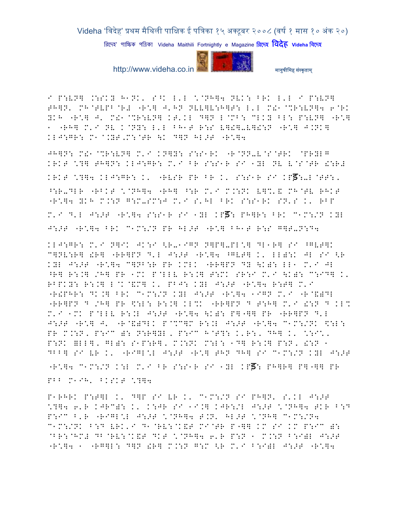িরেদহ' পািkক পিtকা Videha Maithili Fortnightly e Magazine িরেদহ िवदेह **Videha** িবেদহ



I P:VADR (1991) B-DI, SKY E.E. L'ORPRA DAIN FRI E.E. P:VNEDR TH]N' MH@TVPB@R# "R\*] J'HN NVV]V:H]T: L'L M!1@%R:VN]4 6@RK YKH "PANG" P. JY MAY MURNEDOG I AR. DE 1992 E MOSA I MEDIG SEN ENEDGY "PNDG 1 "PHANY MI NO MANY RIS VAN A SANY RING RING AND PANY AND R KLANDER OM MING VIR HET DIG DE GENER

JH]N: M!1@%R:VN] M'I KN]Y: S:S1RK "R@NN-V@S@TRK @PRYLG KRKT \*?] TH]N: KLJ:GR: M'I BR S:S1R SI 1YL NV V@S@TR !:R# KRKT \*?]4 KLJ:GR: K' "RVSR PR BR K' S:S1R SI KPड़:-L@TT:, ^:R-DLR "RBKT \*@NH]4 "RH] ^:R M'I M.:NK V]%'& MH@TV RHKT "R\*]4 YKH M.:N G:M-SM:J M'I S'HL BRK S:S1RK SN'S K' RBP MI P'AID' PARA (PHANG) SASA S'A' PAR (1955) BRANA C'HI MEMANI CAR J:>T "R\*]4 BRK C1M:/N PR HL>T "R\*] BH1T R:S G]T-N:D4

KLIFG: MIK: MINIGN NIGN NIGN PRI PRERIESE NE PLYPE PROGRES TARLARA 200 (RRAPA D'E GAZA (RVA) PLAA (L)IIBA (HIST AL)27 RR KOR PASA PROBA MBORAR PR KORI PREBER PO RIBIN EEP COLYCHE ^R] R:.] /H] PR 1MK P@LLV R:.] T:MK SR:I M'I \K): C:ID] K' RBPKY: R:... R:.. PKYL I: R:... PRJ: KYL J::... PAJ: A R:... PAJ: R:... R:... PAJ: PAJ: PAJ: PAJ: PAJ: PAJ: PA "RECORD DO DE PIRO TRONOLOGI "RNADA" RENEU PROTOCO DO PROGRE "RR]PN D /H] PR \$:L: R:.] KL%K "RR]PN D T:H] M'I !:N D KL% M. POST PORTE E 1975 EN 1974 PASSA ADEN PRIMA PRO PRIMA D'UN D'LE JP "REAL" JP "REAL" POSTAGE PART AND THE REAL PROPERTY AND THE REAL PR MOST COMMON METH AND THE RESONANCE IN THE RESONANCE IN THE RESONANCE IN THE RESONANCE IN THE RESONANCE IN THE RESONANCE IN THE RESONANCE IN THE RESONANCE IN THE RESONANCE IN THE RESONANCE IN THE RESONANCE IN THE RESONAN PYRI BELA, GLEY PYPHA, MINK MYRI 194 PYR PYR, 200 1 DBB ER KE I: HRIGLY FLE HIGH PHT DHE ER TVILL II: FLE "RENNA" TRIST CAE IN K'R BOYAR BOYA DE CE**S**S ERNAR EN HA ER

PRB MIHIT BKSKT BESKT

P:PHRC PSPUE C. PUP SY ER C. THINGIN SY PHUS, S.C. PHINE \*?]4 6'R KJRC): K' K:JR SI 1I.] KJR:/L J:>T \*@NH]4 TKR B:D P:IC B'R "RIGL\*L J:>T \*@NH]4 T.N' HL>T \*@NH] C1M:/N4 TRINK B:P BELA TRINCE I DANH FRANCIS IN THAT BY @BR:@HM# DB@RV:@K&T DKT \*@NH]4 6'R P:N 1 M.:N B:I)L J:>T  $\mathcal{A}$  and  $\mathcal{A}$  is the property of the MyS internal  $\mathcal{A}$  . The main  $\mathcal{A}$  is the model of  $\mathcal{A}$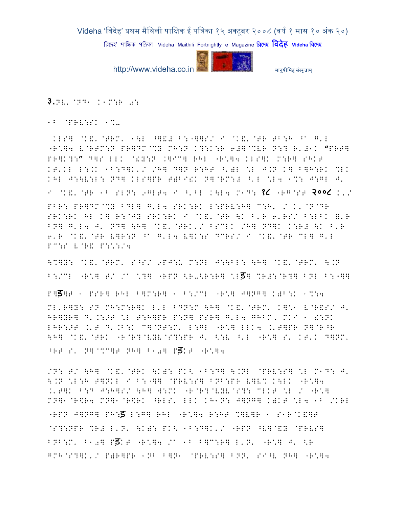িরেদহ' পািkক পিtকা Videha Maithili Fortnightly e Magazine িরেদহ िवदेह **Videha** িবেদহ



3.NE. 1994 1-1916 AN

1B @PRV:SK 1%-

 $K$  , and the state  $K$  and  $K$  is a general contract  $\mathbb{R}^n$  . The state  $\mathbb{R}^n$  and  $\mathbb{R}^n$  are stated in  $\mathbb{R}^n$  and "R\*]4 V@RTM:N PR]DM@%Y MH:N K?:K:R 6#]@%VR N:? R'#1K **"**PRT] PR]K?:**"** D]S LLK @!Y:N .]IC] RHL "R\*]4 KLS]K M:R] SHKT KAL LE LE LI L'ATTROLL L'ART TROM ANAR (TVILLE) NE L'ANO CRITTRANE (NE L' KHL JESAKSBIS DER KERTANG BELYK LODIGENSKE IN BOSKA I SOM JESPE JE.

I MARK 1998 I STATE I SUPER I CONTROLLINE I CONTROLLINE I ROOK I ...

PBR: PR]DM@%Y BDL] G'L4 SRK:RK L:PRV:H] C:H' / K'@N@DR SRK:RK HL K] R:@JY SRK:RK I @K&'@TR \K B'R 6'RS/ B:LBK ='R BND BLEATH, DRA ARA MIN, MARILY REMEDIAR DRAG MINE AIT RIA  $B$  . For a great control of the control of the control of the class of the class of the class of the class of the class of the class of the class of the class of the class of the class of the class of the class of the cla PC:S V@R& P:\*:/4

\%]Y: @K&'@TRM' S^S/ 9PJ:U M:NL J:\BL: \H] @K&'@TRM' \.N B:201 (RESE) B2:20 (NETR) (RESERIE & RESERIE TREP PRESERVED

PRSAGE PRICE RHL BASING RELEASED AND ARTHROIGHTS AND A ML'RAGG VA MHSMARAD ELE PARAM APA (MEL MARM) CANK EMBEVO AL HANDH Y. M.H. ME PRANIE PRIN P.NA A.L4 AHR, MKI 10 . MAN LHR:>T .'T D'.B:K C]@NT:M' L:GL "R\*] LLK4 .'T]PR N]@R^R  $\,$  APH  $\,$  (V) B. (2001)  $\,$  (Ref ): The virtual structure  $\,$  (P),  $\,$  (2001)  $\,$  (2001)  $\,$  (2001)  $\,$  (2001)  $\,$  (2001)  $\,$  (2001)  $\,$  (2001)  $\,$  (2001)  $\,$  (2001)  $\,$  (2001)  $\,$  (2001)  $\,$  (2001)  $\,$ 

 $R$  and  $R$  is the state  $R$  -  $R$  and  $R$  and  $R$  is  $R$  . Then  $R$ 

/N: T/ \H] @K&'@TRK \K): PK< 1B:D] \.NL @PRV:S] \*L M1D: J'  $\sim$  13  $\sim$  13  $\sim$  10  $\sim$  10  $\sim$  10  $\sim$  10  $\sim$  10  $\sim$  10  $\sim$  10  $\sim$  10  $\sim$  10  $\sim$  10  $\sim$  10  $\sim$  10  $\sim$  10  $\sim$  10  $\sim$  10  $\sim$  10  $\sim$  10  $\sim$  10  $\sim$  10  $\sim$  10  $\sim$  10  $\sim$  10  $\sim$  10  $\sim$  10  $\sim$  10  $\sim$   $\mathcal{L}_\mathrm{C}$  B:B:D  $\mathcal{L}_\mathrm{C}$  and  $\mathcal{L}_\mathrm{C}$  is close to  $\mathcal{L}_\mathrm{C}$  . The class of the class  $\mathcal{L}_\mathrm{C}$  is close to  $\mathcal{L}_\mathrm{C}$  and  $\mathcal{L}_\mathrm{C}$  is close to  $\mathcal{L}_\mathrm{C}$  . The class of the class of the cl MN]1@R\$R4 MN]1@R\$RK ^RLS' LLK KH1N: J]NG] K)KT \*L4 1B /KRL  $R$ PPN JABAAB PH:S L:GAB RHL (R\*)HT R:HT %2000 R:HT % PH:MT & RT @S?:NPR %R# L'N' \K): PK< 1B:D]K'/ "RPN ^V]@&Y @PRVS] BNB:M' B101 PS:A 1B14 /A 1B BRT:RE E.M. 1B14 4. CR GMH SYNNI I I PARNHER 1911 (1915) SHRINEN (1915) I SYNNI (1949) (1974)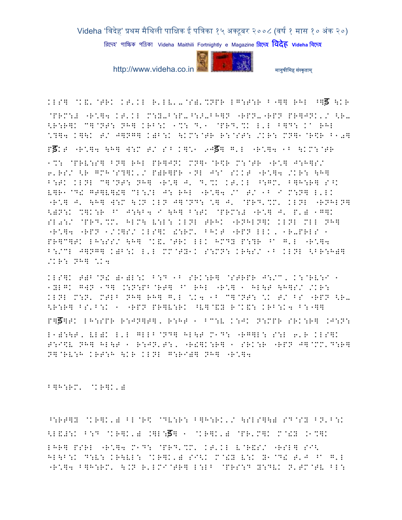িরেদহ' পািkক পিtকা Videha Maithili Fortnightly e Magazine িরেদহ िवदेह **Videha** িবেদহ



KLSA MER WAR KERK BILL MER TAAR BANG BERGERA DIE SOMERE @PRM:# "R\*]4 KT'KL M:Y-B:P-^:>-BH]N "RPN-"RPN PR]JNK'/ <R- KRARB: MBIDAN DRB CRING KON PLATTORP, COTE LET PRPS COTTREE  $\Lambda$ dba (1941) an Agong (1463) And R: an An An And  $\Lambda$  and  $\Lambda$ Pड़KT "R\*]4 \H] W:M T/ S^ K]\*1 9Jड़] G'L "R\*]4 1B \KM:@TR 1%: @PRV:S] BN] RHL PR]JNK MN]1@R\$R M:@TR "R\*] J:H]S/ B. BEZ (RB) AMA SERBOL ZO BARABER (KJR), ASTOCER (KRIGA) ZOBS. AAR. B:TH KLANL COMMON COMMON BILL CAN ALL CAN KITCH AND RELEASED AND RELEASED BY BELOW BY BELOW BY BELOW BY BUILDING

RNHA VAN ARABEAR VENZE AN RAE (RNAHL 21 B2 (F) A TNPA ELEI  $R$  , and the state of the second the second through  $R$  and  $R$  and  $R$  and  $R$ <)N:K %]K:R ^A J:\B4 I \H] B:TK @PRM:# "R\*] J' P') 1G]K SL0:/ MBT.TM. HIMA LGLN IEM SPRO (PRHINE IEM TEL MRH "R\*]4 "RPN 1/.]S/ KLS]K !:RM' BHKT "RPN LLK, 1R-PRLS 1 PRATARI ERGEEN ARA (18. MR) EEI PITA PITA PITA (P.E. P.E. 181 B:NOTE: PROPRESENTATO ELLES OU NEBROS (ENOUGH CORRENT A FOST DE PROPRERE /KR: NH] \*K4

KLSPRI (B@P) 1932 (B+GB) SR (R)SR (R) 201 SRK:SBR (J:C, ASTRO 1 STRPR SRKI: K: S 1919. **P:P 191 :1919. 101** KLAR MEN MEN PHI PHI MILA NG AT MENYEN NA ARAW ENG BAL <R:R] BS'B:K 1 "RPN PR]V:RK ^V]@&Y R@K&: KRB:K4 B:"]]

PASARI EPSPR RSPPARA, RSPR K:TML 15PC PSPR PRISHA (PSPR)

 $\Gamma$  (analysis are  $\Gamma$  ,  $\Gamma$  ,  $\Gamma$  and  $\Gamma$  ,  $\Gamma$  and  $\Gamma$  ,  $\Gamma$  and  $\Gamma$   $\Gamma$  and  $\Gamma$   $\Gamma$  and  $\Gamma$ T: The internal decay of the internal control in the second property of the results of the  $\mathbb{R}$ **NAMES READS AND READS AND READS AND READS ARE SERVED ASSESSED.** 

B:RM' @KR, RM' @KR, RM' @KR, RM' @KR, RM' @KR, RM' @KR, RM' @KR, RM' @KR, RM' @KR, RM' @KR, RM' @KR, RM' @KR,

 $\{R\}$  and  $R$  is a subset of the subset of  $R$  . By a some building both  $R$  is a solid solid solid solid so KEELEN BY MERLE DRINSR KONFRIJE PEKTRI TYSE DORE LHR] PSRL "R\*]4 M1D: @PRD'%M' KT'KL V@R&S/ "RSL] SI< HEARTAIN TABLE I BABETA (TEARING STAVI) D'ADR'BENIN DA TAD GLAN (FU PLE) "AND HIS PART RESOLUTION OF THE RELEASED OF THE RELEASED ON THE DISTURBANCE OF THE RELEASED OF THE RELEASED OF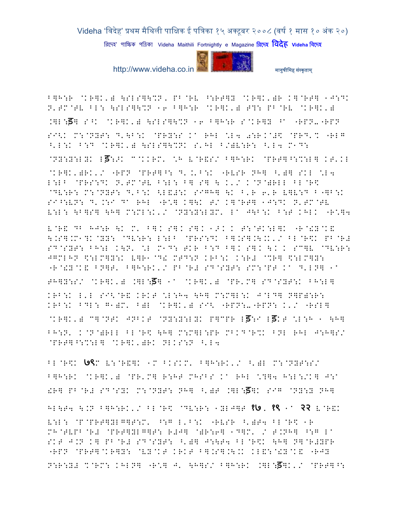িরেদহ' পািkক পিtকা Videha Maithili Fortnightly e Magazine িরেদহ िवदेह **Videha** িবেদহ



BIH:R & MOREL & APEPHON & PROFINICIATION OF PROVIDES ON NEPROSTOR N'ATMATIN'N BL: N'ANN D'ANN D'ANN D'ANN D'ANN A .1913\$9 P.K. (1691) B.B.SPERTRY (A. P.P.S.) P.M.B.S. (M. G.PRO "RPN" SI<K M:@NYT: D'\B:K @PRY:S KA RHL \*L4 0:R.@#\$ @PRD'% "RLG  $K$ :K B:D  $K$  B:D  $K$  and  $K$  and  $K$   $\mathbb{R}^n$  is  $K$  and  $K$   $\mathbb{R}^n$  and  $K$   $\mathbb{R}^n$  and  $K$ **WISHER IS: WINDER AN ENERGY FROM THERMIT IS AN I**  $C$ CRAI).RESI, J. ("PRIN") ("D'ERAN PROJECT") ("PRINT") ("D'AN "RVSR") SEL \*L4 ("D')] SKL \*L L:LB @PRS:DK N'TM@TV B:L: B] S] \ K'/ K@N@)RLL BL@R\$ @DV:R: M:@NYT: D'B:K <L&#:K SIGH] \K B'R 6'R V]V:D B"]B:K SIC:VA: D.:I DA RHL "REAL THE "BIC TH' PARHL "REAL DEDUCTION LY: Y AFARA ARA CYCEYLI MORTHERI ET AAFYI FYA IRE THE "RYAA

 $\mathbf E$  then the High High state of the Highest Section and the term of the term of the term of the term of the \.S].M1?K@YY: @DV:R: L:LB @PRS:DK B].S].\.K'/ BL@R\$K PB@R# SOM SYTEMS OF BIRL AND CONTROL BILE OF BUILDING BY DOOR STORES AND STREAMS. JGMLHN \$:LM]Y:K V]R1@D! MTD:N KRB:K K:R# @%R] \$:LM]Y:  $R$  Radio Robert Band Stock Band South State County State County County Address A Director And Department A Director THENY: SARE RESERVE ON BEING THING TO SUBSTANDED KRB: K.E. SAN ME CRCATA ANG APATOMONING AT MITATING P KRB: BOL: G2)M' B) MEDIC PORT (BPD) SHERIK KY (BPD) ON BANDA COMPANY ANY NATIONAL ANY HIS CONTROL STATE  $\mathbb{R}$  seems to the company BH:N' KOMORA RENGER BANG MANGENTAL BERGER BANG BANG ANANG M @PRT]^:%:L] @KR]K')RK NLKS:N ^'L4

BLORSK STREET OF BESKER BESKER STREET IN BESKER BURGE MARINE WELL'UNDER THE CONSTRUCTION OF ANY ERE PP@R# SP@SX W:@NYT: PAR PL#F (AF) .3P .<mark>5</mark>A: SP# @NY:Y PAR  $H: H:H: H: L^2 \to R$  . Or a set of the contribution of the contribution  $R$  (  $R$  )  $R$   $R$  is the contribution of the contribution of the contribution of the contribution of the contribution of the contribution of the contri  $L$ 1:  $L$  of the easy agency. Of the countries of each of each of the college TH MATH OR DIRECT PROVIDED AND A CHILL OF STORE CHECK SKT AL AL COMPONENT SOM SYTTE AND A SOME AN ALL AND DRIVE A REPORT OF THE SHIPPER.  $R$  . The construction of  $R$  is the state of  $R$  and  $R$  is the state  $R$  such as  $R$  . The state  $R$ N:R:Y:Y:Y (PRINC) (PENTH) (PRINC) AL: GROEN (POSSER) (PENTHIS/ DISPONENT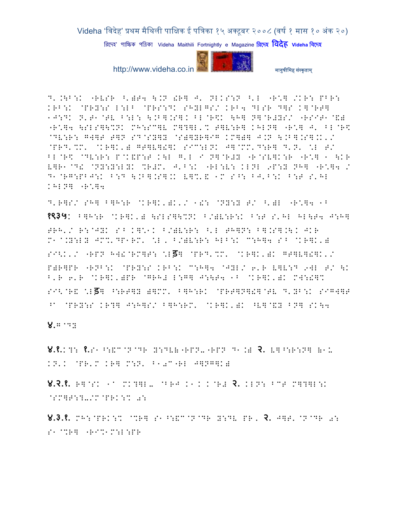িরেদহ' পািkক পিtকা Videha Maithili Fortnightly e Magazine িরেদহ िवदेह **Videha** িবেদহ



D'. DE SI "PELPE" FLARE A DE ART AL "PELPSE" FLA "PROT DIRS" EFRS KRB:K @PRY:S L:LB @PRS:DK SHYLGS/ KRB4 DLSR D]S K]@RT]  $\sim$  05.9  $\sim$  05.0  $\sim$  0.0  $\sim$  0.0  $\sim$  0.0  $\sim$  0.0  $\sim$  0.0  $\sim$  0.0  $\sim$  0.0  $\sim$  0.0  $\sim$  0.0  $\sim$  0.0  $\sim$  0.0  $\sim$  $\sim$  100  $\sim$  100  $\sim$  100  $\sim$  100  $\sim$  100  $\sim$  100  $\sim$  100  $\sim$  100  $\sim$  100  $\sim$  100  $\sim$  100  $\sim$  100  $\sim$  100  $\sim$  100  $\sim$  100  $\sim$  100  $\sim$  100  $\sim$  100  $\sim$  100  $\sim$  100  $\sim$  100  $\sim$  100  $\sim$  100  $\sim$  100  $\sim$   $\overline{\phantom{a}}$  (for the state of  $\overline{\phantom{a}}$  ) is considered by  $\overline{\phantom{a}}$  , the state  $\overline{\phantom{a}}$  is the state  $\overline{\phantom{a}}$  . The state  $\overline{\phantom{a}}$ @PRD'%M' @KR]K') GT]V]!]K SIC:LNK J]@MM'D:R] D'N' \*L T/ BLE MAR @MMAR: PONCRIMA (1980), ROCOR (PRIMADE), PACHINESE "PANEL POINT AND RO RAN VIRTIGER SER ANY HIND CONTROLLER WAR AND DN: PRPS BY A:D: K B:D & 1M SO: BIB: K B: S D & F S & F S & F S & F & S & HL **THP** "Right"

D.BH:Z ERH FHR:R MBH:.B:Z (B: MRI:B BZ F.B: (BMH: )P १९३५K B]H:R @KR]K') \SLS]\%NK B/)V:R:K B:T S'HL HL\T4 J:H] TRH'/ R:@JYK S^ K]\*1K B/)V:R: ^'L TH]N: B].S].\. JKR MAND THAT THE REAL POST OF THE REAL PROPERTY AND TO A REAL ASSOCIATIONS OF THE REAL AND MELTIC CONTINUES.  $S$ ICO  $\mathcal{L}$  , which we can be completed to  $\overline{S}$  and the completed  $\mathcal{L}$  and  $\mathcal{L}$  and  $\mathcal{L}$  and  $\mathcal{L}$ PARTE "RUBS: TROOP CRIS' TIME "MORY RIF ROOM AN ASSE B'R 6'R MOREL AND MARA LIAR AIRA (F. MAR) AN INDIAN SIM 'BE 'N**S**H' (WEPE GROOV' FRANK) 'PEPRRAGH'PE 'PL'B'N' SIMPARE  $\overline{A}$   $\overline{A}$   $\overline{B}$   $\overline{B}$   $\overline{B}$   $\overline{B}$   $\overline{B}$   $\overline{B}$   $\overline{B}$   $\overline{B}$   $\overline{B}$   $\overline{B}$   $\overline{B}$   $\overline{B}$   $\overline{B}$   $\overline{B}$   $\overline{B}$   $\overline{B}$   $\overline{B}$   $\overline{B}$   $\overline{B}$   $\overline{B}$   $\overline{B}$   $\overline{B}$   $\overline{$ 

 $8.444$ 

४.१. The Past Press Treated Services Provide Rivers Resource Conditions of the New Provide Resource Conditions KNY MER'N KRIM KRIM BILI

४.२.१. RENOS YO DINBEL (PRACING FRA 2. KEPS FOR DENHINI @SM]T:?-/M@PRK:% 0:

४.३.१. MH:@PRK:% @%R] S1^:&C@N@DR Y:DV PR, २. J]T'@N@DR 0: S1@%R] "RI%1M:L:PR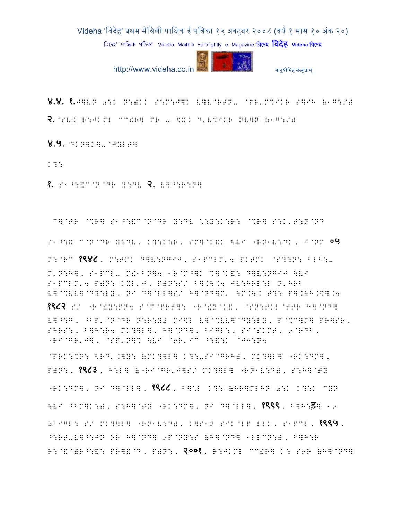িরেদহ' পািkক পিtকা Videha Maithili Fortnightly e Magazine িরেদহ िवदेह **Videha** িবেদহ



४.४. १.<del>J</del>BER 251 RSBII 3575548: EBETRAR SIR (156,1551) RSBIAK BK #528

२. YELD BYANCH COMBA FR L RIN SLIVER SERROR RESER

४.५. पालमा म*ान* प्राप्त सम

 $\mathbb{R}^n$ 

१. F. PHONOR YEAR 217: R. LEPENSE

 C]@TR @%R] S1^:&C@N@DR Y:DV \*:Y:K:R: @%R] S:K'T:N@ND S1^: PED IN 12: 12: CONDING Y: CONDING Y: R, SMITH IN CONDINING THE CONDINING OF THE CONDINING OF THE CONDININ M: PHO 8886, MERCI DALEBARA, SHEMIJ, SIPURT, STEDIL MAS MIN:HAGU SA POLICINA POGA A KOMPO NG MBA NGENGGA ANA SN'EME D. A. (EADR) (COE). A . (EADR) NO FACH (A CALABRERE NE CD. HBF LS VILLS VEREEL (PR) RESERV, AS VRSV, AN DEVER WHI NS HIGH DISCO  $\texttt{?SCQ}$  s/  $\texttt{?}$  and the term of the term of the transmission of the  $\texttt{?}$  and  $\texttt{?}$  and  $\texttt{?}$  and  $\texttt{?}$  and  $\texttt{?}$  and  $\texttt{?}$  and  $\texttt{?}$  and  $\texttt{?}$  and  $\texttt{?}$  and  $\texttt{?}$  and  $\texttt{?}$  and  $\$ LANSA, BE, VINA SERIA MYS LANGLANGILLY, POMANA MESE, SHRS:, B]H:R4 MK?]L], H]@ND], BIGL:, SI@SKMT, 9@RDB,  $R$  (RIC  $R$  ) and  $R$  and  $R$  are the set of  $R$  . The set of  $R$   $\mathbb{R}$  and  $\mathbb{R}$   $\mathbb{R}$  and  $\mathbb{R}$   $\mathbb{R}$ @PRK:%N: <RD'.]Y: (MK?]L] K?:-SI@GRH), MK?]L] "RK:DM], PARY, 8963, Hyla Grecome, Aarl Clamba (Brechta, Sythage HA:DRIE, PROMETEE, 8966, PROF. (HR) BREETERS WAY (HR) CHR  $\mathbb{R}$  Body  $\mathbb{R}$ : The strip of the DML  $\mathbb{R}$  is the  $\mathbb{R}$  strip  $\mathbb{R}$  is the  $\mathbb{R}$   $\mathbb{R}$  is the  $\mathbb{R}$ (BIGL: S/ MK?]L] "RN1V:D), K]S1N SIK@LP LLK, S1PCL, १९९५, ^:RT-V]^:JN OR H]@ND] 9P@NY:S (H]@ND] 1LLCN:), B]H:R R: TE MAR PEEN PROVINCE ROOR, RIANCE COMBRETING ARRIVER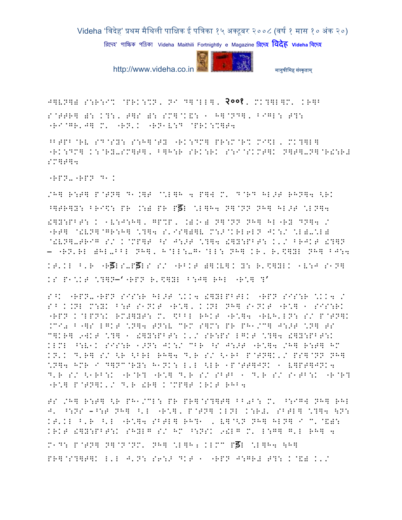িরেদহ' পািkক পিtকা Videha Maithili Fortnightly e Magazine িরেদহ िवदेह **Videha** িবেদহ



JONDA PHERM MALLEY, NA DEMARK, 2008, MINHOL, LEOP  $S$  ): The same state of the solution of the solution of the solution of  $S$  ,  $S$  is the solution of the solution of  $S$ "RI@GR'J] M' "RN'K "RN1V:D @PRK:%]T4

^BTPB@RV SD@SY: S:H]@TY "RK:DM] PR:M@R% MI\$L, MK?]L]  $R$ RC:DMIN K:DMIT, BISK:RESON, BECARE, STRACHER, SPRESSENT NATIONAL SMITH

"RPN-"RPN D1.

/H] R:T] P@TN] D1.]T @\*L]H 4 P]W M' D@RD HL>T RHN]4 <RK ^]TR]Y: BRI\$: PR .:) PR Pड़L \*L]H4 N]@NN NH] HL>T \*LN]4 !]Y:PBT: K 1V:J:H], GP%P, .).1) N]@NN NH] HL"RY DN]4 / "PER "YELPRIMPSPR" (1984) EL PERHAL (292) (L'ELPLIA) (PER L'OL BELLIE B  $\mathcal{N}$ despelaren aldean interes (apararen aldean era aldean aldean aldean  $\mathcal{N}$ **—** "RN'RL )HL-BBL NH], H@LL:-G1@LL: NH] KR, R'\$]YL NH] BJ:4 KTEL B'AR "RESERVESER" PO "RBKT AR HAR LOOK BYRDE IN KAR PYRR

KS P1\*KT \*?]N**—'**"RPN R'\$]YL B:J] RHL "R\*] ?**'**

STA "RPN-"RPN SYSTEM REJECTION SANDERS ALL "RPN SYSTEM TION". ST K.N. M:YK B:T S1NKT "R\*JENT" (PARTICLE) (PARTICLE) 1 SISTEM "R\*INKT" R\*IST "R\*INKT" "RPN K@LPNI" RM#HHAN M. RPPE "BRKE" (RNHH "REAR, ENN PO POPH) .CI0 B"]S LGKT \*N]4 TN:V CRM S]M: PR PH1/C] J:>T \*N] TS THE GREATER SHIPPER IN SHIP IN THE SHIPPIN KLOR AN SIS: REAGNE (2015) ANNO 11 ROLL AN DIRECT POST DAY REAGNE KNYK D'RIG SY AR AFRIGHA D'R SY AFRIG PORTIGY PORT \*N]4 HMR I D]NC@RY: H1NK: L'L <LR 1P@TT]JNK 1 V]PT]JNK4 D'R S/ <1RB:K "R@R? "R\*] D'R S/ SBTB 1 D'R S/ S1TB:K "R@R?  $R$  R\*ENDER IN THE R\*ENDER IN THE R\$P\$ RHB41

TS /H] R:T] <R PH1/CL: PR PR]@S?]T] BB0B: M' ^:IGW NH] RHL J' ^:NS **–**^:T NH] ^'L "R\*], P@TN] KLNL K:R#' SBTL] \*?]4 \N: KTEL BOOK B'R B'ANNE RHEI BERG , VIETRO BERG HIDE A'N, NIEN KRKT BEGYFRAN INSGRIP IN AD (PIPIN GILP D. 1999) 9.1 PAR 4: MID: P@TNDH; PH(P)PD; PAH\_1LEHH; LEPM P**S**E (LEHH) HAH; PR]@S?]T]K L'L J'N: S6:> DKT 1 "RPN J:GR# T?: K@&) K'/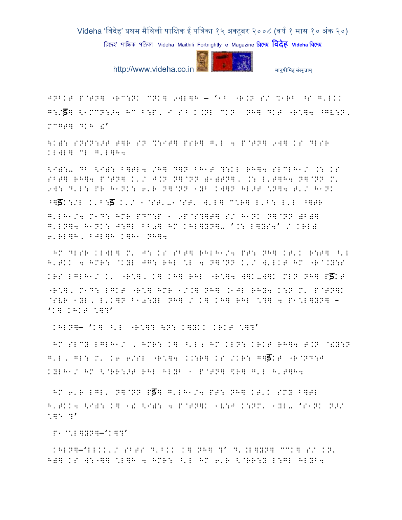িরেদহ' পািkক পিtকা Videha Maithili Fortnightly e Magazine িরেদহ िवदेह **Videha** িবেদহ



JNBKT P@TN] "RC:NK CNK] 9WL]H **— '**1B "R.N S/ %1RB ^S G'LKK B:/54 K.TTP:A HT BEN CRISTE TH THE THE THOMAS HENT. MCGT] DKH !**'**

 $K$ : SNS $K$   $S$   $T$   $T$   $S$   $S$   $T$   $S$   $T$   $S$   $T$   $S$   $T$   $S$   $T$   $S$   $T$   $S$   $T$   $S$   $T$   $S$   $T$   $S$   $T$   $S$   $T$   $S$   $T$   $S$   $T$   $S$   $T$   $S$   $T$   $S$   $T$   $S$   $T$   $S$   $T$   $S$   $T$   $S$   $T$   $S$   $T$   $S$   $T$   $S$   $T$   $S$   $T$  KLGUE TI H.IHH4

ASSEN, BI ASSEN FREEN VAR BRIJ FANK BYLE EARN YETEANY VAN LY SBT] RH]4 P@TN] K'/ J.N N]@NN )1)TN], .: L'T]H4 N]@NN M' 9W: D'L: PR H1NK: 6'R N]@NN 1YB KW]N HL>T \*N]4 T'/ H1NK

^]ड़K:/L K'B:ड़ K'/ 1@ST'-1@ST' W'L] C\*R] L'B: L'L ^]TR

G'LH1/4 M1D: HMR PDC:P 1 9P@S?]T] S/ H1NK N]@NN )B)] G'LN]4 H1NK: J:GL BB0] HM KHL]YN]- **'**.: L]YS4**'** / KRL) 6'RL]H, BJL]H K]H1 NH]4

HM DRSR KLALA M. PA IS SPIER RHLHIVIN PRS PHA IFIL RSRA PIR HOTK 4 HMR: MODE PRI BHL AL 4 MAYMA CON HOTK HM "ROYSEY KRS EPERKIN K. (R\*ING), KGLAHI, BRE, (R\*ING), KGLAHI, INER IRHL I**S**IG "RANGEL" DY TA GETER "RANGEL" PDB "RINGER" DY THE 12-ABY DYNA KIN DY POPPE. @SVR 1YL, L'K]N B10:YL NH] / K] KH] RHL \*?] 4 P1\*L]YN] **– '**K] KHKT \*]?**'**

KHLN]**— '**K] ^'L "R\*]? \N: K]YKK KRKT \*]?**'**

HM SLCY LAGLIC , HMR: KALLER RICHER CHR, HAAR RICH SEN GRIE, GLI: M. C.: SAN (GEIL) ARING: CARE CA (CLES) GGG**EE** (AR NOSS) KOREA KYLAMIN (RHENGA) BAET ALORI AT TAGRI ADAL AL ET AL BAGAN

HAM 6.6 LAGL' NA MA'R R**S**A ALLAYIN PAS NA PILI KALI SMY BAH H'TKK4 <I): K] 1! <I): 4 P@TN]K 1V:J K:NM' 1YL- **'**S1NK N>/ \*]E ?**'**

P1@\*L]YN]**—'**K]?**'**

KHLPA<del>LNILIS, SI SPIER (P. KIS) SATORA PALITIKIA PODA KISI SI SOLI</del> H) HIS REACTED AND HIS WITH A HOME OF HIS REPORT OF THE GRAND CONTROL HOME  $\mu$  and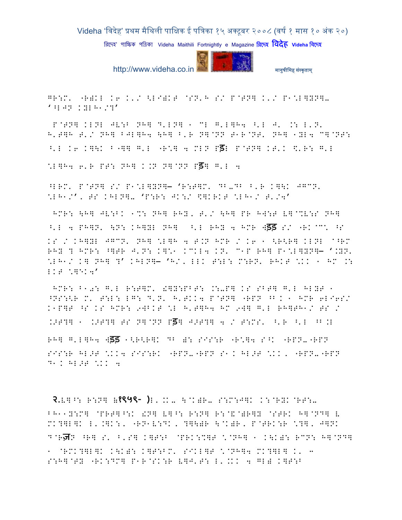িরেদহ' পািkক পিtকা Videha Maithili Fortnightly e Magazine িরেদহ िवदेह **Videha** িবেদহ



GR:M' "R)KL K6 K'/ <LI)KT @SN'H S/ P@TN] K'/ P1\*L]YN]- **'**^LJN KYLH1/?**'**

 P@TN] KLNL JV:B NH] D'LN] 1 CL G'L]H4 ^'L J' .: L'N' H. ANN ALL THE FALNE HAN FILE THIT AFRICAL THE FILE CHITAGE ^'L K6 K]\K B"]] G'L "R\*] 4 MLN Pड़L P@TN] KT'K \$'R: G'L

\*L]H4 6'R PT: NH] K.N N]@NN Pड़] G'L 4

^LRM' P@TN] S/ P1\*L]YN]**— '**R:T]M' DB-DB B'R K]\K JGCN' \*LH1/**'**, TS KHLN]- **'**P:R: JK:/ \$]KRKT \*LH1/ T'/4**'**

HMR: AHR ALSED (MS SHR AHY, A.J AHR PR HASE LRITLS: SHR  $E$  , and phenotic entropy  $E$  and  $E$  and  $E$  is  $E$  and  $E$   $\overline{S}$   $\overline{S}$  . Since  $\overline{S}$  and  $\overline{S}$   $\overline{S}$  and  $\overline{S}$  and  $\overline{S}$  and  $\overline{S}$  and  $\overline{S}$  and  $\overline{S}$  and  $\overline{S}$  and  $\overline{S}$  and  $\overline{S}$ KS / KHWIE APTR. PHR NIHH 4 F.N HTR / KR. KIRL MIN (191 ) MR RHY ? HMR: ^]TR J'N: K]\*1 KCKL4 KN' C1P RH] P1\*L]YN]**— '**.YN' \*LH1/ K] NH] ?**'** KHLN]**— '**H/, LLK T:L: M:RN' RHKT \*KK 1 HM .: LKT \*]EK4**'**

HMR: B10: G'L R:T PAPRO, .:CROADER G'L CALDRI 10: G'L PLOT 10: 10: DE OF 1 ^NS:<R M' T:L: LG: D'N' H'TKK4 P@TN] "RPN ^B. 1 HMR 6LI6S/ KN PART TR' CR' ADAN (GATCR) NE "AL RAHA "AD" GAAL AL E BAARAH D' RR' D' .>T?] 1 .>T?] TS N]@NN Pड़] J>T?] 4 / T:MS' ^'R ^'L ^B.L RHE B.EBHA W<mark>SS</mark> (RRCRB) IN AN POPNE (ROBA PI) (RPPL-BPP) SIS:R HL>T \*KK4 SIS:RK "RPN-"RPN S1. HL>T \*KK, "RPN-"RPN D1. HL-T \* HL-T \* HL-

२.ER: R:PR E8898- )E. M. RNER. PHTPPR IN THE TEPL BH11Y: MORTH RECORDS IN THE RELEASE OF THE RELEASE OF THE RELEASE. THE RELEASE IN RELEASE OF THE RELEASE OF TH MKRREAD (E. 1917), "RIPKENT, I RANGE A MORE, POPPINE, NRA (1981)  $D$  the  $\overline{S}$  dependent of  $\overline{S}$  . The contribution of the contribution of  $\overline{S}$  and  $\overline{S}$  are contributed of  $\overline{S}$  . The contribution of  $\overline{S}$  and  $\overline{S}$  are contributed of  $\overline{S}$  and  $\overline{S}$  are c 1 @RMK?PHERS (RMAR): KRYER ROMER & SINHA MK?PHER (2014) S:H]@TY "RK:DM] P1R@SK:R V]J'T: L'.KK 4 GL) K]T:B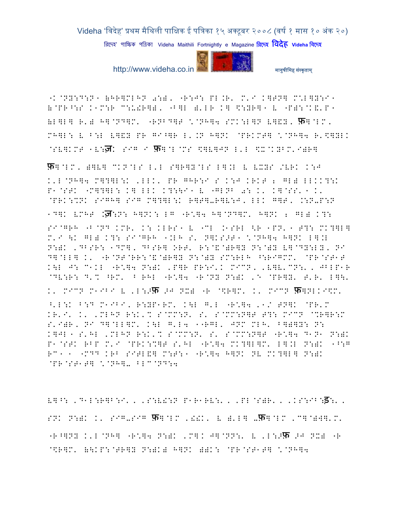িরেদহ' পািkক পিtকা Videha Maithili Fortnightly e Magazine িরেদহ िवदेह **Videha** িবেদহ



"KOMPORTER" (HR)MRTHR (GEH), "PERRY PL.DE, M.R. MAPPH, MILARDAY (@PR^:S K1M:R C:U!R]), "B]L )'LR K] \$:YR]" V "P):@K&'P" (L) RICH R. (L) HIP ROMAGES TO THE ROOM ROOM RESEARCH TO A MAGNETIC AND RELEASED TO A MAGNETIC AND RELEASED TO A MHEL: V B:L V BIN PR GIOVER L'.N GUN : MEL VING AND HANGH! @SVERENCE PROST I STATE OF THE STATE IN THE STATE IN LIGHT IN LATER TO A GENERAL ANDERSON IN THE STATE IN LATER THAT IS NOT THE UNION OF THE UNION OF THE UNION OF THE UNION OF THE UNION OF THE UNION OF THE UNION OF THE UN

MARTE DI CHARA MODURA ELE STARADHE D'ERIDE L'EDDECIDED (194 K'L@NH]4 M]?]L:K 'LLK' PR GHR:I S K:J KRKT 2 GL) LLKK?:K P: MED (MATHER ON EEN CYRES) E (ALTH) and Cooperator Co @PRK:%NK SIGH] SIG M]?]L:K R]T]-R]V:J, LLK G]T, .:N-P:N

1991 ESPER .**ज़**:N: H9S:N: EP (ANDR) H9(SP9S) H9S: LG "REE (SP)

SIMGRE "BOOK" IS NOT KEEN AT AN IN THE WARD ON THE SAME REAL TIME OF THE UPSTAIN IN THE UPSTAIN IN THE UPSTAIN M'I AN CHE SIDEN "AREA" . LE ROLD BELEVA A NORHER (REBN) E BIN N:)K 'DBSR: 1DM], DBSR] ORT' R:@&@)R]Y N:@)Y V]@DY:LY, NI DRIGHT () AF TRACHES TE "BERG" RS "BOL KOSER E "PSEPPO". "TOE "RIGHT" KAL AN MYIE (ANGA PNAD VEGE ERNYI) MYMP. VEGEVMEN, 'AFERYE @DV:R: D'% ^RM' ^ RHL "R\*]4 "R@NY N:)K 'E @PR]Y' T'R' L]\'

 $\mathbb{R}^n$  -michibi v  $\mathbb{R}^n$  , a notation of the constraint  $\mathbb{R}^n$  . The microscopic  $\mathbb{R}^n$ 

^'L:K B:D M1IBI, R:YP1RM' K\L G'L "R\*]4 '1/ TN]K @PR'M KR'I' K' K' SOMER SOMER SOMER SOMER SOMER SOMER STELLER SOMER SOMER SOMER SOMER SOMER SOM SOM SOMER SOMER SOM S'I)RAB I, DA (MACHIN), NI DAI (MILIA), SAMA' RI JOANN D'AI (MILIA) D'AI KJAJ S'HL 'MLHR BIL' S' SOMAR. 'B' SOMARA 'BIJA' "R' D' DIA P1@STK RBP M'I @PRK:%]T S'HL "R\*]4 MK?]L]M' L].L N:)K "^:G RC" 1 "MDD KRB SITL&] M:T:" "R\*]4 H]NK NV MK?]L] N:)K WE YERE THE BLOW STITTE

EACH CAN BE AN INDIANAL PHRIRIC IN PERSONAL CONSTRUCTS.  $S(\mathbb{R}^n)$  (start of  $\mathbb{R}^n$  of  $\mathbb{R}^n$  ) is the start of  $\mathbb{R}^n$  . The start of  $\mathbb{R}^n$  is the start of  $\mathbb{R}^n$  $\mathbb{R}^n$ PH28 I.E.MPHH (PH24 2541 .293 ). AH:225. B .25525  $\overline{\mathbf{B}}$  ,PH 204 (PH @\$R]M' (\KP:@TR]Y N:)K) H]NK ))K: @PR@ST1T] \*@NH]4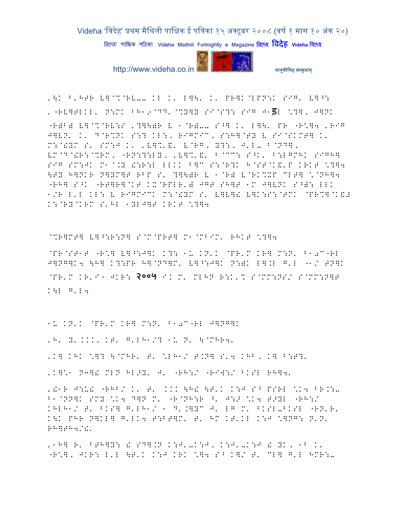িরেদহ' পািkক পিtকা Videha Maithili Fortnightly e Magazine িরেদহ िवदेह **Videha** িবেদহ



 $\mathcal{M} \subset \mathbb{R}$  by a substitutional contains the contact  $\mathcal{M} \subset \mathbb{R}$  . The contact  $\mathcal{M} \subset \mathbb{R}$  is a substitution of  $\mathcal{M} \subset \mathbb{R}$ ', 'AGUEAL' L'OURD' FAR 2015, MUERE SY SIGN SYR AR**S:** NIGHT, ARD.  $R$ ) R)B) B)  $R$  (  $R$  is the solution of  $R$  (  $R$  ). The solution of  $R$  is the solution of  $R$ JANA S: PORTH S: KI DO SHARK S: SIMBO SE SKOT SIDE S M: MORT STRING, AND STRING IN STRING IN THE STRING  $\mathbb{R}$ dian dan para sika rang beberapa sika beberapa sika berapat sika berapat sika berapat sika berapat sik SIG SIGN MINIMUM SIGN BILI SERI SIGNA BILI KIGA DALA KE SIGNA ME  $\overline{\tt H}$ PD) FOR NORTH STRING (2008) In the String Clare cluster  $\overline{\tt C}$  . The  $\overline{\tt H}$ "RHQ"R"R" SPROGRESS CONSTRUIRE SHOW SHOW SHOW SHIP IS SHELL 1/R L'L KL: V RIGMICK M:@!YM S' V]V]! V]K:S:@TMK @PR%]@K&# K:@RY@KRM S'HL 1YLJ]T KRKT \*?]4

MORTH ESPERA FOURFAL MOMENT FRIEND

@PR@ST1T "R\*] V]^:J]K K?: 1U KN'K @PR'M KR] M:N' B10C"RL JANGAN HI KRIM HIMAN HINJAN SIN HI HI A. L G'UN @PR'M KR'I" JKR: २००५ I. M' MLHN R:K'% S@MM:NS/ S@MM:N]T  $M: \mathbb{R}^2 \times \mathbb{R}^2$ 

1U KN'K @PR'M KRIGHT @PR'M KRIGHT @PR'M KRIGHT @PR'M KRIGHT @PR'M KRIGHT @PR'M KRIGHT @PR'M WARD @PR'M WARD @P

'H' Y'..., KT' G'LH1/? 1U N' \@MHR4'

'KI KHK MARI TA MITARY TELOH TA TELAH YI ATI TA MATA TA TA SA BI SA

'K]\*1 N3]! MLN HL>Y' J' "RH:/ "RIW:/ BKSL RH]4'

. 2008: AG122 ( ):PHF/ ( ):  $H$  . ( ):1: SPRL S.F.: ( ):PH (  $T$  PSPE ( ):PH  $\beta$  PR.:G.2 B1@NNPH: ETE ME THE T. HETPER R. PER ME RAH: (RHE) KHLHI/ B. BIRB B.BHI/ 1 D.NBC B. BB C. BIRLINI (BR.B. KAN PHR NAGEA ALEGH BAFBAD, B. AN GB.CE CAA NANA'N NON RHBH4/E.

'1H R' BI, 'F BRAGES' BO STARION I SAN WISH I I SAN WISH AN GOOD IN HOT I. "RENNEL" PO BOL ELLE "ABRIC" CONFIDENCIA CARL EN CONTINUES ON THAT PRIE AND BOL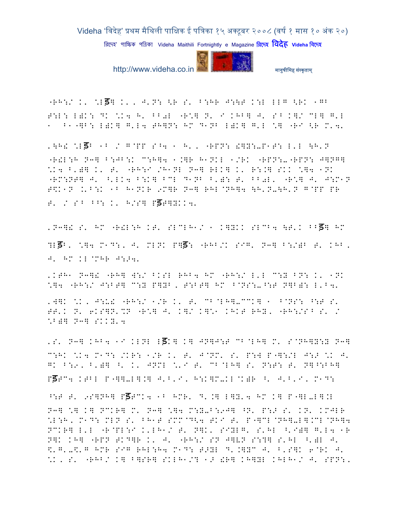িরেদহ' পািkক পিtকা Videha Maithili Fortnightly e Magazine িরেদহ िवदेह **Videha** িবেদহ



"RHS: K' MISH K', A'PS RE K' PSHE ASHE CSE EEM REV (MP) F:L: LES TO MARA FIL RETRO AND DE AN ESTIMATE P.E 1 B1"]B: L)K] G'L4 TH]N: HM D1NB L)K] G'L \*] "RI <R M'4'

 $\sim$  HH2 / LE $\overline{\rm SP}$  )  $\sim$  P / P / P / P  $\sim$  P / P  $\sim$  . The PPS: 2002 1 H  $\rm Pr$  (P  $\sim$  P  $\sim$  P  $\sim$ (REF) B: P-B: P):H N3] MY-B: (200 B: P: P): (200 S: PPP): JPPP: JPPPB \*K4 B')] K' T' "RH:I /H1NL N3] RLK] K' R:.] SKK \*]4 1NK "RADGARA BOLO ROBOR" POSTA B'UN DI BOLO BOLO ROBOR B'UN DI BOLO B'AGOR A T\$K1N .'B:K 1B H1NKR 9M]R N3] RHL@NH]4 \H'N-\H'N G@PP PR  $F: \mathbb{R}^n \times \mathbb{R}^n \to \mathbb{R}^n$  is the set of  $\mathbb{R}^n$  pseudo-set

'N3]! S' HM "R!L:H KT' SLCLH1/ 1 K]YKK SLCB4 \T'K BBड़] HM ?Lड़B' \*]4 M1D:, J' MLNK P]ड़: "RHB/K SIG' N3] B:/)B T' KHB, J' HM KL@MHR J:>4'

'KTHI PHE 'BHE BASA'RIN BASA'R "L'ARHIN "L'L C'HE BO'L 'B \*]4 "RH:/ J:BT] C:Y P]YB, T:BT] HM ^@NS:-^:T N]B): L'B4'

 $1.491$  (1), anis (HRN/ 1/R (1) R, TO NABITIES (OVEN SNR P. TH'S N' HITT'K HY REAL AND IT AN ING PASSARING REAL \*B)] N3] SKKY'4

IS AND HE SEEMS IN THE STRIP OF STRIP OF THE SEEMS IN THE SAME OF THE SAME THE MINDS MANUSCRIPT OF A STAIRS OF THE POST OF A STAIRS OF A STAIRS OF A STAIRS OF A STAIRS OF A STAIRS OF A S GK B:9, B', BE B: C. (APTE (1, K' B: TROIBH) S. (PHP) B. (PHP): BH PSB PG KTBL POR RIE RIJE (ALFILA), ANDREWICH NIGHT FLOAD PLICE (POPME

THE B. SPEPER PSPILATOR PORT ON THE ERS AND LE PORT AREA N39 NB NB NOVED N, P3B NB NDALES SAP PR, PSA K, NR, NNAFE \*L:H, M1D: MLN S' BH1T SMM@D<4 TKI T' P"]CL@NH]-L].CL@NH]4 NCHR ELE "PETREN LIPHO BL "PRIL" SYMBAL SIYE "ALYBR" ALE "IN") F NAT KHI "PAND BINAR KI" "PAND SN JAHRE SNAH SI BE SHI JALI \$'G'-\$'G HMR SIG RHL:H4 M1D: T>YL D'.]YC J' B'S]K 6@RK J' \*K, S' "RHB/ K] B]SR] SKLH1/? 1> !R] KH]YL KHLH1/ J' SPN:,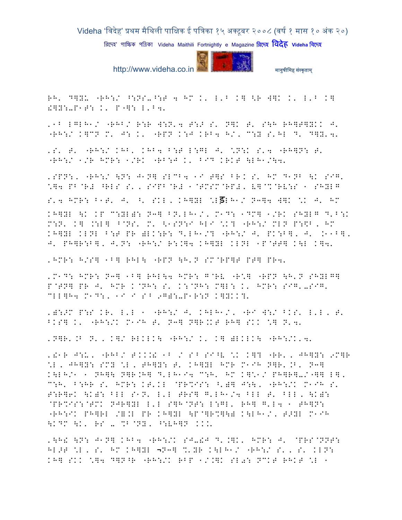িরেদহ' পািkক পিtকা Videha Maithili Fortnightly e Magazine িরেদহ िवदेह **Videha** িবেদহ



RH, "BOON HERE THELTHE A HM KI BI KE KE HO KI L'B KE KE !]Y:-P1T: K' P"]: L'B4'

 $1$  K C E RH RH  $2$  ) (RHB) (RHB) (RHB)  $\pi$  ,  $\pi$  ,  $\pi$  ,  $\pi$  ,  $\pi$  ,  $\pi$  ,  $\pi$  ,  $\pi$  ,  $\pi$  ,  $\pi$  ,  $\pi$  , "RH:/ K]CN M' J: K' "RPN K:J KRB4 H/, C:Y S'HL D' D]Y'4'

'S' T' "B' "RHING" (THA) I' THAH: "A' TH' "B' HING" (TIME) I' T' "RHANG" (TH' T' "RH:/ 1/R HMR: 1/RK "RB:J K' BID KRKT \LH1/\4'

'SPN:, "RH:/ \N: J1N] SLCB4 1I T]S BR. S' HM D1NB \K SIG' \*]4 PB@R# ^RLS S', SIPB@R# 1@TMSM@RP#, V]@%@RV:S 1 SHYLG

S'4 HMR: B1T', H. C. STE, LANGE MES HIT DIRECTOR (AND ALTH)

KHANY AN IP TANING PAN FRIES NO DESIGNED AND PANISH SON SHY MYS .:LE .:N' KORY MONTH : L'ANSI "RESOLUT : L'ANSI ME L'ANSI KHARI (1978) PSA (PR )RICSES (PLEA) 29 (PRS2) PL (PCSP)R, J' .11 .11 .11B.  $J$  PH  $R$  ,  $R$  ,  $R$  ,  $R$  and  $R$  are  $R$  and  $R$  and  $R$  are  $R$  and  $R$  are  $R$  and  $R$ 

'HMR: H/S] 1B] RHL\ "RPN \H'N SM@RP]T PT] PR4'

'M1D: HMR: N3] 1B] RHL\4 HMR: G@RV "R\*] "RPN \H'N SHYLG] P@TN] PR J' HMR K@NH: S' K:@NH: M]L: K' HMR: SIG'-SIG' CLL]H4 M1D:, 1I I S^ 9G):-P1R:N K]YKK?'

):BRAT PRESIDE IN THE PRESIDENT AND ARREST BRATISHING IN RESIDENT BKSPERS, "APPART MYSTER MAR MARKET RHE SKK AR MINIH

'N]R'.B N', K]/ RLKLK\ "RH:/ K' K] )LKLK\ "RH:/K'4'

 $1$  Bish (Analog) (Rhbid Sinov Si Sinov and Si Sinov Ferri Sinov and Bish (Sinov \*L, JH]Y: SMY \*L, TH]Y: T' KH]YL HMR M1IH N]R'.B' N3] K\LH/1 1 NH]\ N]R.H] D'LH1I4 C:H' HM K]\*1/ PH]R]-/"]] L], C:H' B: H' B:H' B: H' B: S' B: S' HOI S' S' H' B: S' H' B: S' H' B: S' H' B: S' H' B: S' H' B: S' L' B: S' L' T:RABLE SI: BLE SIN' L'ELI TRAPE BLI BLUG TI E DEL TI L'ALBLE @PR%IS:@TMK NJR]YL L'L S]H@NT: L:GL' RH] G'L4 1 TH]N:  $R$  -ph (2)  $R$  ph (2)  $R$  probability contains the container  $R$  and  $R$  is the contact  $R$  -ph  $R$ \KDM \K' RS - %B@NY, ^:VH]N ...'

'\H! \N: J1N] KHB4 "RH:/K SJ-!J D'.]K' HMR: J' @PRS@NNT: HL>T \*L, S' HM KH]YL **¬**N3] %'YR K\LH1/ "RH:/ S', S' KLN: KHA SKK TAAL MARAAN (PRINSIPALISE 19.)K RHII RHII RHKT RHKT 1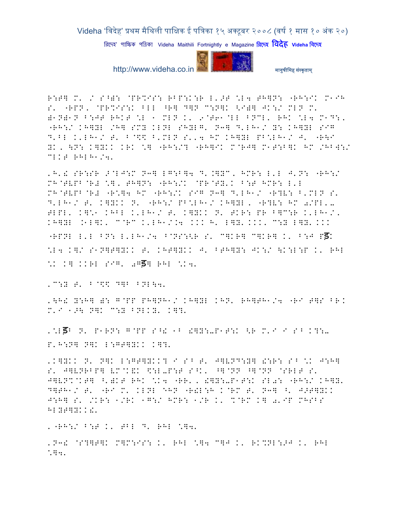িরেদহ' পািkক পিtকা Videha Maithili Fortnightly e Magazine িরেদহ िवदेह **Videha** িবেদহ

http://www.videha.co.in **स्किन्सिक स्क्री स्कलाम्** 

R:T] M' / S^): @PR%IS: RBP:K:R L'>T \*L4 TH]N: "RH:IK M1IH S' "RPN, @PR%IS:K BLL ^R] D]N C:N]K <I)] JK:/ MLN M' )1N)1N B:JT RHKT \*L 1 MLN K' 9@T61@LL BNCL' RHK \*L4 M1D:, "RH:/ KH]YL /H] SMY KLNL SHYLG' N3] D'LH1/ Y: KH]YL SIG B. KELHER B. K'WL' K. MER S. LA HO CHHIE PRIEH C'H. 'ARA' YK, \N: K]YKK KRK \*] "RH:/? "RH]IK M@RJ] M1T:B]K HM /HBW:/ CLKT RHLH1/4'

'H'! SR:SR >@LJ:M N3] LG:B]4 D'.]YC, HMR: L'L J'N: "RH:/ MH TREP THA SHE, PHHRE (PHHENI) THE TREV. L'A BE AMER EVE DH TREPP TRA "PRINNE "PD" (PRINT) STAN DHN "RISH" "RY "PRINN S'I D'E D'S'. D'LH1/ T' K]YKK N' "RH:/ PB\*LH1/ KH]YL, "R?V: HM 0/PL'- THPL (TRI) IRFE CLERGI B, IRBID B, BIBS PR FRTSK LLERGI. KHARE . DEERD, COMPO DUEPENDIG (DID PL) ERB, DID, ONGE ERB, DID "RPNL LL PNS LLEY"NE PORTER TO THIRE THIRE IL PS: \*L4 K]/ S1N]T]YKK T' KHT]YKK J' BTH]Y: JK:/ \K:L:P K' RHL \*K K] KKRL SIG' 0Gड़] RHL \*K4'

'C: Y B B B B BNL BNL BNL

'\H! Y:H] ): G@PP PH]NH1/ KH]YL KHN' RH]TH1/4 "RI T]S BR. MIN'S THE THE FREE SHOWS THE CONSTRUCTION OF THE CONSTRUCTION OF THE CONSTRUCTION OF THE CONSTRUCTION OF THE C

.tsp R. P. P. Component Solid Component Component Component P'H:N'H:N'H:N'H:N'Y

(1981) D. GT) ISTAGHS(19 K)ER B. AHEGTSBE KSPS ER NJ ASPE S. PHENBPIR ENTIEL SYELPYE FRI, PRINN PRINN IVBER S. JARD PO ART (FU AD AT REPORT OF A THE RING "REDEVINE A POINT "REPORT" DE RRO. DH2P Z' AL " (AP "XI M' EHN "PHISH (" NAT" AL "PHH" ( ) | HI2HHI) J:H] S' /KR: 1/RK 1G:/ HMR: 1/R K' %@RM K] 0'IP MHSBS HISPECIAL

. 4852 FM C. BH: T. BH: 194.

'N3! @S?]T]K M]M:IS: K' RHL \*]4 C]J K' RK%NL:>J K' RHL  $^{\prime}$  . Here  $^{\prime}$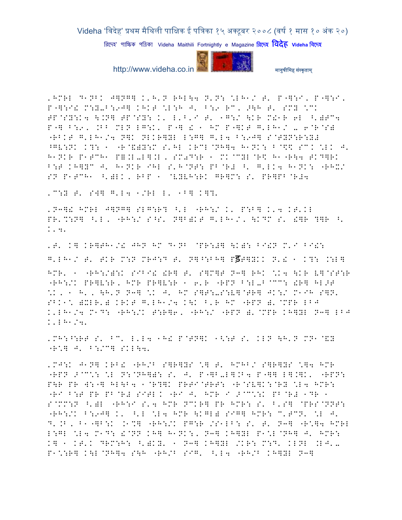িরেদহ' পািkক পিtকা Videha Maithili Fortnightly e Magazine িরেদহ िवदेह **Videha** িবেদহ



 $1$  RDBE (TR) BY CONSERVENT II, P., D. (BREAG) BY D. B. (II): R. (D):  $P$  (PINES ): II, P. (BN):  $\Gamma$  , P"BY: THE GAB (RE GIN 4, CH, B", JHK B. STO ST TP MOSY:K A CHE PE MOSY I, BIFIX B, APRILADE COAR PE ALGEMA P"] B:9, .BB MLN LG:K' P"] ! 1 HM P"]KT G'LH1/ - 6@R@S) "RBKT G'LH1/4 N]K NLKR]YL L:G] G'L4 B:9J] S@TYN:R:Y# ^GV:NK K?: 1 "R@&)Y:M S'HL KRCL@NH]4 H1NK: B@\$\$ SC. \*LK J' H1NKR P1TCH1 PE.LIE LE WOLGER H1 MACHTA H1 B:T KHIYO JI HIYO BARA YA MARA ING AKAN ING AKAN AKAN TA GARA TI SN P1TCH1 ^')LK, RBP 1 @VYVH:RK GR]M: S' PR]PB@R#4

'C:Y T' SW] G'L4 1/RL L' 1B] K]?'

'N3]! HMRL J]NG] SLG:R? ^'L "RH:/ K' P:B] K'4 KT'KL PR'%:NEW (RH) ^FR' SON' NEW STATE GOLD CONTROL STATE GO  $\ldots$   $\ldots$ 

'T' K] KR]TH1/! JHN HM D1NB @PR:#] \K): BI!N M'I BI!: B. EARLY A: AND THING MAY AN MACHINE PSAND: DOG WIN MAN WHICH HTR, I SHANING: KYPYK KA4 B. KATAR TAA BAI NI AIR KA KATYAN "RH:/K PR]V:R, HMR PR]V:R 1 6'R "RPN B:L-B@CC: !R] HL>T  $K: \mathbb{R} \to \mathbb{R}$  , and  $\mathbb{R} \to \mathbb{R}$  is the same symmetric subset of  $\mathbb{R}$  ,  $\mathbb{R} \to \mathbb{R}$ SBK1\* )XLR') KRKT G'LH1/4 K\K B'R HM "RPN )'@MPR LBJ K.EH:/A M:PA (PHYL) PYRHE, (PHYL) (PPP 8, MMP (PHO) PHR EFF  $L: \mathbb{R}^n \to \mathbb{R}^n$ 

'MHS'PER 'MU' L'AN, 'BU'E A' HE BORPED 'A RSE 'MU' LED 'RHUD' MAN' MED  $H: H \times H: H: C \times H: C \times H: H: H.$ 

'MJ:K J1N] KRB! "RH/B S]R]YS \*] T' HMHB/ S]R]YS \*]4 HMR  $\mathcal{R}$  , and the state of the state of the state of the state of the state of the state of the state of the state of the state of the state of the state of the state of the state of the state of the state of the state of P\R PR W:"] HL\B4 1@R?]K PRTI@TRT: "R@SV]K:@RY \*L4 HMR: "RI B:T PR PB@R PR PBB@R# 10 SITL. "RI PAD I SITL. "RI TE SITLE I SITL. "RI I HA S@MM:N ^')L "RH:I S'4 HMR NCKR] PR HMR: S' B'S] @PRS@NNT: "RH:NA B:9JR KA: KE NE HMR RAH: KOPE KOPE PARA M. BMR. NE H. D'.B, B1 (1998) "B: CO. D'.B: CHI, SHI (1998) "RH: ST (1998) "RH: SHI (1998) "RICH: ST PE L:GL \*L4 M1D: !@NN KH] H1NK:, N3] KH]YL P1\*L@NH] J' HMR: KA KALI PENYEN KALAL 8 PAR 1988 JIBN NYE, MER (HALL P1\*:R] K\L@NH]4 S\H "RH/B SIG' ^'L4 "RH/B KH]YL N3]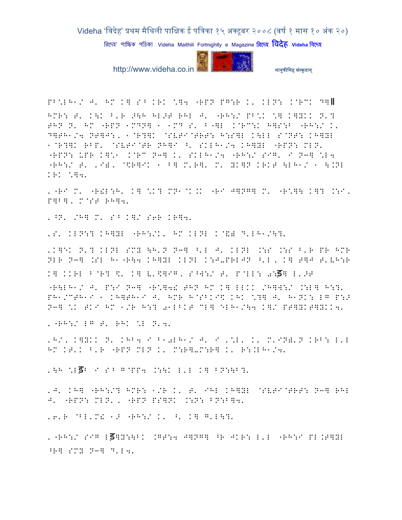িরেদহ' পািkক পিtকা Videha Maithili Fortnightly e Magazine িরেদহ िवदेह **Videha** িবেদহ



PB\*LH1/ J' HM K] S^ KRK \*]4 "RPN PG:R K' KLN: .@RCK D]॥

HTBY: B. (1927) F.B. J98 (912) B91 (9. (9892) PP\*K (1971) SHILL JR.T THO DU AD "RPD" 10998 - 1009 S. F.H. (1999) ABSENT (RANG: C. DREAMS ON THE SAME CONTROL SEEKS AND SANT SANT SANTE 1@R?]K RBP' @SVTI@TR NH]I ^' SKLH1/4 KH]YL "RPN: MLN' "RPIC: UPR KITCH" (1970) DAT (2013) SIGNAL RHIGHT SPRING "RHT" NEW "RH:PAT YE, "LYBOL" TREART "KI YA DI, EAL ON, "BOARD OE'S E AE FROM "KI A OPE **TRI 584.** 

 $R$  . The Most mass is the Most mass of the Most mass in the Most mass is the Most mass in the Most mass is a  $R$ Philips (1999), March 1999, March 1999, March 1999, March 1999, March 1999, March 1999, March 1999, March 1999, March 1999, March 1999, March 1999, March 1999, March 1999, March 1999, March 1999, March 1999, March 1999, Ma

'^N' /H] M' S^ K]/ S6R KR]4'

'S' KLN:: KHIYL "RH:/K' HM KLN:: KHIYL "RH:/K' HM KLN

'K]EK N'? KLNL SMY \H'N N3] ^'L J' KLNL .:S .:S B'R PR HMR NLR N39 .SL H1 (PH4 CP931 CIPE CYPLPH PP (CI) C9 P99 P.LPYR

KA KORRE BOYER SO KORL BOYER BOYER IN PERSON DE L'ESTE LE 1955, L'ORI

 $R$ <sup>1</sup> P:I  $R$  ,  $R$  in the state of the HM  $R$  and the HIM  $R$  leads  $R$  . The HM  $R$ PHI/CTHIN 1 KHITHI 1 HARAHA KHAK HOSBA HATI JI HINDI TI HINDI HAGA ELI HINDI JI HINDI DI HINDI DI HINDI DI HIN N3] \*K TKI HM 1/R H:? 01LBKT CL] ELH1/\4 K]/ PT]YKT]YKK4'

'"RH:/ LG T' RHK \*L N'4'

'H/, CROIT 'N, CHF4 I B10LH1-/ A. I VIII, I, I, MINDELD IPPE ELE HM KT'K B'R "RPN MLN K' M:R]-M:R] K' R:.LH1/4'

 $\mathcal{L}$  is the So GPP in the solution of  $\mathcal{L}$  and  $\mathcal{L}$  be the solution of  $\mathcal{L}$ 

'J' KH] "RH:/? HMR: 1/R K' T' IHL KH]YL @SVTI@TRT: N3] RHL J' "RPN: MLN', "RPN PS]NK .:N: BN:B]4'

'6'R @BL'M! 1> "RH:/ K' ^' K] G'L\?'

. GH:: POR ESSENT .GT:4 JUNE 99 200 PL. SIG .GT: 200 ^R] SMY N3] D'L4'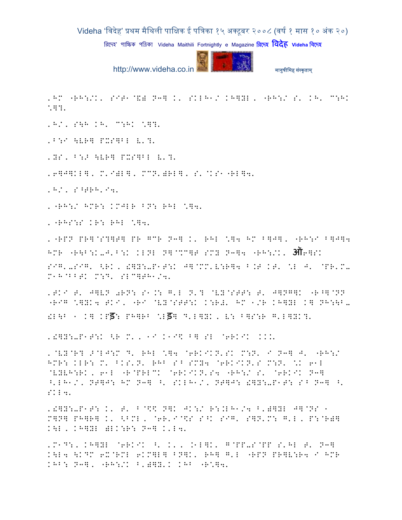িরেদহ' পািkক পিtকা Videha Maithili Fortnightly e Magazine িরেদহ िवदेह **Videha** িবেদহ



'HM "RH:RIC, SYRH"BA MHI:/K' SCEPH ZO RHIB ("RH:2" SKLIN) SH, "RH  $^{\prime}$ .

'H/, S\H KH' C:HK \*]?'

'B:I \VR] PXS]BL V'?'

'YS, B:> \VR] PXS]BL V'?'

(6990) H. C. C. C. B. C. C. S. A. C. C. C. C. C. H. B.

'H/, S^TRH'I4'

'"RH:/ HMR: KMJLR BN: RHL \*]4'

'"RHS:S KR: RHL \*]4'

. (PPP PR9 ST9889 PR GCR PH9 I. PH8 I.9. HT F949. (PHS) F9494 HMR "RAPSILA.FSI IFR "PETT"BE PTO PABY "RHSIZI, **S**MYBRI STRIGTT, RES. SRIGETT FOR RRYTIGHTH FOR DEVICE RESTRIG M1H@BBTK M:D' SLC]TH1/4'

'TAI Y JAL' JAHA DI SA NA MA' JALI YA NA MARAY YA YA TA JA TA TA TA MARAY YA NA MARAY YA MARAY YA MARAY YA NA "RIG \* THE STRIKT FROM THE THEFT ON THE STRIKT HAS A FRIELD TO A STRIKT A !LE 53 (K) CONSTRUCTED PHONE OF SIGN CONTROL CONTROL BY A HIGH PLOT BOOK BY AN

'!]Y:-P1T:K <R M', 1I K1I\$ B] SL @6RKIK ...'

 $\mu$  or the property of the property of the control of the property of the property of the control of the control of HMR: KLR: MYSSEN BHF SO SMY4 MERSON RIS MIR. MO 81 @VYVH:RK, 61L "R@PRLCK @6RKIKN'S4 "RH:/ S' @6RKIK N3] ^'LH1/, NT]J: HM N3] ^' SKLH1/, NT]J: !]Y:-P1T: S^ N3] ^' SKL4'

'!]Y:-P1T: K' T' B@\$\$ N]K JK:/ R:.LH1/4 B')]YL J]@NS 1 MARA BHARA CO APMEO MAROKINE SAN SKA SARO SAROKA ALEO BOSTAGA K\L, KH!YL (1999), ROOM (1999), ROOM (1999), ROOM (1999), ROOM (1999), ROOM (1999), ROOM (1999), ROOM (1999),

'MID:, KHIYA MARKIK MUNCHI, KATA MARKIK YANG SIMULI TANG SERI SIMULA TANG MANG KAL4 ALTI 6XMET 6KIMLA PAD F.E GET PRUSHA I HIP KHB: N3], "RH:/K R.AHB.I KHB "RYHA.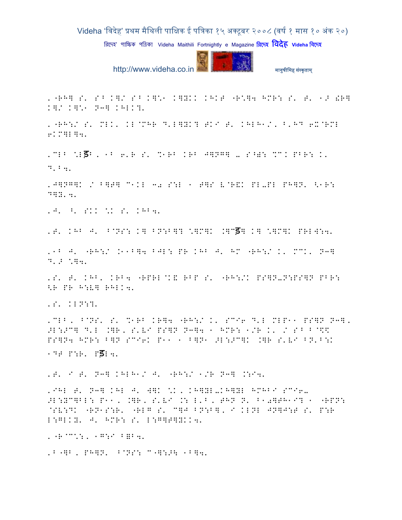িরেদহ' পািkক পিtকা Videha Maithili Fortnightly e Magazine িরেদহ िवदेह **Videha** িবেদহ



. HHE S. STICH STICH, IHMI IN AN HOHE HMR: S. B. H. S. WH K]/ K]\*1 N3] KHLK?'

', 'BHSI' S', 'TEI', 'IE'THE PLEBBIT BIR BIN BL'IHEH I. FLAP BIN BIN  $6.79194.$ 

'CLB \*Lड़B, 1B 6'R S' %1RB KRB J]NG] - S^): %C. PBR: K'  $\mathcal{D}_1$  is  $\mathcal{D}_2$ .

'J]NG]K / B]T] C1KL 30 S:L 1 T]S V@R&K PL-PL PH]N' <1R: **WHI.4.** 

'J' ^' SKK \*K S' KHB4'

 $T$  and the state of the second terms of the second second second and  $\mathbb{R}^n$  . The second second second second second second second second second second second second second second second second second second second se

'1B J' "RH:/ .11B]4 BJL: PR KHB J' HM "RH:/ K' MCK' N3]  $B_1$   $B_2$   $B_3$   $B_4$   $C_4$ 

 $\overline{S}$  (  $\overline{B}$  )  $\overline{S}$  (  $\overline{B}$  )  $\overline{B}$  (  $\overline{B}$  )  $\overline{B}$  (  $\overline{B}$  )  $\overline{B}$  (  $\overline{B}$  )  $\overline{B}$  (  $\overline{B}$  )  $\overline{B}$  (  $\overline{B}$  )  $\overline{B}$  (  $\overline{B}$  )  $\overline{B}$  (  $\overline{B}$  )  $\overline{B}$  (  $\overline{B}$  )  $\$ **RE PR HILM RHITH.** 

.:. ::PH.

 $\mathcal{L}$  The  $\mathcal{L}$  -closed in the state  $\mathcal{L}$  is the state of  $\mathcal{L}$  . The state  $\mathcal{L}$  and  $\mathcal{L}$  is the state  $\mathcal{L}$  $B$ : Normal R, E . (R)  $B$  . So the state  $B$  and  $B$  is a state  $B$  in  $B$  is a state  $B$   $B$ PSAN4 HMR: BAN SCI6K P11 1 BAN JENDURE (BR S.E. BR. B.

 $1.99$  P:R. PS:  $n$ .

'T' I T' N3] KHLH1/ J' "RH:/ 1/R N3] .:I4'

'IHL T' N3] KHL J' W]K \*K, KH]YL-KH]YL HMHBI SCI6- >L:YC]BL: P11, .]R, S'VI .: L'B, THN N' B10]TH1I? 1 "RPN: @SV:DK "RN1S:R' "RLG S' C]J BN:B], I KLNL JN]J:T S' P:R L:GLKY' HOR: S' LIGHT STATE

'"R@C\*:, 1G:I B=B4'

 $B$  (B)  $B$  and  $B$  and  $B$  and  $B$  is considered in  $B$  . The constant  $B$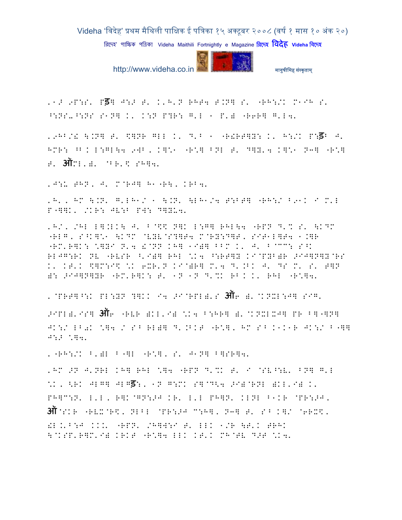িরেদহ' পািkক পিtকা Videha Maithili Fortnightly e Magazine িরেদহ िवदेह **Videha** িবেদহ



 $1 \cdot$  P (PT:S) PS  $P$  and  $P$  (PT:N) RHT4 T.N. T.N RHIM  $P$  . The  $P$  is  $P$ \*:NS-^:NS-^:NS-^:NS THE #.E + T.d 4000 #.E4.

'9HF/'3' & 12R GL. KRIPE (REE) 11 (M.P.)Y: GEIBERIN 11 (AN.M. PN**S**P) A. HMR: P. L:GRIAN 24F. LIBN (1814-191 B. 1981) B. LEG. TEN DABORE  $\vdots$   $\mathfrak{M}$ :  $\vdots$   $\vdots$   $\vdots$   $\vdots$   $\vdots$   $\vdots$ 

'J:U THN, J' M@RJ] H1"R\, KRB4'

'H, 'AT AIR, BI, HV, 'A' AIR, 'ABY'A' B91K I ANG ANG AT 'A' I'L P"]]K' /KR: JV:B PW: D]YU4'

 $\mu$  B.2 ,  $\mu$  and  $\mu$  and  $\mu$  by string the position of the string string  $\mu$  . The string string  $\mu$  $\mathcal{A}$  referred to the state of the site of the site of  $\mathcal{A}$  is the site of  $\mathcal{A}$  in the site of  $\mathcal{A}$  $R$  (RM) RM R) R(R) EXTERD A SHIP (FOR C) B AN ACT BOTH (FOR C) RLJARSB) DE SAEZBO RJYGH BALONIA (PSBAHO) PYTOPGBA JAMAHDHOTBY K' KTALI KATIYAR NI GOBIJA KIMBA DIGORA DI MU'A, DA MA'DI DI GU GAR ): >IJ]N]YR "RM'R]K: T' 1N 1N D'%K RB. K' RHL "R\*]4'

'@PRT]^:K PL:YN ?]KK I4 >I@RPL)'S ऑ6 )'@KNXL:J] SIG'

>IPL)'IS] ऑ6 "RVR )KL'I) \*K4 B:HR] )'@KNXLXJ] PR B]"]N] JK:/ LB0K \*]4 / S^ RL)] D'.BKT "R\*], HM S^ K1K1R JK:/ B"]]  $45.3 \pm 0.441$ 

'"RH:/K B')L B"]L "R\*], S' J1N] B]SR]4'

'HM >N J'NRL KH] RHL \*]4 "RPN D'%K T' I @SV^:V' BN] G'L  $K$ ,  $k$ ,  $k$  and  $k$  and  $k$  is the set  $\mathbb{R}^n$  in the set  $\mathbb{R}^n$  of  $\mathbb{R}^n$  is the set  $\mathbb{R}^n$ PHOTER, I.I. AND THREAD CIR, I.I PHOR. (1981) FELD TOPERAD, **ऑ** SKR "PRICHER, 2000 COPPIER "SHA, 299 B, 2000 ER, SPRIC, !L.'B:J ...' "RPN' /H]W:I T' LLK 1/R \T'K TRHK \@KSP'R]M'I) KRKT "R\*]4 LLK KT'K MH@TV D>T \*K4'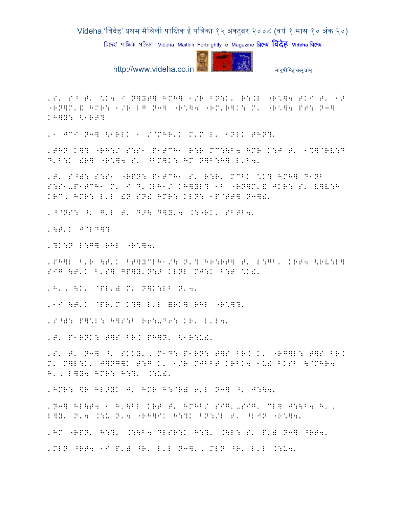িরেদহ' পািkক পিtকা Videha Maithili Fortnightly e Magazine িরেদহ िवदेह **Videha** িবেদহ



'S' S' S' S' SAN I A' D' THAIR THA BHAIR 1/R BHAIR 1/R BHAIR 1/R BN: L'AIR "RN]M'& HMR: 1/R LG N3] "R\*]4 "RM'R]K: M' "R\*]4 PT: N3] **THEIR: C-BET** 

'1 JCI N3] <1RLK 1 /@MHR'K M'M L' 1NLK THN?'

 $\Gamma$  and completely analysis and  $\Gamma$  is stated to the stated  $\Gamma$  is the stated of  $\Gamma$ D'B:K !R] "R\*]4 S' ^BM]K: HM N]B:H] L'B4'

'TE STAN SNRY 'HERN' PYRTHY S. RNR. TORI NIN HIPH OYDE SSERVIER BY RN I D'ANNEL DE RAID (D'ANNEL NA L'ABDARDI BLIADE SERVIER). EN NEDER KRC, HMR: E.E. 23 SMAR: HMR: KESN (FORME SHAR)

'^@NS: ^' G'L T' D>\ D]Y'4 .:"RK' SBTB4'

 $\sqrt{5}$  HOLD  $\sqrt{7}$  HOLD  $\sqrt{7}$ 

'?K:N L:G] RHL "R\*]4'

 $\Gamma$ PHIL B'R AB, C'A BIRTI KYZH (R. R. KARABA (R. LINH), C.BBA (R. KART) H SIG BELI BLEW WEWLETE IN THIS BIB MILL

'H', \K' @PL') M' N]K:LB N'4'

 $1 \cdot$   $1 \cdot$   $1 \cdot$   $1 \cdot$   $1 \cdot$   $1 \cdot$   $1 \cdot$   $1 \cdot$   $1 \cdot$   $1 \cdot$   $1 \cdot$   $1 \cdot$   $1 \cdot$   $1 \cdot$   $1 \cdot$   $1 \cdot$   $1 \cdot$   $1 \cdot$   $1 \cdot$   $1 \cdot$   $1 \cdot$   $1 \cdot$   $1 \cdot$   $1 \cdot$   $1 \cdot$   $1 \cdot$   $1 \cdot$   $1 \cdot$   $1 \cdot$   $1 \cdot$   $1 \cdot$   $1 \cdot$   $1 \cdot$   $1 \cdot$   $1 \cdot$   $1 \cdot$   $1 \cdot$ 

'S^): P]\*L: H]S:B R6:-D6: KR' L'L4'

'T' P1RNK: T]S BR. PH]N' <1R:U!'

 $\overline{S}$  ,  $\overline{S}$  ,  $\overline{S}$  ,  $\overline{S}$  ,  $\overline{S}$  ,  $\overline{S}$  ,  $\overline{S}$  ,  $\overline{S}$  br.  $\overline{S}$  ,  $\overline{S}$  br.  $\overline{S}$  are  $\overline{S}$  ,  $\overline{S}$  ,  $\overline{S}$  ,  $\overline{S}$  ,  $\overline{S}$  ,  $\overline{S}$  ,  $\overline{S}$  ,  $\overline{S}$  ,  $\overline{S}$ M. MALS: AARAAN GSA I: KIR MAFFA IBFIG KRB FIIP BYMBG H', L]Y4 HMR: H:?' .:U!'

.ATR: 58 H.HI: 4. ATR A:181 p.E 7-8 H. 458g.

'N DARE 'HER HAL'ALL KRTE 'N DARL'ALL'ANDARY 'N SIGNE LISTER, ON DE LANGER HALL L 198. P.4 .:U P.4 4849: 819: FP1: B. H.4P 4594.

'HM "PRN' HIT. 'DIR'A' REPAIL HIT. 'DAE' PL' PLA DHR' PRAA.

'MLN 'RAG' (A' B') B' PA' L'L NART, 'N MLN 'PA' L'L'L'UALG.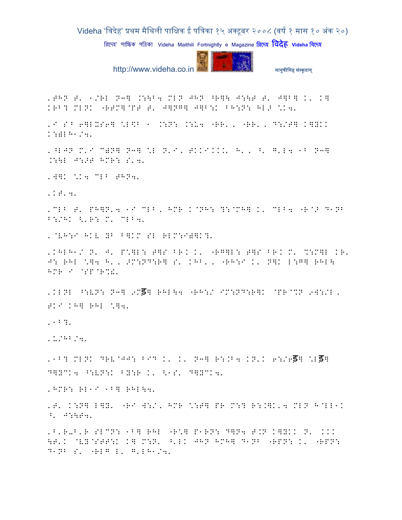িরেদহ' পািkক পিtকা Videha Maithili Fortnightly e Magazine িরেদহ िवदेह **Videha** িবেদহ



'THN T' 1/RL N3] .:\B4 MLN JHN ^R]\ J:\T T' J]B] K' K] KRB? MANNESON "REMARK "PRODUCED" AND THE MANNESON BELOW WAS

'I S^ 6]LXS6] \*L\$B 1 .:N: .:U4 "RR', "RR', D:/T] K]YKK K:)LH1/4'

'. HI AD (2) K. MBDH (24H) NE (2) K. K. (BI) KI.I, I. H. (14, 14, 15, 14, 14, 15, 15, 16 .:\L J:>T HMR: S'4'

'W]K \*K4 CLB THN4'

'KT'4'

 $\Gamma$  Mean High, Phage of the phase of the NH the Phage of the Phage of Phage  $\Gamma$ B:/HK R: MY CLB4'

'@VH:I HKV YB B]KM SL RLM:I)]K?'

'KHLH1/ N' J' P\*]L: T]S BR. K' "RG]L: T]S BR. M' %:M]L KR' J: RHL \*]4 H', >M:ND:R] S' KHB', "RH:I K' N]K L:G] RHL\ HMR I MAR I BOSH

 $K$  (Fig. ) and  $\mathbb{R}$  and  $\mathbb{R}$   $\mathbb{R}$  and  $\mathbb{R}$  are not improved as  $\mathbb{R}$  . TKI KHI RHL \*1

'1B?'

'U/HB/4'

'1B? MLNK DRV@JJ: BID K' K' N3] R:.B4 KN'K 6:/6ड़] \*Lड़] **MARY: SECTION BY: CONSTRAINTS:** 

'HMR: RL1I 1B] RHL\4'

.A: 1939 E93. HP 952. HTE 5999 TE T31 B9191.4 TER R7EES  $\mathcal{F}_1 = \mathcal{F}_1 \mathcal{F}_2 \mathcal{F}_3 \mathcal{F}_4$ 

'B'R-B'R-B'R'R'R SLC'H "RHL" (PHIRL "P) PHIRL "PIRN: DILL" DILL" (DILL" DILL" ) \T'K @VY@STT:K K] M:N' ^'LK JHN HMH] D1NB "RPN: K' "RPN: D1NB S' "RLG L' G'LH1/4'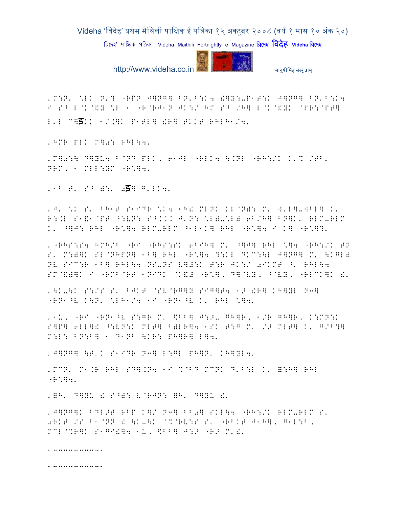িরেদহ' পািkক পিtকা Videha Maithili Fortnightly e Magazine িরেদহ िवदेह **Videha** িবেদহ



'M:N' \*LOCAL NO. "RESTANDED BY AN INGLESS AND HIS PASSAGE AND A SALE OF THE BOOM BOOKS IN THE BOOKS IN THE BOO  $I$  So Laterature to the Right Society of the Company of the Company  $I$  $L:$  CHS: A  $L$  CH  $R$  P1TL RHLH  $R$  and  $R$  and  $R$  and  $R$ 

'HMR PLK M]0: RHL\4'

'M]0:\ D]YU4 B@ND PLK, 61JL "RLK4 \.NL "RH:/K K'% /TB' NRM, 1 MLL:YM "R\*]4'

 $1.5$   $1.5$   $1.5$   $1.5$   $1.5$   $1.5$   $1.5$   $1.5$   $1.5$   $1.5$   $1.5$   $1.5$   $1.5$   $1.5$   $1.5$   $1.5$   $1.5$   $1.5$   $1.5$   $1.5$   $1.5$   $1.5$   $1.5$   $1.5$   $1.5$   $1.5$   $1.5$   $1.5$   $1.5$   $1.5$   $1.5$   $1.5$   $1.5$   $1.5$   $1.5$   $1.5$   $1.5$ 

'J'AL' (NI) 'BHIT SI YARE (NI)H' KAZ (MER): 'BHIMAG' ML' HELBELBE (NI) R:.L STETTE PERTITION A.PT TEALIE EVAN FRUI BEZWER K. PHP: RHL "R\*JHL RIMLRIM P(F)14 RHL "R\*JHL "MILL" (R\*)4 II

'"RHS:S4 HMH/B "RI "RHS:SK 6BIH] M' ^]J] RHL \*]4 "RH:/K TN S' MYSERI SI MARIAN 199 RHL "PAGA RYI "PINGE" PANA "PINA" D' RIAN NN SICTER (1998) RHLAN NEWS NORSE SIGN ON NO SICTEMENT (2) SM THE ROOM PROVINCES AND PROVINCE PROPERTY OF THE TERM OF THE TERM OF THE TERM OF THE TERM OF THE UNION OF TH

 $\lambda$  AI  $\lambda$  SY  $\lambda$  system as the star signal form in the star  $\lambda$  is the star  $\lambda$ "RNN" RN10 KONING AN "RNN" KI LI "RN1" (1941)

 $1$  (1)  $\sim$  100  $\sim$  100  $\sim$  11,  $\sim$  170  $\mu$  ,  $\sim$  100  $\mu$  ,  $\mu$  ,  $\mu$  ,  $\mu$  ,  $\mu$  ,  $\mu$  ,  $\mu$  ,  $\mu$  ,  $\mu$  ,  $\mu$  ,  $\mu$  ,  $\mu$  ,  $\mu$  ,  $\mu$  ,  $\mu$  ,  $\mu$  ,  $\mu$  ,  $\mu$  ,  $\mu$  ,  $\mu$  ,  $\mu$  ,  $\mu$  ,  $\mu$  , SAPA GELAK PENGGI DEGA PELGAH KOL GGA DI JULIO MAHIJI KEPAH M:L: BN:BQ: BN:B1 A1P4 PHQ:BQ:Bq.

'J]NG] \T'K S1IDR N3] L:GL PH]N' KH]YL4'

'MCN' M1.R RHL SD].N4 1I %@BD MCNK D'B:L K' =:H] RHL  $\mathcal{A}$  is the function of  $\mathcal{A}$ 

'=H' D]YU ! S^): V@RJN: =H' D]YU !'

'J]NG]K BDL>T RBP K]/ N3] BB0] SKL\4 "RH:/K RLM-RLM S'  $0.081$   $\mu$   $\Omega$  . The state  $\Omega$  in the state  $\Omega$  in the state  $\Omega$  in the state  $\Omega$ MCL. MORE STANDARD STAR STAR STAR MESS

'---------'

'---------'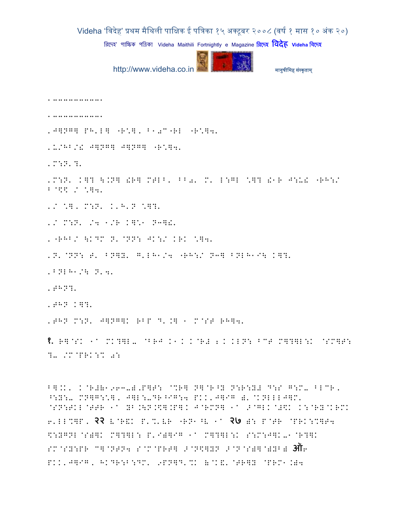িরেদহ' পািkক পিtকা Videha Maithili Fortnightly e Magazine িরেদহ िवदेह **Videha** িবেদহ



. . . . . . . . . . . . . . . '---------' 'J]NG] PH'L] "R\*], B10C"RL "R\*]4' 'U/HB/! J]NG] J]NG] "R\*]4' . **THE. T.**  $M$ : The  $M$  Correct and the  $M$  and  $M$  and  $M$  is the  $M$  -dimensional  $M$  and  $M$  is the  $M$ **B** / \* 744. '/ \*], M:N' K'H'N \*]?' '/ M:N' // M:N' // M:N' // M:N' '"RHB/ \KDM N'@NN: JK:/ KRK \*]4' 'N' AN' AO AN' AO FAINTE AO FAINTE AN GRAND AO FAINT-PAIL AIRS AN AIR AN AIR AN AIR AN AIR AN AIR AN AIR AN AIR 'BNLH1/\ N'4' 'THN?' 'THN K]?' 'THN M:N' J]NG]K RBP D'.] 1 M@ST RH]4' १. RA MK?) - KUNICIA A LI MERA (1981) - KONGRES (1972) - MANGHAMA (1972) - KENYA BER ?- /M@PRK:% 0: B.R. KO.K. K. K. K. K. K. K. A. K. K. K. P. R. H. R. H. D. B. H. D. H. B. H. B. H. D. H. D. D. K. K. B. D. B.

^:Y:- MN]G:\*], J]L:-DR^IG:4 PKK'J]IG )'@KNLLLJ]M' @SN:TKL@TTR 1A YB.\N.\$].P]. J@RMN] 1A >@GLK@#\$K K:@RY@KRMK  $\mu_s$  Enger, 22 Empires Pymile (apoint  $\sim$  20 an empire presentation \$:YGNL@S)]K M]?]L: P'I)]IG 1A M]?]L:K S:M:J]K-1@R?]K SM@SY:PR C]@NTN4 S@M@PRT] >@N\$]YN >@N@S)]@)YB) ऑ6 PKK'J]IG, HKDR:B:DM' 9PN]D'%K (@K&'@TR]Y @PRM1.)4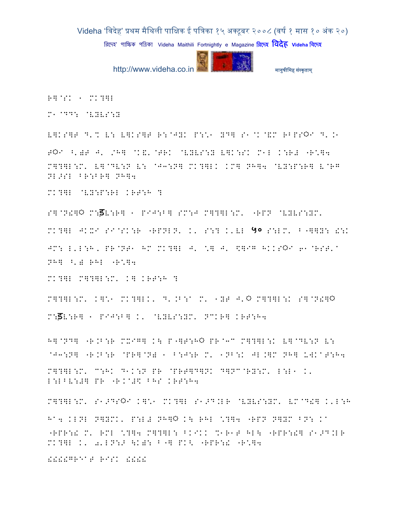িরেদহ' পািkক পিtকা Videha Maithili Fortnightly e Magazine িরেদহ िवदेह **Videha** িবেদহ



R]@SK 1 MK?]L

 $P_1$  was defined by  $\mathcal{D}$ 

KALYAR DY W: KS]KALYAR PSIMAL PSIV DARA YA M RD BEPYON DY.1 TO THE AN PARTICE MENTIONED ESTEN THE PRESTREE "ROWS MARING CO. MARINAR EN 1999NE MORAL VI DE CAPA MENINGENAR E NAP  $H$ : Historic Barnetter

MARK: MARK: MARK: MARK: MARK: MARK: MARK: MARK: MARK: MARK: MARK: MARK: MARK: MARK: MARK: MARK: MARK: MARK: MA

SA MERSO DYSINEA (PIPERA PIPERA DATA NEL 1987) NEBERNBOL MKRRE SIDKI SIMSER (RPDED, K. SKER K. K. 199 STED, K. PERDEDIK JM: E.ESA, PROPE, AT TIME A, SA A, SAPA 611200 e-SEER.  $194$  RH  $^*$  R+1  $^*$  R+1  $^*$  R+1  $^*$ 

**MANAGER AND MANAGER AND MANAGER AND MANAGER AND MANAGER AND MANAGER AND MANAGER AND MANAGER AND MANAGER AND MA** 

MARINE MENTION MARINE DI MARINE DI LA MARINE DI LA MARINE DI LA MARINE DI LA MARINE DI LA MARINE DI LA MARINE **M:S**bibe - Picher K. Mabrian, Phibe (Brith,

HE NDRE THE PART WORKER OF HIS REPORT OF PROVIDING AN INFORMATION OF @J3:N] "R.B:R @PR]@N) 1 B:J:R M' 1NB:K JL.]M NH] UWKAT:H4 MARAH SOL: M'SAL: MALSON PROTERARING DO MADY (ROSS) (PSEK) CL L:LBV:#] PR "R.@#\$ BHS KRT:H4

MARINE MORE STRIPS OF STRIPS OF STRIPS OF STRIPS OF STRIPS OF STRIPS OF STRIPS OF STRIPS OF STRIPS OF STRIPS O HA4 KLNL NAMES IN RHE THAG AND THE REPORT OF REAL BOOKS IN THE REPORT OF REAL EXTENDING INTO A REAL EXTENDING "RPP:: M. BM (1944 M999) S1R1T MAR PER (RPP:: BF) S1 MK?) REPORT TO THE RESIDENCE OF REAL PROPERTY.

!!!!GREAT RISK !!!!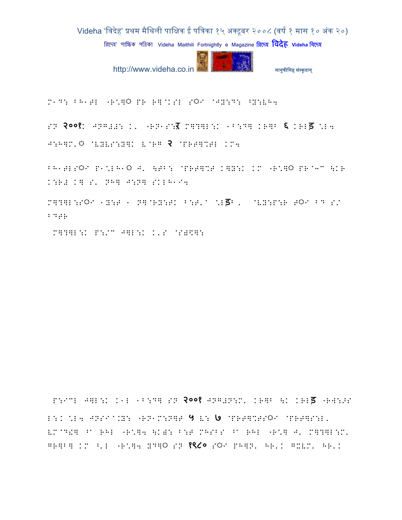িরেদহ' পািkক পিtকা Videha Maithili Fortnightly e Magazine িরেদহ िवदेह **Videha** িবেদহ



D: BH1TL "RENED PR RENET POST SENTY PRESS

SN 2008: ANG#E: K' GENERX NGHE: K' YAGH IBG & IBIS NIA J:H]M'◌ @VYVS:Y]K V@RG २ @PRT]%TL KM4

BH1TLSON P1%LH1O R. APPS (PEPRTP LADEL IT (PNAO PROMO RIE) K:R# K:R# H:N| R:N|

METHENTOS (STAR) 199 METHENT PARTY MESS . COLTENE ROS PROTO BDTR

TATALE PEZT ANDER CLE SPERA

PECT JULE: WE AN END OF ROOR JULES IN THE RESIDENT SOME THAT IS A REAL SET Li:Lin Pression: 9 Ex 0 Cherrical Decision Pression: VM@D!] ^A RHL "R\*]4 \K): B:T MHSBS ^A RHL "R\*] J' M]?]L:M' BREER KM PLE PHINE STEP FN 8860 FOR PHEN, HRIK BILM, HRIK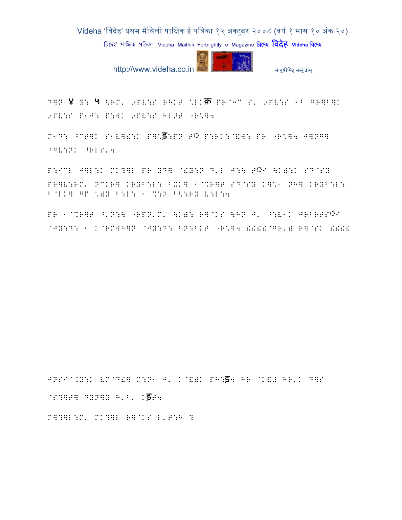িরেদহ' পািkক পিtকা Videha Maithili Fortnightly e Magazine িরেদহ िवदेह **Videha** িবেদহ



DER 8 BY 9 GET. SPENS ERDE NEIW PENSON SO SPENS OF PRECHO 9PV:S P1J: P:WK 9PV:S HL>T "R\*]4

Monday: Press of the State of Particle Products of the Party **PULLER CONSTRUCT** 

P:TE WHIS TITH PR ITE SINF TO WHORP RING ITTE PRALGRY, PTIRA IRB'GIG' KOVA (TRAR) PTIRA IANG PRA IRB'GIG B@LK\_RE\_NAB: P&LX: 2 %:N B:LXEB: R&LX+

PR 1 MERR 1.258 (BPN.T. RIES BROY ARD 4. TEL. 4PIBROS @JY:D: 1 K@RMWH]N @JY:D: BN:BKT "R\*]4 !!!!@GR') R]@SK !!!!

JASIM M: K VA BE WERE AN ANDERED PHISH HRY WERE HRYK DAY.  $T$ : THER THERE K.I.  $T$   $\overline{5}$ :

**WARDER MANUEL REPORTS AND REPORTS**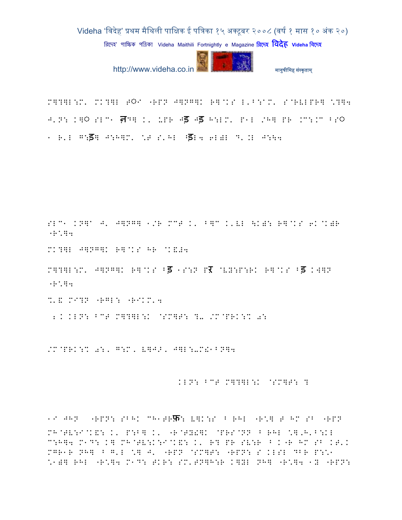িরেদহ' পািkক পিtকা Videha Maithili Fortnightly e Magazine িরেদহ िवदेह **Videha** িবেদহ



MARING MICHI POS GRES PARSAN PASSE LIST, PORTRE CAR JEN: KIRO SELTH GETTE SLOCHE HS HS HELM, PHE CHE PR .CTECT FSO 1 R.E G:SE J:HET, LE S.HE SSEA 6LBI T. L J:AGAA

SLC1 KND A JAHRAH 1/R MCH KI BACK KING 6KOR 6KOR 100  $\cdot$   $\cdot$   $\cdot$   $\cdot$   $\cdot$   $\cdot$   $\cdot$ MARR READS HERE AND MANAGEMENT OF THE ALL OF THE ALL OF THE ALL OF THE ALL OF THE ALL OF THE ALL OF THE ALL OF MORE AND AND HE LESSEN RY CONSIDERED AN USINE RISK AND  $R$ %'& MI?N "RGL: "RIKM'4 2. KLN: BCT M]?]L:K @SM]T: ?- /M@PRK:% 0:

/M@PRK:% 0:, G:M, V]J>, J]L:-M!1BN]4

KLN: BCT M]?]L:K @SM]T: ?

1I JHN "RPN: SBHK CH1TRफ़: V]K:S ^ RHL "R\*] T HM SB "RPN MH@TV:I@K&: KY P:BESA: KOREAN ARHL P: AT THE FORD AN ALL TO A RHL FOR A RHL FOR RESIDENT TO A RHL \* RHL \* RHL \* C:HE4 M-TV: KE MH MEXING: KI RI RE SENE ROOM HAD: KO KEN MGR1R NH] ^ G'L \*] J' "RPN @SM]T: "RPN: S KLSL DBR P:\*1 \*1)] RHL "R\*]4 M1D: TKR: SM'TN]H:R K]YL NH] "R\*]4 1Y "RPN: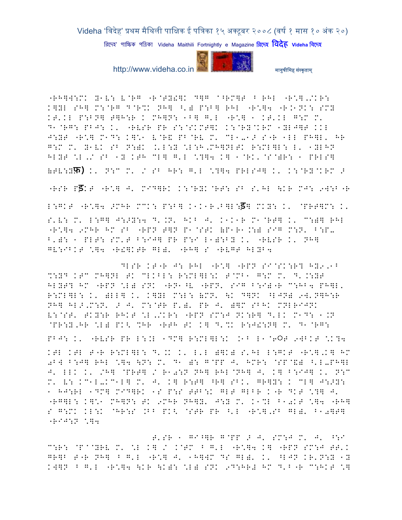িরেদহ' পািkক পিtকা Videha Maithili Fortnightly e Magazine িরেদহ िवदेह **Videha** িবেদহ



"RHANNISTIC" (OR KING) KI THA "RHDIGANIS" (PAN) "THE "PANEL" RHIL "RHUN "RING" IN BHL KAN YH SHI MIN SHI RA DHA HHL "RYAN "RYA" RH KAL E: BOH DA MAAHAMINI DAAADA MA'A MA'A MIHIN AMA MINI DA MARI DA MARI DA MARI DA M D) NARS PRAN (L'ARGEN PR SNINGRAPH) (NIRGINAR (SHAMP) (1) J:YT "R\*] M1D: K]\*1 V@R& PB@RV M' CL1-1> S"R 1LL PH]L' HR G:M M' WI YOU YN YN A' LINE NENH NICHT AN ANTITEN EL SEERT HEGA (NE L) SP 1Y GOLDAR (MERCHEN CLIMATER DER 1Y MENSEN KOMPESTER  $\texttt{H}:\texttt{H}:\texttt{H}:\texttt{H}:\texttt{H}:\texttt{H}:\texttt{H}:\texttt{H}:\texttt{H}:\texttt{H}:\texttt{H}:\texttt{H}:\texttt{H}:\texttt{H}:\texttt{H}:\texttt{H}:\texttt{H}:\texttt{H}:\texttt{H}:\texttt{H}:\texttt{H}:\texttt{H}:\texttt{H}:\texttt{H}:\texttt{H}:\texttt{H}:\texttt{H}:\texttt{H}:\texttt{H}:\texttt{H}:\texttt{H}:\texttt{H}:\texttt{H}:\texttt{H}:\texttt{H}:\texttt{H}:\texttt{$ "RSR Pड़KT "R\*] J' MID]RK K:@RYK@RT: SB S'HL \KR MJ: 9W:B"R L:GKT "R\*]4 >MHR MCK: P:B] K1K1R,B]L:ड़] MKY: K' @PRT]M: K' S. B: M. (1998) P:2H: M. CH. A: (19) C: P: (1998) C. MINE BAE  $R$  -P14 9MHR HM SB "RPN SB "RPN SB "RPN THR SHOW" SIGNER (P1PL) SIGNER (P1PL) SIGNER (P1PL) SIGNER (P1PL) SIGNER (P1PL) SIGNER (P1PL) SIGNER (P1PL) SIGNER (P1PL) SIGNER (P1PL) SIGNER (P1PL) SIGNER (P1PL) SIGNER (P1PL) SIG B'): 1 PLT: SM'T B:IJ] PR P:I L1):BY K' "RVSR K' NH] GU:IBKTR #14 "RED #14 " "RED #14 " "RED #14"

 DLSR KT"R J: RHL "R\*] "RPN SI@SK:R? HY9,1B %:YD KTC MH]NL TK CLKBL: R:ML]L:K T@MB1 G:M M' D'.:YT HIGHT AT 'HTT' SLE FTD' (HT) H. (HTT. FYW PACE B: TAPN PHUL R:ML'H: N. (L.) (KELEE) (K. L.) (MAI NI DINK ORD) 9W'N PERSON 9W'N DINA PERSON NHE HLAVINK, A' A. TR'HE P.E. TH' A. GHT PEAL THEAMARI V:@ST' TKY:R RHKT \*L,/KR: "RPN SM:J NK:R] D'LK M1D: 1.N @PR:Y,HR \*L) PK< %HR "RTH TK K] D'%K R:J!:N] M' D1@RG:

PBJ: K' "RVSR PR L:.L 1DM] R:ML]L:K .1B L1@6◌T 9WBKT \*K?4

KATL KATLER: N.M. KILINE KATLER HYD SYN 0BW B:J] RHL \*]4 \N: M' D1 ): G@PP J' HMR: @SP@&) ^'L-PH]L J' LLK K' /H] @PRT] / R10:N NH] RHL@NH] J' K] B:IJ] K' N:C M. K.A. COMENZOMER M. CAL COR GARRY GRIE ZA CLI PERRA CO ORRI AAVRRA 1 HJ:RL 1DM] MID]RK 1S P:S TTB:K GLT GLBR K"R DKT \*?] J' "REPRES (1958) TRREE BI GIRE PRREI (858) TI I:Y ME RHIE SRE SRE (869) S G:MK KL:K @HR:S .BB PK< @STR PR ^'L "R\*],SB GL)' B10]T]  $R$  and  $R$  in  $R$  . The  $R$  -state  $R$ 

 $B$ . The contract of the property of the property  $\mathbb{R}^2$  and  $\mathbb{R}^2$  and  $\mathbb{R}^2$ C:R: @P@@YRV M' \*L K] / .@TM ^ G'L "R\*]4 K] "RPN SM:J TT'K GRAP GRAP DA BOS KORING AN A A BANDO DE BELO IN CORPOIS EN DISCOVI KWARD OF BULE O GENERAL AND AN ANDER IN ALL DIG HOME HOME DO BY RECORDED AT THE THREE CON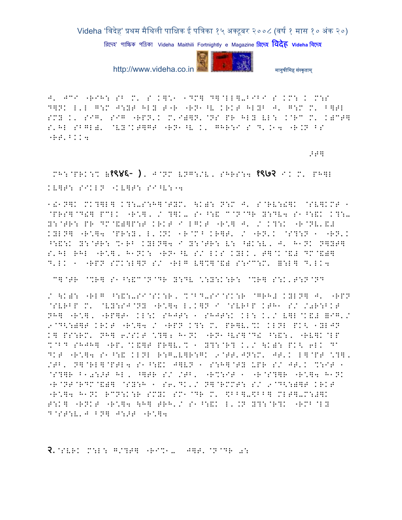িরেদহ' পািkক পিtকা Videha Maithili Fortnightly e Magazine িরেদহ िवदेह **Videha** িবেদহ



J' JCI "RIH: SB M' S K]\*1 1DM] D]@LL]-BIBI S KM: K M:S DURN LI GY SYN HI RA 'BY' N YRA' HI GY A GY N FR SMY KY SIGN SIGNES AND SIGNED SIGNED AND RESOURCE SIGNED AT A REPORT OF STANDARD AND RESOURCE A SUBSTANTIAL OF S'HL SBGL) ' WY GATH "REPLIED" DI "REPLIED" S D'. "REFILE

 $\mathcal{F}=\mathcal{F}^{\mathcal{F}}$  , where  $\mathcal{F}^{\mathcal{F}}$  , where  $\mathcal{F}^{\mathcal{F}}$  , we are the set of the set of the set of the set of the set of the set of the set of the set of the set of the set of the set of the set of the set of

MH: PRESS: 8986- ), JONES RIPHER, PHENE 8902 J. M. PHIL KORIS SIKUN SIKUN PIIRAN

 $1.47$  (PH) (T) THE ROOT THE PROPERTY  $\mathbb{R}$  and  $\mathbb{R}$  and  $\mathbb{R}$  , of the property of ERIC DF  $\mathbb{R}$ @PRS]@D!] PCLK "R\*], / ?]K- S1^:& C@N@DR Y:DV4 S1^:&K K?:- Y: PRO PR DOMERED I RIF K EPIF (PRO PRO I LGKI) (PODLEV KYLNI "RATH" "RENG', L'.NK 1R MA LEBE, MA 1 PRO MARTIN ("TRN'K " ^:&:K Y:@TR: %1RB KYLN]4 I Y:@TR: V: ^)K:V, J' H1NK N]YT] S'HL RHL "R\*], H1NK: "RN1^V S/ LKS KYLK, T]@K@&# DM@&)] D'LK 1 "RPN SMK:L]N S/ "RLG V]%]@&) S:IC:M' =:L] D'LK4

CORPORE CONSTRUCT OF CHINESE CONDITIONS ON A SIGN OF RECORD OF THE SIGN OF THE SERVICE OF THE SERVICE OF THE N

/ \K): "RLG ^:&:-SI@SK:R, %@BD-SI@SK:R @GRH# KYLN] J' "RPN @SVRBP M' @VY:SJ@NY "R\*]4 L'K]N I @SVRBP KTH1 S/ /0R:BKT NHE "BSE. "BPER" (FN: PHARY'', PHARY: CEN C.Z KEE SEA BYP.C 9@D<:)]T KRKT "R\*]4 / "RPN K?: M' PR]V'%K KLNL PK< 1YLJN KA PS:RM' NHA 6/SKT \*\*\* NH] AND ARN "RNATH" RNN (ARALYST %@BD SHJH] "RP'@K&]T PR]V'% 1 Y?:@R? K'/ \K): PK< 6LK DA  $D\Omega$  and  $P\Omega$  is a state of the contract of the value of the state  $\Omega$  ,  $\Omega$  and  $\Omega$  and  $\Omega$ /TB' N]@RL]@PTL4 S1^:&K J]VN 1 S:H]@TY UPR S/ JT'K %:IT 1 @S?]R B10:>T HL, ^]TR S/ /TB' "R%:IT 1 "R@S?]R "R\*]4 H1NK "R@NT@RDM@&)] @SY:H 1 S6'DK'/ N]@RMMT: S/ 9@D<:)]T KRKT "R\*]4 H1NK RCN:K:R SMYK SM1@DR M' \$BB]-\$BB] MLT]-M:#]K T:KE "RNKT "RNH" SPE PRAZZ I TRK IZ KONSTRUKT "RN YES DOM:VOCAL BUSINESS RECORDS

२. SBR M:R: GM:R: GM: GM: GM: CR OR 0: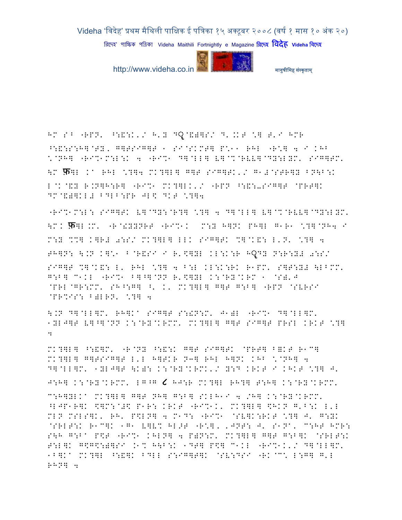িরেদহ' পািkক পিtকা Videha Maithili Fortnightly e Magazine িরেদহ िवदेह **Videha** িবেদহ



HM SO "RPN' PHEN'LY H'Y DOQ'YEERS' DUNCH NA GO HIY DOG ^:&:S:H]@TY, G]TSIG]T 1 SI@SKMT] P\*11 RHL "R\*] 4 I KHB  $\Lambda$  (1984) - RIM-2013 Discovery (RIS  $\Lambda$  ) of  $\Lambda$  and the sign of  $\Lambda$  and  $\Lambda$  and  $\Lambda$  is a sign of  $\Lambda$  . The sign of  $\Lambda$ AN **फ़**़िस: L' RHL 1944 NINH # #48 Pr##PL.2 #FRPPR#FPR#FPR L@K@&Y R.N]H:R] "RI%1 MK?]LK'/ "RPN ^:&:-SIG]T @PRT]K **BUCKERS BOOKS AND ADDRESS TO A DEAL OF STREET** 

"RIGY" PORTO "RIGHTAN" "RIGHTANG" (PING) "RIGHTANG DI SIGNE ANG DI VIDA ANG DI SIGNE ANG DI SIGNE ANG DI SIGNE \M. फ़]L.M' "R@!YYNRT "RI%1K M:Y H]NK PH]L G1R1 \*?]@NH4 I MI: WHO SHEE WIND MUSHE BE SIGNED WHO KEE BURG SIH 4 THEN: RIN CENT I REPORT BLEED I RINE PQTE PHENED WHICH STARR SRIVEN E. RHL NTR A PNE CENTRE RIPM, SRRNBE REPOW BY BOTH THAN HE CHARL "BURGER" RESIDENT A STAIL " @PRL@GR:MM' SH^:G] ^' K' MK?]L] G]T G:B] "RPN @SVRSI WHEN IS A FIGHT AND THE REAL PROPERTY

\.N D]@LL]M' RH]KA SIG]T S:!N:M' J1)L "RI%1 D]@LL]M' 1919-1919 THE VID VIOLET OF SIGNED WARREN WAS ARRESTED FOR A SIGNED AND MY MARKET  $\mathbb{R}^n$  $\ddot{\bullet}$ 

MK?) THE RIG PARTIES - CONSIDERED AS A CONSIDERED AS CONSIDERED AS A CONSIDERED BY A CONSIDERED BY A CONSIDER MKROBIG GARAGERY LIL HARLE NAA BAI AANS IN KINSA 4 DESERT (BLANK RIGH IS THE INVITATION OF A LANGE ITH A. J:H] K:@RY@KRMM' LG^G ८ HJ:R MK?]L RH?] T:H] K:@RY@KRMM'

C:HARBES MUSIC BREAK MARK (PAR URSER UNSER HANDLIKE SKLAGHES SKLAGHES SKLMMENTS) ^LJP1R]K \$]M:@#\$ P1R: KRKT "RI%1K' MK?]L] \$HKN G'B:K L'L MLP MALAMED ARE P\$LN MAN THE P\$LND MANUFAL WARD @SRLT:K R1C]K 1G1 V]V% HL>T "R\*], 'JNT: J' S1NA' C:HT HMR:  $SB:BF$  P\$T P\$T  $BF$  (F#IF 4 PHP)N: MIHR P\$F P\$TH: MHIFN: FHAN GROUNDERY IST GHEN CONGRATING TO LEAST CLIMATE HILL 1B]KA MK?]L ^:&]K BDLL S:IG]T]K @SV:DSI "RK@C\* L:G] G'L RHN] 4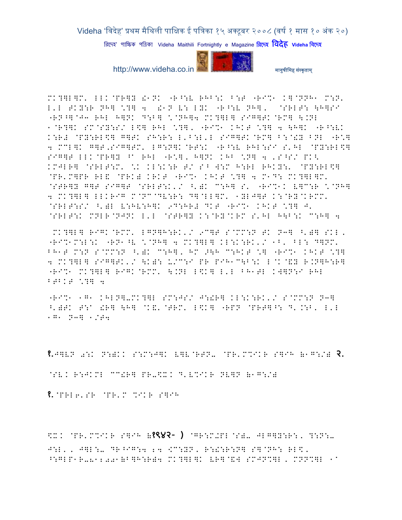িরেদহ' পািkক পিtকা Videha Maithili Fortnightly e Magazine িরেদহ िवदेह **Videha** িবেদহ



MC. MAKE ALM IN LOCAL THE HORIZON IN LANGUARY IN THE LOCAL THROW IN THE LOCAL MINIMUM IN THE LOCAL MINIMUM IN M LI RINK PH VM 4 | 60 KEN EN 'R'N PH, | MBLA AHER  $R$  represented to be a probable of the particle of the particle  $R$  and  $R$  and  $R$  are  $R$ 1@R?]K SM@SY:S/ L\$] RHL \*?], "RI%1 KHKT \*?] 4 \H]K "R^:VK K:R# &PY:RR#BERRE @R#BL: L'BY:LE SH:R: L'A:L'L SIGNE "REDECTION" BOOK "REDECTION"  $A$  (2018) R C (PRESS) CONSTRUCTION (PRESS) A RELEASE CONSTRUCTION  $\mathbb{R}^n$  and  $\mathbb{R}^n$ SIGRAPH A RAS TATARAY OR THE REPORT OF A RHOUNDED FOR THE RESIDENCE OF A RIGHT  $\sim$  PC RD  $\sim$ KOMBIR MERBERO, NI KENING BULAY BADANG PARA IPA INI MENGHERH @PR'M]PR RL& @PRK) KRKT "RI%1 KHKT \*?] 4 M1D: MK?]L]M' @STR]Y G]T SIG]T @SRLT:K'/ ^')K C:H] S' "RI%1K V]C:R \*@NH]  $4$  Music Liber Music Manier. Dhen Month @SRLT:S/ ^')L V:HV:H]K 9D:HR# DKT "RI%1 KHKT \*?] J' @SRLT:K MNLR@NJNK L'L @STR]Y K:@RY@KRM S'HL H\B:K C:H] 4

MCPHER BYRONET, ERPHANDIS SNRP POTTIR BOOKAR ALBERTE.  $R$  . The matrix of the control of the control  $R$  is the set  $R$  and  $R$  and  $R$  and  $R$  and  $R$  and  $R$ BH1T M:N S MONTH SOME SOME STORE THE CONTROL OF HEATH (1918) AT CONTROL IN THE CONTROL IN THE CONTROL IN THE C 4 MK?]L] SIG]TK'/ \K): U/C:I PR PIH1C\B:K L@K@&Y R.N]H:R] "RI%1 MK?]L] RIGK@RMM' \.NL L\$K] L'L BH1TL KW]N:I RHL BEBKT FOR STREET

 $R$  . The construction of the same construction of the same  $R$  $\left\{ T, \frac{1}{2} \mathbb{R} \right\}$   $\left\{ T, \frac{1}{2} \mathbb{R} \right\}$   $\left\{ T, \frac{1}{2} \mathbb{R} \right\}$   $\left\{ T, \frac{1}{2} \mathbb{R} \right\}$   $\left\{ T, \frac{1}{2} \mathbb{R} \right\}$ 1G1 N3] 1/T4

१.9963 GST 3501 PSEC PROFINE GREATER OFFICIAL PROFINE REPORTS

@SV. R:JKML CC!R] PR-\$X. D'V%IKR NV]N (1G:/)

8. THER. THE TEST WICH SHAW

\$X. @PR'M%IKR S]IH (१९४२- ) @GR:M+PL@S)- JLG]Y:R:, ?:N:- J:L', JARES, JR:PARSE EN KOSBE, PSESPERR ER OPPS PER. ^:GLP1R-812001(B]H:R)4 MK?]L]K VR]@&W SMJN%]L, MNN%]L 1A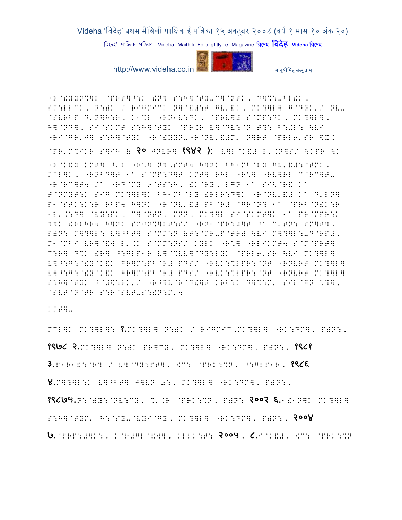িরেদহ' পািkক পিtকা Videha Maithili Fortnightly e Magazine িরেদহ िवदेह **Videha** িবেদহ



"RE TECHORICAL ET THE PART POINT OF STATE THROUGH THE CONTROL PARTIES. IN IN SM:LLCK, NGC / RIGMICK NGC NGC NGC NGC 1999 NASA @SVRBP D'N]H:R, K1%L "RN1V:DK, @PRV]# S@MP:DK, MK?]L], HA SPARI SIM SKONT SIM SIMBAR SIMBOLI SIMBOLI A TANG ANG TING ANG TING ANG TING ANG TING ANG TING ANG TING ANG "RIGGRES AR "RIGHRIMAR" (RIGRIS & PRESIDENT "RAPA" IN REPORT AN INDI  $\mathcal{P}(\mathbb{P}(\mathbb{P}(\mathbb{P}(\mathbb{P}(\mathbb{P}(\mathbb{P}(\mathbb{P}(\mathbb{P}(\mathbb{P}(\mathbb{P}(\mathbb{P}(\mathbb{P}(\mathbb{P}(\mathbb{P}(\mathbb{P}(\mathbb{P}(\mathbb{P}(\mathbb{P}(\mathbb{P}(\mathbb{P}(\mathbb{P}(\mathbb{P}(\mathbb{P}(\mathbb{P}(\mathbb{P}(\mathbb{P}(\mathbb{P}(\mathbb{P}(\mathbb{P}(\mathbb{P}(\mathbb{P}(\mathbb{P}(\mathbb{P}(\mathbb{P}(\mathbb{P}(\mathbb{$ "R@KOY KOY KORT "R@K@LY AMTHIMB@LY BHIMBONG" DAY OF THE SOLIDAY OF THE STATE OF THE SAME OF THE STATE OF THE S MCLARS (THE POST OF STRIP TO THE RELATIONS OF THE THEORY OF THE THE  $\pi$ "R@RC]T4 /A "RD@MY 9@TS:H, !K@RY, LGN 1A SI<@R& KA T@NMYT:K SIG MK?]L]K BH1MB@LY !RLR:D]K "R@NV'&# KA D'LN] P1@STK:K:R RBP4 H]NK "R@NV'&# PB@R# @GR@N? 1A @PRB@N!K:R  $\pm$ 1.:D]  $\pm$  0.000  $\pm$  0.000  $\pm$  0.000  $\pm$  0.000  $\pm$  0.000  $\pm$  0.000  $\pm$  0.000  $\pm$  0.000  $\pm$  0.000  $\pm$  0.000  $\pm$ THE SHIPPA PHIS STATING PROVINCING TO THE AN OVERFLIGHT, P)N: MORTHER (EN P) PD (P)MIR: BPR MEAT MEAN ALSO MANHER LIP MEAL)

MA MORIAN WERE MEEN DIE GEWONDE GOU DIE DIE ARSTEINAAMSTE VOLGOARDE GEWONDE BARE THE TO GET DERFE ETTER TINE OF HEATH BE THE THE  $\,$  Eq. ( ) and the contraction of the contract of the position of  $\,$  . The contract  $\,$  $\,$  B)  $\,$  (Fig. )]  $\,$  (Fig. )]  $\,$  (Fig. )]  $\,$  (Fig. )]  $\,$  (Fig. )]  $\,$  (Fig. )]  $\,$  (Fig. )]  $\,$  (Fig. )]  $\,$  (Fig. )]  $\,$  (Fig. )]  $\,$  (Fig. )]  $\,$  (Fig. )]  $\,$  (Fig. )]  $\,$  (Fig. )]  $\,$  (Fig. )]  $\,$  $S$  is a set of the set of  $S$  . The same interest of a single single  $S$  is a single  $S$  of  $\mathbb{R}$  is a single  $S$ @SVT@N@TR S:R@SVT-S:!N:M'4

 $T$ 

MCLAR MACHINES (1999) NEWSTANDAL AND ALL AND CONTROLLED AND ACTUALLY POSTS. १९७८ २.MK?]L] N:)K PR]CY, MK?]L] "RK:DM], P)N:, १९८१ ३.P1R1&:@R? / V]@DY:PT], [C: @PRK:%N, ^:GLP1R, १९८६ <u>8.MARCH: KARAN 4912 (N. MIRI 0:1919 (B)</u> १९८७५.N:@)Y:@NV:CY, %'.R @PRK:%N, P)N: २००२ ६.1!1N]K MK?]L] S:H]@TYM' H:@SY-@VYI@GY, MK?]L] "RK:DM], P)N:, २००४ ७.@PRP:#]K:, K@R#GL@&W], KLLK:T: २००५, ८.I@K&#, [C: @PRK:%N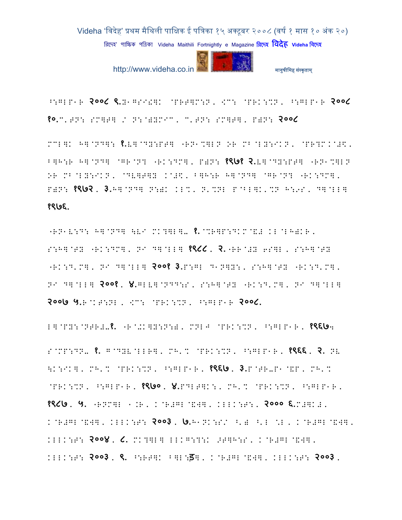িরেদহ' পািkক পিtকা Videha Maithili Fortnightly e Magazine িরেদহ िवदेह **Videha** িবেদহ



^:GLP1R २००८ ९.Y1GSI!]K @PRT]M:N, [C: @PRK:%N, ^:GLP1R २००८ १०.C'TN: SM]T] / N:@)YMIC, C'TN: SM]T], P)N: २००८

MCLAR HIMPS: 1.0 PORTHER THRISHER OR MACHINESS, MERRY MAR, BERS HONDING MENTED AND NEW LINES 8808 2.LANDENCE AND CHILD OR MB@LY:IKN, @DV]T]Y .@#\$, B]H:R H]@ND] @GR@N? "RK:DM],  $P$ HEP)  $P$ SUR, 3.HEPPE PYHI III, NE, THE POBLIC POBLIC HIME, THIS १९७६.

 $R$  . The contraction of the contract  $R$  . The contract  $R$  is the contract of  $R$ STEP THE SECTION OF THE RESOLUTION OF THE THE RESOLUTION OF THE RESOLUTION OF THE THE THIS "RK:D'M], NI D]@LL] २००१ ३.P:GL D1N]Y:, S:H]@TY "RK:D'M], NI DE LLE ROO?, Y.GLLEYDDIY, SYNETHE RKYD, DE LA DE LLE २००७ ५.R .: Ranger Research Research Prince Parks 2006.

L]@PY:@NTR#-१. "R@+K]Y:N:), MNLJ @PRK:%N, ^:GLP1R, १९६७4 SAMPS:DN- 8. GADYCOLLERY, MH. TAMP: NTELLYS, ANDERS, 8966, 2. NE \K:IK], MH'% @PRK:%N, ^:GLP1R, १९६७, ३.P@TR-P1@&P, MH'% @PRK:%N, ^:GLP1R, १९७०, ४.PDLT]K:, MH'% @PRK:%N, ^:GLP1R, १९८७, ५. "RNM]L 1.R, K@R#GL@&W], KLLK:T:, २००० ६.M#]K#,  $K$  or the control of the couple  $\mathbb{R}^n$  . The control  $\mathbb{R}^n$  or  $\mathbb{R}^n$ ,  $\mathbb{R}^n$ ,  $\mathbb{R}^n$ ,  $\mathbb{R}^n$ ,  $\mathbb{R}^n$  and  $\mathbb{R}^n$  . The control  $\mathbb{R}^n$  and  $\mathbb{R}^n$  and  $\mathbb{R}^n$  and  $\mathbb{R}^n$  and KLLAG: YOO W. C. MARHER LLARSTEN SPREET AND THE MARE. KLLK:T: २००३, ९. ^:RT]K B]L:ड़], K@R#GL@&W], KLLK:T: २००३,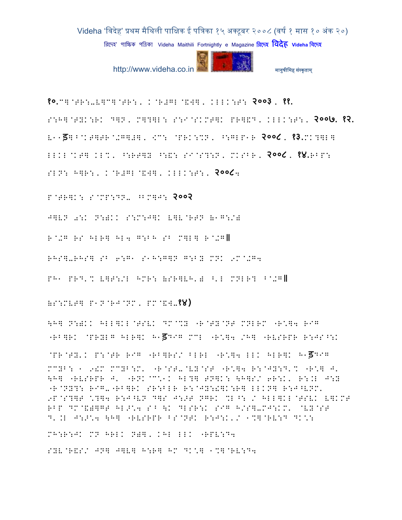িরেদহ' পািkক পিtকা Videha Maithili Fortnightly e Magazine িরেদহ िवदेह **Videha** িবেদহ



१०. TR: TR: VICE TRESS IN THE TREE TREE IN THE TREE 2003, 88. STER THE TREAST PROVIDED TO THE PROPERTY AND THE THE RESIDENCE PRIME  $11.1.5$   $\overline{S}$  if the Girlsham  $\overline{S}$  ,  $\overline{S}$  and  $\overline{S}$  are the contract of  $\overline{S}$ . The contract of  $\overline{S}$  are the contract of  $\overline{S}$  are the contract of  $\overline{S}$  are the contract of  $\overline{S}$  are the cont LECT MAR CENT. PHARR PHEN SYNCHER, MISPE, ROOC, 88.RPPN SLN: H]R:, K@R#GL@&W], KLLK:T:, २००८4

Postern Patrickson, Patrickson, 2002

JAN 0:K N:K N:DAN: LALIPER (1991)

R@ HLAG RS HLAG:BH SB MAIL ROOM

MH:R:JK MN HRLK N)], KHL LLK "RPV:D4

SYNCHES AND ANLE HIND AT MISH FINISH.

RHS]-RHS] SB 6:G1 S1H:G]N G:BY MNK 9M@+G4

PHI PROVINSION FRD'S GERMERIA (LE PRERT (SWA|

SENTERN PHROBHORD, PMOBEL88)

 $\,$  NHL (PSH)  $\,$  ( A:) HI: Kent. (PP) (RD (RH) (A:) A:)  $\,$  RIG (PH)  $\,$  RIG  $\,$  R  $\,$  R  $\,$  R  $\,$ "RECRES" (PRIL HORE HIS MOST PORTLANDIG MARY PRIL "RELEASED RISP") @PR@TY'K P:@TR RIG "RB]RS/ BLRL "R\*]4 LLK HLR]K H1ड़DIG MCYB: 1 9!M MCYB:M' "R@ST-@VY@ST "R\*]4 R:@JY:D'% "R\*] J'  $H$  "Represented and the control of the state  $R$  and  $R$  are  $R$  and  $R$  are  $R$  and  $R$  and  $R$  are  $R$ "RONYT: ROWL (ROWL) SRYER RYONGARIYEN ELINN RYONGY. 9P@S?]T \*?]4 R:J^VN D]S J:>T NGRK %L^: / HLL]KL@TSVK V]KMT RBP DM@&)]GT HL>\*4 S^ \K DLSR:K SIG H/S]-MJ:KM' @VY@ST D. I:: \*57 \& \$P\$ \REPRR FP DRI PS\$NT LI \DTH BS\$NT RITT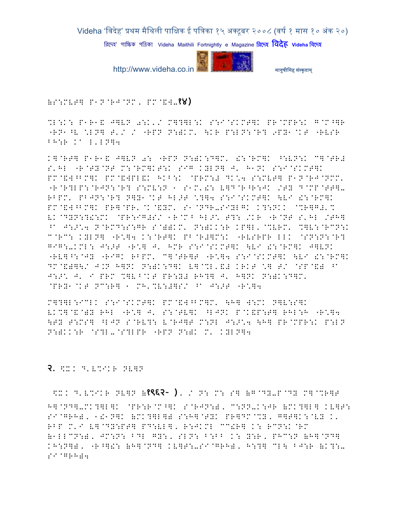িরেদহ' পািkক পিtকা Videha Maithili Fortnightly e Magazine িরেদহ िवदेह **Videha** িবেদহ



S:MYTERS P1ND PHONE PHONE (SV)

%L:K: N: P1R1& JPHLP, GNO. Z: MHTHEN: GNO ZNO MPR: "PROMPRN:" A MO PHR "RN 16 MER A. Z . "RN PHON NE PHPN PT 200 MAY "REP BH:R KA L'LN]4

K) ROTHER DIE PIRTUIS VAN DIE PORTUGE GEREIG VAN DIE VAN DIE VAN DIE VANAF K.HL "R@TYMETY@NTHIRI KYP IBPR A. H=D. KYLYNIDAR PM@&W^BM]K PM@&WPL&K HKB:K @PRM:# DK\*4 S:MVT] P1N@RJ@NMM'  $R$  . The restriction is the control the control of  $R$  is the control of  $R$  and  $\mathcal{L}$   $\mathcal{L}$   $\mathcal{L}$   $\mathcal{L}$   $\mathcal{L}$   $\mathcal{L}$   $\mathcal{L}$   $\mathcal{L}$   $\mathcal{L}$   $\mathcal{L}$   $\mathcal{L}$   $\mathcal{L}$   $\mathcal{L}$   $\mathcal{L}$   $\mathcal{L}$   $\mathcal{$ RBPMY PROPENED PRINT READS TO ME FOR THE STATE SERIES AND AN INTERFER PO TEA POSTED (PRACTE) TO TEGOVICE Y COPPRINTED BY CONDITION TO PROVIDING A KO MERNESINI MERNAHAN YAPATA ALIN ATNAN NA MARA SYARA NAAR  $\mathcal{F}^*$  -and  $\mathcal{F}^*$  is the symptom of the  $\mathcal{F}^*$  . The solution  $\mathcal{F}^*$  is the symptom  $\mathcal{F}^*$ C@RC: KYLN] "R\*]4 K:@RT]K PB@R#]M:K "RVSRPR LLK @SN:N:@R? GIGHES: TE "ROLLER" (HAMR SHAR STRING) IN THE SKAMTLING THAT IN ITE IS NOT THE TIME OF THE TIME OF THE TIME OF  $R$  . Recast Report Report to the Right Report Can be a set of the Second Report  $R$ BOM DARS AND HER SHENGER ARTICLES CONSTRUCTED TO THE REAL PROPERTY  $\mathbb{R}^n$ J:>\* J' I PRM %]V^@KT PR:Y# RH?] J' H]NK N:)K:D]M' @PRY1@KT NC:R] 1 MH'%V:#]S/ ^A J:>T "R\*]4

MARAH SKME DI IZSKI SE MARDI I PO TERE PORTO. I RARI IRSOD I DREGENED  $K$  (1980)  $K$  (1981)  $K$  and  $K$  -to  $\mathcal{N}$  , and  $\mathcal{N}$  are the controller  $\mathcal{N}$  and  $\mathcal{N}$  are the controller  $\mathcal{N}$  and  $\mathcal{N}$ \TY T:MS] ^LJN S@RV?: V@RJ]T M:NL J:>\*4 \H] PR@MPR:K P:LN N: KR:R @S?LPR "RPN N: K @S?LPR "RPN N: K @S?LPR "RPN"

### २. EX. PLETVIE PLEP

 $38.1$  T. Envir There SRSR- ), / Th There are modern the margin HA "DRALIC MAEAL" ("MENE"), PARE ("C'HADNE), C'NDDUI, NAE, BIC MAEAL ("LAPPN SI@GRH), 1!1N]K (MK?]L]) S:H]@TYK PR]DM@%Y, G]T]K:@VY K' RBP M'I V]@DY:PT] PD:VL], R:JKML CC!R] K: RCN:K@RM  $1\,\mathrm{h\cdot}$  is the substitute of the substitute  $\Gamma$  ,  $\Gamma$  and  $\Gamma$  as  $\Gamma$  . Then  $\Gamma$  is the substitute of the substitute of  $\Gamma$  $K$ NG PHE  $K$  ),  $\overline{K}$  (Henry General Condensation (Personal), NG Points (Most Bosnia),  $\overline{K}$ SI@GRH)4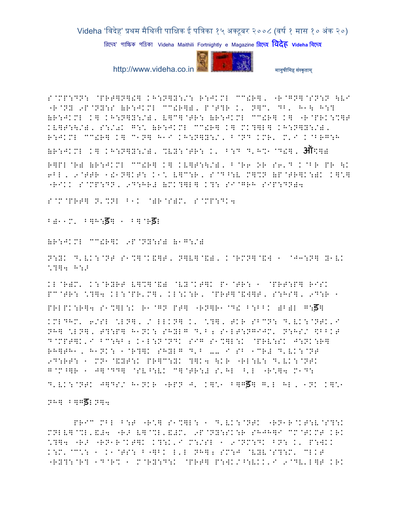িরেদহ' পািkক পিtকা Videha Maithili Fortnightly e Magazine িরেদহ िवदेह **Videha** িবেদহ



SMMP:DN: MP:PARPRER (PRIPREIS) RICH: MMILHE, "PROPRISING ALC "R@NY 9P@NY:S (R:JKML CC!R]), P@T?R K' N]C' DB' H1\ H:? (R:JKML KI) KH:NIYA:/), RETENDIN (R:JKML COCHE (R:JKML) (R:JKML) KAVARANI KANAN PALABAHIN KUMBA ISE/DINA GELANGGANAN R:JKML COMBERT CONSERVATION AND MONTHS AND A CHILICAL MINIMUM

 $\mathbb{R}$ :PA:PE CR:PRING, %DIN:PR: C. PA:P,P. DESCRIPTION

RAPE THE GENALTY, TTERA CA CARENAGE, FINE OR S6'D, T. C TA FR PR AC 6BL, 9 TAAR (K2)PRIAN IS NORTH 20 TO MAN (PRIOR BE TARRING) (PD) "RIKK S@MP:DN, 9D:HR# (MK?]L] K?: SI@GRH SIP:DN)4

SMORTHER N'WHIP SO SHERING DIRECTOR

B)11M' B]H:ड़] 1 B]@Rड़L

(R:JKML) (R:JKML) (1G:/) (1G:/) (1G:/) (1G:/)

N:YA D'VE: NOVE SI STANDA DE L'ANDRE SI DE L'ANDRE SI A L'ANNER DE LO \*?]4 H:>

KL@RNORT VERSIEN AUF VON DER VORDEREN PORTE EN DIE RISKE PORTE EN DIE RISKE PORTE EN DIE PORTE EN DIE PROVINCI PC@TR: \*?]4 KL:@PR'M], KL:K:R, @PRT]@&W]T, S:HS], 9D:R 1 PRLPK:R]4 S1%]L:K R1@GN PT] "RN]R1@D! B:BBK )B)L G:ड़] KMLDHMY, (B.S.E. MERRY, 2001), 2002, 2003, 2003, 2003, 2003, 2003, 2003, 2003, 20 NH] \*LN], T?:P] H1NK: SHYLG D'B; S1LT:NGIJM' N:HS/ \$BBKT DOMPTO KINL: A MONDA SIG SIG SIG SIGNO SIGNES SIGNED SIGNED SIGNED SIGNED SIGNED SIGNED SIGNED SIGNED SIGNED S RHQUAR, HRITOGRAM DE BOLIG D'AN DE L'ANGELIA DE SAN DISTINYER 9D:RT: 1 MN1@&YT:K PR]C:YK ?]K4 \KR "RL:V: D'VK:@NTK G MO PHONE GRAM CONSIDERATION OF THE NEEDLA COUNTRY CONTROL CONTROL OF THE STANDARD OF THE STANDARD OF THE STA D'AL EL SA D'ARL - HANKR "ROUGHT HANKER "ROUGHT" HANK "ROUGHT" HAN HAN KARL "L'HANK KARL I SA BELL, 1N HANK KA

 $19.4$  B $19.4$   $19.4$   $19.4$   $19.4$   $19.4$   $19.4$   $19.4$   $19.4$   $19.4$   $19.4$   $19.4$   $19.4$   $19.4$   $19.4$   $19.4$   $19.4$   $19.4$   $19.4$   $19.4$   $19.4$   $19.4$   $19.4$   $19.4$   $19.4$   $19.4$   $19.4$   $19.4$   $19.4$   $19.4$   $19.4$   $19$ 

PRIC MBL B:T "RICH STRING" SINGLES TO THE STRING TO THE MNLAVI.EG 'BJ'BYN.ED. STYNEDYR FWWY TOURIE IR  $\Lambda$ 984 - Per Per Bothes, toenties trieder (Porter Bothes) between K:M'@C\*: 1 K1@TS: B"]BK L'L NH]; SM:J @VYV@S?:M' CLKT "RYPORTER" PORT IN MORTHER 1 MERRY PORT IN PIECE IN A MALLERY CEL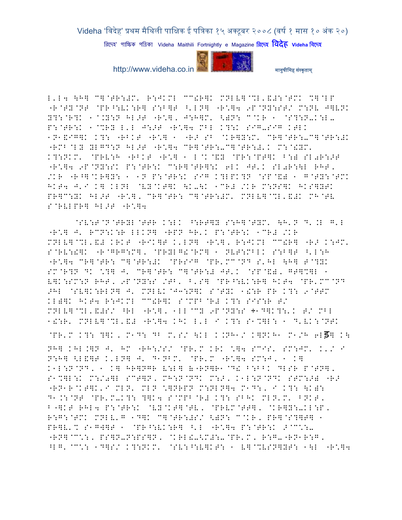িরেদহ' পািkক পিtকা Videha Maithili Fortnightly e Magazine িরেদহ िवदेह **Videha** িবেদহ



L'LA ARR MRIVERLO, ESPOCA MMORRO COLORIZACCO CONINENTO CR "R@TY@NT @PR^:VK:R] S:B]T ^'LN] "R\*]4 9P@NY:ST/ M:NV J]VNK Y?:@R?K 1@.Y:N HL>T "R\*], J:H]M' <)N: C@KR 1 @S?:N-K:L-P:@TR:K 1@%RY L'L J:>T "R\*]4 MBL K?:K SIG-SIG KTLK 1N1&IG]K K?: "RBKT "R\*] 1 "R> SB @KR]Y:M' CR]@TR:-C]@TR:#K "REDRICH: GERRYS DREI PROFESIONER MER "BRYGLIN HRYGLED" DY "KORD". K:NKMI "RESER": HELD "RENN "ROM "NO ME "PRY "PRINT "RENO " SLORE "R\*]4 9P@NY:SK P:@TR:K C:R]@TR]:K 6LK JT'K SL0R:\L RHT, /KR "R^]@KR]Y: 1 1N P:@TR:K SIG K?LPK?N @SP@&) 1 G@TY:@TMK HKT4 J'ALN D'AL DE PEL MED VAN HAT LAD IN MED VOR DOGPEART HOFFARE. PR]C:YK HL>T "R\*], CR]@TR: C]@TR:#M' MNLV]@%L'&#K MH@TV S@RVLPR] HL>T "R\*]4

 @SV:T@N@TRYL@TTR K:LK ^:RT]Y S:H]@TYM' \H'N D'.L G'L "R\*] J' RCN:K:R LLKN] "RPN HR'K P:@TR:K 1CR# /KR MNLAVID RANDAR "RIKATA "RIKAT "RIK" "RIK "RIK", RIK SMREG: SARCHERSTE, MERGERG "PTRYLG" DEPATIES STARTED AND THE STA "R\*]4 CR]@TR: C]@TR:#K @PRSIG @PR'MC@ND S'HL \H] T@?YK SM TH DRY DRIVER THE THE STRINGER WHILE THE CONDITIONS OF THE LITTLE ASSESSED. V]K:SM:N RHT, 9P@NY:S /TB' B'S] @PR^:VK:R] HKT4 @PR'MC@ND >HL @SV]K:RLN] J' MNLVK@J3:N]K S@TYK 1!:R PR K?: 9@TTM KLAHI RIPA RYPUTE TTERHI KOTPO DA LOD KYKYE PI MNLV]@%L'&#S/ ^RL "R\*], 1LL@CY 9P@NY:S **÷**1D]K?:'K T/ MBL 1 : R' MALVI, R' MALVI, I'ANNE L'ANNOIT (1 D'AIRE L'AIRE L'AIRE L'AIRE L'AIRE L'AIRE L'AIRE L'AIRE L'AIRE L'A @PR'M K?: ?]K, M1D: DB M'S/ \KL K.NH1/ K]NKH1 M1/H 6Lड़] K\ NH] KHL.]N J' HM "RH:/S/ @PR'M KRK \*]4 SCIS' SM:JM' K'/ I N:HE REBECIERE @PRYMINISHINGMY "RELATIONS" PRIME "RING" (1988)  $1.11273733 \times 10^{-10}$  Heavan Ling B-BSPAR ("RODIO B:B") and Pother. S1%]L:K M:/0]L SCT]N, MH:N@NDK M:>, K1L:N@NDK STM:>) "R>  $R$  . The state of the state of the state of the state  $R$  and  $R$  and  $R$  and  $R$  and  $R$  and  $R$  and  $R$ D1.:@NT @PR'M-K?: ?]K4 S@MPB@R# K?: SBHK MLN'M' BNKT, B"]KT RHL4 P:@TR:K @VY@KT]@TV, @PRVM@TT], @KR]Y:-KL:P, R:G:@TMK MNLV'G 1D]K C]@TR:#S/ <)N: C@KR, PR]@S?]T] 1 PRALIS STAGGE TO THE PLOTER OF PERSON PY TERRITOSTICS. "RNE" MONT, PERNIMENTAL ON HELLING IN THIN, RIBLER RIGHT ^LG'@C\*: 1D]S/ K?:NKM' @SV:^:V]KT: 1 V]@%VSN]YT: 1\L "R\*]4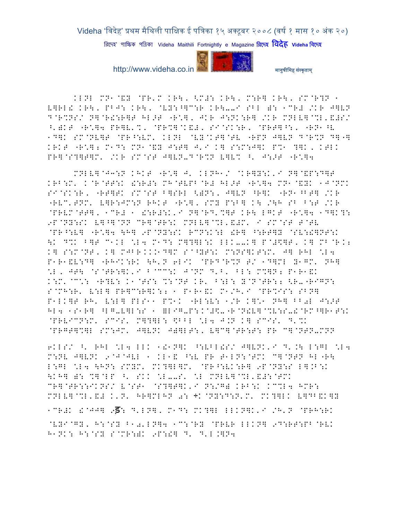িরেদহ' পািkক পিtকা Videha Maithili Fortnightly e Magazine িরেদহ िवदेह **Videha** িবেদহ



KLAR MANYA KERAMA KERANG KARA KARA KARA KARA KARA KARA TARA KA RARE CHA, PAS CHA, MISAMMAR CHALLY PER BY (MRB 200 AND) D@R%NS/ N]@R!:R]T HL>T "R\*], JKR J:NK:R] /KR MNLV]@%L'&#S/  $^{\circ}$  CAT  $^{\prime}$  (FOR PRINCIPS). THEN IS SECOND FOR  $^{\prime}$  and  $^{\prime}$  are  $^{\prime}$  significant in  $^{\prime}$  $1$  TH SM NUTH OF MEXIC CONVERTING THE SHIP CONVOCATION  $\mathbf{u}$ KRKT "RANGER "DY TE "DIE "PARGE" P. K. LIE BANDAPEL BIN 'TEEL . LIPEL PPR STRART, CODE POSSER AREDIA VETE ERED (F. ASIAE) (PASRA

MONLOOD AND SHART "REPORT "REDGET" REPORT KRP:MONT:METREN: KANDIN OR NEWER THIS RESERVENCE OOR TWO NO A POOL SIM STORE , "PRANATO STORE FNERE (REPR), JANET (PRN1) (PRP) PRAN (MER) "RET. BRT." EMBNATNI BHKE "RYCH. STI PNAM CA JAR SA AND MIR  $\overline{\phantom{a}}$  . The  $\overline{\phantom{a}}$  increase that  $\overline{\phantom{a}}$  is the  $\overline{\phantom{a}}$  and  $\overline{\phantom{a}}$  is the  $\overline{\phantom{a}}$  increase the  $\overline{\phantom{a}}$ 9P@NY:SK V]^]@NN CR]@TR:K MNLV]@%L'&#M' I SM@ST T@TV @PR^:V] "R\*]4 \H] 9P@NY:SK RCN:K:L !R] ^:RT]Y @SV:!]NT:K \K D%K B]T C1KL \*L4 M1D: M]?]L:K LLK--K] P@#\$]T, K] MB@R.; K) A: S: MONT, KING, KING, KING, KING, KING, KING, KING, KING, KING, KING, KING, KING, KINSIKT: MINSIKT: MINSI P1R1&V:D] "RHIK:RK \H'N 6LIK @PRD@R%N T/ 1D]ML Y1GM' NH] \*L, JT\ @S@TR:]K'I B@CC:K J@NM D'B' BL: M%]N; P1R1&K K:M'@C\*: "R?V: K1@TS: %:@NT KR' B:L: Y@N@TR:; <R-"RIGN: SMORGE, LEGER PRROGRESS KOPKEK DO DROK MOTERNED PRINT P:1198 P%, LGB PHS11 PM1K "RIGEN (PK) 1951 PPH PPH "RLB HE4 1S1RB PERLED STORECK IN A STORECK SECRETIST CONTROLLER @PRVICN:M' SCIS' M]?]L: \$BBL \*L4 J.N K] SCIS' D'%K @PRGT]%]L SM:JM' J]VNK J)]LT:, V]C]@TR:T: PR C]@NTN-MNN

6KLS/ ^' RHL \*L4 LLK 1!1N]K ^:VBL!S/ J]VNK'I D'.\ L:GL \*L4 MYSE, AREST (2000) NEW YALL 1 KLAIR CHE THE THROUGHT THROUGHT AN APR L:SAR (NEA) APPS STORT, ITICHERT, ITER-SELISPA DE VETRES ERIP SI. \KH] ): %]@LP ^' SKK \*L--S' \*L MNLV]@%L'&#:@TMK CRA CARANCIO PASSOLICANO O CAMARADO UN OPNIMA O DARINO O COMO A CAMARIN MNLAVICE CONTRACTORY OF **\$KANYSYS WARRENT OF ANY MER** 1CR#K !@JJ] 9ड़: D'LN], M1D: MK?]L LLKN]K'I /H'N @PRH:RK MUNIMES PERSON BILDER (TEST PRIN 11CPR 200001010000 H1NK: H:@SY S@MR:)K 9P:!] D' D'L.]N4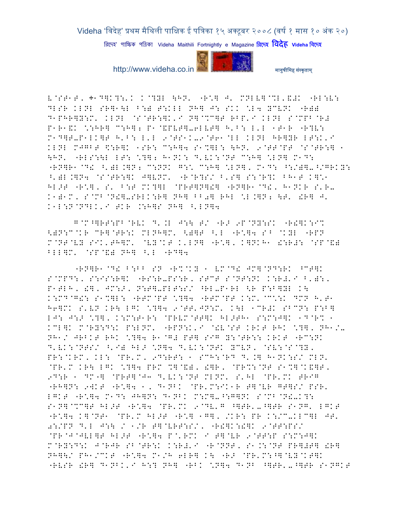িরেদহ' পািkক পিtকা Videha Maithili Fortnightly e Magazine িরেদহ िवदेह **Videha** িবেদহ



 $\mathbf{E}$  (STF)  $\mathbf{F}$  ,  $\mathbf{F}$   $\mathbf{F}$  and the control of the control  $\mathbf{F}$  and  $\mathbf{F}$  and  $\mathbf{F}$  and  $\mathbf{F}$  and  $\mathbf{F}$  and  $\mathbf{F}$  and  $\mathbf{F}$  and  $\mathbf{F}$  and  $\mathbf{F}$  and  $\mathbf{F}$  and  $\mathbf{F}$  and  $\mathbf$ TERR CERE REAL TIE PICEE PAA AL SKONGE STERD "REE D-PHRUSY: MIRI (VOHRUG) PUCTUR RIGH (KIRL SOTP GR P1R1&K \*:HR] C:H]; P1@&PVT]-6LVT] H'B: L'L 1T1R "R?V: MINDER MINDER MINDER TO L'ANGER DULL'ARRIVAT EN DE PENDER HE BENDUR. KLAR KLARI \$:RIK 1SR: C:HANG: C:HANG: C:HANG: C:HANG: C:HANG: C:  $\mathrm{H}\mathrm{H}\mathrm{R}$  . The probability of  $\mathrm{H}\mathrm{H}\mathrm{R}$  is the probability of  $\mathrm{H}\mathrm{R}$  and  $\mathrm{H}\mathrm{H}\mathrm{R}$  and  $\mathrm{H}\mathrm{H}\mathrm{R}$  is the probability of  $\mathrm{H}\mathrm{R}$ "REDIRE TRE "RUNE CIRD E" MADDE "PATE MARIE TE DIE LUDY PAU PENNIEL POPPEORA ^')L.]N4 @S@TR:]K J]VNM' "R@R?S/ B'S] S:@R?K BH1T K]\*1 HL>T "R\*], S' B:T MK?]L @PRT]N]!] "RN]R1@D!, H1NKR S'R- $1$ 1, S.M. S.M. S.M. (S.S. S.M. S.M. )-SRL  $\mathbb{R}$  and  $\mathbb{R}$  is the same  $\mathbb{R}$  and  $\mathbb{R}$  is the same  $\mathbb{R}$  . K1:NONDLAY RIP .: NONDLAY .: NONDLAY

 G@M^]RT:PB@RVK D'.L J:\ T/ "R> 9P@NY:SK "R!]K:I% <)N:C@KR CR]@TR:K MLNH]M' <)]T ^'L "R\*]4 S^ @KYL "RPN MONT MENT AN ALAMA MENT AN DIANG KONG KONG KATA MANG KATA MENGERAKAN ING MENGERAKAN ING MENGERAKAN ING MENGERA BLL) SPORTH

"RDER "PO B:BB SN "RD" RN "RODING" ADE DIN BORDER DIN BORDER S@MPD:, S:IS:R]K "RS:R-PS:R, STCT S@NT:NK K:R#'I B'):, P.H.H. EN. ATAS. PANARLANSI (RELEVAL AR PYENHL (R K:MOMG: S1%191: S142-192 (194 -002-102-202) 2011 2022 4.2 H69DI S.EP (PR F9) N994 S'AR, PPG, CRET SBEN SBCN: PIPE BY LJ: J:> \*?], K:M:T1R: @PRVM@TT]K HL>TH1 S:M:J]K 1D@R% 1 KCLAR MERYS MERYS MARY "REPORT A STAR THRY FROM THE STATE OF PHYSIC NH1/ JRBKT RHK \*?]4 R1@G# PT] SIG Y:@TR:: KRKT "RC:NK D'VK: D'ANTS- ON SAN SAN D'ANTS- D'ANTS- D'ANTS- D'ANTS- D'ANTS- D'ANTS- D'ANTS- D'ANTS- D'ANTS- D'ANTS- D'ANT PR: MET. (PR: 1991) 2008 PRYMER'S CONSTRUCTION @PR'M KR\ LGK \*?]4 PRM %]@&), !]R, @PR%:@NT S1%]@K&]T, 9D:R 1 DM"] @PRT]@J3 D'VK:@NT MLNM' S'HL @PR'MK TRIG "RH]N: 9WKT "R\*]4 1, D1NBK @PR'M:IK1R T]@VR GT]S/ PSR' LGKT "RENER" "DI NA "PHONE "NIDI" "DI NIDO "ANG SAMBO "E "DI NIDI" "DI NIDI" " ST PRINCIPE "REJER" (RNARA 1988), CO. GOVIN, B. (PRES), LAREN ST PRO EXPOS "R\*]4 K]@NT1 @PR'M HL>T "R\*] 1G], /KR: PR K:/C-KLC]L JT' 0:/PN D'L J:\ / 1/R T]@VRT:S/, "R!]K:!]K 9@TT:PS/ @PR@J@JVL]T HL>T "R\*]4 P@'RMK I T]@VR 9@TT:P S:M:J]K MORGY: K JERD SPORATO SARJA SE PRA KONT, SNIGI PRI PRI SATI NH]\/ PH1/CKT "R\*]4 M1/H 6LR] K\ "R> @PR'M:^]@VY@KT]K "RELER" ERR "TY PICLY" (PAR) "PPR" (PRIC) "NPRH" "TY PP" (PRICE)" EN PROFI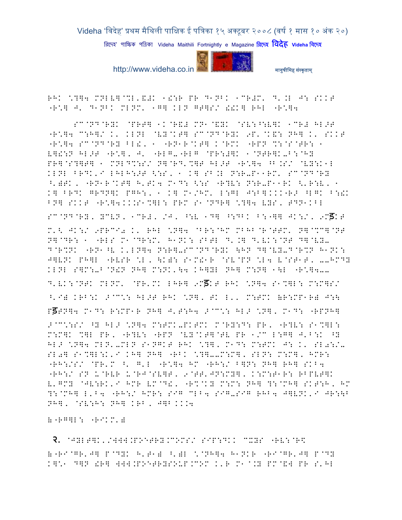িরেদহ' পািkক পিtকা Videha Maithili Fortnightly e Magazine িরেদহ िवदेह **Videha** িবেদহ



RHK \*\*\* PRESIDENT FRANK 1990 PR DIT PREDICT TO A SKYTTER IN DIT PREDICT "R\*14" A. "P\*3P1: T1371, "P#4" 113 #R#12" 2214 RHL "R\*14"

SCOMPT PROVIDER # NO. 1980 AND PROVIDER AND PROVIDER ARRAIGNMENT "R\*]4 C:H]/ K' KLNL @VY@KT] SC@ND@RYK 9P'@K&: NH] K' SKKT "R\*]4 SC@ND@RY BL!, 1 "RN1R@KT] K@RMK "RPN %:@S@TR: 1 LAND REAR (ROB), A. (REAL-REA (PRNEA) (CARRIGENTAGE PRESTRAIN (SPITCH) 28 MALD ALLA (ASH) B.S. MINLI KLAND BRDK'I LHEMANIK SERIESI SERIESI SERIESI SERIESI SERIESI SERIESI SERIESI SERIESI SERIESI SERIESI SERIESI  $\left\{ T_{\rm{c}} \right\}$  and  $\left\{ T_{\rm{c}} \right\}$  with  $\left\{ T_{\rm{c}} \right\}$  and  $\left\{ T_{\rm{c}} \right\}$  and  $\left\{ T_{\rm{c}} \right\}$  and  $\left\{ T_{\rm{c}} \right\}$  and  $\left\{ T_{\rm{c}} \right\}$  and  $\left\{ T_{\rm{c}} \right\}$  and  $\left\{ T_{\rm{c}} \right\}$  and  $\left\{ T_{\rm{c}} \right\}$  $\mathcal{L}$  Brokens Group (Fight), 1 M1/H (This to a fight) and bit  $\mathcal{L}$  and  $\mathcal{L}$  and  $\mathcal{L}$ BND SKKLA "PROPALIS" THE STATE TO THE STATE OF STATE OF A STATE OF TOP STATE OF TOP STATE OF TOP STATE OF TOP S

SC@ND@RY, YCVN, 1CR#, /J, ^:V 1D] ^:DBK B:"]] JK:/, 9Mड़KT

M'S JK:/ JK:/ DARBER AND AN ANDER AND A BRITING THAT THE THREE COMPANY OF THE TOP OF THE TOP OF THE TOP OF THE N]@DR: 1 "RLS M1@DR:M' H1NK: SBTL D'.] D'VK:@NT D]@VY-DORMAN "RNNIK "LIARER" ANEWYS DAN DER DER NEUEEN DER SCONDOR JANK PHIL "RESP TE REP STIGHT" TE TO THE ETHER WATER  $\mathbb{R}$  (FOR STRIP S) and  $\mathbb{R}$  are not not the  $\mathbb{R}$  support of  $\mathbb{R}$  and  $\mathbb{R}$  are not  $\mathbb{R}$  .

D. ENG MER' MER'S CHEF STEER PROVING AND STREET MANUAL  $\overline{X}$  (  $\overline{X}$  )  $\overline{X}$  and  $\overline{X}$  and  $\overline{X}$  and  $\overline{X}$  is the  $\overline{X}$  different  $\overline{X}$  and  $\overline{X}$  and  $\overline{X}$  and  $\overline{X}$  and  $\overline{X}$  and  $\overline{X}$  and  $\overline{X}$  and  $\overline{X}$  and  $\overline{X}$  and  $\overline{X}$ PSPDAH DIRA BIDEIR PUDA ALEINA DUMIK ALD ILDA LOI AL III APDAA >@C\*:S/ ^Y HL> \*N]4 M:TMK-PKTMK M@RY:D: PR, "R?V: S1%]L: M:MORI MIK PR, "RPILS" (RPN MLG MARINEL PR 1/CM 1/SPR 14, KS) (FO HL> \*N]4 MLN'-MLN S1NGKT RHK \*?], M1D: M:TMK J: K' SL0:/- SL0] S1%]L:K'I KH] NH] "RBK \*?]--M:M], SLN: M:M], HMR: "RH:/S/ @PR'M ^' G'L "R\*]4 HM "RH:/ B]N: NH] RH] SKB4 "RH:50" SP UMRIE UMRFISIER, VORR, PRIJZE, VOIJNE PORTIER PROFINE V'GMY @JV:RK'I HMR VM@D!, "R%@KY M:M: NH] ?:@MH] SKT:H, HM ?:@MH] L'B4 "RH:/ HMR: SIG CLB4 SIG-SIG RHB4 J]VNK'I JR:\B **NH**, WH: NH (B. 49 MM)

8. **ROBINS (899)** 

२. @JYLTPER...GOETRY.POETRY.COMS/ SIP:DKK COMS/ SPENCER  $R$  (RICHA) FROM HITCH HITCH HITCH HITCH IN THE RIGHT  $R$  HITCH  $R$  and  $R$  is the  $R$ KAL 'N DIE DIE ROOMSTE VERSKER DIE MAARD OOK DIE SOUP. DIE SOUWER SAN DIE SOUPLIEK SOU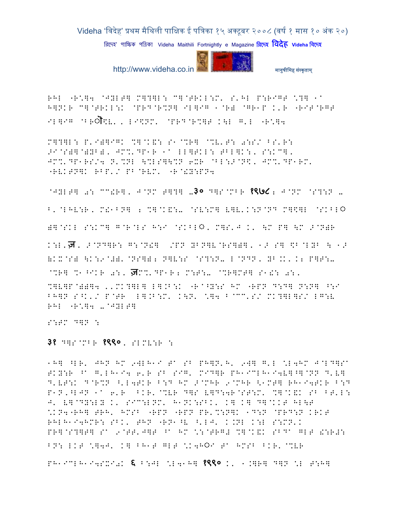িরেদহ' পািkক পিtকা Videha Maithili Fortnightly e Magazine িরেদহ िवदेह **Videha** িবেদহ



RHL "R\*]4 @JYLT] M]?]L: C]@TRKL:M' S'HL P:RIGT \*?] 1A HERER TEGENENE SPROGRED GEROR (GRI SPROGREDE ALL GROPGER ILIG @BROW @BROW WERE CONTRIGUED AND CONTRIGUED AND ALL GENERAL CONTRIGUED AND ARRAY AT ALC AND ARRAY AT ALC A

**TANHIS P. PARPHY MANIFY: P. MORA MORAL AGENTS PRESS** >I@S)]@)YB), JM%'DP1R 1A LL]TKL: TBL]K:, S:KC],  $\mathcal{A}$ MM  $\mathcal{B}$  ,  $\mathcal{B}$  and  $\mathcal{B}$  are  $\mathcal{B}$  . And  $\mathcal{B}$  are  $\mathcal{B}$  and  $\mathcal{B}$  are  $\mathcal{B}$  and  $\mathcal{B}$  are  $\mathcal{B}$  and  $\mathcal{B}$  are  $\mathcal{B}$  and  $\mathcal{B}$  are  $\mathcal{B}$  and  $\mathcal{B}$  and  $\mathcal{B}$  are  $\$ "RECEPT REPLY PP@RY, "RONDIPP4

@JYLT] 0: CC!R], J@NM T]?] -३० D]S@MBR १९७८; J@NM @S?:N - B'. MIRES : MERRIN : MANCEL MERRIN EAL CANONA MARAIL METRIC  $\overline{AB}$  (for a stripged for  $\overline{B}$  and  $\overline{B}$  (for  $\overline{B}$  ),  $\overline{B}$  and  $\overline{B}$  (for  $\overline{B}$  )  $\overline{B}$  (for  $\overline{B}$  ) and  $\overline{B}$  (for  $\overline{B}$  ) and  $\overline{B}$  (for  $\overline{B}$  ) and  $\overline{B}$  (for  $\overline{B}$  ) and  $K: \mathbb{R} \times \overline{\mathbb{S}}$ ,  $S$  (straight), and your control dependence in the space of the space  $S$  is substituted by  $S$  $K: \mathbb{R} \times \mathbb{R} \to \mathbb{R}$  ); No. 1. La normalisation of the  $\mathbb{R} \times \mathbb{R}$  of  $\mathbb{R} \times \mathbb{R}$  . The set of the  $\mathbb{R} \times \mathbb{R}$ @%R] %1^IKR 0:, ज़M%'DP1R; M:T:- @%R]MT] S1!: 0:, %]V]P@))]4 ''MK?]L] L].B:K "R@^Y:S HM "RPN D:D] N:N] ^:I BHAN SOKY/ PORT LEND KOL (1492) NAHOCOCY MCC'SHEARD EARL RHL "R#L "ANIBAN

SHE BE N

 $38$  Fig. The  $880$ , SLMV:

1H] ^LR' JHN HM 9WLH1I TA SB PH]N'H' 9W] G'L \*L4HM J@LD]SA  $R(X;B;B)$  of  $R(X;B)$  and  $R(X;B)$  significant  $R(X;B)$  and  $R(X;B)$  is a subset of  $X$ D'VE:K DE DIGENS DE LATAN BERGHADE DE DIGENS DE LATANS DE LA TERRIT DE LA DIGENS DE LA TERRIT DE LA DIGENS DE P1N, HIPP, International State (PHP) approach the State Content Photographs J' LE TENIS I, PTHIN, HTKIN, II DE TENIS HIM \*KN4"RH] TRH' HMSB "RPN "RPN PR'%:N]K 1D:N @PRD:N KRKT RHLH1I4HMR: SBK' THN "RN1^V ^'LJ' K.NL K:L S:MN'K PRESTRAN SA 200 SA 49 PA 40 HM SA 200 HM \*: CONSTRAINT IN THE SA SADE BN: LIAT (BAA) (BETER BERT) AROS BKTRYPT FIR, MIR

PHICLIPS ACCEPTION & B:JAN \*L114 A:B: 8880 K. 1. L11HEN \*HD \*L11HEN \*L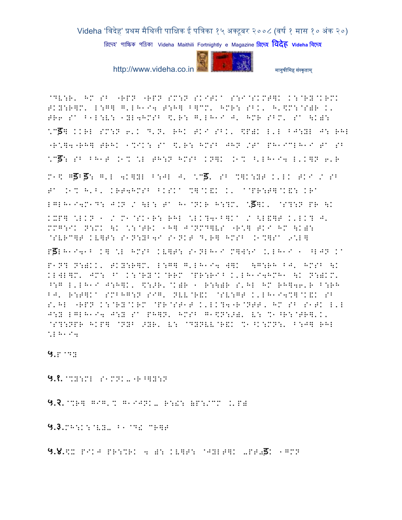িরেদহ' পািkক পিtকা Videha Maithili Fortnightly e Magazine িরেদহ िवदेह **Videha** িবেদহ



@DV:R' HM SB "RPN "RPN SM:N SKITKA S:I@SKMT]K K:@RY@KRMK TKY:R]M' L:G] G'LH1I4 T:H] B]CM' HMR: SBK' H'\$M:@S)R K' TR6 SA B1L: V: 1YL4HMSB \$'R: BA' H. EASA' H. SAMB' SAM, SA' SA' GALEA \*Cड़] KKRL SM:N 6'K D'N' RHK TKI SBK' \$P)K L'L BJ:YL J: RHL "RHONG RHANG TRHK 1 SA \$'R: HMSB JHN 14 BHN 14 BHN 24 BHN 24 BHN 75 BHN 76 BHN 76 BHN 76 BHN 76 BHN 76 BHN 76 B \*Cड़: SB BH1T .1% \*L TH:N HMSB KN]K .1% ^'LH1I4 L'K]N 6'R

MIS GS: Bill 4MEE (1941) 4. NTS, SP MELSEE LIST BIR 2019 TA .1% H'B' KRT4HMSB BKSKA %]@K&K K' @@PR:T]@K&: KRA  $\pm$  Albert And Albert Albert Albert Historic  $\pm$   $\overline{S}$ Albert  $\pm$  and  $\overline{S}$ KARA MENDERAN 1 / MARIA 1 / MILAN 1 / MILAN 1 / MILAN 1 / MILAN 1 / MILAN 1 / MILAN 1 / MILAN 1 / MILAN 1 / MI MMG: DRI N:MK 1990 - 19 4 MMMD: 1990 BS "RT SID: @SVRC]T KV]T: S1N:YB4I S1NKT D'R] HMSB .1%]SA 9\*L]

PSERVAN CHOE ROOT CEHAN AVHIRI OHAN CIRRI KUIHI CO

P1P1 P1K: RIB1P11 | Lime #JEH J.G] BIN BIN HOBB A BJ HOPF AI KLWLIM DO JA KORAM DO JE JE NAMARA DO JE NA KORAM DO JE NEMEC DO JE NAMARA OD JE NAMARA OD JE NAMARA OD JE NAM ^:G L'LH1I J:H]K' \$:>R'@K)R 1 R:\)R S'HL HM RH]46'R B:RH BA, BYBHO' RTPARYS RYR, MAACHAD: NAGHROLIA-YATHOLD RT SOHL "RPN K:@RYMENT" MPROSEN KOLLANDREN MEN SPOSTO STATO LL J:Y LGLHINI4 J:Y SA PHINI HIV: BISING G1\$N: SA PHINIS @S?:NPR HKP] @NYB >YR' V: @DYNVV@R&K %1^K:MN:' B:J] RHL  $\mathcal{L}$  is a stage

 $9.9.9.2$ 

 $9.8.$   $7.8$  Y:  $7.8$   $\rightarrow$   $7.7$   $\rightarrow$   $\rightarrow$   $7.8$   $\rightarrow$   $7.7$ 

9.2. THE BAR, TORGARY WORKER BENAMM INTE

9.3. THIS BILL AND THE CREEK

5.8.K. PIK 4 PRICE 4 8: CERP: MARIARI LPP.S. (900)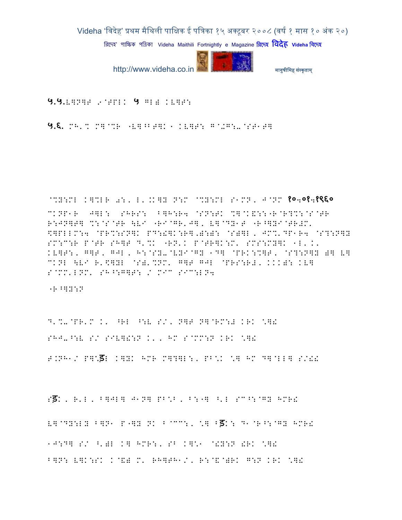িরেদহ' পািkক পিtকা Videha Maithili Fortnightly e Magazine িরেদহ िवदेह **Videha** িবেদহ



५.५.V]N]T 9@TPLK ५ GL) KV]T:

 $9.6.$  MH, MISC METH ALBEE AND RESERVE BOOTHS, STARTING

@%Y:ML K]%LR 0:, L'.K]Y N:M @%Y:ML S1MN, J@NM १०4०१4१९६० CORP) R J PH: SHRS: BILITAR STRAKE WAS STRAINED TO THE R:JADARA R: TI "RIM" (ARA "ARA "AR), AA C'ADARA A' GAR AADA MARDO. \$PO: TELLM: SONG PRESIDENT AND STAND . ANN THE STATE RESPONDENT SM:C:R P@TR SH]T D'%K "RN'K P@TR]K:M' SMS:MY]K 1L'., KV]T:, G]T, GJL, H:@SY-@VYI@GY 1D] @PRK:%]T, @S?:N]Y )] V] COCHNL ANN (B. RAGE) (MEL COC), AAR-1941 (MERMARI): KOOBA (KKA) SMUTLERT, SHOPPER & TYM SYMICS

 $\mathcal{R}$  Properties

D'%-@PR'M K' CHE PRESS & REPORTED AN INTERFERIES SHAJ-ME SI SHEEKS (, , HM S@MM:N KRK (HE T.NH1/ P]\*ड़L K]YK HMR M]?]L:, PB\*K \*] HM D]@LL] S/!!

SS: KRIL, BIL, BILANI, BETH, BILANI, BILANI, BILANI, BILANI, BILANI, BILANI, BILANI, BILANI, BILANI, BILANI, B LESTILL BER PAIL RICHTTI, A BOS HER PROBLEM 1955 S/ L K K K FORS, SB K RY \* SERP KRIMS BARS EACHED DOGG DU RHARHED RESONATO AND DES DRIVER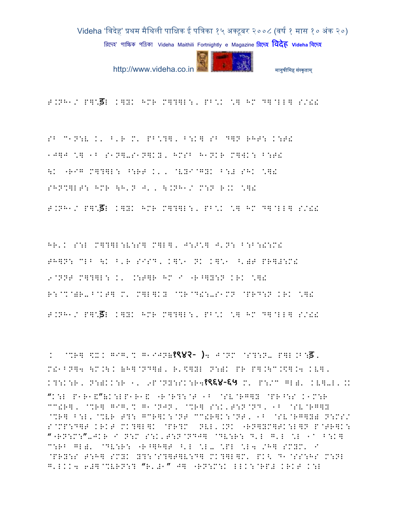িরেদহ' পািkক পিtকা Videha Maithili Fortnightly e Magazine িরেদহ िवदेह **Videha** িবেদহ



T.NH1/ PRS READ HMR MATHER SOME ON SALE MANAGER SOME

SB C1N:V K' B'R M' PB\*?], B:K] SB D]N RHT: K:T! 1J]J \*] 1B S1N]-S1N]KY, HMSB H1NKR M]WK: B:T!  $K$  -right masses of  $R$  and  $R$  and  $R$  are shown by  $R$ SHN%]LT: HMR \H'N J', \.NH1/ M:N R.K \*]! T.NHH 2 (PANS) (1931) ASE SARAHA NI PANC (NA AS AR HA PI PI S

HR'K S:L M]?]L:V:S] M]L], J:>\*] J'N: B:B:!:M! THE SISD, AN ART SIST, MARKET SIST, AND SIST, A REPORT THAT THE SISTE 9@NNT M]?]L: K' .:T]R HM I "R^]Y:N KRK \*]! R: MORALLY ME TO THE RECORD MANAGEMENT METHOD IN SHE T.NH1/ PRS RINGER MINITION PROVINCE TO A REPORT OF SALE

. @%R] \$X. GIG'% G1IJN(१९४२- )4 J@NM @S?:N- P]L.B:ड़, TE FORE ANDER BRUNDEL RINNE ONE, PR PURPING ILU. KRY:R:R, NYANIYA: R, R, NYOHY:SK:R<mark>888-69</mark> M. PY.M HEA. ILH.E. M **"**K:L P1R1&**"**(K:LP1R1& "R@R?:@T 1B @SV@RG]Y @PR^:S K1M:R CCREAG CORPORATION CONTROL CORPORATION CONTROL CONTROL CONTROL @%R] B:L'@%VR T?: GCR]K:@NT CC!R]K:@NT, 1B @SV@RG]Y) N:MS/ S@MP:D]T KRKT MK?]L]K @PR?M NVL'.NK "RN]YM]TK:L]N P@TR]K: **"**"RN:M:**"**-JKR I N:M S:K'T:N@NDJ] @DV:R: D'L G'L \*L 1A B:K] MIRE ARABLI MALIREI (RAAMARA ALA) NA L'ISBN NARO ZAROBIZIONO @PRY:S T:H] SMYK Y?:@S?]T]V:D] MK?]L]M' PK< D1@SS:HS M:NL G'LKK4 6#]@%VRN:? **"**R'#1**"** J] "RN:M:K LLK:@RP# KRKT K:L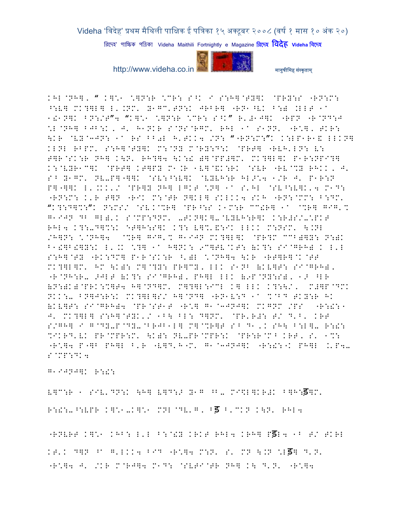িরেদহ' পািkক পিtকা Videha Maithili Fortnightly e Magazine িরেদহ िवदेह **Videha** িবেদহ



KHE TRAHO, \* KOHN, SHRINA STAN BODY KORINA PRHINI TRAHINE (PRYININ ^:V] MK?]L] L'.NM' Y1GC'TN:K JRBR] "RN1^VK B:) .LLT 1A 1!1N]K BN:/T**"**4 **"**K]\*1 \*]N:R \*CR: S^K**"** R'#1J]K "RPN "R@ND:J \*L@NH] BJB:K, J' H1NKR S@NS@RGM' RHL 1A S1NN' "R\*], TKR: \KR @VY@3JN: 1A RS BB0L H'TKK4 /N: **"**"RN:M:**"**K K:LP1R1& LLKN] KLAR S: HARRY S: HIGH S: HIGH MY MORY WITH THE MORE OF THE MILITARY OF THE MILITARY OF THE MILITARY OF THE MIL TRE TESTER TOHR (1920) DHYRH AS YE BRITENNADY. TO RHIRE TO ITH PYREMIRA K: NORTH MAN TO MARKET AT A REAL PROPERTY OF A REAL PROPERTY AND TO MAKE  $\mathcal{A}_R$ ST PORT DELETHED TELY MET TELEVISHE PLAN FOR A PIPER P]"]]K L'.KK'/ @PR]Y NH] LGKT \*N] 1A S'HL @SV^:V]K'4 M1D: "RN:M: K'R T]N "RIK M:@TR N]KL] SKLKK4 SKH "RN:@MM: B:DM' **"**K?:D]%:**"**K N:MS/ @SV.@%R] @PR^:S K1M:R CC!R] 1A @%R] GIG'% G1IJN DA GL) K SAMPIN -TKNJER KI SARA SA SAKATI A RHL4 CORNURADNI NAARNNAAD CORN WAD BAND BEID CONFAINS A DRI /H]N: \*@NH]4 @%R] GIG'% G1IJN MK?]L]K @PR?M CCB)]Y: N:)K B1: BISHERING (B. C. C. 1980) (S. 1982) N. STRAE (MAN GRI B) K L'ENSAIO (D. B. B) S:H]@TY "RK:DM] P1R@SK:R ^')L \*@NH]4 \KR "RT]R]@K@TT MK?]L]M' HM \K): M]@?Y: PR]CY, LLK S1NB (KV]T: SI@GRH), "RANHARING ARE BOTH (SKAMPARI), PHAL (80), BIZ NYSIASE, 19 ALAT  $\overline{N}$  (N)  $\overline{N}$  (N)  $\overline{N}$  (N)  $\overline{N}$  (H)  $\overline{N}$  (N)  $\overline{N}$  , and  $\overline{N}$  and  $\overline{N}$  (N)  $\overline{N}$  (N)  $\overline{N}$  (N)  $\overline{N}$  (N)  $\overline{N}$  (N)  $\overline{N}$  (N)  $\overline{N}$  (N)  $\overline{N}$  (N)  $\overline{N}$  (N)  $\overline{N}$  (N NKK:- BN]J:R:K MK?]L]S/ H]@ND] "RN1V:D 1A %@BD TKY:R HK (KV]T: SI@GRH)4 @PR@ST1T "R\*] G1@3JNJ]K MKGNM /PS "R:!:" J' MARIET STAR TEGOLIC S' FALIFET TREDUCTION DES SELLIGES CODE S/GHAB I GO AR TAGLE TAGLE OF PARTICUP ON THE SAME IN A SINGLE OF SHARIBLE PARTY. WICK PROVERSE, AND PROPERENT PROPERTY AND A KONST "RENDER" BORD PER LI POLITICA POLITICA "POLITICA" (PER LI PAR POLITICAL BELL S@MP:DK4

G1. CHURCH R: CHURCH

ILEMEN Y SIVEL PART (RHPEN BYP)D'D'D'D'ARE HI NEL (FHHESHI). R:!:-^:VPR K]\*1-K]\*1 MNL@DV'G, Bड़ B'CKN K\N' RHL4

"RAVART KAN KAHB: LIL BERTAD KALA KARA PS: 1999 PS: 1999 PS: 1999 PS: 1999 PS: 1999 PS: 1999 PS: 1999 PS: 1999 KAT' DAN 'K AIKIN BID "RYAN MIN IT MIN HID "N**S**A", N  $H^1$  (Find  $H^1$  ) of  $H^1$  (Find  $H^1$  )  $H^1$  (Find  $H^1$  )  $H^1$  (Find  $H^1$  )  $H^1$  . Then  $H^1$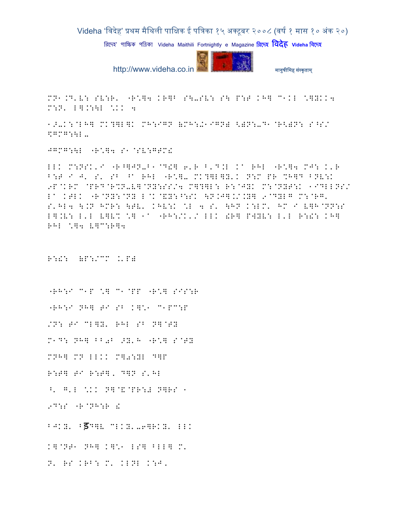িরেদহ' পািkক পিtকা Videha Maithili Fortnightly e Magazine িরেদহ िवदेह **Videha** িবেদহ



MN 19. D'ANN SAN SAN SAN SAN SA PHÈIRE AN CHILLE M:N' L].:\L \*KK 4

 $+$  Superinter (MC) and the  $\mu$  measure  $\mu$  is the solution of  $\mu$  and  $\mu$  and  $\mu$  and  $\mu$ STRIPS TO A

JGMG:\L "R\*]4 S1@SV:GTM!

LLK M:NSK'I "R^]JN-B1@D!] 6'R B'D.L KA RHL "R\*]4 MJ: K'R B:T I J' S' SA RHL "RANG" DAN RHL "RANG" DAN RHL "RHL "BE "RHL "BE "READ 9P@KRM @PRD@R%N-V]@NY:SS/4 M]?]L: R:@JYK M:@NYT:K 1IDLLNS/ LA KTLK "R@NY:@NY L@K@&Y:^:SK \N.J]./.Y] 9@DYLG M:@RG' S'HL4 \.N HMR: \TV' KHV:K \*L 4 S' \HN K:LM' HM I V]H@NN:S L].V: L'L V]V% \*] 1A "RH:/K'/ LLK !R] PWYV: L'L R:!: KH] **RH** 74, 84, 74, 754

R: (2008) (P://CM . (2008) (P://CM . (2008) (P://CM . (2008) (P://CM . (2008) (P://CM . (2008) (P://CM . (2009

"RH:I C1P \*] C1@PP "R\*] SIS:R HESP PAR BR PR CHO THITHE /N: TI CL]Y' RHL SB N]@TY 7-71 PHP BB2 28.8 HRTH 2788 MNH] MN LLKK M]0:YL D]P R:TH R:TH, THR SAN ^' G'L \*KK N]@&@PR:# N]RS 1 9D:S "R@NH:R ! ' PORT 'START CLOSE CREATER KAN KALIMAT KANG KALIMAT KANG BERSEBUT N. RE CHIN M. CENE CNA.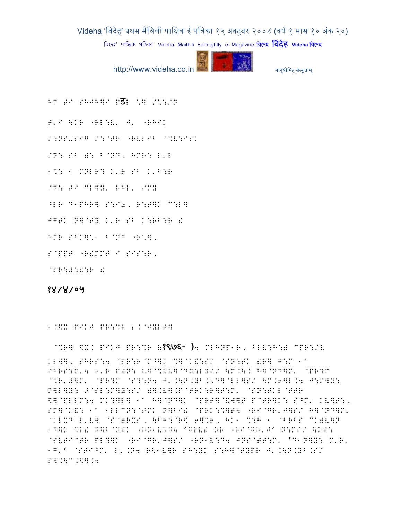PROMOTER 14

KLW], SHRS:4 @PR:R@M^]K %]@K&:S/ @SN:TK !R] G:M 1A SHRSY:W'4 6'R PAPY LA MLEA MARK BEN AN DOOR WATERN, MERTY  $\mathcal{M}(\mathbb{R},\mathbb{R})$  and  $\mathcal{M}(\mathbb{R})$  . The state  $\mathbb{R}$  is the contribution of  $\mathbb{R}$  is the state  $\mathbb{R}$  is the state  $\mathbb{R}$ MALADE CONSTRUCTION AROUND PARTNERS ARRESTS. CONTROL THAN \$]@PLLM:4 MK?]L] 1A H]@ND]K @PRT]@&W]T P@TR]K: S^M' KV]T:,  $S\mathbb{R}^n$  is the control of the second section of the second section  $\mathbb{R}^n$  . The second second second section of the second second second second second second second second second second second second second second @KLXD L'V] @S@)RXS, \BH:@R\$ 6]%R, HK1 %:H 1 @BRBS CK)V]N 1D]K %L! N]B@N!K "RN1V:D4 **'**GLV! OR "RI@GR'J**'** N:MS/ \K): @SVTI@TR PL?]K "RI@GR'J]S/ "RN1V:D4 JNS@TT:M' **'**D1N]Y: M'R' 1G'**'** @STI^M' L'.N4 R<1V]R SH:YK S:H]@TYPR J'.\N.YB.S/

@%R] \$X. PIKJ PR:%R (१९७६- )4 MLHNP1R, BLV:H:) CPR:/V

1.\$X PIKJ PR:%R 2.@JYLT]

WEB: TEST ELECTRIC

१४/४/०५

/N: SB ): B@ND, HMR: L'L

1%: 1 MNLR? K'R SB K'B:R

Home Shanner Ps: 19 /11/19

R'I RI HI AL 4, APPI

/N: TI CL]Y' RHL' SMY

THE MINIMUM WAS STRING

^LR D1PHR] S:I0, R:T]K C:L]

JGHK NAMARI NI KIRI SE KE

HTR SBC SECTION SECTION

SOME "REAL POST IS STOLEN.

http://www.videha.co.in

Videha 'विदेह' प्रथम मैथिली पाक्षिक ई पत्रिका १५ अक्टूबर २००८ (वर्ष १ मास १० अंक २०) িরেদহ' পািkক পিtকা Videha Maithili Fortnightly e Magazine িরেদহ िवदेह **Videha** িবেদহ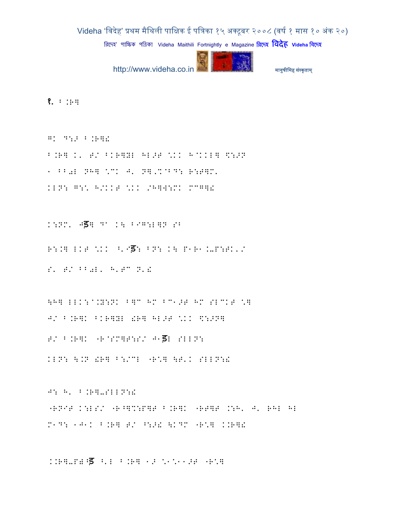..R]-P)^ड़ ^'L B.R] 1> \*1\*11>T "R\*]

J: H' B.R]-SLLN:! "RNIT K:LS/ "ROUNDER" (SPI) "RPHE ISB, "R, BHL H **7-95 (4): 1JBB B. 912 S.R. T/ G.R. 1JBB** 

\H] LLK:@.Y:NK B]C HM BC1>T HM SLCKT \*] J/ B.R.R.K BKRIT # BKR # BERL # \$: NI # \$ T/ B.R]K "R@SM]T:S/ J1ड़L SLLN: KLAN: RIP BER FAZTE (RAR RELI BELTAB

S' BO' FRANCH, HOTCHER

R:.. Bile to Reg: BN: Cheek Leneve

K:NO JSH PARTICLE PROPERTY

KLN: G:\* KLN: KLN: HUBSEN ####

1 BB0L NHE NT 4, PRINTIN RIPRY.

B.R.R. K' TIPER HIR MI \$400 \$400 \$

BI BREAK POINT

 $? . . . . . .$ 

http://www.videha.co.in



Videha 'विदेह' प्रथम मैथिली पाक्षिक ई पत्रिका १५ अक्टूबर २००८ (वर्ष १ मास १० अंक २०) িরেদহ' পািkক পিtকা Videha Maithili Fortnightly e Magazine িরেদহ िवदेह **Videha** িবেদহ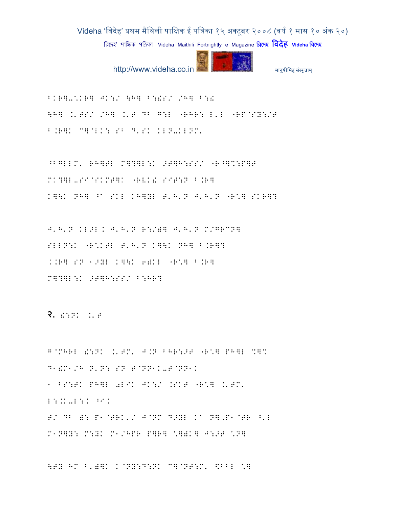িরেদহ' পািkক পিtকা Videha Maithili Fortnightly e Magazine িরেদহ िवदेह **Videha** িবেদহ



**BERSHIPS STARS IN BIRDING** \H] .'TS/ /H] .'T DB G:L "RHR: L'L "RP@SY:/T B.R]K C]@LK: SB D'SK KLN-KLNM'

 $B = B$  . The  $B$  is the mass of  $B$  is the set  $B$  is the set  $B$  is the  $B$  is the  $B$ MK?)H SKAMT SKRMT SITE SKAMT SIT KARA KALIM SKL KHARI SKL KHARI SKRIVA SKRIVA SKRIVA SKRIVA SKRIVA SKRIVA SKRIVA SKRIVA SKRIVA SKRIVA SKRIVA SK

JELA KLADI KLADI BIJAN GLADA ZIMBUZN SLLN:K "R\*KTL T'H'N K]\K NH] B.R]? ..R. SN 1981 1981 2011 1978 198 **THIL: HEST: BI-HR** 

२. : : : : : : : :

BOYABI 2535 .LAT. 41F FABSIR 9658 PANI MAT D1!M1/H N'N: SN T@NN1K-T@NN1K 1 BS:TK PH]L 0LIK JK:/ .SKT "R\*] .'TM' L:.K-L:. ^I. T/ DB ): P1@TRK'/ J@NM D>YL KA N],P1@TR ^'L M-PANY MYNI MYSPOR PAPA SANYA SYA SPA

\TY HM B')]K K@NY:D:NK C]@NT:M' \$BBL \*]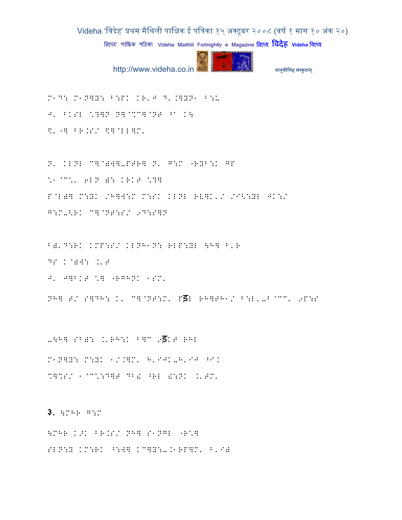িরেদহ' পািkক পিtকা Videha Maithili Fortnightly e Magazine িরেদহ िवदेह **Videha** িবেদহ



M1D: M1N]Y: B:PK KR'J D'.]YN1 B:U J' BKSL THE PHOTECH FOOD \$'"] BR.S/ \$]@LL]M'

N' KLNL C]@)W]-PTR] N' G:M "RYB:K GP \*1@C\*' 6LN ): KRKT \*?] P@L)] M:YK /H]W:M M:SK KLNL RV]K'/ /I<:YL JK:/ B:MARK CHINESI SYNTH

B)'D:RK KMP:S/ KLNH1N: RLP:RK BHF B'R **B** TO THE MOVE J, ANDIA NA SA SANDI SIN NH] T/ S]DH: K' C]@NT:M' Pड़L RH]TH1/ B:L'-B@CC' 9P:S

-\H] SB): .'RH:K B]C 9ड़KT RHL **T-PHILTIM: MINT, H.PHILE.PH HT.** WHISP ON THE DESCRIPTION OF THE SECOND DESCRIPTION OF THE SECOND DESCRIPTION OF THE SECOND DESCRIPTION OF THE SECOND DESCRIPTION OF THE SECOND DESCRIPTION OF THE SECOND DESCRIPTION OF THE SECOND DESCRIPTION OF THE SECOND D

3. **ATAB STR** \MHR K>K BR.S/ NH] S1NGL "R\*] SLN:Y KM:RK & BLAN:Y MANAGER & BANDA BOOK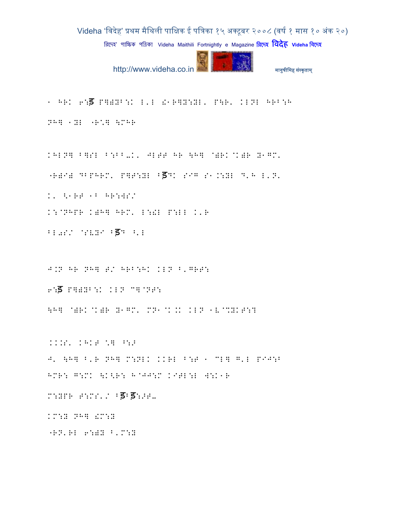িরেদহ' পািkক পিtকা Videha Maithili Fortnightly e Magazine িরেদহ िवदेह **Videha** িবেদহ



1 HRC 6:5 PHERMIC LI E-PHINHI PHR. CIPE HRMSH **NH** 1990 - RAMAN ROMAN

KHINA BAHLI BILI, BILA BERHAYAN MUKIMUR DI WIL

"R)I) DBPHRM' P]T:YL Bड़DK SIG S1.:YL D'H L'N'

K' K' HE' (1 HESEN)

K: WHIP COPE HRW COOL PHILICE

 $B = \frac{1}{2}$  and  $B = \frac{1}{2}$  and  $B = \frac{1}{2}$  be a set of  $B = \frac{1}{2}$ 

J.N HR NH] T/ HRB:HK KLN B'GRT:

 $6:5$  PHANKEL COP THINGS

 $\frac{1}{2}$  and the RN  $\frac{1}{2}$  and  $\frac{1}{2}$  and  $\frac{1}{2}$  and  $\frac{1}{2}$  and  $\frac{1}{2}$  and  $\frac{1}{2}$  and  $\frac{1}{2}$  and  $\frac{1}{2}$  and  $\frac{1}{2}$  and  $\frac{1}{2}$  and  $\frac{1}{2}$  and  $\frac{1}{2}$  and  $\frac{1}{2}$  and  $\frac{1}{2}$  and  $\frac{1$ 

1112.1918.18.92 J', ARE F.E PRE MYBED CORE FYR KUMER B.E PRAYE HTP: WITL BIARY A MART CHRISE BILLE  $T: \mathbb{R} \to \mathbb{R}$ :  $T: \mathbb{R} \to \mathbb{R}$   $\mathbb{S}^1 \to \mathbb{S}^1$ 

KTHE FAR ETHE

"RN'RL 6:)Y B'M:Y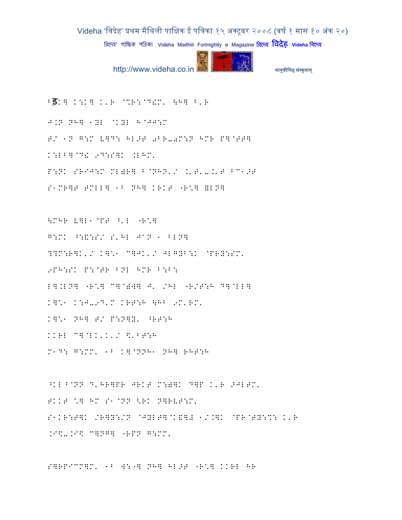িরেদহ' পািkক পিtকা Videha Maithili Fortnightly e Magazine িরেদহ िवदेह **Videha** িবেদহ



 $B\overline{B}$ : K: K:K] K: K:K: MEN: MEN: APR B:K: J.N NH] 1YL @KYL H@JJ:M The state of the state of the state of the state of the state of the state of the state of the state of the sta K:LB]@D:S]K:LB]@D:S]K .LHM:LB]@D:S]K .LHM:LB]@D:S] PYST SRIPH: MENH FORPLY I.B.LI.B FORP ST THR THR LINE THR THR THR REPORT

 $\texttt{H}\mathcal{D}\texttt{H}\mathcal{D}=\texttt{H}\mathcal{D}\mathcal{D}$  . The probability of  $\texttt{H}\mathcal{D}$ B:MK B:MA SY SON DAILY ??M:R]K'/ K]\*1 C]JK'/ JLGYB:K @PRY:SM' 9PH:SK P:@TR BNL HMR B:B: LASH "RATH" IN PART OF THE SECTION CONTROL PRODUCT K]\*1 K:J-9D'M KRT:H \HB 9M'RM' **KALLER THE TANK THE SET OF STATE** KKRL CHARL CONSTRUCTS M1D: G:MM' 1B K]@NNH1 NH] RHT:H

^KL^@NN D'HR]PR JRKT M:)]K D]P K'R >JLTM' TKKT \*] HM S1@NN <RK N]RVT:M' STA DE REGISTARIE STAND ALL'IN DIE SOLO DE L'ANNO 1999 (VIDEO STANDARD) A 1999 (VIDEO STANDARD) A L'ARCHET DE .I\$-.I\$ C]NG] "RPN G:MM'

S]RPICM]M' 1B W:"] NH] HL>T "R\*] KKRL HR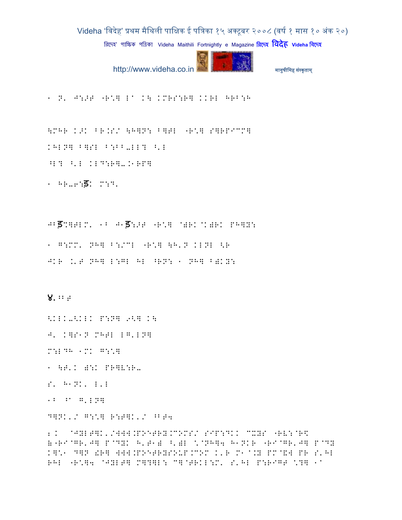িরেদহ' পািkক পিtকা Videha Maithili Fortnightly e Magazine িরেদহ िवदेह **Videha** িবেদহ



1 N. 418 H. B. C. C. C. C. C. C. C. C. C. C. HR

 $\texttt{RPE} \cup \texttt{R} \cup \texttt{RSE}$  and  $\texttt{RSE} \cup \texttt{RSE}$  supporting **CHIPS BELL BIBLES BELL** ^L? ^'L KLD:R]-.1RP]

 $1 + 3 + 6 + 3 = 5$ :  $2 + 3 + 1$ 

JBSS REPORT IN THE STATE OF THE PHONE PHERE

1 G:MM' NH] B:/CL "R\*] \H'N KLNL <R

JKR .'T NH] L:GL HL ^RN: 1 NH] B)KY:

 $8.$ ::

**KIILARII PER SE DE** 

J' KANSAR MARITI

**M:LDH 1MK G:** 

1 \T'K ):K PR]V:R-

S' H'NN HI

19 C G'LNG G'LNG GERMANY (1991)

**BEER THE READERS** 

2. @JYLT]K'/WWW.POETRY.COMS/ SIP:DKK CXYS "RV:@R\$  $R$  (B) The control position of  $R$  is the control of  $R$  is the control  $R$  and  $R$  is the  $R$ KAL TAN ER SAINERSOUP. NIE DIE KOM KOM KOM KOM KOM DIE SOU RHL "R\*]4 @JYLT] M]?]L: C]@TRKL:M' S'HL P:RIGT \*?] 1A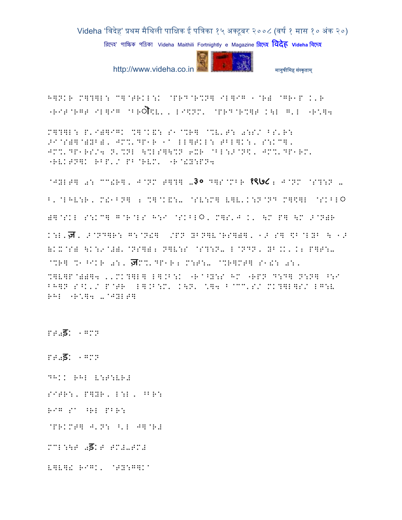িরেদহ' পািkক পিtকা Videha Maithili Fortnightly e Magazine িরেদহ िवदेह **Videha** িবেদহ



HERE STILL: TIGHES: CONTROLLING ALL IGN AND THE TELL "RIG GREAT ILE DE DORL IL IG ANNO 1999 DE SERVIGI CAL CAL GENERAT

M]?]L: P'I)]IGK %]@K&: S1@%R] @%V'T: 0:S/ BS'R: >I@S)]@)YB), JM%'DP1R 1A LL]TKL: TBL]K:, S:KC], JM%'DP1RS/4 N'%NL \%LS]\%N 6XR @BL:>@N\$, JM%'DP1RM' "RVKTN]K RBP'/ PB@RVM' "R@!Y:PN4

@JYLT] 0: CC!R], J@NM T]?] -३० D]S@MBR १९७८; J@NM @S?:N - B'. MARINE, MERRING: MUNICIPAL MERRING AND LOCAL MINISTERS AND MINIST  $\mathcal{A}$  and the state of the state of  $\mathcal{A}$  , the state of the state of the  $\mathcal{B}$  $M: \overline{\mathcal{A}}$  , a respect on read , when the polynomic  $\mathcal{A}$  is said  $\mathcal{A}$  . The same  $\mathcal{A}$ (KX@S) \K:9@#)'@NS]); N]V:S @S?:N- L@NDN, YB.K'.; P]T:- @%R] %1^IKR 0:, ज़M%'DP1R; M:T:- @%R]MT] S1!: 0:, %]V]P@))]4 ''MK?]L] L].B:K "R@^Y:S HM "RPN D:D] N:N] ^:I BHQ: PATR POTR LIGHT, IGN, NGE POTRET NIGGERER BAL RH GRISS CONSTRUCTS

 $P\theta$ .  $\overline{S}$  :  $\theta$  =  $\overline{S}$  :

 $P: . . . . . . . . . . . . . .$ 

**DHI RHAKK** 

STARR: PHIR, PHI, PRES

RIG SA ^RL PBR:

MTBCTHR 4.75 R.E. 497B3

MCL: THE SS F FULLETS

VALUE ARTICLE AND ANNUAL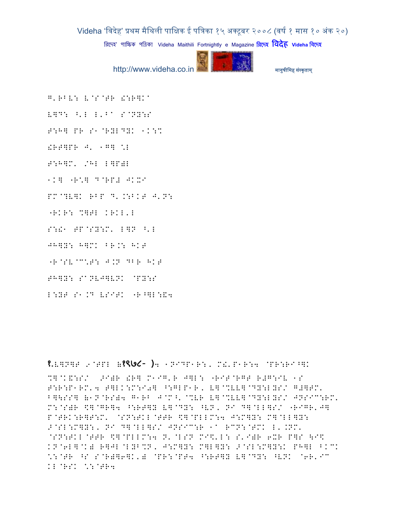িরেদহ' পািkক পিtকা Videha Maithili Fortnightly e Magazine িরেদহ िवदेह **Videha** িবেদহ



B. BILL : VON BERGER

- LATE VALUE OF STREET
- T:H] PR S1@RYLDYK 1K:%
- **REPRISE AT 1999 11**
- F:HIN /HL LINE
- 11K] "DORP POST DOGENEDATE
- PM MARS REPORTED HOME
- "RKR: %]TL KRKL'L
- S: 1 TP SYSTEM AND THE SEE
- JH]Y: H]MK BR.: HKT
- "ABSTRACT DATA HAT DESCRIPTION OF THE UNITED STATES
- THE SANVIS CONSTRUCT
- LINE FOR LEARY (ROBINSER

## १.V]N]T 9@TPL (१९७८- )4 1NIDP1R:, M!'P1R:4 @PR:RI^]K

%]@K&:S/ >I)R !R] M1IG'R J]L: "RIT@RGT R#G:IV 1S T:R:P1RM'4 T]LK:M:I0] ^:GLP1R, V]@%VV]@DY:LYS/ G#]TM' BURGE BITTER WHI 471, THE LUTILUTTEEN SURVICE. M: MAR (RR)PRRES (PERRIE ER) PIES (RD), DY: PR/IERING (PYPE, PR P@TRK:R]T:M' @SN:TKL@TTR \$]@PLLM:4 J:M]Y: M]@LL]Y: >@SL:M]Y:, NI D]@LL]S/ JNSIC:R 1A RCN:@TMK L'.NM' @SN:TKL@TTR \$]@PLLM:4 N'@LSN MI\$'L: S'I)R 6XR P]S \I\$ KOR SALAH MAGELING MARAKAT DI MAGA KANG MANGA MANG KANG AKANG MANGA MANGA MANGA MANGA MANGA MANGA MANGA MANGA  $\mathbb{C}$ :  $\mathbb{C}$   $\mathbb{R}$   $\mathbb{R}$   $\mathbb{R}$   $\mathbb{R}$   $\mathbb{R}$   $\mathbb{R}$   $\mathbb{R}$   $\mathbb{R}$   $\mathbb{R}$   $\mathbb{R}$   $\mathbb{R}$   $\mathbb{R}$   $\mathbb{R}$   $\mathbb{R}$   $\mathbb{R}$   $\mathbb{R}$   $\mathbb{R}$   $\mathbb{R}$   $\mathbb{R}$   $\mathbb{R}$   $\mathbb{R}$   $\mathbb{R}$   $\mathbb$ KL@RSK \*:@TR4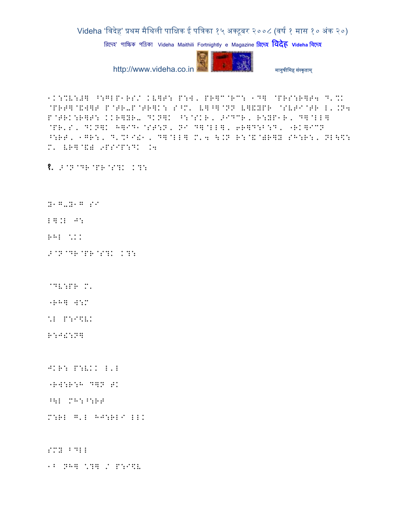িরেদহ' পািkক পিtকা Videha Maithili Fortnightly e Magazine িরেদহ िवदेह **Videha** িবেদহ



1K:%V:#] ^:GLP1RS/ KV]T: P:W, PR]C@RC: 1D] @PRS:R]T4 D'%K @PRT]@&W]T P@TR-P@TR]K: S^M' V]^]@NN V]&YPR @SVTI@TR L'.N4 POBRIGHER (PEBRA SPORT DE REGIONAL DE REGIONER @PR'S, DKN]K H]ID1@ST:N, NI D]@LL], 6R]D:B:D, "RK]ICN ^:RT, 1GR:, D'%BI!1, D]@LL] M'4 \.N R:@&@)R]Y SH:R:, NL\\$: M. HARTHE SPECIFIC .4

१. >@N@DR@PR@S?K K?:

 $H$ -Wildeman single

 $19.11 - 45$ 

RH WHI

>@N@DR@PR@S?K K?:

@DV:PR M'

"RH] W:M

\*L P:I\$VK

**R:V:N:N** 

JKR: P:VKK L'L

"RW:R:H D]N TK

 $\mathcal{H}_\mathrm{H}$ : TH: MH:

TIB: W.: WANDER III

 $1$  NH  $\frac{1}{2}$  / P:I  $\frac{1}{2}$  / P:I  $\frac{1}{2}$ 

SMY BDL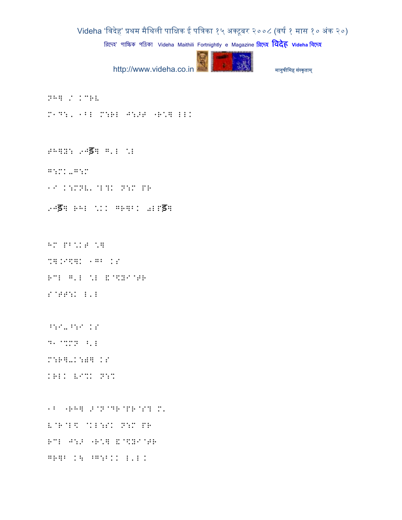িরেদহ' পািkক পিtকা Videha Maithili Fortnightly e Magazine িরেদহ िवदेह **Videha** িবেদহ



**PHE / WORK** 

MANN:, 1918 MYSES AND PROVIDED

 $F^{10}$ 9991  $F^{10}$ : 9J $F^{10}$   $F^{11}$   $F^{10}$ 

SH:WA-G

11 K:MNV' N: H: PRO PRO

9Jड़] RHL \*KK GR]BK 0LPड़]

HT PPAIR AR %].I\$]K 1GB KS RCL G'L CL G'L G'L G'L G'L G'L SOMETER ST

 $\{v_1,v_2,v_3,v_5,v_6\}$  $\mathcal{H} \leftarrow \mathcal{H} \left( \mathcal{H} \right) \quad \mathcal{H} \left( \mathcal{H} \right)$ M:RECONOS **THI EST PHT** 

1B "RH] >@N@DR@PR@S? M' V@R@L\$ @KL:SK N:M PR RCL 49: HORN BORN OR BRD CR PRINT LIL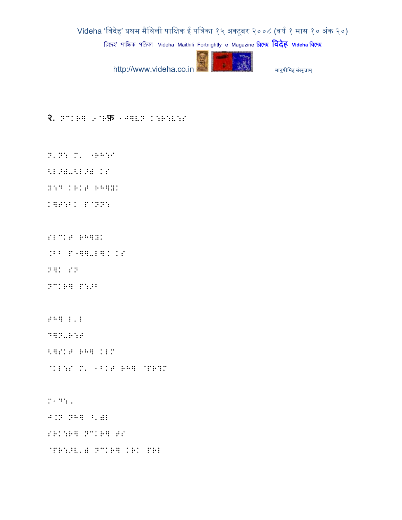িরেদহ' পািkক পিtকা Videha Maithili Fortnightly e Magazine িরেদহ िवदेह **Videha** িবেদহ



२. PULBE 2019 WE 3000 1000 100000

N'N: M' "RH:I

51 281 31 38 38 38

Y:D KRKT RH]YK

THERE PORT

SECTOR RHAND

.BB P"]]-L]. KS

NH SN

NCKR] P:>B

TH] L'L

DEBLEGE

SHIDE RHAN SID

@KL:S M' 1BKT RH] @PR?M

 $T$  ,  $T$  ,  $T$ **J.N NH** N.H SRCKER STIER SP @PR:>V') NCKR] KRK PRL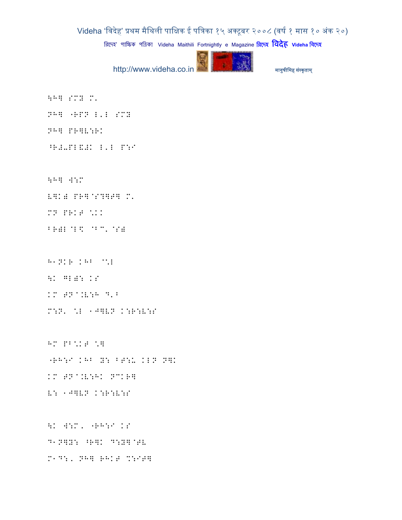িরেদহ' পািkক পিtকা Videha Maithili Fortnightly e Magazine িরেদহ िवदेह **Videha** িবেদহ



\H] SMY M' **WHI "RPN LIL SMY"** 

THE PRESSING

^R#-PL&#K L'L P:I

 $\text{H} \oplus \text{H} \oplus \text{H} \oplus \text{H}$ 

 $\vdots$  PR  $\vdots$  and  $\vdots$  and  $\vdots$  and  $\vdots$ 

TP PRIM WIL

BROW CONSTRUCTS

HANKR KHB 2011

 $\text{H}$ : Weigh  $\text{H}$ 

KM THAM THE BOOK

**MISS EXTERNAL AND STATES** 

HM PPAIR AN "RHY: IH: BT: BT: IF: BT: KM HR WEEN NORTH V: 1J]VN K:R:V:S

 $\mathbb{R}$  W:M,  $\mathbb{R}$  and  $\mathbb{R}$ D.PHIN PHI PHINTH. **7-71. PHE RHIE WINHE**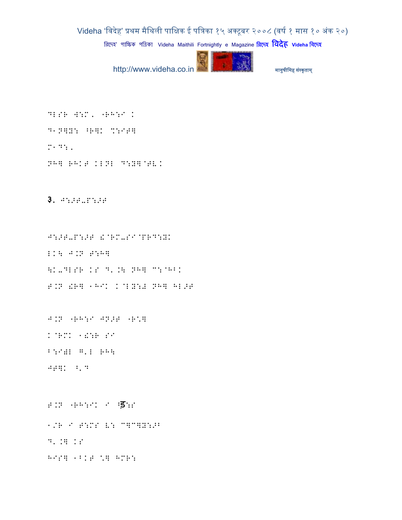িরেদহ' পািkক পিtকা Videha Maithili Fortnightly e Magazine িরেদহ िवदेह **Videha** িবেদহ



DLSR W:M, "RH:I K B. PHI SERVICE  $T$  ,  $T$  ,  $T$ NH] RHKT KLNL D:Y]@TV.

 $3. J::=T:TT:TT$ 

J:>T-P:>T !@RM-SI@PRD:YK LIN WIN BYAN  $K$ -DLSR KS  $K$  ,  $K$  ,  $K$  and  $K$   $\mathbb{R}$  and  $K$ F.N 2HIK KAMI I NHIK KADA HIYA

J.N "RH:I J.N "REAL" K@RMK 19  $B:10H$   $B:10H$  $J(\theta)$   $\theta$   $\theta$   $\theta$   $\theta$   $\theta$ 

 $F: P \rightarrow P \rightarrow P \rightarrow P \rightarrow P \rightarrow P$  $1/2$   $1/2$   $1/2$   $1/2$   $1/2$   $1/2$   $1/2$   $1/2$   $1/2$   $1/2$   $1/2$   $1/2$   $1/2$   $1/2$   $1/2$   $1/2$   $1/2$   $1/2$   $1/2$   $1/2$   $1/2$   $1/2$   $1/2$   $1/2$   $1/2$   $1/2$   $1/2$   $1/2$   $1/2$   $1/2$   $1/2$   $1/2$   $1/2$   $1/2$   $1/2$   $1/2$   $1/2$ D'. ISBN 0-2120 HIST 1BKT \* HORSE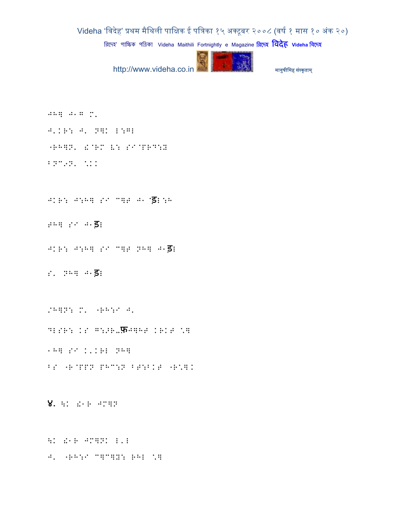িরেদহ' পািkক পিtকা Videha Maithili Fortnightly e Magazine িরেদহ िवदेह **Videha** িবেদহ



- Jing J.W.T.
- J'KR: J' N]K L:GL
- "RHEN' & SIM AN POTENTIE

BNC9N, MAR

JKR: J:H] SI C]T J1@ड़L:H

 $\left| \begin{array}{ccc} \frac{1}{2} & \frac{1}{2} & \frac{1}{2} & \frac{1}{2} & \frac{1}{2} & \frac{1}{2} & \frac{1}{2} \\ \frac{1}{2} & \frac{1}{2} & \frac{1}{2} & \frac{1}{2} & \frac{1}{2} & \frac{1}{2} & \frac{1}{2} \\ \frac{1}{2} & \frac{1}{2} & \frac{1}{2} & \frac{1}{2} & \frac{1}{2} & \frac{1}{2} & \frac{1}{2} \\ \frac{1}{2} & \frac{1}{2} & \frac{1}{2} & \frac{1}{2} & \frac{1}{2} & \frac$ 

JKR: JOHN SI CHIEF NHI JI

 $\therefore$   $\therefore$   $\therefore$   $\therefore$   $\exists$ :

/H]N: M' "RH:I J' DRSR: KS GSPLEW WORKER FRIED 1H<sub>1</sub> SI K11H1 NH BS "ROPPIES" PHONE: NEWSL

४. **41 E-B #242** 

**W** : 1999 (1999) (1999) J' "R' RH: RHI \*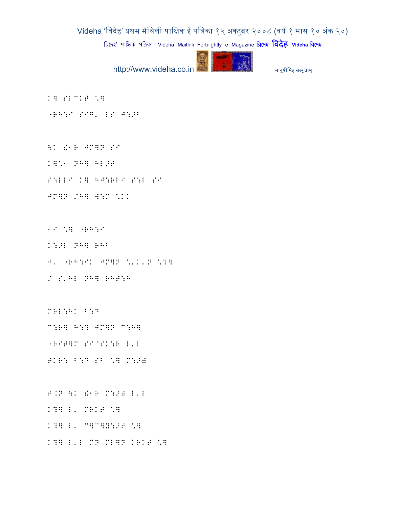িরেদহ' পািkক পিtকা Videha Maithili Fortnightly e Magazine িরেদহ िवदेह **Videha** িবেদহ



**CALCE AND SET AT SURFA** GREEN FOR, IF SEE

 $\#1$   $\#1\#$   $\#1\#1\#$   $\#2\#2$ **THI** THE HIST STEEP CH RANGER STEEP JM]N /H] W:M \*KK

1I \*] "RH:I **TAN PHE RHB** J. (BRYS) ANNE N.I.IK NH / S'HL NH] RHT:H

MRL:HK B:D **C:RESS H:T H:R** "RITT" SIMS SIMBOLI B: B: B: B: SB TEE

T.N N & M: N M: N & M: KRAND ALL CHILE NA K? HE CONSIDERED A CONSIDERATION KRAN MUSIK MANGHAL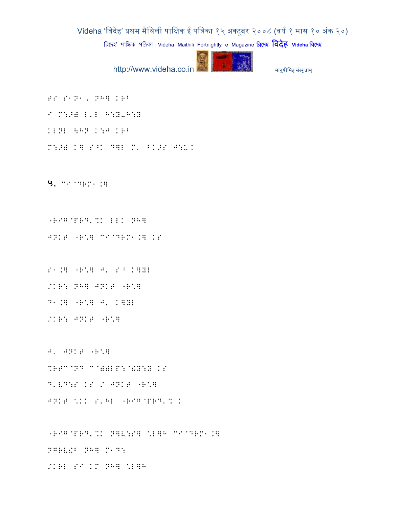িরেদহ' পািkক পিtকা Videha Maithili Fortnightly e Magazine িরেদহ िवदेह **Videha** িবেদহ



BS S1N1, NHB CH

F MILH H: PHELPHE

**CENT AND CAR CAR** 

MYSE SAK DAN MELINDER STAR STAR

 $9.$  CIP CIP CIPS

 $R$  RIG  $R$  (2009)  $R$  (2009)  $R$  (2009)  $R$ JAKT "RT" "RT" CHARLER

S1.] "R\*] J' S^ K]YL /KR: NH] JNKT "R\*] D1.] "R\*] J' K]YL /KR: JNKT "R\*]

J', JPLF (PNH) **THO CONDITIONS IN** D'EST (S. A. J. J. P. P. R. JNKT \*KK S'HL "RIG@PRD'% K

"RECAMPLES, TO SPALEFAR (NEAR OR ORDER) OR **NHEER SHIP NH** /KRL SI KM NH] \*L]H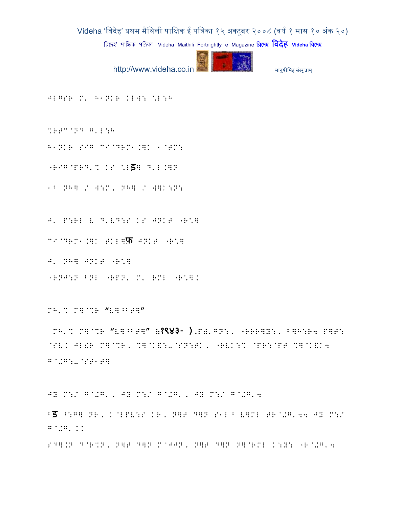িরেদহ' পািkক পিtকা Videha Maithili Fortnightly e Magazine িরেদহ िवदेह **Videha** িবেদহ



HIME T. H.T.B CIER KIN

%RTC@ND G'L:H

H. NIKR SIG CIME CIME CIME CIME OF THE SIGNE

 $R$  Rightly with the set of  $\overline{S}$  in the set of  $\overline{S}$  in the set of  $\overline{S}$ 

1B NH] / W:M, NH] / W]K:N:

J. PHE E RIBE IF AND SPIR

COMPANY CROSSER THROUGHT

J. PHE APIS (BOS)

"RNJ:N BNL "RPN' M' RML "R\*].

MH'% M]@%R **"**V]^BT]**"**

 MH'% M]@%R **"**V]^BT]**"** (१९४३- ),P)'GN:, "RRR]Y:, B]H:R4 P]T:  $^{\prime}$  SCC 40 MB (PRIN MENTION SONG REAL MENTION  $^{\prime}$  and  $^{\prime}$  and  $^{\prime}$  and  $^{\prime}$  and  $^{\prime}$  and  $^{\prime}$  and  $^{\prime}$  and  $^{\prime}$  and  $^{\prime}$  and  $^{\prime}$  and  $^{\prime}$  and  $^{\prime}$  and  $^{\prime}$  and  $^{\prime}$  and  $^{\prime}$  and  $^{\prime}$  a BOOSTERS STREET

JY M:/ G@+G', JY M:/ G@+G', JY M:/ G@+G'4

 $B$  (see 28, Konstanting Dec 292 Jy Dan Sil Lynched Silver Jy Mill  $H^*(\mathbb{Z}^H, \mathbb{Z}^H)$ SD].N D@R%N, N]T D]N M@JJN, N]T D]N N]@RML K:Y: "R@+G'4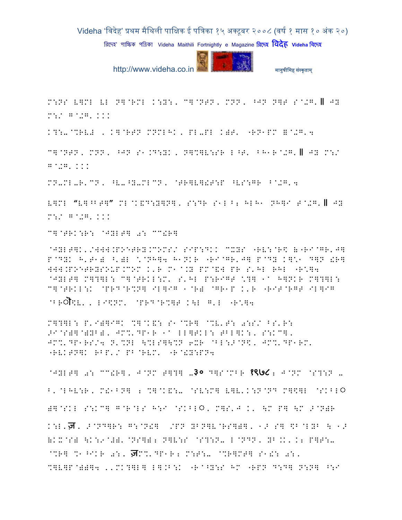িরেদহ' পািkক পিtকা Videha Maithili Fortnightly e Magazine িরেদহ िवदेह **Videha** িবেদহ



MYS VLAME (LE SANGHOL KYAN), MAGYARI, MSS, JAS SANGHOL MUAN, MUAN M:/ G@+G'...

KTEL TELE , KUTHE TITEN, PLAN KER, GEVET BIGG,

C]@NTN, MNN, ^JN S1.D:YK, N]%]V:SR L^T' BH1R@+G'॥ JY M:/  $H^+G^{\prime\prime}H_+^{\prime\prime}$  . In the form

MRLMELR, MR., ^GLL-FBLME MR., ^GERGEGENE ^ FLENRE ^F MLCH. &

V]ML **"**V]^BT]**"** ML@K&D:Y]N], S:DR S1L^; HLH1 NH]I T@+G'॥ JY M:/ G@+G'...

C]@TRK:R: @JYLT] 0: CC!R]

MAH PULI KUWU NE TRIKOLOM SI PISOK NA MARA ("RIGH") NG KATANG ANG MARA ("RIGH") NA MARA ("RIGH") NG KATANG ANG P@DYK H'T1) ^')L \*@NH]4 H1NKR "RI@GR'J] P@DY K]\*1 D]N !R] WWW.POETRYSOUP.COM K'R MINISTERYSOUP. POETRY SOUPLING AND THE STANDARD RELATIONSHIPS AND ANNOUNCES MADE ARL CREDE & CORNER WOL PELAIR PENAMA (NOR PROVINCE PEDE BORDER & CAR CARDIS EN LO COMPRESSOR DE PROPOSICIONES EN LOS DE LOS DE ARCHEOLOGICA ILLIUSO DE RECHO ILLIUSO DE RECHO I

@BR◌ॊ\$V', LI\$NM' @PRD@R%]T K\L G'L "R\*]4

M]?]L: P'I)]IGK %]@K&: S1@%R] @%V'T: 0:S/ BS'R: >I@S)]@)YB), JM%'DP1R 1A LL]TKL: TBL]K:, S:KC],  $\beta$  DM  $\beta$  PP  $\beta$  and  $\beta$  DP1  $\beta$  and  $\beta$  becomes  $\beta$  and  $\beta$  and  $\beta$  and  $\beta$   $\beta$  and  $\beta$ "RVKTN]K RBP'/ PB@RVM' "R@!Y:PN4

OWREAR WAS TREAKED AND PANEL 20 DAY ON B RICE AND SENSE W B'. MALGE, MERRIE : MENICL MENTE LELING MOTH METH MIREO  $\mathbb{R}$ B: Th: The B: Perform of the Party of Philosophia  $\mathbb{R}$  is the Party of Philosophia  $\mathbb{R}$  $K: \mathbb{R} \times \mathbb{R}$  , of the substitution of  $\mathbb{R} \times \mathbb{R}$  , the second second substitution of  $\mathbb{R} \times \mathbb{R}$  ,  $\mathbb{R} \times \mathbb{R}$  $K$ : And  $K$  and  $K$   $\mathbb{R}$  ,  $\mathbb{R}$  ,  $\mathbb{R}$  and  $\mathbb{R}$  . Then  $\mathbb{R}$  and  $\mathbb{R}$  and  $\mathbb{R}$  is a set  $\mathbb{R}$  and  $\mathbb{R}$  . Then  $\mathbb{R}$  and  $\mathbb{R}$  and  $\mathbb{R}$  and  $\mathbb{R}$  and  $\mathbb{R}$  and  $\mathbb{R}$  an WHE WORLD AND **ज़**MM. THE MINE WHENER PORT AND %]V]P@))]4 ''MK?]L] L].B:K "R@^Y:S HM "RPN D:D] N:N] ^:I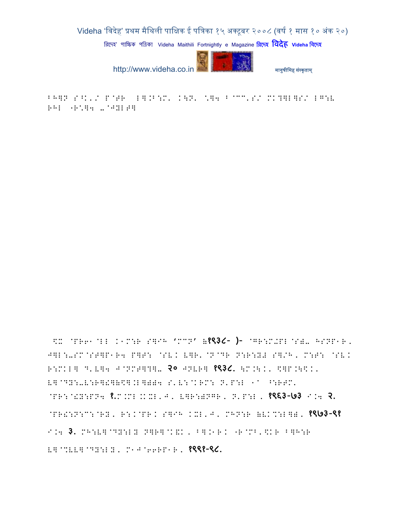িরেদহ' পািkক পিtকা Videha Maithili Fortnightly e Magazine িরেদহ िवदेह **Videha** িবেদহ



BHQS POLITIC POSSESSION CONTROLLED AND ALL TO CONTROLLED A SUBLI **RHL "R\*14 - 2011 241** 

 \$X @PR61@LL K1M:R S]IH **'**MCN**'** (१९३८- )- @GR:M+PL@S)- HSNP1R, JAN:SMOST PIRT PARK PARK PIRT PROVIDED IN A STRAIN STRAIN STRAIN STRAIN STRAIN STRAIN STRAIN STRAIN STRAIN STR  $R: M \to M$  , and one of  $P$  and  $P$  .  $P$  is  $R$  and  $R$  .  $R$  is  $M$  ,  $R$  ,  $R$ V]@DY:-V:R]!](\$].L]))4 S'V:@KRM: N'P:L 1A ^:RTM' @PR:@!Y:PN4 १.M.ML.KXL'J, V]R:)NGR, N'P:L, १९६३-७३ I.4 २. @PR!:N:C:@RY, R:.@PR. S]IH KXL'J, MHN:R (VK%:L]), १९७३-९१ I.4 ३. MH:V]@DY:LY N]R]@K&K, B].1R. "R@MB'\$KR B]H:R V]@%VV]@DY:LY, M1J@66RP1R, १९९१-९८.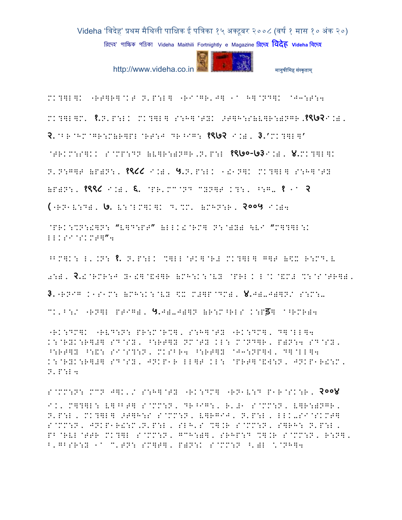িরেদহ' পািkক পিtকা Videha Maithili Fortnightly e Magazine িরেদহ िवदेह **Videha** িবেদহ



MACHER SERVER MACHER "RICHELAR" (1980) 1991 1991 MK?)NE?L. 8.2. PH: LACK PH: BACK-PH: MAK? LACK MAKE BELG PH: 2002. NGR, 1961 २.@BR@HM@GR:M(R]PL@RT:J DR^IG: १९७२ I.), ३.**'**MK?]L]**'**  $\text{C}(\mathbb{R}^n, \mathbb{R}^n)$  same  $\text{C}(\mathbb{R}^n, \mathbb{R}^n)$  is a mean  $\text{C}(\mathbb{R}^n, \mathbb{R}^n)$  . Then  $\text{C}(\mathbb{R}^n, \mathbb{R}^n)$ N'N:GREAN APART. (POCC PIA, 9.N.PHI, +2.NHI, TIMHIN PIAN TAN  $F$ PRO $N$ ,  $896$  and  $6$ ,  $F$ P.  $m$  of  $m$  and  $m$  in  $n$  i.  $n$  $( .$ P $:$  ESTE, U. ESTITER E. T.T., ETERSE, 2009 F.H.

@PRK:%N:!]N: **"**V]D:PT**"** (LLK!@RM] N:@)Y) \VI **"**M]?]L:K LLKSI@SKMT]**"**4

 $B$  (FILE B) AND RESOLUTED THE MANUFACT MAKE MAKE MANUFACT  $B$  $\mu$ sa, R $\mu$  species and the set  $\mu$  and  $\mu$  and  $\mu$  and  $\mu$  and  $\mu$  and  $\mu$  and  $\mu$ ३. BERNIG KINSTER BERNIG KENSTER PERSONG XIMBER SERIES. COLES ( RANGE PERSON, 9.44.4492 APSTORE: COPS; COPTEAR

"RK:DM]K "RVD:N: PR:M@R%], S:H]@TY "RK:DM], D]@LL]4 K:@RYK:R]#] SD@SY, ^:RT]Y NM@TY KL: M@ND]R, P)N:4 SD@SY, ^:RT]Y ^:&: SI@S?:N, MKSBR4 ^:RT]Y @J3:NP]W, D]@LL]4 K: ROK: RENGA (SDASK), JAPI P) E (ELAN) (ELA) (PEPA MINAR), JAPI P) EGRO. N'P:L4

S@MM:N: MCN J]K'/ S:H]@TY "RK:DM] "RN1V:D P1R@SK:R, २००४ I., M]?]L: V]^BT] S@MM:N, DR^IG:, R'#1 S@MM:N, V]R:)NGR, N'P:L, MK?]L] >T]H:S S@MM:N, V]RGIJ, N'P:L, LLK-SI@SKMT] SMOMER S. HRI: EX BEGOVIR, EGE (2): SE RI: SMORE (B): SMORE (2): SRHPG: DRIEGE (2) PR MELE MARRY SOMETHE SOMETHER, MANUAL SPHENE SOMETHERS & ROWL. B'GBSR:Y 1A C'TN: SM]T], P)N:K S@MM:N ^')L \*@NH]4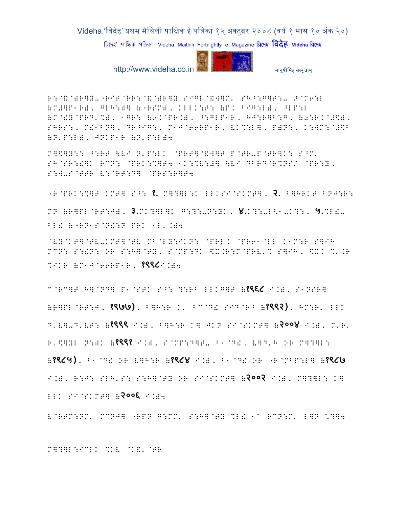িরেদহ' পািkক পিtকা Videha Maithili Fortnightly e Magazine িরেদহ िवदेह **Videha** িবেদহ



R: TRITABROW PRIS TRESTOR TABRO RITM TO SARDI SHI TERRIBIS. IS TO PIS BOURD-BE, REANER BYEON, CELLNAN BEL FYRNED, RENE AC MONTHERL TO , 1985 AN LITE OO, (1991 P.E., APSHARINA, ANSHI MARO, SHRS:, M!1BN], DR^IG:, M1J@66RP1R, VK%:L], P)N:, K:WM:@#\$B (N'P:L), JNKP1R (N'P:L)4

MARAGES (PSP) REPORTED (MPPPA MEAN) POPPLE MPPADE & MAD. SH SERGER: BTPG (PRCGTARA KONSOLAR) ALS THEFT DETECT (PRGG). S:W-S@TTR V:@RT:D] @PRS:R]T4

 $R$  and the source of  $R$  and  $R$  is the set  $R$  and  $R$  and  $R$  and  $R$  and  $R$ MN (REBECT GENER ), 3.MC BELBY GENERAL SCRIPT ), 8.MCCO (1981), 9.MER. **BE: ROUNDED PRINT: 18.** 

@VY@KT]@TV-KMT]@TV MB@LY:IKN: @PRL. @PR61@LL K1M:R S]IH MCN: S:!N: OR S:H]@TY, S@MP:DK \$X.R:M@PRV'% S]IH, \$X. %'.R W. The Street Construction of the Second Construction of the Second Construction of the Second Construction of

CORCAT THE SAME REPORT OF THE STATE STATE STATE STATE  $\mathbb{R}^n$  $R(S)$ الواوا ( $R(S)$  Beggers: Here  $R(S)$  ,  $R(S)$  ,  $R(S)$  ,  $R(S)$  ,  $R(S)$  ,  $R(S)$  ,  $R(S)$  ,  $R(S)$ D'ESTE D'ATE (1999) I. D'ATE D'ANNES INDIA SE RESERVA SERVICIO (1999) (1999) (1999) (1999) (1999) (2004 I.D.), R. CARE CRAIN (RSSS) PORT FOR MARINE BILL AND LANGED THAN A १.१९८५), Biography Carenter (१९८४ - २.२.२००७ I.२.२२० मध्ये २१९८७ I.), R:J: SLH'S: S:H]@TY OR SI@SKMT] (२००२ I.), M]?]L: K]  $E: \mathbb{R}^n \to \mathbb{R}^n$  is the sum of  $\mathbb{R}^n$ 

V@RTM:NM' MCNJ] "RPN G:MM' S:H]@TY %L! 1A RCN:M' L]N \*?]4

THERTH WAS THE SERVE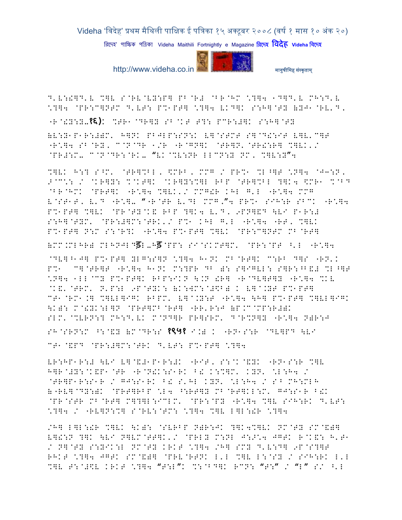িরেদহ' পািkক পিtকা Videha Maithili Fortnightly e Magazine িরেদহ िवदेह **Videha** িবেদহ



D'V: ESARP, ECONOL Y SHE SENATRO PROSPECO RESPONDO SIRRA (A PRIS, ECONOLIST)  $\sqrt{2}$ H+ (PR:CAPR: P.LEY PV: PFR  $\sqrt{2}$ H+ 1PT) fire (PT 1PT) 1PT (PT) HE YESHER (ROOM) SEE YOUR SPONSE TO PCREESE TO PCREESE

(V:T) AND THE PROPERTY OF STANDARD SECTIONS AND THE  $R$  sequel space  $R$  is the true of the construction of property dependent construction @PR#:M- C@N@DR:@RK- **"**VK@%V:NR LLCN:Y NM, %]V:Y**"**4

%]VK H:? S^M' @TR]%BL, \$MRB, MMG / PR%1 %L^]T \*N]4 @J3:N, >@C\*: / @KR]Y: %@KT]K @KR]Y:%]L RBP @TR]%BL ?]K4 \$MR1 %@BD @BR@HMK @PRT]K "R\*]4 %]VK'/ MMG!R KHL G'L "R\*]4 MMG V@ST1T, V'D "R\*]- **"**"R@TR V'DL MMG,**"**4 PR%1 SIH:R SBCK "R\*]4 PY-PAR YRK (PROFIL BIP TREEK, APPROVANT PERA STANDARY CONSTRUCTIONS OF THE WAY CONSTRUCTED PS:PHR PAT PACHER PS:PHR THAN CHESTRIC TO THE

(MORD) MARING MARING MARING MARING PROPERTY AND DESCRIPTION OF THE STANDARDS OF THE STANDARD MARINE OF THE STANDARD MARINE OF THE STANDARD MARINE OF THE STANDARD MARINE OF THE STANDARD MARINE OF THE STANDARD MARINE OF THE

@DV]^1J] P%1PT] YLG:S]N \*?]4 H1NK MB@RT]K C:RB D]S "RN'K P%1 CARTABAR (BSAN) H1NK M: PR DB (BSAN) (SAR) SHE SHE SHE SHE \*N]4 1LL@CY P%1PT]K RBP:IKN \.N !R] "R@DV]T]Y "R\*]4 %KV @K&'@TRM' N'P:L 9P@TYK: (K:WM:@#\$B) K V]@.YT P%1PT] MAR NEW CHONELL BRPM, ARTICLE RESIDENT ARRESTS FROM NULL BRPM \K): M@!YK:L]N @PRT]MB@RT] "RR'R:J (P.C@MP:R#)K SLM' DOR EN DE MARIN ET DE MANDEL NEDER DIE DE DE MANDEL EERSTE DIE DE MANDEL EERSTE DIE DE MANDEL EERSTE DIE

SH YERRY CHOOD BICHEN: 8998 COB I (REPORTE CREATED BLC) CONSTRUCT PRODUCED AND CONSTRUCT ON THE SERVICE OF THE RELEASED OF THE PARTIES OF THE PARTIES OF THE PARTIES O

VR:HP1R:# \VI V]@&#1P1R:#K "RIT, S:@K@&YK "RN1S:R %]V HAR Y: BERING BY TRANSPORTED TO A START AT A CHARGE TO A START A START AND A START AND A START AND A START AND @TR]P1R:S1R / GJ:S1RK B! S'HL KYN' \*L:H4 / S^ MH:MLH (B) (BB, R) ("ROW:) K PREPRESE TO A SERVED TO A CONSTRUCT A DISCOVERED FOR BIKE STANDARD BY MANY BIKE STANDARD @PR@STR MB@RT] M]?]L:ICLM' @PR:@PY "R\*]4 %]V SIH:RK D'VT: \*?]4 / "RV]N:%] S@RV:@TM: \*?]4 %]V L]L:!R \*?]4

/H] L]L:!R %]VK \K): @SVRBP N)R:JK ?]K4%]VK NM@TY SM@&)] LANS AN ALOGANIZING THE THE WIND AND POINT RIP / N]@TY S:YIK:L NM@TY KRKT \*?]4 /H] SMY D'V:D] 9P@S?]T RHIGH SMARH (APPI) (PD SEAR) (PPR SHAD) (E.E. SMAR (E.S. POR SH) / SY PHSHIME (E.E %]V T:@#\$V KRKT \*?]4 **"**T:L**"**K %:@BD]K RCN: **"**T:**"** / **"**L**"** S/ ^'L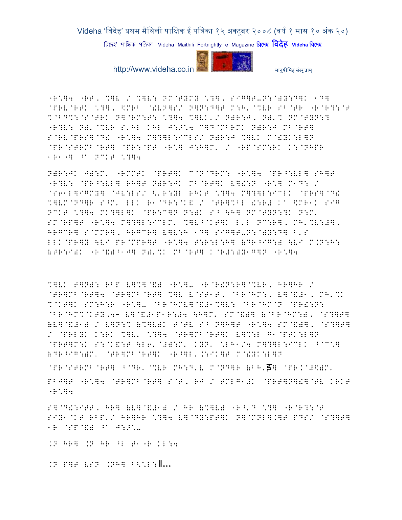িরেদহ' পািkক পিtকা Videha Maithili Fortnightly e Magazine িরেদহ िवदेह **Videha** িবেদহ



"R\*]4 "RT, %]V / %]V: NM@TYMY \*?], SIG]T-N:@)Y:D]K 1D] @PRV@RTK \*?], \$MRB @!VN]S/ N]N:D]T M:H'@%VR SB@TR "R@R?:@T % OF THE SECOND PROPERTY ON THE NUMBER OF THE SATISFIES OF THE SECOND PROPERTY. "R?V: N)'@%VR S'HL KHL J:>\*4 C]D@MBRMK N)R:J MB@RT] S TRE TRACH TRE CORNER DRIVING SOMEONE DARKSHIP WARE TO TERESHIP. @PR@STRMB@RT] @PR:@PT "R\*] J:H]M' / "RP@SM:RK K:@NHPR 1R1"] ^A NCKT \*?]4

R:B:JK J:M' "ROCK" PRPH "ROCK" PRTH "R#11 &PR "PORT "TH SELECT PHON DEPART OF SPEED LOCATED (PHONO DESCRIPT) @S61LECRAPD @DECALLIC MANAGEMENT #PROFILIC @PROFILIC #PROFILIC @PRESS @PRS %]VM@ND]R S^M' LLK R1@DR:@K& / @TR]%BL !:R# KA \$MR1K SIG NCCH AND A CONDERN THE STREET SAIL AS ARE NO GENERATE NOT SM "REPRE" "PRINH" MAPPE "ROW MALE "MORE" (EL EU MM'ARROL MALMADER), HRGCR] S@MMR], HRGCR] V]V:H 1D] SIG]T-N:@)Y:D] B'S LLC THE BLACE TO PREF (BLACE BILLER ENDING: BLACE TO DRI (TR:I)K "R@&)^1J] N)'%K MB@RT] K@R#:)Y1G]N "R\*]4

%]VK T]N): RBP V]%]@&) "R\*]- "R@R!N:R]@%VR, HR]HR / @TR]MB@RT]4 @TR]MB@RT] %]V V@ST1T, @BR@HM:, V]@&#1, MH'%K %%%@RECONDERTHISM:R TO RECONSTRUCT ON DEPARTMENT OF DEPARTMENT @BR@HM%@KTY,4**–** V]@&#1P1R:#4 \H]M' SM@&)] (@BR@HM:), @S?]T]  $W$  - Bernard Computer Construction (Sec. 2)  $V$  is the small section of the small  $V$   $\rightarrow$   $W$   $\rightarrow$   $W$ / COPRESE (1961) MARLY (1944) MARACH MRAHI (1947) E PROMIPEI AFAI MERREDG: K S: MI KGA: GER, MERGO, MORA, MERGO, DRIBEGYME (1977), B BTB POPART, (MBRIT MBRR) (BORT), INCLRE TORRIGERY

@PR@STRMB@RT] ^@DR'@%VR MH:D'V M@ND]R (BH'ड़] @PR.@#\$)M' PBJ]T "R\*]4 @TR]MB@RT] S@T, RJ / TMLG1#K @PRT]N]!]@TV KRKT

 $\overline{\mathcal{A}}$  :  $\overline{\mathcal{B}}$  :  $\overline{\mathcal{A}}$  :  $\overline{\mathcal{A}}$ 

SIYO RIJA PERLIZ HRUHR (194 OSTATIJE NA VIDEROV NA VIDER POSITI POSTAJ (STOPIH

SA TAGNYAA LORAA GEATIGA AOLO AROGANIA (VALITA) NA TAAR NA TAGNYA

.N HR] .N HR ^L T1"R KL:4

 $\mathbb{R}$  reforms  $\mathbb{R}$  . The state  $\mathbb{R}$  .

1R @ SP@ BH # 20 AND # 20 AND # 20 AND # 20 AND # 20 AND # 20 AND # 20 AND # 20 AND # 20 AND # 20 AND # 20 AND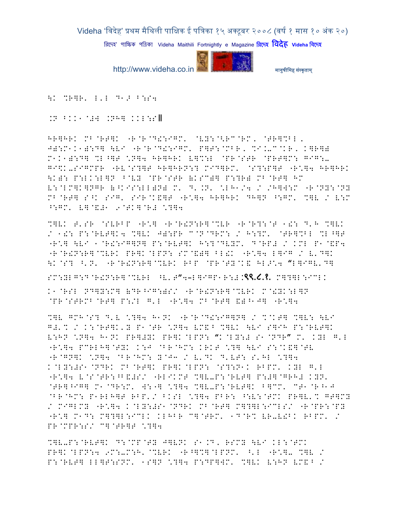িরেদহ' পািkক পিtকা Videha Maithili Fortnightly e Magazine িরেদহ िवदेह **Videha** িবেদহ



 $\mathbb{R}$   $\mathbb{R}$   $\mathbb{R}$   $\mathbb{R}$   $\mathbb{R}$   $\mathbb{R}$   $\mathbb{R}$   $\mathbb{R}$   $\mathbb{R}$   $\mathbb{R}$   $\mathbb{R}$   $\mathbb{R}$   $\mathbb{R}$   $\mathbb{R}$   $\mathbb{R}$   $\mathbb{R}$   $\mathbb{R}$   $\mathbb{R}$   $\mathbb{R}$   $\mathbb{R}$   $\mathbb{R}$   $\mathbb{R}$   $\mathbb{R}$   $\mathbb{R}$   $\mathbb{$ 

 $\mathbb{R}^n$  and  $\mathbb{R}^n$  . The  $\mathbb{R}^n$  such that

HRAHRI MB@RTAH MEMPARTANG MENGHAMMEN, MARANGEL J):M1K1):D] \VI "R@R@D!:IGM' P]T:@MBR, %I.-C@KR, K]R]) MNIK:BIYA METAR NIA PRAPRI EAMINE MARYIK MARRAMIN AMANY. GIRS SIGMPRE "RESTREE "REARDING" PRAADEL "TITERAPA" RENARD \K): P:LK:L]N ^@VY @PR@STR (KSC)] P:?R) MB@RT] HM V:@LM]K]NGR (^KIS:LL)N) M' D'.N' \*LH1/4 / /H]W:M "R@NY:@NY MB@RT\_SOK SYR\_SYR@KARTHRACHRART "R#P PHP", THE 2 GMT ^:GM' V]@&#1 9@TK]@R# \*?]4

 $N$ MED T'SR 2008 "RELEGIE" "REPORT "REPORT "REPORT "REPORT "REPORT "REPORT "REPORT "REPORT "REPORT " / 1!: P:@RVT]K4 %]VK J):PR C@N@DRM: / H:?M' @TR]%BL %L^]T  $\overline{1}$  (P)  $\overline{1}$  and  $\overline{1}$  is the control property of  $\overline{1}$  property  $\overline{1}$  . The control property of  $\overline{1}$  and  $\overline{1}$  and  $\overline{1}$  and  $\overline{1}$  and  $\overline{1}$  and  $\overline{1}$  and  $\overline{1}$  and  $\overline{1}$  and  $\over$  $R$  (RORECTIVE PROVIDED SMOKED FROM FROM 2 LITE \K@S? ^'N' "R@R!N:R]@%VRK RBP @PR@TY@K& HL>\*4 **"**L]IGV'D]

SM:YLG:D@R!N:R]@%VRL ^V'T**"**4**–**L]IGP1R:#.९९.८.१. M]?]L:ICLK

K1 ND PRESIDENT OR DRIVE AND A RESIDENCE ON A RESIDENCE MELTIC.  $\overline{AB}$  probablished  $\overline{B}$  (Pixel  $\overline{B}$  ,  $\overline{B}$  ). The linear  $\overline{B}$  and  $\overline{B}$  and  $\overline{B}$  is a set of  $\overline{B}$ 

 $N$  GMH  $N$  -star for  $N$  , and  $N$  independent in the star in  $N$  . Then  $N$  is the star in  $N$  is the star in  $N$  such that  $N$  is the star in  $N$  is the star in  $N$  is the star in  $N$  is the star in  $N$  is the star in AG, T: Z: C:A TRAND VON PHOTABH (NONHA) NOTED FOR THE POST PERMIT PICTURE AND TRANSPORT V:HN \*N]4 H1NK PR]#YK PR]K@LPN: **"**K@LY:# S1@NDR**"** M' KYL G'L "R\*]4 PCRLH]@TYK K:J @BR@HM: KRKT \*?] \VI S:@K&]@TV "R@GN]K \*N]4 @BR@HM: Y@J3 / V'DK D'VT: S'HL \*?]4 K@LY: START MARTING MARTING MENTION AT THE START WAS STANDARDED FOR A START WAS STARTED FOR A START WHO START "RAJAH" E SE SERES PERGEN "PE PONG TRE SPECIES SELEA "PSAA PPERG" ORD.  $\mathcal{M}$  and  $\mathcal{M}$  are  $\mathcal{M}$  . Then  $\mathcal{M}$  is a continuous proposition  $\mathcal{M}$  and  $\mathcal{M}$  and  $\mathcal{M}$  are  $\mathcal{M}$  and  $\mathcal{M}$  are  $\mathcal{M}$  and  $\mathcal{M}$  are  $\mathcal{M}$  and  $\mathcal{M}$  are  $\mathcal{M}$  and  $\mathcal{M}$  are @BR@HM: P1RLH]T RBP'/ BKSL \*?]4 PBR: ^:V:@TMK PR]V'% GT]MY / MIGLMY "R\*]4 K@LY:#S1@NDRK MB@RT] M]?]L:ICLS/ "R@PR:@PY  $R$  . The manufacture of the Mids and  $R$  is the  $R$  variable  $R$  of  $R$   $\mathbb{R}$   $\mathbb{R}$   $\mathbb{R}$   $\mathbb{R}$   $\mathbb{R}$   $\mathbb{R}$   $\mathbb{R}$   $\mathbb{R}$   $\mathbb{R}$   $\mathbb{R}$   $\mathbb{R}$   $\mathbb{R}$   $\mathbb{R}$   $\mathbb{R}$   $\mathbb{R}$   $\mathbb{R}$   $\mathbb{$ PRODUCED A CONSTRUCT OF A CHANNEL AND RESERVE A CHANNEL AND RESERVE A CHANNEL AND RESERVE A CHANNEL A CHANNEL A<br>A CHANNEL A CHANNEL A CHANNEL A CHANNEL A CHANNEL A CHANNEL A CHANNEL A CHANNEL A CHANNEL A CHANNEL A CHANNEL

%]V-P:@RVT]K D:@MP@TY J]VNK S1.D, RSMY \VI KL:@TMK PRAI MERIKA "RIKAMIKA" MILRI "YA PATA MERIK" "ROL "YA KATU "TAL" M P: PERR II RESPEC, 1SPP 1984 PSPPRAC, 1981 ESPP ECEPT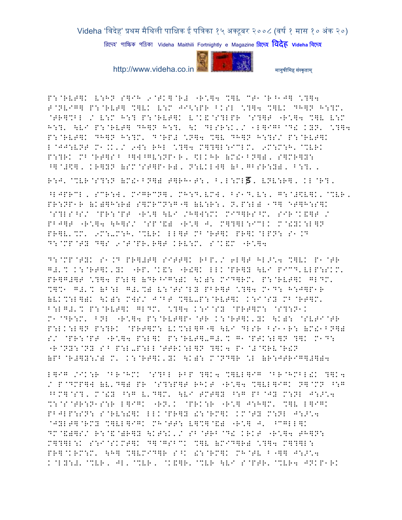িরেদহ' পািkক পিtকা Videha Maithili Fortnightly e Magazine িরেদহ िवदेह **Videha** িবেদহ



P: PEERRO K: ERR SPRIES GOEDRIK VEN SENRE "NRK" PEER PAR "NRRK" T@NVIG] P:@RVT] %]VK V:M JI<:PR BKSL \*?]4 %]VK DH]N H:?M' @TR]%BL / V:M H:? P:@RVT]K V@K&@S?LPR @S?]T "R\*]4 %]V V:M H:?' \VI P:@RVT] DH]N H:?' \K DLSR:K'/ 1L]IGB@D! KYN' \*?]4 P:@RWT\_PH: PH:: TH:: 1984 TH: PH: PH: PH:: P:@RW LOWMER TO MILY GAN RHE STRA TRIBENCTET, GTITCH, CHEM P:?RK MB@RT]S^ ^]W^GV:NP1R, \$LKHR (M!1BN]), S]MR]Y: ^]@#\$], KR]YN (SM@ST]P1R), N:VKLW] (B'GBSR:Y), B:?',

R:J, MERSTER BOZ-PRHE PHERIPS, P.ESCES, ERESPE, CE BT.

^LJPRCL, SCR:W, MIGRCN], MH:D'VMW, BS1D'V:, G:@#\$V]K'@%VR, PR:NPP: R) ACAMPINA (PMCRTPIM (M. ALIARI) (P. PILA) A TH: SPUPINENT  $\overline{\mathcal{S}}$  (PTP)  $\overline{\mathcal{S}}$  (PTP)  $\overline{\mathcal{S}}$  (PTP  $\overline{\mathcal{S}}$  )  $\overline{\mathcal{S}}$  (PTP)  $\overline{\mathcal{S}}$  (PTP) since the signal  $\overline{\mathcal{S}}$ PBJ]T "R\*]4 \H]S/ @SP@&) "R\*] J' M]?]L:ICLK M@!YK:L]N PRAELICUS SUNLUNAS VEERS EEAR UP NRAAD PRAELIEUN EN DR D:@MP@TY D]S 9@T@PR'R]T KRV:M' S@K&M "R\*]4

D:@MP@TYK S1.D PR]#T] SITT]K RBP'/ 6L]T HL>\*4 %]VK P1@TR G#10 K: N: NEPRO LOSO (PEPL) NI BN: "PERRO" E EN NEPRO PICO PICONO BE PNENNON. PRAGGAR TING PILA BIRKIMANI ALAI CHIGED, PILANGAR GLIC. %]%1 G#'% (B:L G#'%) V:@TS@LY PBR]T \*?]4 M1D: H:J]P1R (BAL)TH: MBE % AC BEW 7000 MPS & TOWALEN THAMPS (I) N-PORT THAMPS. F:LG#'#LONDMY P: PERSON WARE COMMON TO PERFECT OF THIS PRO M1@DR:M' BNL "R\*]4 P:@RVT]P1@TR K:@RT]K'YK \K): @SVTI@TR P:LIN P: RN P: P: P: P: P: P: P: P: P: C: C: P: P: P: L. D.C: (MINISTER BSINIPS) & P: RN BSINIPS DREEL S/ @PR:@PT "R\*]4 P:L]K P:@RVT]-G#'% G1@PTK:L]N ?]K M1D: "R@NY:@NY S^ P:L-P:LL@TTRK:L]N ?]K4 P1@#@\$RV@R!N (PB@R#]Y:/) M' K:@RT]K'YK \K): M@ND]R \*L (R:JTRIG]#])4

L]IG /IK:R @BR@HMK @S?BL RBP ?]K4 %]VL]IG @BR@HMBL!K ?]K4 / P@DMP]W (V'D]) PR @S?:P]T RHKT "R\*]4 %]VL]IGK N]@MN ^:G  $\beta$  PM (PS)  $\alpha$  (PS)  $\alpha$  (PS)  $\alpha$  (PS)  $\alpha$  and  $\alpha$  and  $\alpha$  and  $\alpha$  and  $\alpha$  and  $\alpha$  is the  $\alpha$ %%: MOTR:NIS: SOME "REPRODUCTION" (PORTINE "REPRODUCTION"); "REPRODUCTION" (PORTINE "REPRODUCTION"); "REPRODUC PBJLP:SN: S@RV:!]K LLK@PR]Y !:@RM]K KM@TY M:NL J:>\*4 @JYLT]@RMY %]VL]IGK MH@TT: V]%]@&) "R\*] J' ^CGLL]K DM MEASURE REPORTS READED IN THE TREATED TANKS AND ARREST **MARIK SERVICES SERVICES WIRE BUY THE STAR MARIES** PRA MIRMORI (ARA MARDINAR SOMIS BIGGRADA DA MA SAK A SAR SANANG K@LY:#'@%VR, JL'@%VR, @K&]R'@%VR \VI S@PTR'@%VR4 JNKP1RK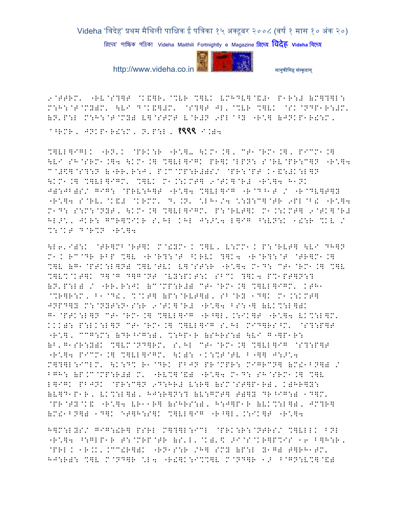িরেদহ' পািkক পিtকা Videha Maithili Fortnightly e Magazine িরেদহ िवदेह **Videha** িবেদহ



9@TTRM' "RV@S?]T @K&]R'@%VR %]VK VMHDV]@&#1 P1R:# (M]?]L: M:H:@T@MY)M' \VI D@K&]#M' @S?]T JL'@%VR %]VK @SK@NDP1R:#M' (NOR) IS NO PERSON'N COMMON DESCRIPTION OF THE REAL PROPERTY  $\Gamma$ 

**MARY: AND PERSONS INC. P. PARTY 1989 INC.** 

WHEERSHIP (RNIK MPRINE (RNH.), RITY OR NORTHOUR PICTURE OR \VI SH@SRM1.]4 \KM1.] %]VL]IGK PR]K@LPN: S@RV@PR:C]N "R\*]4 C@#\$]@S?:N ("RR'R:J, P.C@MP:R#)S/ @PR:@PT K1&:#K:L]N  $\Ket{W}$  , which we have the state of  $\Ket{W}$  and  $\Ket{W}$  and  $\Ket{W}$ JANA ANG AMBANG PROPINSI MATEMATIKAN SA PANGANG PANG ANG PANGANAKAN DI PANGANAKAN DI PANGANG DI PANGANG DI PAN "ANTH SORE, NEW OLEVY, "RICE, NEPHON NATION" DE SEL PE "RNAH" M1D: S:M:@NYT, \KM1.] %]VL]IGM' P:@RVT]K M1.:KMT] 9@TK]@R#  $H$   $\mathcal{F}$  ,  $\mathcal{F}$  ,  $\mathcal{F}$  is the first state  $\mathcal{F}$  ,  $\mathcal{F}$  is the contribution of  $\mathcal{F}$  ,  $\mathcal{F}$  and  $\mathcal{F}$  is the contribution of  $\mathcal{F}$  ,  $\mathcal{F}$  and  $\mathcal{F}$  and  $\mathcal{F}$  and  $\mathcal{F}$  and  $\mathcal{$  $T: T \times T \times T \times T$ 

 $\texttt{N}$ : K  $\texttt{N}$  at  $\texttt{N}$  ,  $\texttt{N}$  and  $\texttt{N}$  . We have  $\texttt{N}$  and  $\texttt{N}$  and  $\texttt{N}$  density  $\texttt{N}$  and  $\texttt{N}$  and  $\texttt{N}$  and  $\texttt{N}$  and  $\texttt{N}$  and  $\texttt{N}$  and  $\texttt{N}$  and  $\texttt{N}$  and  $\texttt{N}$ M1. RC@DR RBP %]V "R@R?:@T ^KRVK ?]K4 "R@R?:@T @TR]M1.] %]V (G1@PTK:L]N) %]V@TVK V]@ST:R "R\*]4 M1D: CT1@RM1.] %]V %]V%@KT]K D]@G D]G@NT @VY:PKT:K SBCK ?]K4 P%1PT]N:? (N'P:L) / "RR'R:JK (C@MP:R#) CT1@RM1.] %]VL]IGM' KTH1 @%R]R:M, B1@D!, %@KT] (P:@RVT]), SB@RY 1D]K M1.:KMT] JAPITAN DA MARANGAN YAN GUNUNGI ARI ANG ARAW BELONG ARI B) THE HIS THY THY CHOTHERM (BOH). INCORPORTIES IN THOSE KKAN): P:LK:LIN CHE MID STERN CHE MID STERN MID DISTRIBUTION  $R$  and  $R$  , contracts the property of the property  $R$  is equivalent (see Fig. ).  $B$  CONSTRUCTION CONTROLS (SOMETHERM) STATES  $W$  $\mathcal{A}$  PICM  $\mathcal{A}$  is the probability of  $\mathcal{A}$  , the probability  $\mathcal{A}$  is the probability  $\mathcal{A}$ M]?]L:ICLM' \K:D% R1@DRK PBJN PR@MPR: MIGRCN] (M!1BN]) / BGH: (P.C@MP:R#) M' "RV%]@&) "R\*]4 M1D: SH@SRM1.] %]V L]IGK PBJNK @PR:C]N 9D:HR# V:R] (SM@ST]P1R), K)HR]Y:  $BLRB39$  (P)  $B_0$  (R),  $C_0$  (V): Hd. (V)  $B_0$  and  $B_1$  the  $B_0$  droid  $B_1$  and  $B_0$  and  $B_1$   $B_0$  and  $B_1$  and  $B_0$  and  $B_1$  and  $B_0$  and  $B_1$  and  $B_0$  and  $B_1$  and  $B_0$  and  $B_1$  and  $B_0$  and  $B_1$  and @PR@TY@K& "R\*]4 VR11R] (SHRS:), H:J]P1R (VK%:L]), JM?R]  $M$ 1b $N$ ang) 1 $N$  in  $N$  ,  $N$  and  $N$  is the sum  $N$  -ratio  $N$  . In  $N$  ,  $N$  is the sum  $N$   $N$  in  $N$  ,  $N$  is the sum  $N$ 

H]M:LYS/ GIG:!R] PSRL M]?]L:ICL @PRK:R:@NTRS/ %]VLLK BNL  $H^1$  (Fig. ) of the state of the state of the second frequence  $\overline{X}$  ,  $\overline{X}$  and  $\overline{X}$ @PRL. 1R.K'.CC!R])K "RN1S:R /H] SMY (P:L Y1G) T]RH1TM' HJ:R): %]V M@ND]R \*L4 "R!]K:I%%]V M@ND]R 1> ^@GN:V%]@&)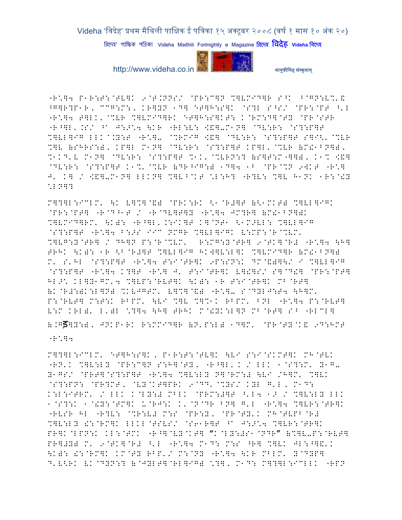িরেদহ' পািkক পিtকা Videha Maithili Fortnightly e Magazine িরেদহ िवदेह **Videha** িবেদহ



 $\mathcal{A}$  P1R: P1R: The LAIR: In All the Charles of the Paris of the Charles of the Paris of the Paris of the Paris of the Paris of the Paris of the Paris of the Paris of the Paris of the Paris of the Paris of the Paris of ^G]R?P1R, CCG:M:, KR]YN 1D] ET]H:S]K @S?L S^S/ @PR:@PT ^'L  $H$  The set of the state which is the controlled the state  $W$  or  $\mathbb{R}^n$  the state  $W$  $\mathcal{A}$  and  $\mathcal{B}$  is the symplectic control of  $\mathcal{B}$  . The symplectic control  $\mathcal{B}$  and  $\mathcal{B}$ **VALLARYA LLI VIDIG (BYAN, "VETYA (DRA)- "RIGEN (STIPPE FAR), "VLD** %]V (SHRS:), KP]L M1N] @DV:R: @S?:P]T KP]L'@%VR (M!1BN]),  $N_{\rm F}$  (s), e.g.  $T_{\rm F}$  ,  $T_{\rm F}$  the Si-Partial energy (s),  $T_{\rm F}$  (s),  $T_{\rm F}$  and  $T_{\rm F}$  and  $T_{\rm F}$  and  $T_{\rm F}$  are  $T_{\rm F}$ @DV:R: @S?:P]T K1%'@%VR (DR^IG:) 1D]4 1B @PR@%N 9WKT "R\*] J' K] / [&]-M1N] LLKN] %]V^@KT \*L:H? "R?V: %]V H1NK 1R:@!Y  $\mathcal{L}$ :  $\mathcal{L}$   $\mathcal{L}$ 

MARIA SYME MU (AD) EARNA MEIR (MERISARI) (A) MEIRAF (BA) MI (PA (MAELAYA) @PR:@PT] "R@D^1T / "R@DV]T]Y "R\*]4 JM?R] (M!1BN])K NAEDYMARED, "ALGIN" (ROAD), INYLAR (LA)DREK (K) DREE KOM KAR @S?:P]T "R\*]4 B:>S IIC NMGR %]VL]IGK V:MP:@R@%VM' %]VG:Y@TR] / DH]N P:@R@%VM' R:MG:Y@TR] 9@TK]@R# "R\*]4 \H] TRHK AS BACK BACK ARREST WHILE HAN AS AN INFORMATION AND A DIGHALL AND M. S.B: MYSTYPH (BND) 200 TREPL DESPEKT TO TRIPLE A NORTH  $\overline{1}$   $\overline{2}$   $\overline{1}$   $\overline{3}$   $\overline{4}$   $\overline{2}$   $\overline{4}$   $\overline{4}$   $\overline{2}$   $\overline{4}$   $\overline{2}$   $\overline{4}$   $\overline{2}$   $\overline{4}$   $\overline{2}$   $\overline{4}$   $\overline{4}$   $\overline{2}$   $\overline{4}$   $\overline{2}$   $\overline{4}$   $\overline{2}$   $\overline{4}$   $\overline{2}$   $\overline{$ HL>\* KL]Y1GM'4 %]VP:@RVT]K \K): 1R T:I@TR]K MB@RT] K: SHIGH HIGH SLAPAT, KRYPINA (AND, KSON-SAPA APOT P:PERBR DYRKI BRPD. ALK DRE DRUG DEFEL FRI "RYRK PYTHERR V:M KRL)' L')L \*?]4 \H] TRHK M@!YK:L]N MB@RT] S^ "RLCL] (.Gड़]Y:), JNKP1RK R:MMID]R (N'P:L) 1D]M' @PR@TY@K& 9D:HMT

 $R^2$ 

M]?]L:ICLM' ET]H:S]K, P1R:T:@TV]K \VI S:I@SKMT]K MH@TVK "RN'K "MINIS TRITUR PROGRES RULL" (1991) (1991) STR. YA REJO OTERR GOTSPRE (ARGRA (GRESEY) DROPSTSY ALA (JARD), GREG @S?:PN: @PR?MT, @VY@KT]PRK 9@DD'@%YS/ KYL G'L, M1D: K:L:ITRAMI / LEK KOMINE MERINDER AN ITROPICAL MARK AN ITELIES 1@S?:K 1@!Y:@TM]K U@RJ:K K'@N@DR BN] G'L "R\*]4 %]VR:@TR]K "RELER" RE" (RPSR "TORGEL" DGE "TORGEL" "PR'YES, D'OR TREP" TRE %]V:LY !:@RM]K LLKL@TSVS/ @S61R]T ^A J:>\*4 %]VR:@TR]K PR]K@LPN:K KL:@TMK "R^]@VY@KT] **"**K@LY:#S1@NDR**"** (%]V-P:@RVT] PRAGA M. 2001 MI 9A (R.E. 1951 M. M. M. MI DIE 1981) ALS PAR. I  $K$ : en an ibstall control bios, of strong  $K$  bios, and  $\mathcal{R}$  and  $\mathcal{R}$  and  $\mathcal{R}$ D'VEREN VER VORDEN TIJDE VAR DIG DE HIGDEL VLAND. DIG DE VORDINGEN DIE VERDINGEN IN DIG DIGITALE "RENDE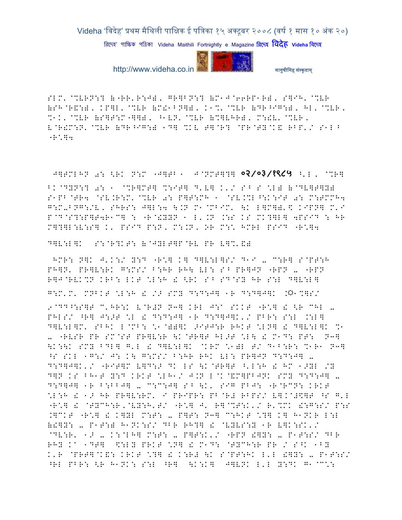িরেদহ' পািkক পিtকা Videha Maithili Fortnightly e Magazine িরেদহ िवदेह **Videha** িবেদহ



SLOW, MOLESTATE (BYFR), GRAHE, JAPAN STROWER, GRAHEN-REI, STAND, MOLE (SH@R&:), KP]L'@%VR (M!1BN]), K1%'@%VR (DR^IG:), HL'@%VR, %1K'M&& BPRPRTYRRE, P(ER, M&& BTREARE, MYEE, M&&, ME&)  $\mathbb E$  (because) the problemental of the section of the term of executive states and  $\mathbb E$  $\cdot$   $\vdots$   $\cdot$   $\cdot$   $\vdots$ 

JANDHIN O: CHAIRT OR THOMAS IN THE SAME OF THE TANK OF THE SAME OF THE SAME OF THE SAME OF THE RIGHT OF THE SA

BK@DYN:: 1 @NYAT\_0: 1 @WARDY: 1 @DV\_0: 1 @DV\_0: 1 @DV\_0: 1 @DV\_0: 1 @DV\_0: 1 @DV S1PB@TR4 @SV.R:M'@%VR 0: P]T:MH 1 @SV.%L^:K:IT 0: M:TMMH4 BYLEPHIL: PHRY ANIWERTY TETH AN INTHER NETH MY P@D@S?:P]T4R1C] : "R@!YYN 1 L'.N .:S KS MK?]L] 4PSID : HR MARAH SESIR (), PISIR PSA, MSID () SR MSN AMRE PISIR (ANNA)

D]V:L]K S:@R?KT: (@JYLT]P@RV PR V]%'&)

HMR: NEI HAINZ HNY HEAR IN MHENENEZ MAK & MNEN SMERN PHON PROGRESS WATER FAR RHANDED FROM SPRIN A SHIP RAFTERS TO LISE TO A SOCIAL SOME RESOLUTION OF STATE SERIES IN SODI

G:M'M' MORE THE LIST OF STATE THE REPORT OF DESCRIPTION OF THE LIST

9@DD^:S]T C'HR:K V@R#N N3] KRL J:A SKKT "R\*] ! <R CHL - PHLS/ ^R] J:>T \*L ! D:D:J] 1R D:D]J]K'/ PBR: S:L .:L] DARS BEK LATHE LOOP SUIS (1998). DIE BEKE LATIE SLOOP IS DARKS ALL DIE  $\mu$  (apace th study from the solution of the  $\mu$  th  $\mu$  is the  $\mu$  th  $\mu$  $K$  small contact for  $\kappa$  bolishes are the contact of the contact  $\kappa$  . The contact  $\kappa$  $\mathcal{F}(\mathcal{E}^{(1)},\mathcal{E}^{(2)},\mathcal{E}^{(3)},\mathcal{E}^{(4)},\mathcal{E}^{(5)},\mathcal{E}^{(6)},\mathcal{E}^{(7)},\mathcal{E}^{(8)},\mathcal{E}^{(8)},\mathcal{E}^{(9)},\mathcal{E}^{(8)},\mathcal{E}^{(9)},\mathcal{E}^{(9)},\mathcal{E}^{(9)},\mathcal{E}^{(9)},\mathcal{E}^{(9)},\mathcal{E}^{(9)},\mathcal{E}^{(9)},\mathcal{E}^{(9)},\mathcal{E}^{(9)},\mathcal{E}^{(9)},\mathcal{$ D:DB#B:.2 HP#BT BBD: DT BY BY HOP#BF F.BYH & HT +2HB 2B DAR DI KARA SI KORAT YEN KARKAT YEN BILI HIT YE KARA SHI DI SHI LA D:DAAR FR B:DAAR IN MININAR EE ALL ESP PRJP, HR NEMPI LRIE \*L:H ! 1> HR PR]V:RM' I PRIPR: PB@R# RBPS/ V].@#\$]T ^S G'L "RNE E "POTRAR."LORRE.F. "RNE A. BETORAL.. R.T. "BATHY." PAP .1971 # CHENR (K. 1938) (Para K. Para (PHR) Para (Napi 19) Angle (Phr) (BERO) A P1PSE RICIO TRE ERTR E TEDECIE I RICIO ( @DV:R' 1> - K:@LH] M:T: - P]T:K'/ "RPN !]Y: - P1T:S/ DBR RHY KA 1998 | KA 2008 PRKE ARITH A 2009 | METHAN PR / SAK 1998 K'R @PRFFIND IRIF NYA K'IGA: HI SOPAGN (E.E. 2426 & P.PG) ^RL PBR: <R H1NK: S:L ^R] \K:K] J]VNK L'L Y:DK G1@C\*: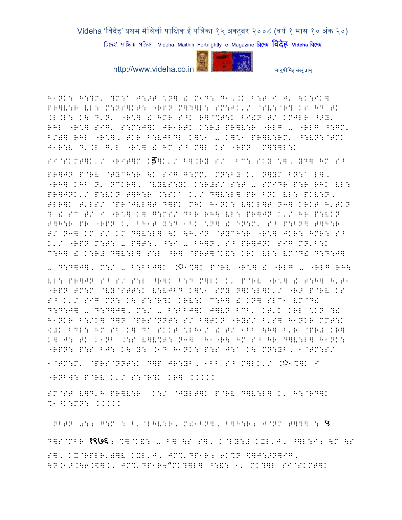িরেদহ' পািkক পিtকা Videha Maithili Fortnightly e Magazine িরেদহ िवदेह **Videha** িবেদহ



HORIS HILL THIS HILL STORE IN THE MOST FILM AND RESPON PR]V:R VL: M:NS]KT: "RPN M]?]L: SM:JK'/ @SV:@R? KS HD TK .L.L: LESS TO THE REAL STATE OF REPORT TO THE REAL PROPERTY OF THE REAL PROPERTY  $\mathcal{R}^{\mathcal{B}}$  . RHL "PRIN SYNN, SIGINANN" APPRAIS (1983) PRANING "PRIN (1998) PRANING FVBR BRE "RENRI BIB" FALRETE CRNK WOORNE BBREAKT. TALDA NEVI J1R:V D'.L G'L "R\*] ! HM S^ M]L KS "RPN M]?]L:K

SIM RITHE RITH RISK RISKS IN THE RITH CONTROL IN STRING TO A RIGHT AND STRING IN STRING IN STRING IN STRING IN

PRAGUE POR JOHN PROVINCE PROVINCE PORT AND A SIGNED ASSOCIATES.  $R$  . And the normal control state  $R$  is a stream position of  $S$ PRAPDLY PALLE PARAR (NELL'ILY PALMER PROPER BIN PLENE, THE PROJECT OF PHEORE RECORDED ON A POST BROEKER DHR. OF DE ALTO ? ! SC T/ I "R\*] K] G:MS/ DBR RH\ VL: PR]JN K'/ HR P:VKN FARE THE RPN KI BHIT ROOMS (20 BINDING FOR PARTIES TH SAME OF SAME OF THE REAL OF SAME OF SAME REAL ACTORS AND STANDARD AND SAME REAL DAMAGE.  $K$ ,  $F$  and  $F$  and  $F$   $\mathbb{R}$  . Then  $F$  is a proposition of  $F$  is a proposition of  $F$  and  $F$   $\mathbb{R}$  and  $F$ THAN & CHEA MALHIN FH: NAN THAN VER CH: KER KR VA MPRAN

- D:D]J], M:/ - B:BBJ]K .◌1%]K P@RV "R\*] ! "RLG - "RLG RH\

VL: PR]JN S^ S/ S:L ^R]K B:D M]LK K' P@RV "R\*] ! T:H] H'T1 "RPP" RDGD" (RB) MARGO KGRAFI KIROL (PDB) PROGER KOON ARP PORT DE SO KILL SO KOMA SIG SIG MANI SIG MANI SLOVE SLCCIA SLCCIA D:D:J] - D:D]J], M:/ - B:BBJ]K J]VN BCB' KT'K KRL \*KN ?! HH DI B:: KINKR B:: PRD = TOP BI DO DAN "RISPLIC" BI HENC' BI LIGHT "RYSPLIC" BY DO BYS [#K BDL: HM SB K] DA SKKT \*LH1/ ! T/ 1BB \H] B'R @PR# KR] TH AN BI I-MA .NE EALDEN MAAR AF AN EN AD MALNEA AFMIN "RPN: P:S BJ: K\ Y: .1D H1NK: P:S J:A K\ MN:YB, 1@TM:S/

10TM: MARSHIN MH:MANN: HIP PINNT: 2001  $R$  . Parties to participate the second second second second second second second second second second second s

SM ST V:R KING PRINSIP (1920) SHIRIK PARL PRINSIP (1994-1994) %1^K:MN: .....

NBTAD GEN BEN EN FLOTBEL NOVER DEL FRAGEN ACON BETH E 9 DER TO BY RRUGE: CHOIET WORKER REVOLUTIONS IN SALVE AN ART AR SA, KARRE, AND YANG ANG ANG ARAWAY KANG ANG ANG A \N.1>.\6.\$]., JM%'DP1R4**"**MK?]L] ^:&: 1' MK?]L SI@SKMT]K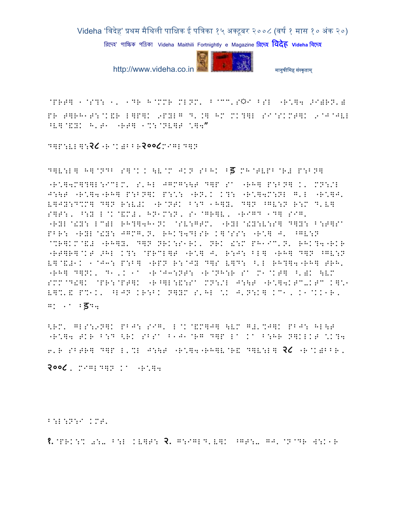িরেদহ' পািkক পিtকা Videha Maithili Fortnightly e Magazine িরেদহ िवदेह **Videha** িবেদহ



@PRT] 1@S?: 1' 1DR H@MMR MLNM' B@CC'S◌I BSL "R\*]4 >I)RN') PR PARAGENTER LAPAN SPYLG D. NE AP PITHE EGGENER STATALE ^V]@&YK H'T1 "RT] 1%:@NV]T \*]4**"**

 $P: \mathbb{R}^n \times \mathbb{R}^n$  . Doogle  $P: \mathbb{R}^n \times \mathbb{R}^n$  Range  $P: \mathbb{R}^n \times \mathbb{R}^n$ 

DHESE HIMP SHOO HEM AS SAN SBHK BEKEN BEFOR

"R\*]4M]?]L:ICLM' S'HL JGMG:\T D]P SA "RH] P:BN] K' MN:/L J:T "RACHER" P:PRI P:A: "RN'K (P:A: "RACHER" P:P "POLICICAL LCAL" RH?4H1NH DI "GLAPAC." "ROL GOGALAGE PADEA (SAPACI @%R]KM@&# "RH]Y' D]N NRK:S1RK' NRK !:M PH1IC'N' RHK?4"RKR "RT]R]@KT >HL K?: @PRCL]T "R\*] J' R:J: BL] "RH] D]N ^GV:N

 $\mathfrak{m}_1 \rightarrow \mathfrak{m}_2$  :  $\overline{\mathsf{g}} \mathfrak{m}_2$ 

B:L:N:

 $200$  $C_1$   $N=1$   $R_1 + R_2 + R_3 + R_4$ 

LAGENTOR PAR BNLE (REDR) PN PAR RED, PAR PRESENT BND PLLA SATES, PSO E MINORE, HP-MSP, SKINBER, "PRINT (PA PRISING) PBR: "RYL@!Y: JGMG'N' RHK?4DLSR K]@SS: "R\*] J' ^GV:N V]@&#1K 1@J3: P:B] "RPN R:@JY D]S V]D: ^'L RH?]4"RH] TRH' "RHANE" (PADIS) "DINK' DINA MEMPERANG "PAS MAHANE" RINT ON DINA MERING A BIDI A BIDI A BIDI A BIDI A BIDI A BI SMM PER CORPORATION REPORTS TO THE PRESS REPORT FOR THE SATISFIC EAST POST OF AN IRVIN MARY PLAY STOCK AND MINIME IN STRING TO A

 $R_{\rm H}$  , and the significant contract the significant contract  $\sim$ "R\*]4 TKR B:D <RK SBSA B1J1@RG D]P LA KA B:HR N]KLKT \*K?4

 $\mu$ , b) of edg. The longed vector edge of particles that  $\mathcal{R}$  vectors  $\mu$  and  $\mu$  ,

१. PRINT GIL KAL CERAN R. BNYBER.ER: (BRNG) BA. OPTE AND R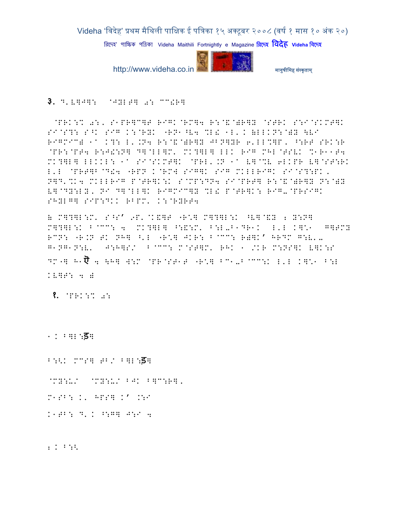িরেদহ' পািkক পিtকা Videha Maithili Fortnightly e Magazine িরেদহ िवदेह **Videha** িবেদহ



## 3. T. ENWHYL COMMISSION 25 TTERN

 @PRK:% 0:, S1PR]C]T RIGK@RM]4 R:@&@)R]Y @STRK S:I@SKMT]K SOMER SIG KOM INDER "RN"HA TER (E. LAHEITH'AN HE' ROBOCO 1A KRYBIC, LA KRYB DE L'ALLAN SPRING ALL'IST LO PER SRKIR @PR:@PT4 R:J!:N] D]@LL]M' MK?]L] LLK RIG MHL@TSVK %1R11T4 MACHER BELLEY AN SIMILITER. MEEL IS AN BRITE WELFF BRITENED L'E MPRAH MAR (RPN KMRTA SAHHL SAH MILLRAH, SAMMIN L N]D'%K4 MKLLRIG P@TR]K:K S@MP:DN4 SI@PRT] R:@&@)R]Y N:@)Y V]@DY:LY, NI D]@LL]K RIGMIC]Y %L! P@TR]K: RIG-@PRSIGK SHYLGING SHYLGING RADIO RELEASED AT A SHARAFA RADIO RELEASED AND A SHARAFA RADIO RELEASED AT A SHARAFA RADIO R

 $\mathbf{h}$  )  $\mathbf{r}$  (  $\mathbf{r}$  )  $\mathbf{r}$  (  $\mathbf{r}$  )  $\mathbf{r}$  ,  $\mathbf{r}$  is the  $\mathbf{r}$  -via  $\mathbf{r}$  is the  $\mathbf{r}$  subset of  $\mathbf{r}$  and  $\mathbf{r}$  is the  $\mathbf{r}$  subset of  $\mathbf{r}$  and  $\mathbf{r}$  is the  $\mathbf{r}$  subs MARINE MONTH ROOM OF THE BIG BELOW AND A LICENS CONTROL BY RCN: "R.N TK NH] ^'L "R\*] JKR: B@CC: R)]K**'** HRDM G:V'- G.9H.91E. (A1AQK) FOUR 27880. BMC (218 21980. EQCE) DM AT A Q 4 APR 45M OPENSE APSTITUE MONTH: ELECTRIC PSE **TEACH 4 4** 

 $\sum_{i=1}^{n}$ 

 $1.1.911359$ 

 $B: H \to H \to H \to H \to H \to \overline{S}H$ 

@MY:U/ @MY:U/ BJK B]C:R],

M1SB: K' HPS] K**'** .:I

K1TB: D'. O. 1944 (498)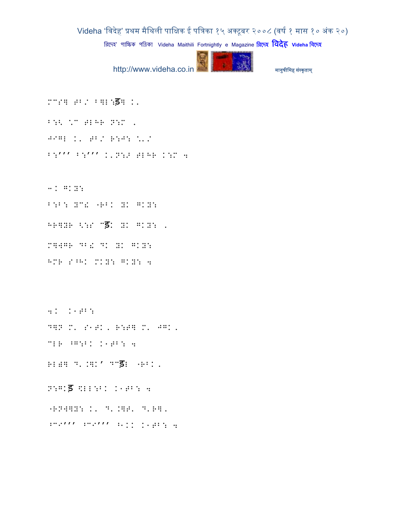িরেদহ' পািkক পিtকা Videha Maithili Fortnightly e Magazine িরেদহ िवदेह **Videha** িবেদহ



 $T^*T^*H$   $H^*T$  (Fig. 1854) (1. **B: C HERE N:M ,** JAVA: IL PEZ RYAY N.J B:**'''** B:**'''** K'N:> TLHR K:M 4  $3.1.91331$ B:B: YC YC YC BEY HRESH KAP TS: SI HIST. **MAGGE DE SERVESTER** HTR SAHK MKY: 41 HKY: 4 4. K1TB: NHR M. SHE, RENH M. HH.,

TER BERT CHAPTER

RL)] D'.]K**'** DCड़L "RBK,

N:GKड़ \$LL:BK K1TB: 4 "RNWERT (1999) NORTH DESIGN ^CI**'''** ^CI**'''** ^1KK K1TB: 4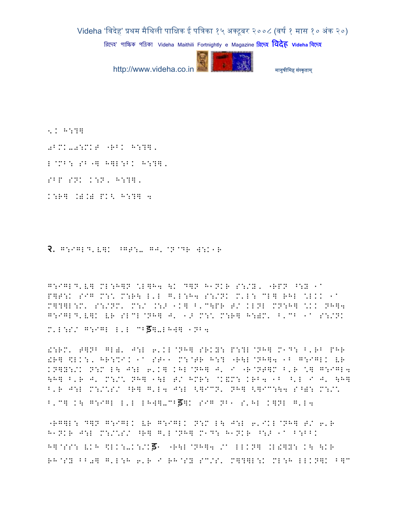"RG]L: D]N G:IGLK VR G:IGLK N:M L\ J:L 6'IKL@NH] T/ 6'R HACBER J:L MINKR J:L MENT MINER OF THE HACBER OF THE SAME AS A BEFO  $H$  and some  $K$  is the state  $\mathbb{R}^n$  . Then the contribution  $\mathbb{R}^n$  is the contribution of  $K$ RH SY BOARD BLESH RLE Y RHOSSE STORE CHINESE CHOME ELEMENT BIT

!:RM' T]NB GL)' J:L 6'KL@NH] SRKY: P:?L@NH] M1D: B'RB PHR !R] \$LK:, HR:%I. 1A ST11 M:@TR H:? "R\L@NH]4 1B G:IGLK VR KORBIST ORIT ER AIE BIJE TAI MAR AL A SAMART FIJE NE HIMARE  $\frac{1}{2}$  Berg (  $\frac{1}{2}$  ,  $\frac{1}{2}$  )  $\frac{1}{2}$  (  $\frac{1}{2}$   $\frac{1}{2}$   $\frac{1}{2}$   $\frac{1}{2}$   $\frac{1}{2}$   $\frac{1}{2}$   $\frac{1}{2}$   $\frac{1}{2}$   $\frac{1}{2}$   $\frac{1}{2}$   $\frac{1}{2}$   $\frac{1}{2}$   $\frac{1}{2}$   $\frac{1}{2}$   $\frac{1}{2}$   $\frac{1}{2}$   $\frac{1}{2}$  $E$  , by a term of the state  $\alpha$  and  $\alpha$  is a sequence of the state  $\alpha$  such that  $\alpha$ B'C'H CA: HYPH ELE ERAHLTESHL SPR BRY SLAE CHBE HIELA

MILITY SYSTEMS IN STRING COMMITTEE

B:PH:M.LA MI:HAY (FAH) A: MAR A(P:B PY)B. (BPN /1A (M PARI PAR TEL TERBOLI RICHA PICHI TICH MOROHO (ILI) AT MARRIE SIN: M' SING MARY SING TO SING THE MINIMUM OF THE MINIMUM OF THE TREATMENT OF THE TREATMENT OF THE TREA BY SUBSTITUTE OF STREET AND ASSESSED AND THE MINUTES OF A STREET AND ASSESSED AT A STREET AND ASSESSED AT A ST

२. G:PH:S.EED ORPIN GROUPS AND PLACE

K:R] .).) PK< H:?] 4

SBP SNK K:N, H:?],

L@MB: SB"] H]L:BK H:?],

0BMK-0:MKT "RBK H:????

5. H:19

http://www.videha.co.in



িরেদহ' পািkক পিtকা Videha Maithili Fortnightly e Magazine িরেদহ िवदेह **Videha** িবেদহ

Videha 'विदेह' प्रथम मैथिली पाक्षिक ई पत्रिका १५ अक्टूबर २००८ (वर्ष १ मास १० अंक २०)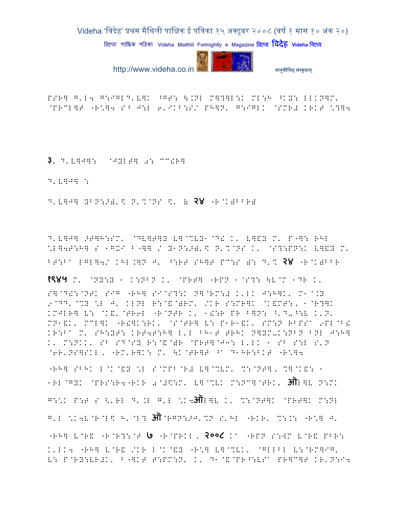িরেদহ' পািkক পিtকা Videha Maithili Fortnightly e Magazine িরেদহ िवदेह **Videha** িবেদহ



PSRA] G.IG. GSPA G.IGLO (GAT: S.DE) PATALON DISPO (MITH) LIN MINI @PRCL]T "R\*]4 S^ J:L 6'IKB:S/ PH]N' G:IGLK @SMR# KRKT \*?]4

**3.** W. LEWELT | MANIFER 21: CCLER

D.LHAH : N

D'IBN: D'ALBER A. TORT E. B 28 GROUPERE

D'V]J] >T]H:SM' @DV]T]Y V]@%VY1@D! K' V]&Y M' P"]: RHL \*L]4T:H] S 1GXI B"]] / Y1N:>)'\$ N'%@NS K' @S?:PN:K V]&Y M' BEST EMEMAY INFINE PC: PARE PROF PC: BY N.T 28 (BCEP)

 $8889$  M. THREE RIGHT I. THER REPORTED HEM RTH I. S]@D!:@NTK SIG "RH] SI@S?:K N]@RM:# K'LK J:H]K' M1@.Y 9@DD'@%Y \*L J' KLNL R:@&@)RM' /KR S:MR]K @K&MT:, 1@R?]K KOMBIR KY (MEL "PRAB" (PR DRAM KI 1 KYA 1981) PR BINI KI KALENE KI D MARIC, MMERI (PERISE), SMORER SA P(B)KI), PASA 9PLPSA 2PLM S KR:BA M' SH:YT: KRT4T:H] L'L BH1T TRHK N]YM-K:NBN BNL J:H] K' MONDER SON STRING BY RIGHT OF PRESIDENT LILK IN STRING SID MAR, DERECE , "AD, RRIG "D." AI MARRE "RY" RYPRAIDE "ANGRA"

 $R$  -php and to a set of a set of the set of the set of the value  $\sim$ 1RL MAC TERMARK RKR 0 MANN. CA MEL MYSTATRY WAS STRUCK G:t P:P S KIN MICH WI WI SAN HE L MY MAHI MPAHI MYN GOL TO ALSETED AT THE SUMMONS OF YOUR SERVER WITH THE SERVE AT  $\mathcal{P}(\mathbb{R}^{n},\mathbb{R}^{n})$  וּי מִי מִי מִ $\mathbb{R}^{n}$  (  $\mathbb{R}^{n}$  )  $\mathbb{R}^{n}$  (  $\mathbb{R}^{n}$  )  $\mathbb{R}^{n}$  (  $\mathbb{R}^{n}$  )  $\mathbb{R}^{n}$  (  $\mathbb{R}^{n}$  )  $\mathbb{R}^{n}$  (  $\mathbb{R}^{n}$  )  $\mathbb{R}^{n}$  (  $\mathbb{R}^{n}$  )  $\mathbb{R}^{n}$ K.HIG "RHR L'RE ZIR L'IMA "RIR LR'TEL, "PHIFF EN RIPR". V: P@RY:VR#K' B"]KT T:PM:N' K' D1@&@PR^:VSA PR]C]T KR'N:I4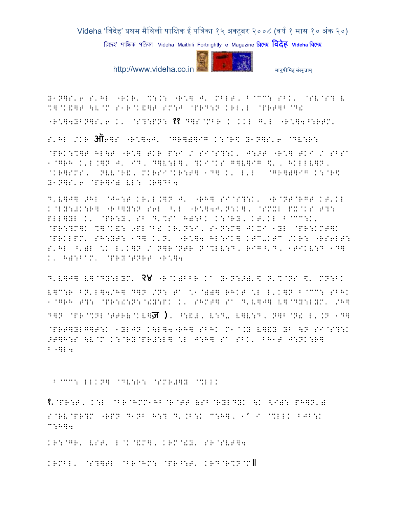িরেদহ' পািkক পিtকা Videha Maithili Fortnightly e Magazine িরেদহ िवदेह **Videha** িবেদহ



Y1N]S'6 S'HL "RKR' %:.: "R\*] J' MBLT, B@CC: SBK' @SV@S? V %]@K&]T \V@M S1R@K&]T SM:J @PRD:N KRL'L @PRT]B@D!  $R$  . The state of the state of  $R$  and the state of  $R$  and  $R$  . The state  $R$ S. RE 218 MIRS "RYSAN, "PRSARY" IN TRUSS AND TRINKS @PRK:%]T HL\T "R\*] TKR P:I / SI@S?:K' J:>T "R\*] TKI / SBSA 10GRH KILLIN JAL 199, PHENIN, NIID, PHENIP K., HILLEN, @KR]SMS, NVV@R&, MKRSI@KR:T] 1D] K' L'L @GR])]IG K:@R\$ **WORLD'S CONSTRAINS CONSTRAINT** 

D.LARA DAL MASE CELIMA AL ARA SIMILI APORTE RARI CELLI K:REGIN: NER "PERSER" "PER "PERSON SAL PARTIEL" "PODGE" POLITIP "PRIN PLLAWE (A) MORE SA HOW, SANDY (A MORE CALLE BOUNDER @PR:?M]K %]@K&: 9PL@B! KR'N:I, S1N:M] JKXI 1YL @PR:KMT]K @PRKLPM' SH:YT: 1D] K'N' "R\*]4 HL:IK] KTC-KTC /KR: "RS6LT: S. RECOVERED AND REPORTED BY THE NEW LOCKS REPORT OF A RECOVERED AND REPORTED A REPORT OF THE NEW LOCKS OF DISCOVERED AND RELEASED AND REPORTED A REPORT OF A REPORT OF THE STANDARD OF DISCOVERY AND RELEASED AS A REPORT OF K' H:BAM' MARY "READ" (PARTY

 $D$ , LARREN BRITANIC 28 (RESTRICT BRITANIC \$) NO THE KA YIMAGE V]C:R BN'L]4/H] D]N /N: TA \*1@))] RHKT \*L L'K]N B@CC: SBHK 1@GRH T?: @PR:!:N:@!Y:PK K' SHMT] SA D'V]J] V]@DY:LYM' /H] D]N @PR@%NL@TTR(@KV]ज़ ), ^:&#, V:D- V]V:D, N]B@N! L'.N 1D] @PRT]YLG]T:K 1YLJN K\L]4"RH] SBHK M1@.Y V]&Y YB \N SI@S?:K >T]H:S \V@M K:@RY@PR#:L] \*L J:H] SA SBK' BH1T J:NK:R]  $\ldots$ 

B@CC: LLKN] @DV:R: LLKN] @DV:R: LLKN] @DV:R: LLKN] @DV:R: LLKN] @DV:R: LLKN] @DV:R: LLKN] @@

१. TER:F, K:L @BR@HMMINHB@R@TE@BR@TTEREDYK \K @RTT (SB@RYLDY S@RV@PR?M "RPN D1NB H:? D'.B:K C:H], 1**'** I @%LLK BJB:K  $m_1, m_2,$ 

KR:@GR' VST' LOCK OF LAND VAN STEED

KRMBL' @S?]TL @BR@HM: @PR^:T' KRD@R%N@M॥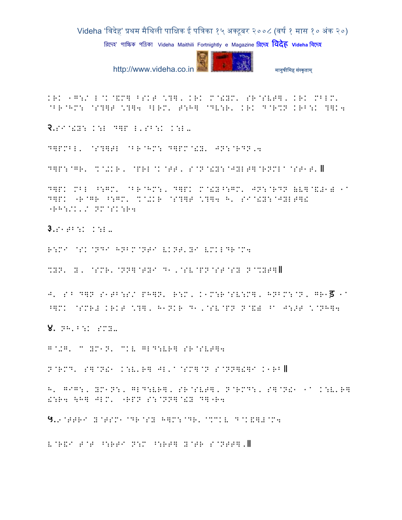িরেদহ' পািkক পিtকা Videha Maithili Fortnightly e Magazine িরেদহ िवदेह **Videha** িবেদহ



KRK 1G:// LOGINE FRANCH SRADING TO BE THE MAIN SALES OF STANDARD SALES OF STANDARD SALES OF SPACE OF SPACE OF S @BR@HM: @S?]T \*?]4 ^LRM' T:H] @DV:R' KRK D@R%N KRB:K ?]K4

२.SI@!Y: K:L D]P L'SB:K K:L-

DEPTEL MOTHER OFFICATE PHITMER APENDENCE

DARE STARL (ON THE KRIST STARRING CONDITIONS THREE SANDWAYS TO START BY  $\parallel$ 

DARD (DR) PARD, OR BORDA (ORRE DOMERSKR), APA MPK BEAUTER (V) DARI "ROGR PER "COLE STAR SAR " SIME " SIME SAR "RH:/K'/ NM@SK:R4

३.S1TB:K K:L-

RSTA MI MIYA ARET TAK BIRA DA BITI YA TA

%YN' Y, @SMR'@NN]@TYI D1,@SV@PN@ST@SY N@%YT]॥

J' S' PHILE SHE SEN BHER, AST , CHINA SINGE, HRING 1B, GRH  $\overline{\mathbf{S}}$  in  $M$  MK  $M$  and  $M$  and  $M$  and  $M$  is the proposition of  $\mathbb{R}^n$  . The social field of  $M$  is the proposition of  $M$ 

४. **PH. PREMIEST SMY-**

GOGA C YML CHOD GRAD SRAWD:

N@RMD' S]@N!1 K:V'R] JL'A@SM]@N S@NN]!]I K1RB॥

H, GROBY, YMORYCK, BETHERBY, YR NEBBY, SAMPONY, YBANO (11.14.188 !:R4 \H] JLM' "RPN S:@NN]@!Y D]"R4

५.9@TTRI Y@TSM1@DR@SY H]M:@DR'@%CKV D@K&]#@M4

V@R&I T@T ^:RTI N:M ^:RT] Y@TR S@NTT],॥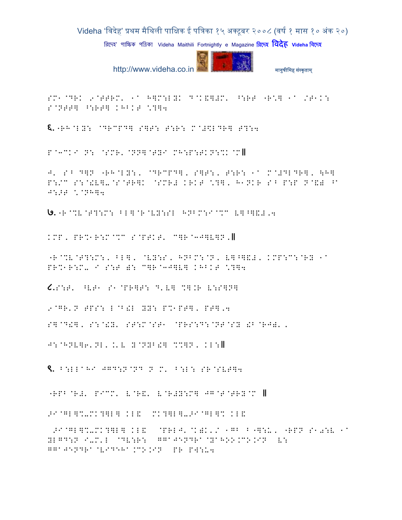িরেদহ' পািkক পিtকা Videha Maithili Fortnightly e Magazine িরেদহ िवदेह **Videha** িবেদহ



SM1@DRK 9@TTRM: 1A HIM:LYK DOWNER 1A HIM: 1A 1A /T1K: S@NTT] ^:RT] KHBKT \*?]4

 $\mathbf{g}$ . And the control state and the problems of  $\mathbf{g}$ 

P@3CKI N: @SMR'@NN]@TYI MH:P:TKN:%K@M॥

J', SO PHY GATES, MATTH, SHE, FHA MOTHOLHE, ARE P:/T S: MER. M MHR | MINE (P:P NHK, H-P:P S P:P P:P P:R | P J:>T \*@NH]4

 $\bigcup_{i=1}^n A_i: \bigcap_{i=1}^n A_i: \bigcap_{i=1}^n A_i: \bigcap_{i=1}^n A_i: \bigcap_{i=1}^n A_i: \bigcap_{i=1}^n A_i: \bigcap_{i=1}^n A_i: \bigcap_{i=1}^n A_i: \bigcap_{i=1}^n A_i: \bigcap_{i=1}^n A_i: \bigcap_{i=1}^n A_i: \bigcap_{i=1}^n A_i: \bigcap_{i=1}^n A_i: \bigcap_{i=1}^n A_i: \bigcap_{i=1}^n A_i: \bigcap_{i=1}^n A_i: \bigcap_{i=1}^n A_i$ 

KMP, PRS(PR)TS KOREG, MH S44H193.

"RA MOE MATENCE", "FERI, "MESER", ACRICE MA VAILABLES, CONSTRUCTES (AM PR%1R:M- I S:T ): C]R@3J]V] KHBKT \*?]4

C.Phe. Shiel Sicheren M.LA MAIR Lhoada

9@GR'N TPS: L@B!L YY: P%1PT], PT],4

 $\frac{1}{2}$  SIMILAR (SIMILAR ), S:@NT@ST1 @RJ), S:@NT@SY ISON (SIMILAR ), S:@NT@SY ISON (SIMILAR ), S:@NT@SY ISON (SIMILAR)

J:@HNV]6'NL'.'V Y@NYB!] %%]N, KL:॥

S. B:LLAHI JOHN:N N MOND N MY B:L: SR SVT

"RPB@R#' PICM' V@R&' V@R#Y:M] JG@T@TRY@M ॥

>I@GL]%-MK?]L] KL& MK?]L]->I@GL]% KL&

 >I@GL]%-MK?]L] KL& @PRLJ'@K)K'/ 1GB B"]:U, "RPN S10:V 1A YLGD:N I-M'L @DV:R: GGAJENDRA@YAHOO.CO.IN V: GGALENDRAM CO.IN PROPERTY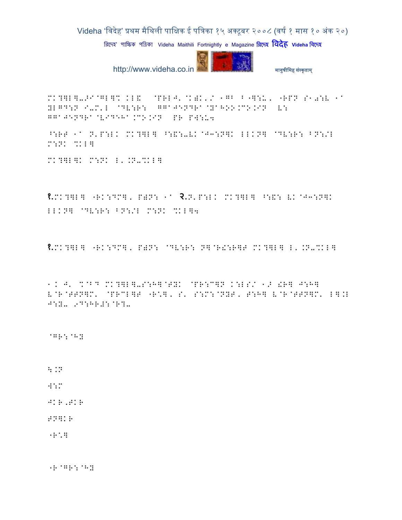িরেদহ' পািkক পিtকা Videha Maithili Fortnightly e Magazine িরেদহ िवदेह **Videha** িবেদহ



MK?)PRE RULA PORTER ROOM (TO TE BELA) IN DIE LIJ-DOPPORTE STANDARD SIND GESCHELD SIND O YLGD:N I-M'L @DV:R: GGAJENDRA@YAHOO.CO.IN V: GGAJENDRA DRAMA DIPLINE PROVINCE

^:RT 1A N'P:LK MK?]L] ^:&:-VK@J3:N]K LLKN] @DV:R: BN:/L **MAN:** W: NH

MONDER MANAGEMENT

 $8.01$  THE RESPECTED FERRY  $\leq$   $8.31$ , FMEC MITHER (PER EL 14-429) LLKN] @DV:R: BN:/L M:NK %KL]4

8.MK?HI "RESTANCE "RESTANCE "PROBLEME MATHER IS NAMED IT

1. J' %@BD MK?]L]-S:H]@TYK @PR:C]N K:LS/ 1> !R] J:H] ROTHCHATT, STEPHEN GEVEL IN INTENTATION FINE ROTHCHET. FRIE J:Y- 9D:HR#:@R?-

@GR:@HY

 $\ddot{\mathbf{h}}$  :  $\ddot{\mathbf{h}}$ 

W:M

JKR,TKR

**BURGE** 

 $R$   $R$   $R$   $R$   $R$ 

 $R$  and  $R$  and  $R$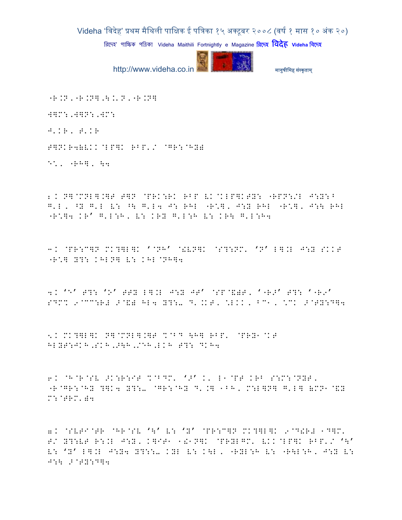িরেদহ' পািkক পিtকা Videha Maithili Fortnightly e Magazine িরেদহ िवदेह **Videha** িবেদহ



"R.N,"R.N],\.'N,"R.N]

W]M:,W]N:,WM:

J'KR, T'KR

THE REAL PROPERTY AND POSSESSED AND REAL PROPERTY.

 $E_{\rm tot}$  . Then  $\Omega_{\rm tot}$ 

2. N]@MNL]. THE REPORT OF THE REPORT OF THE REPORT OF THE PARTY OF THE PARTY OF THE THE VEH  $\mathcal{F}_1$ G'L, 'L' VII, R'L, ELA J'UEL, ELA J'UEL, AFLIE, J'UEL, AFLIE, J'UEL, J'UEL, AFELIERE "R\*]4 KR**'** G'L:H, V: KRY G'L:H V: KR\ G'L:H4

3. @PR:C]N MK?]L]K **'**@NH**'** @!VN]K @S?:NM' **'**N**'** L].L J:Y SKKT "R\*] Y?: KHLN] V: KHL@NH]4

4. **'**E**'** T?: **'**O**'** TTY L].L J:Y JT**'** @SP@&)T, **'**"R>**'** T?: **'**"R9**'** SDM% 9@CC:R# >@&) HL4 Y?:- D'.KT, \*LKK, BC1, \*CK >@TY:D]4

5. MK?]L]K N]@MNL].]T %@BD \H] RBP' @PRY1@KT HISH:LINGH,SKH,SKH,SH,

6. @H@R@SV >K:R:IT %@BDM' **'**>**'** K' L1@PT KRB S:M:@NYT,  $R$  )  $R$  : (18  $R$  )  $R$  . The statistic property of  $R$  is the contribution of  $R$  and  $R$  (MN1 $R$  )  $R$  (MN1 $R$  )  $R$  )  $R$  (MN1 $R$  )  $R$  (MN1 $R$  )  $R$  (MN1 $R$  )  $R$  (MN1 $R$  )  $R$  (MN1 $R$  )  $R$  (MN1 $R$  )  $R$  (MN1 $R$  ) M:@TRM')4

7. @SVTI@TR @HR@SV **'**\**'** V: **'**Y**'** @PR:C]N MK?]L]K 9@D!R# 1D]M' T/ Y?:VT R:.L J:Y, K]IT1 1!1N]K @PRYLGM' VKK@LP]K RBP'/ **'**\**'** V: **'**Y**'** L].L J:Y4 Y?::- KYL V: K\L, "RYL:H V: "R\L:H, J:Y V: J:\ >@TY:D]4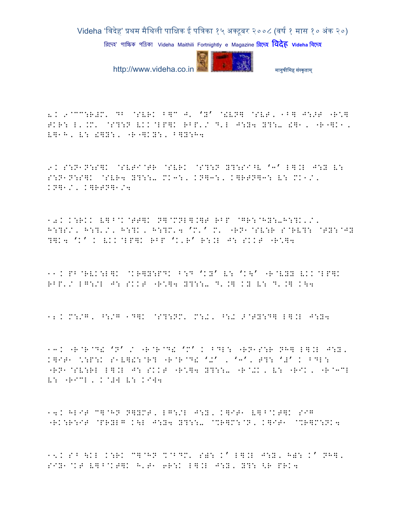িরেদহ' পািkক পিtকা Videha Maithili Fortnightly e Magazine িরেদহ िवदेह **Videha** িবেদহ



8. 9@CC:R#M' DB @SVRK B]C J' **'**Y**'** @!VN] @SVT, 1B] J:>T "R\*] TKR: L'.M' @S?:N VKK@LP]K RBP'/ D'L J:Y4 Y?:- !]1, "R"]K1, ER(B) EN ERRY, (B)HIRY, (RRIGG)

9. S:N1N:S]K @SVTI@TR @SVRK @S?:N Y?:SI^V **'**3**'** L].L J:Y V: SSOR(STRAN) STEER ON STATE (1984), CORPORATIES CIVIL KN]1/, K]RTN]1/4

10. K:RKK V]^@K@TT]K N]@MNL].]T RBP @GR:@HY:-H:?K'/, H:?S/, H:?'/, H:?K, H:?M'4 **'**M'**'** M' "RN1@SV:R S@RV?: @TY:@JY ?]K4 **'**K**'** K VKK@LP]K RBP **'**K'R**'** R:.L J: SKKT "R\*]4

11. PB@RVK:L]K @KR]Y:PDK B:D **'**KY**'** V: **'**K\**'** "R@VYY VKK@LP]K RBP'/ LG:/L J: SKKT "R\*]4 Y?::- D'.] KY V: D'.] K\4

12. M:/G, ^:/G 1D]K @S?:NM' M:+, ^:+ >@TY:D] L].L J:Y4

13. "R@R@D! **'**N**'** / "R@R@D! **'**M**'** K BDL: "RN1S:R NH] L].L J:Y, K]IT1 \*:P:K S1V]!:@R? "R@R@D! **'**+**'** , **'**3**'**, T?: **'**#**'** K BDL: "REP" MELGEL LEHIM (PS RICH) (BSH) BESH, "ROSS (ROCL) LG (ROCL) (ROCHT)  $\mathbb{R}^n$  -RICL, Kamada Waxaa Wadanka Wadanka Wadanka Wadanka Wadanka Wadanka Wadanka Wadanka Wadanka Wadanka

14. HLIT CHIT CHILL CHILL CHILL CHITICH SIGNER "ROSERCH" THE POSS PORT WERE CONSIDERED WERE CONSIDERED

15. S^ \KL K:RK C]@HN %@BDM' S): K**'** L].L J:Y, H): K**'** NH], SIYOK VI ACHER VI ARD CHU ALAK LA ARI CHRI HA MAT CONTROLL DI PROVA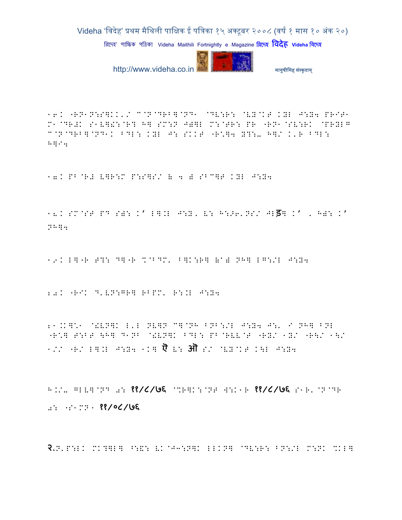িরেদহ' পািkক পিtকা Videha Maithili Fortnightly e Magazine িরেদহ िवदेह **Videha** িবেদহ



16. "RN1N:S]KK'/ C@N@DRB]@ND1 @DV:R: @VY@KT KYL J:Y4 PRIT1 M1@DR#K S1V]!:@R? H] SM:N J)]L M:@TR: PR "RN1@SV:RK @PRYLG CONDITIONS OF REAL CONDITIONS OF STATES AND ARRESTS OF REAL  $H$ i $H$ i $H$ 

TH PROBA VALUE PICARD ( 4 ) SBC PROBACT CONTROL SAFETY

18. SM@ST PD S): K**'** L].L J:Y, V: H:>6'NS/ JLड़] K**'** , H): K**'**  $\mathfrak{B}$  is  $\mathfrak{H}_{\mathfrak{M}}$  .

19. L]"R T?: D]"R %@BDM' B]K:R] (A) NH] LG:/L J:Y4

20. "RIK D'VN:GR] RBPM' R:.L J:Y4

21.K]\*1 @!VN]K L'L NV]N C]@NH BNB:/L J:Y4 J:' I NH] BNL  $P:$  T:BT  $P:$  T:BT  $P:$  T:BT  $P:$  F:BT  $P:$  T:BT  $P:$  T:BT  $P:$  T:BT  $P:$  T:BT  $P:$  T:BT  $P:$  T:BT  $P:$  T:BT  $P:$  T:BT  $P:$  T:BT  $P:$  T:BT  $P:$  T:BT  $P:$  T:BT  $P:$  T:BT  $P:$  T:BT  $P:$  T:BT  $P:$  T:BT  $P:$  T:BT  $P:$  T:BT $P:$  $1/7/$  (R/ L4.1 ) and (1.1  $\overline{\mathfrak{d}}$  by  $\overline{\mathfrak{d}}$  ). The matrix of  $\overline{\mathfrak{d}}$  and

H./- GLV]@ND 0: ११/८/७६ @%R]K:@NT W:K1R ११/८/७६ S1R'@N@DR  $\therefore$   $\therefore$   $\therefore$   $\therefore$   $\therefore$   $\aleph$  /  $\aleph$  /  $\aleph$ 

२.२. FH: CYMBER (80: LEYA-128: EE128 (90:86 F21: CH2: CHE)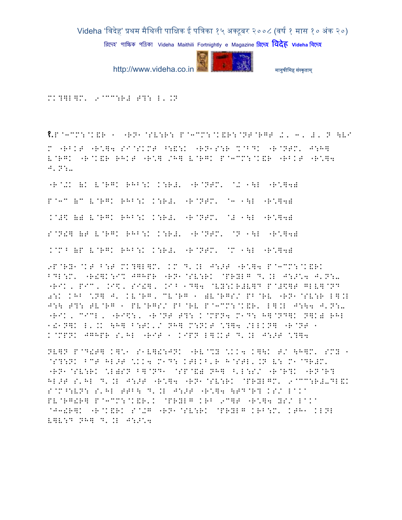িরেদহ' পািkক পিtকা Videha Maithili Fortnightly e Magazine িরেদহ िवदेह **Videha** িবেদহ



MARRIAGNE PRODUCED AND ARREST AND A THE PARTIES OF A THE PARTIES OF A THE PARTIES OF A THE PARTIES OF A THE PA<br>And A TIME PARTIES OF A THE PARTIES OF A THE PARTIES OF A THE PARTIES OF A THE PARTIES OF A THE PARTIES OF A T

१.P@3CM:@K&R 1 "RN1@SV:R: P@3CM:@K&R:@NT@RGT +, 3, #, N \VI M "RBKT "R\*JER" POSTE "POSTE "RDKT" RDK "RONDER" (POSTE "RONDER" I BYRAC "ROKER RHKE" (RANGK RYRANGK POSTER "RESERVARIA"  $J:U:U:U$ 

"R@+K (K V@RGK RHB:K K:R#' "R@NTM' @+ 1\L "R\*]4) POST RT ROBER RHB: KIRA, SROBER, OS 341 SROBER . CAN CHE () ARE RECORDED FOR THE SAME  $\sim$  100  $\sim$  800  $\mu$  m  $\sim$  100  $\mu$ S@N!] (T V@RGK RHB:K K:R#' "R@NTM' @N 1\L "R\*]4) .@M^ (P V@RGK RHB:K K:R#' "R@NTM' @M 1\L "R\*]4)

9P@RY1@KT B:T MK?]L]M' KM D'.L J:>T "R\*]4 P@3CM:@K&RK BORINIC: M' "RESPECTED" "PARTIES" (PARTIES D'. D'.L D'.L D'.L JI: 1945) ANN AN DIRECT "RIK, PIC, .I\$, SI!], .I^ 1D]4 @VY:KR#V]D P@#\$]T GLV]@ND  $0.500$  of PP  $\sim$  NPB (PD)  $\sim$  CV (PD)  $\sim$  The PP  $\sim$  (PD)  $\sim$  PD (PD)  $\sim$  PD (PD)  $\sim$  Lemma  $\sim$ J:\ T?: TV@RG 1 PV@RGS/ PB@RV P@3CM:@K&R' L].L J:\4 J'N:- "RIK, CICL, "RI\$:, "R@NT T?: K@MPN4 M1D: H]@ND]K N]K) RHL 1!1N]K L'.K \H] B:TK'/ NH] M:NKT \*?]4 /LLKN] "R@NT 1 K MPROV (ARREN SYLPE) (ARREN SYLVED) ER DIE 17 AU 1810 ANDER NIERE

NAND PORCHE CHIN SYARARD (PHAONE IOLA CHAI GUN APHIL SOR Y @S?:NK BCT HL>T \*KK4 M1D: KTLKB'R H@STL'.N V: M1@DR#M'  $R$  (RN10  $R$  )  $R$  and  $R$  is the state of the second particle  $R$  . The second  $R$ HEVEL BLORE ON, DE CHRIJE CHROBEL "PER OPENED" OPPIBERD, CV:RMONEBLIGHED, SMO: PALPA S'AHL SEP ROMA DE CRAZE (GENER REMARE LSO) EN LA PROPERE POSTO MERIC OPPHER DE VER APRILS KRAB BEZ END @J3!R]K "R@K&RK S@+G "RN1@SV:RK @PRYLG KRB:M' KTH1 KLNL V]V:D NH] D'.L J:>\*4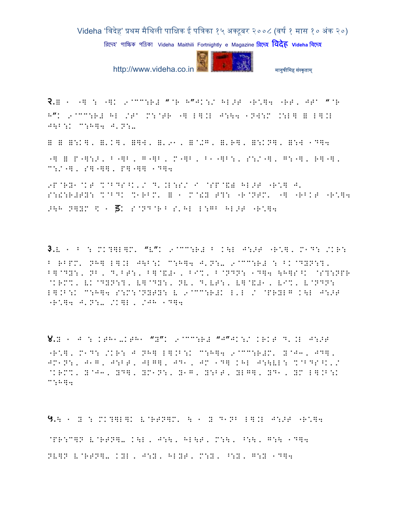িরেদহ' পািkক পিtকা Videha Maithili Fortnightly e Magazine িরেদহ िवदेह **Videha** িবেদহ



२.= 1 "] : "]K 9@CC:R# **"**@R H**"**JK:/ HL>T "R\*]4 "RT, JTA **"**@R H**"**K 9@CC:R# HL /TA M:@TR "] L].L J:\4 1NW:M .:L] = L].L J\B:K C:H;H;H;H;H;H;

 $\equiv$   $\equiv$   $\equiv$   $\cdots$   $\equiv$   $\equiv$   $\cdots$  .  $\equiv$   $\cdots$   $\equiv$   $\cdots$   $\equiv$   $\cdots$   $\equiv$   $\cdots$   $\equiv$   $\cdots$   $\equiv$   $\cdots$   $\equiv$   $\cdots$   $\equiv$   $\cdots$   $\equiv$   $\cdots$   $\equiv$   $\cdots$   $\equiv$   $\cdots$   $\equiv$   $\cdots$   $\equiv$   $\cdots$   $\equiv$   $\cdots$   $\equiv$   $\cdots$   $\equiv$   $\cdots$   $\equiv$ 

 $\sim$  B)  $\pm$  P $\sim$  BP,  $\pm$   $\sim$  BP,  $\pm$  B  $\sim$  BP,  $\sim$  PT,  $\sim$  BP,  $\sim$  BP,  $\sim$  BP,  $\sim$  BP,  $\sim$  BP,  $\sim$  BP,  $\sim$  BP,  $\sim$ C:/"], S]"]], P]"]] 1D]4

9P@RY1@KT %@BDS^K'/ D'.L:S/ I @SP@&) HL>T "R\*] J' STECHARD SOME WORKER & TORE ROW HORIZON HOMES HORIZON  $\mathcal{P}(\mathbb{H}^n)$  , where  $\mathcal{P}(\mathbb{H}^n)$  is the state  $\mathcal{P}(\mathbb{H}^n)$  . The state  $\mathcal{P}(\mathbb{H}^n)$ 

३.V 1 B : MK?]L]M' **"**V**"**K 9@CC:R# B K\L J:>T "R\*], M1D: /KR: B RBPM, NHB ESI ARBI MASS A.N. 2001 E.B.K PINNIS B]@DY:, NB, D'BT:, B]@&#1, BI%, B@NDN: 1D]4 \H]S^K @S?:NPR @KRM%, VK@DYN:?, V]@DY:, NV, D'VT:, V]@&#1, VI%, V@NDN: LASTE COMPARE PERSONALE CONTRACTICLY CONTRACTORS AND "R\*]4 J'N:- /K]L, /JH 1D]4

४.Y 1 J : KTH1-KTH1 **"**Y**"**K 9@CC:R# **"**J**"**JK:/ KRKT D'.L J:>T  $R$  , and the control of the set of the set of the manufacture of the set of the  $\Gamma$  $\mathcal{A}(\mathcal{D})$  ,  $\mathcal{B}(\mathcal{D})$  ,  $\mathcal{B}(\mathcal{D})$  ,  $\mathcal{B}(\mathcal{D})$  and  $\mathcal{D}(\mathcal{D})$  and  $\mathcal{D}(\mathcal{D})$  and  $\mathcal{D}(\mathcal{D})$  ,  $\mathcal{D}(\mathcal{D})$ @KRM%, Y@J3, YD], YM1N:, Y1G, Y:BT, YLG], YD1, YM L].B:K  $\cdots$ 

 $9.4 \div 1 \div 2.191913$  . The FOND AND MONOGROUP  $3.4 \div 1.0014$  $\mathcal{P}(\mathbb{P}\oplus\mathbb{P}\oplus\mathbb{P})\oplus\mathcal{P}(\mathbb{P}\oplus\mathbb{P})\subset\mathcal{P}(\mathbb{P}\oplus\mathbb{P})\subset\mathcal{P}(\mathbb{P}\oplus\mathbb{P})\subset\mathcal{P}(\mathbb{P}\oplus\mathbb{P})\subset\mathcal{P}(\mathbb{P}\oplus\mathbb{P})\subset\mathcal{P}(\mathbb{P}\oplus\mathbb{P})\subset\mathcal{P}(\mathbb{P}\oplus\mathbb{P})\subset\mathcal{P}(\mathbb{P}\oplus\mathbb{P})\subset\mathcal{P}(\mathbb{P}\opl$ NNAP NYBAPAL (NH), PSH, PEHA, MSH, PSH, PSH, PSH, PSH,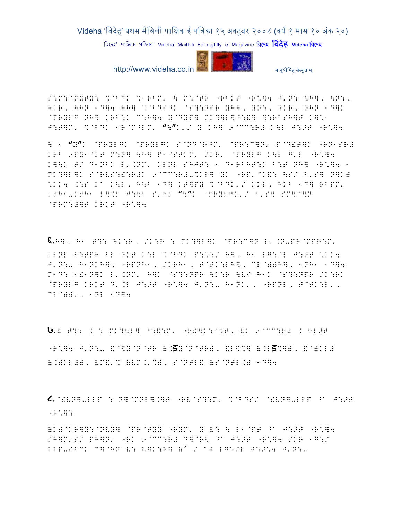িরেদহ' পািkক পিtকা Videha Maithili Fortnightly e Magazine িরেদহ िवदेह **Videha** িবেদহ



S:M: WHEN TYTY: THUS: NOTHER HOLE HOURS A.TR HAN, NTR. \KR, \HN 1D]4 \H] %@BDS^K @S?:NPR YH], YN:, YKR, YHN 1D]K @PRYLG NH] KRB:K C:H]4 Y@DYP] MK?]L]^:&] ?:RBSH]T K]\*1 J:T]M' %@BDK 1R@M^LM' **"**\**"**K'/ Y KH] 9@CC:R# K\L J:>T "R\*]4

\ 1 **"**Y**"**K @PRYLGK @PRYLGK S@ND@R^M' @PR:C]N' P@D!T]K "RN1SR# KRB 9PS 10 STATE REPORTS AND DURING THE RESIDENCE. KALNI SHI DI DI DI DI DI DI DI DI SHIJI KU DI PI NJI TI NJI DI DI DI SHI NJI NJI NJI "R MC. MARI ARE SORIAL SE SARTING: REGONAL DE L'AGENCIA DE L'AGENCIA DE L'AMBIGIA  $M(X, \Phi)$  . See all, the second induced by  $S$  and  $S$  is the  $S$  such that  $S$ KTH1-KTH1-CTH1 L J: H1-KTH1 L II: NH2C @PPRYLGKT\_CK # LISH STOHTHO @PRM:#]T KRKT "R\*]4

६.H], H1 T?: \K:R, /K:R : MK?]L]K @PR:C]N L'.N-PR@MPR:M' KLAND B:TPR BL DE KI:L % DKT P:L BEKEN P:L HI LG:/L J:HE LG:/L J:L J:L J:L J:L J: J'N:- H1NKH], "RPNH1, /KRH1, T@TK:LH], CL@))H], 1NH1 1D]4 M1D: 1!1N]K L'.NM' H]K @S?:NPR \K:R \VI H1K @S?:NPR /K:RK @PRYLG KRKT D'.L J:>T "R\*]4 J'N:- H1NK', "RPNL, T@TK:L', TIME, OFFICERS

७.& T?: . : MK?]L] ^:&:M' "R!]K:I%T, &K 9@CC:R# . HL>T "R\*DRA" R. DYL- & MOTR (PR) & BOSO (REAL), & RICH (.E.) SCRAI, & MAI E.L (A) KLAIS (A) KLAIS (KALIKA), SANTLANG (SONTLOG), SANTLANG (SONTLOG) 1994

८.@!VN]-LLP : N]@MNL].]T "RV@S?:M' %@BDS/ @!VN]-LLP ^A J:>T  $R^*$  and  $R^*$  and  $R^*$ 

(K) @ MI RHIS NORDER (MORT Y RHIS ) (A RIM' A J: + MORT AN I-PT  $A$  )  $A$  is  $\mathcal{A}$  and  $\mathcal{A}$ /H]M'S/ PH]N' "RK 9@CC:R# D]@R< ^A J:>T "R\*]4 /KR 1G:/ LLP-SBCK C]@HN V: V]K:R] (**'** / A) LG:/L J:>\*4 J'N:-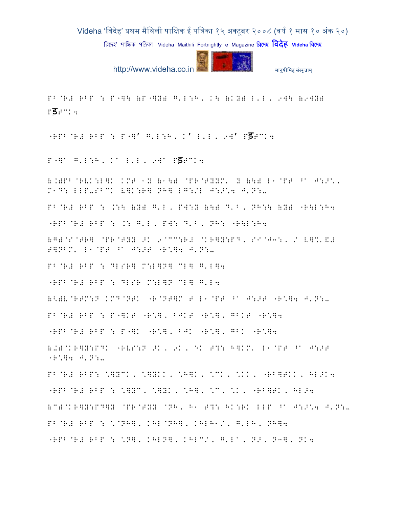িরেদহ' পািkক পিtকা Videha Maithili Fortnightly e Magazine িরেদহ िवदेह **Videha** িবেদহ



PROPA PRP : POPPH : BPORBA (P. E. 19 ), (C. A. G. 200) L. E. (1994) G. (4WA)  $\mathbf{F}\mathbf{S}\mathbf{F}\mathbf{C}\mathbf{C}$ 

"RPB@R# RBP : P"]**'** G'L:H, K**'** L'L, 9W**'** Pड़TCK4

P'AT A.ITH, M'LI, AT PSATH

BOARVERSEN (OR (8 B)AR (PROPORT) & BAR ES PRO PORTS. M10: LLP-SBC VIII LAND VIII LAND VIII LAND VIII LAND VIII LAND VIII LAND VIII LAND VIII LAND VIII LAND VIII LA

PP THE RPP TO STATE HERE FIRE THE REPORT OF THE REPORT OF THE REPORT OF THE REPORT OF THE NHISTIAN OF THE NHISTIAN

"RPB@R# RBP : .: G'L, PW: D'B, NH: "R\L:H4

GATR OF BROW AND ACTUAL COMPROSED SYSTEM (2008) AND CL FURNIC LITTLE OF STAR SECTION AND THE

PB@R# RBP : DLSR] M:L]N] CL] G'L]4

HAPP THE RPP TO THE REPORT OF THE RELEASE OF THE RELEASE OF THE RELEASE OF THE RELEASE OF THE RELEASE OF THE R

(BAGE "BADYA (COMORE)") (BITARAD) A LES TRACIA "PILAPI "PILAPI AL DYL

PB@R# RBP : P"]KT "R\*], BJKT "R\*], GBKT "R\*]4

"RPB" (1908) : BPB : 191 (1918) : P.H. "RPP" (1918) : P.H. "RPP" (1918) : P.H. "RPP" (1918) : P.H. "RPP" (1918

 $\pm$  200  $\pm$  0.000  $\pm$  0.000  $\pm$  0.000  $\pm$  1.000  $\pm$  1.000  $\pm$  1.000  $\pm$  1.000  $\pm$  1.000  $\pm$  1.000  $\pm$  1.000  $\pm$  1.000  $\pm$  1.000  $\pm$  1.000  $\pm$  1.000  $\pm$  1.000  $\pm$  1.000  $\pm$  1.000  $\pm$  1.000  $\pm$  1.000  $\pm$ "R\*]4 J'N:-

PB@R# RBP: \*]YCK, \*]YKK, \*H]K, \*CK, \*KK, "RB]TKK, HL>K4  $P$  (Report Report Follows ) (RBP ) : (2011) : (2012) : (2012) : (2014) : (2014) : (2014) : (2014) : (2014) : (2014) : (2014) : (2014) : (2014) : (2014) : (2014) : (2014) : (2014) : (2014) : (2014) : (2014) : (2014) : (201  $\mathbb{R}^n$  and  $\mathbb{R}^n$  and  $\mathbb{R}^n$  . The neutron only  $\mathbb{R}^n$  ,  $\mathbb{R}^n$  is a proposition of  $\mathbb{R}^n$  and  $\mathbb{R}^n$  and  $\mathbb{R}^n$  and  $\mathbb{R}^n$  and  $\mathbb{R}^n$  and  $\mathbb{R}^n$  and  $\mathbb{R}^n$  and  $\mathbb{R}^n$  a PB@R# RBP : \*@NH], KHL@NH], KHLH1/, G'LH, NH]4 "RPP" TRAC RFP" (NOVITAL), KHLPA, (NORE MUSIC), ALES (USIG), DARI, NOVITAL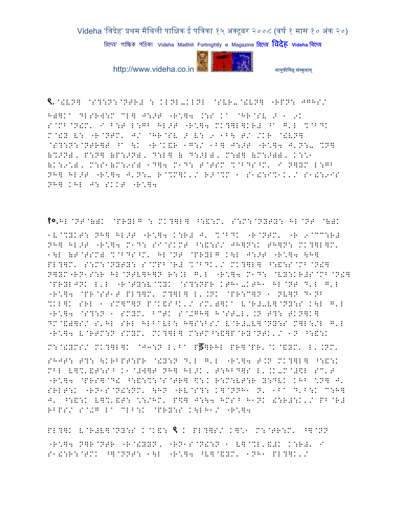িরেদহ' পািkক পিtকা Videha Maithili Fortnightly e Magazine িরেদহ िवदेह **Videha** িবেদহ



S. WELFA : YOU WARE IN A SEPERTHE STEEL WELFARE SHOPS SARED "

HARD' MICHAEL MIN ANDE GROEP IN IS KA DE NEW DE SKA SMOTE CONDINATION I B:T L:GB HLOT "RELEASED AND THE BOARD "RELEASED ON THE TRANSPORT **MONEY REPORTS ON THE VEHICLE AND SUPPRESS OF A VIEW AND SUPPRESS OF A VIEW OF A VIEW OF A VIEW OF A VIEW OF A**  $\Omega$  . The set of  $\Omega$  is the set of  $\Omega$  is the set of  $\Omega$  is the set of  $\Omega$  is the set of  $\Omega$  is the set of  $\Omega$  $(0.7374)$ , P524, BP5328, P514, B, P536, C, C544, BC5366, C515 (K:9\*), M:S1(M:9S) 1D]4 M1D: T@TSM %@BDS^M' I N]YM L:GB NHE HIJE "RYER A.PYL RONDELLY RJOND + SHENOVILLY SHENGE **NHE CHE 45 SKITH "ROTH"** 

१०.HE 729 NHC : MERREA & CONTAER : PENYL SYNTY DRAIN AT 729 NHC 1V@%YKT: NH] HL>T "R\*]4 K:R# J' %@BDK "R@NTM' "R 9@CC:R# NHE "REVEL "RENER" OF THE SIM MOODE, FHOMEON, PREDING SERECT ON THE ROL.  $\sim$  Applications of the theory of the property contribution of the property  $\sim$   $\sim$   $\sim$   $\sim$   $\sim$   $\sim$   $\sim$ PL?BY. FON VEHE FYPP BE TYPU. STORE BE SHIP YF VEH N]YM"RN1S:R HL@NTV]H]N R:.L G'L "R\*]4 M1D: @VY:KR#S@MB@N!] @PRYLJNK L'L "R@TY:V@%YK @S?:NPR KTH1-KTH1 HL@NT D'L G'L  $H^1$  . The state of the state of the state of the state of  $P$ WEER SPECT STRUCK POLECES STACK AND A VELLECTION CONTROL.  $H^1$  and the solution of the solution of the second section of  $\mathbb{R}^n$  and  $\mathbb{R}^n$  is the second of  $\mathbb{R}^n$ DO SEBREZ, SV HIL SRE (HEBS/ EEN (HRENFISZ) E NAJLER OPGNET OREN 2010 PLIE "R\*]4 V@RTM:N SMYM' MK?]L] M:TM^:&]P@RY@NTK'/ 1N ^:&:K

M: MAR: M: WHERE MANNER IS A PSHIPL PRINT PROTOCOL PRINT IS AND

SHART: PTE REBPIRENT: TENER D.E. D.E. (BIJOR P.M. MENTINE D.E.K.) MBL VENTIGEN BLOCK VIGHT AND HLAD I GNAPPHY BLOCK IN INGELES IN S  $\sim$  Reduio of Property in the second second the second second term of  $\sim$ SRLT:K "RN1S@N!:NM' \HN "RV@S?: K]@NNH1 N' 1BA D'B:K C:H] J' ASES ART.ER TRIED, FREGAND PDE HOLD ESPAIN. I PROB RBPS/ SAMPLE MORE TRUNK SHIP ( "R\*10

PL?]K V@R#V]@NY:S K@K&: ९ K PL?]S/ K]\*1 M:@TR:M' ^]@NN "R\*]4 N]R@NTR "R@!YYN, "RN1S@N!:N 1 V]@%L'&#K K:R#' I  $S$ 1: R: R: R: The Town of the Town of the Town of the Town of the Town of the Town  $\mathcal{P}$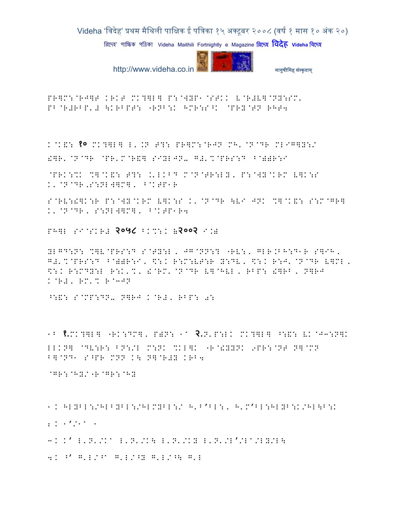িরেদহ' পািkক পিtকা Videha Maithili Fortnightly e Magazine িরেদহ िवदेह **Videha** িবেদহ



PR]M:@RJ]T KRKT MK?]L] P:@WYP1@STKK V@R#V]@NY:SM' PB@R#RBP'# \KRBPT: "RNB:K HMR:S^K @PRY@TN RHT4

KANDER KOMMER BEER AND AN TRANSMERT MAY MAY ME WAR ME CANDER !]R'@N@DR @PR'M@R&] SIYLJN- G#'%@PRS:D ^@))R:I

@PRK:%K %]@K&: T?: .'LKBD M@N@TR:LY, P:@WY@KRM V]K:S K. TH'ME AND HANDEL, INC. HIS HI

S@RV:!]K:R P:@WY@KRM V]K:S K'@N@DR \VI JNK %]@K&: S:M@GR] K. TH'AN SINLANDA, PINER

PHIL POOSE IN SPOOK BEING BE THE BEAT

YLGOSIS: "VALITERS" SIGNIEL, JOOG VINA (AELS), GLR.D.BH:DAR SIGNAL, GH, "MIRRIST" PINNESS, RIMINES: BIZINES: RITE, RIMINES: RIMINES: RIMINES \$:. R:MDY:L R:K'%, !@RM'@N@DR V]@HVL, RBP: !]RB, N]RJ K@R#, RMY RO3JN

^:&: S@MP:DN- N]RJ K@R#, RBP: 0:

1B १.MK?]L] "RK:DM], P)N: 1A २.N'P:LK MK?]L] ^:&: VK@J3:N]K LLCAN (PENNY FANIL MIRI (RILHE) (BN:EAR) WHIP YR AR WA BED SOME SOME SANDERS SAME

@GR:@HY/"R@GR:@HY

1. HLYBL:/HLBYBL:/HLMYBL:/ H'B**'**BL:, H'M**'**BL:HLYB:K/HL\B:K 2. 1**'**/1A 1 3. K**'** L'N'/KA L'N'/K\ L'N'/KY L'N'/L**'**/LA/LY/L\

4. ^**'** G'L/^A G'L/^Y G'L/^\ G'L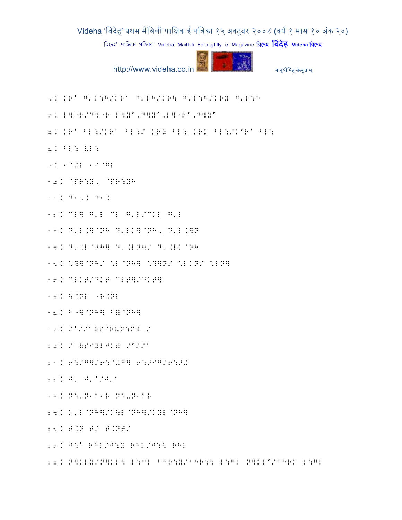িরেদহ' পািkক পিtকা Videha Maithili Fortnightly e Magazine িরেদহ िवदेह **Videha** িবেদহ



5. KR**'** G'L:H/KRA G'LH/KR\ G'L:H/KRY G'L:H

- 6. L]"R/D]"R L]Y**'**,D]Y**'**,L]"R**'**,D]Y**'**
- 7. KR**'** BL:/KRA BL:/ KRY BL: KRK BL:/K**'**R**'** BL:
- 8. BL: VL:
- $9.1 \pm 0.11$  110  $10.1 \pm 0.11$
- 10. @PR:Y, @PR:YH
- 11. D1. D1.

17. \.NL "R.NL

22. J' J'**'**/J'A

25. T.N T/ T.NT/

18. B"]@NH] B=@NH]

19. /**'**//A(S@RVN:M) /

20. / (SIYLJK) /**'**//A

23. N:-N1K1R N:-N1KR

21. 6:/G]/6:@+G] 6:>IG/6:>+

24. K'L@NH]/K\L@NH]/KYL@NH]

26. J:**'** RHL/J:Y RHL/J:\ RHL

27. N]KLY/N]KL\ L:GL BHR:Y/BHR:\ L:GL N]KL**'**/BHRK L:GL

- 
- 
- 
- 
- 

16. CLAT. CLAT. CLAT. CLAT.

- 
- 
- 
- 
- 
- 
- 
- 
- 
- 
- 
- 
- 
- 
- 
- 
- 12. CL] G'L CL G'L/CKL G'L
- 
- 
- 
- 
- 13. D'L.]@NH D'LK]@NH, D'L.]N
- 
- 
- 
- 

14. D'.L@NH] D'.LN]/ D'.LK@NH

15. \*?]@NH/ \*L@NH] \*?]N/ \*LKN/ \*LN]

- 
- 
-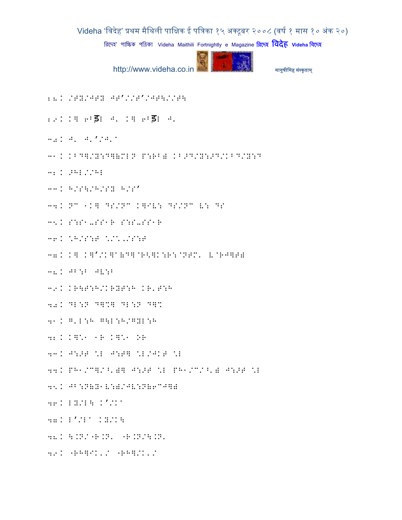িরেদহ' পািkক পিtকা Videha Maithili Fortnightly e Magazine িরেদহ िवदेह **Videha** িবেদহ



28. /TY/JTY JT**'**//T**'**/JT\//T\

 $22.5$  (19.  $\mu$ <sup>2</sup>  $\overline{5}$ )  $\mu$ ,  $\mu$  (19.  $\mu$ <sup>2</sup>  $\overline{5}$ )  $\mu$ .

30. J' J'**'**/J'A

31. KBD]/Y:D](MLN P:RB) KB>D/Y:>D/KBD/Y:D

32. >HL//HL

33. H/S\/H/SY H/S**'**

34. NC 20. NC 20. NC 20. NC 20. NC 20. NC

35. S:S1-SS1R S:S-SS1R

36. \*H/S:T \*/\*,/S:T

37. K] K]**'**/K]A(D]@R<]K:R:@NTM' V@RJ]T)

 $38.1$  38. JP:  $38.1$ 

39. KR\T:H/KRYT:H KR'T:H

40. DE: N DR:N DR:N DR:

 $41.1$  G):  $H$ : H  $H$ : H  $H$  GYL: H  $H$ : H  $H$ 

42. KIN 18 K. K. K. K. K.

44. J: 4528 11: 4528 11:418 11:

44. PH1/C]/^')] J:>T \*L PH1/C/^') J:>T \*L

45. J #: 1988 LY:2.424119867498

46. LY/L\ K**'**/KA

47. L**'**/LA KY/K\

48. \.N/"R.N' "R.N/\.N'

49. "RH]IK'/ "RH]/K'/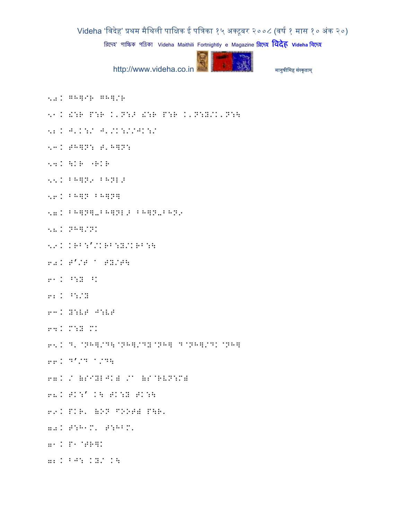

- 50. GH]IR GH]/R
- 51. D:R P:R K. P:R B:R P:R K. P:RKK. P:R
- 52. J'K:/ J'/K://JK:/
- 53. THE THINGS IN THE THINGS
- 54. PHIP 9818
- 55. BH]N9 BHNL>
- 56. BHD BHIN BHIN BHO
- 57. BH]N]-BH]NL> BH]N-BHN9
- 58. NH]/NK
- 59. KRB:**'**/KRB:Y/KRB:\
- 60. T**'**/T A TY/T\
- $6.1.91.1$
- $m:7.72.2$
- 63. Y:VT J:VT
- 64. M:Y MK
- 65. D'@NH]/D\@NH]/DY@NH] D@NH]/DK@NH]
- 66. D**'**/D A/D\
- 67. / (SIYLJK) /A (S@RVN:M)
- 68. TK:**'** K\ TK:Y TK:\
- 69. PKR' (ON FOOT) PRESS
- 80. T:H1M' T:H1M' T:H1M' T:H1M' T:H1M' T:H1M' T:H1M' T:H1M' T:H1M' T:H1M' T:H1M' T:H1M' T:H1M' T:H1M' T:H1M' T
- 71. P1@TR]K
- 72. BJ: KY/ K\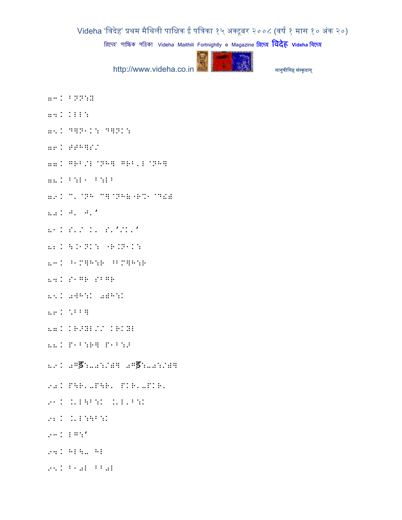

- $B 1$  + 2211
- 74. KLL:
- 75. D]N1K: D]NK:
- 76. TTH]S/
- 77. GRB/L@NH] GRB'L@NH]
- **REGISTER**
- 79. C'@NH C]@NH("R%1@D!)
- 80. J' J'**'**
- 81. S'/ K' S'**'**/K'**'**
- 82. \.1NK: "R.N.I. "R.N.I."
- 83. ^1M]H:R ^BM]H:R
- 84. S1GR SERIE
- 85. 000 MH:K 000 MH:K 000 MH:K 000 MH:K 000 MH:K 000 MH:K 000 MH:K 000 MH:K 000 MH:K 000 MH:K 000 MH:K 000 MH
- 86. \* BBJ
- 87. KR>YL// KRKYL
- 88. PHONE PHONE
- 88. 000 SS . 000 SS . 000 SS . 000 SS . 000 SS . 000 SS . 000 SS . 000 SS . 000 SS . 000 SS . 000 SS . 000 SS
- 90. PHP. 2790. PIP. 279. 2719.
- 91. .'L\B:K .'L'B:K
- 92. .'L:\B:K
- 93. LG:**'**
- 94. HL\- HL
- 95. B10L B10L B10L B10L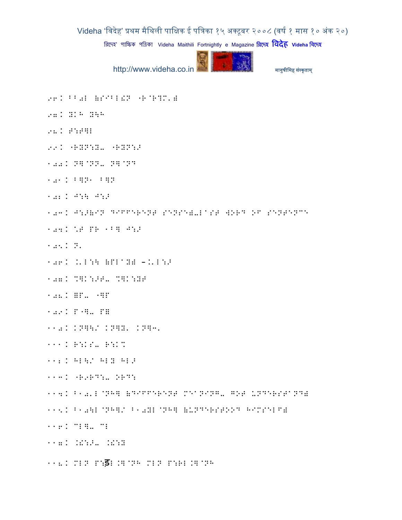িরেদহ' পািkক পিtকা Videha Maithili Fortnightly e Magazine িরেদহ िवदेह **Videha** িবেদহ



96. BB0L (SIBL!N "R@R?M')

- 97. YKH Y\H
- $98.1:99.991$
- 99. "RYN:Y- "RYN:>
- 100. N]@NN- N]@ND
- 101. BISHI
- 102. J: J: J: J: J: J:
- 103. J:>(IN DIFFERENT SENSE)-LAST WORD OF SENTENCE
- 10411 TH PR 198 913
- 105. N.
- 106. .'L:\ (PLAY) **–**.'L:>
- 107. %]K:>T- %]K:YT
- 108. : HPL : 1997
- 109. P P P P P P P P P P P P P

116. CLIPS. CLIPS.

117. .!:>- .!:Y

- 110. KN]\/ KN]Y' KN]3'
- 111. R:KS- R:KS- R:KS- R:KS- R:KS- R:KS- R:KS- R:KS- R:KS- R:KS- R:KS- R:KS- R:KS- R:KS- R:KS- R:KS- R:KS- R:K
- 112. HL\, HLY HLY
- 
- 
- 
- 
- 
- 
- 
- 
- 
- 
- 

115. B10\L@NH]/ B10YL@NH] (UNDERSTOOD HIMSELF)

- 
- 
- 
- 
- 
- 114. B10'L@NH] (DIFFERENT MEANING- GOT UNDERSTAND)
- -
- 
- 
- 
- 
- 
- 
- 
- 
- 
- 
- 

118. MLN P:ड़L.]@NH MLN P:RL.]@NH

- 
- 
- 
- 
- 
- 113. "CONDITIONS"
- 
- 
- 
- 
-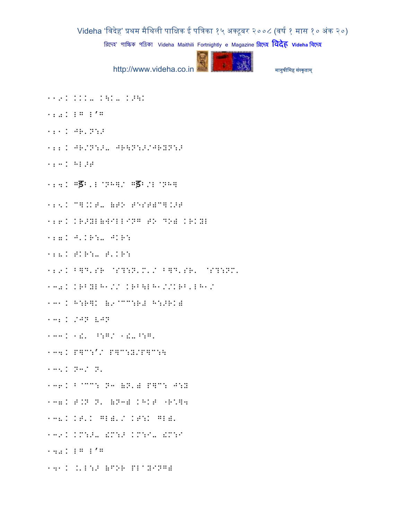

- 119. KKK- KARA KAB
- 120. LG L**'**G
- 121. JR 2012
- 122. JR/N:>- JR\N:>/JRYN:>
- $123.$  HLP  $123.$
- 124. GS CONFIGURATION
- 125. C].KT- (TO TEST)C].>T
- 126. KR>YL(WILLING TO DO) KRKYL
- 127. J'KR:- JKR:
- 128. TKR: TKR:
- 129. B]D'SR @S?:N'M'/ B]D'SR' @S?:NM'
- 130. KRBYLHIM // KRBYLHIM/
- 131. H:RIK (9. TTHE H:RK)
- 132. /JAP (1971)
- 133. 133. 133. 133.
- 134. P]C:**'**/ P]C:Y/P]C:\
- 135. NA
- 136. BOOK: N3 (NO) PIC: 136. BOOK
- 137. T.N N' (N3) KHKT "R\*]4
- 138. KT'K GL)'/ KT:K GL)'
- 
- 139. KM:>- !M:> KM:I- !M:I
- 140. LG L**'**G
- 141. .'L:> (FOR PLAYING)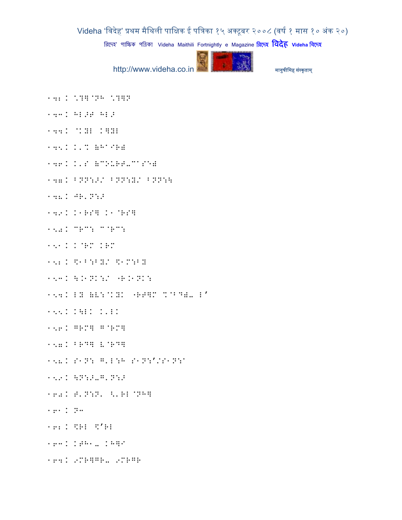

- 142. \*?]@NH \*?]N
- 143. HLP HLP
- 144. **MAX**
- 145. K' (HAIR)
- 146. KONSTANTIER EN STAATSTEL
- 147. BNN: 147. BNN: 147. BNN: 147. BNN: 147. BNN: 147. BNN: 147. BNN: 147. BNN: 147. BNN: 147. BNN: 147. BNN:
- 148. JR. PAP
- 149. K189. K189. K189.
- 150. CRC: C@RC:
- 151. K@RM KRM
- 152. \$19. \$19. \$19. \$19. \$19. \$1
- 153. \.1NK:/ "R.1NK:
- 154. LY (V:@KYK "RT]M %@BD)- L**'**
- 155. K. K. K. K. K. K. K.
- 156. GRM] G@RM]
- 157. BRD BRD
- 158. S1N: G'L:H S1N:**'**/S1N:A
- 159. \\ 159. \\ 159. \ 159. \ 159. \ 159. \ 159. \ 159. \ 159. \ 159. \ 159. \ 159. \ 159. \ 159. \ 159. \ 15
- 160. THE REAL PROPERTY
- 161. N3
- 162. \$RL \$**'**RL
- 163. KTH1- KH]I
- 164. 9MR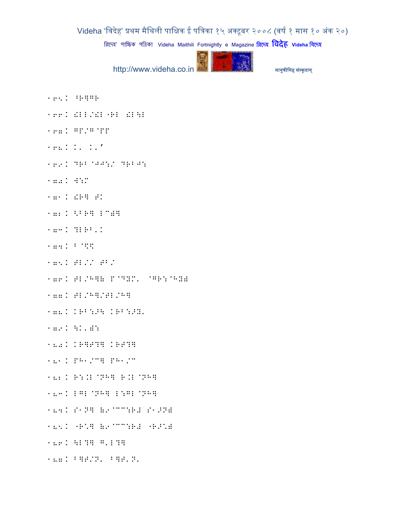

- 165. **165. 165. 165. 165.**
- 166. ILL/106. 196. ILL
- 167. GP/GPPP
- 168. K' K'**'**
- 169. DRB@JJ:/ DRBJ:
- 190. W:M:M:M
- 191. : 171. : 171. : 171.
- 172. <BR] LC)]
- 1<sub>3</sub>. ?LPB'S
- $1.441 \pm .0001$
- 185. TEST TEST
- 176. TURNER POSSESSION
- 177. TL/H]/TL/H]
- $+$ and: (H $+$ 178. KRB: 178.138.
- $199.1 \pm 11.45$
- 180. KRISTER (1999)
- 181. PH<sub>1</sub>/C<sub>1</sub>
- 182. R:.L@NH] R.L@NH]
- 183. LGL@NH: 193. LGL@NH] 193. LGL@NH
- 1841. S1NH (82.17.18) (9.37.
- 185. THE R\*TTEE (925
- $18.186 \pm 0.0000$
- 187. BELIEF BELIEF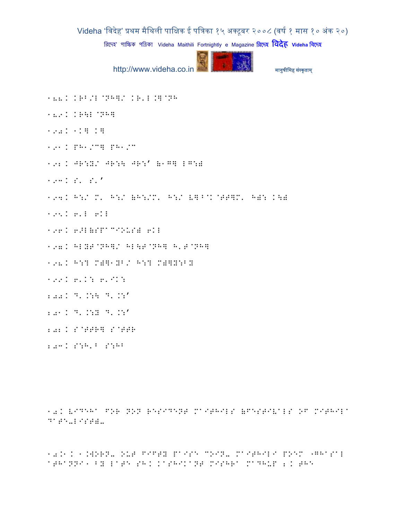10.1. 1.WORN- OUT FIFTY PAISE COIN- MAITHILI POEM "GHASAL ATHANNI" BY LATE SH. KASHIKANT MISHRA MADHUP 2. THE

10. VIDEHA FOR NON RESIDENT MAITHILS (FESTIVALS OF MITHILA DATE-LIST)-

202. S@TTR] S@TTR

201. D'.:Y D'.:**'**

203. S:H'B S:HB

199. 6' C. 6' IK: 6' C.

200. D'.:\ D'.:**'**

197. HLYT@NH]/ HL\T@NH] H'T@NH]

1961 FRANCOUS (1968) 66

198. H:? M)]1YB/ H:? M)]Y:BY

195. 6'E 6KL

194. H:/ M' H:/ (H:/M' H:/ V]^@K@TT]M' H): K\)

193. S' S'**'**

192. JR:Y/ JR:\ JR:**'** (1G] LG:)

191. PH1/C] PH1/C

190. 180. 191. 191. 191.

189. KRAL 1999

188. KRB/L@NH]/ KR'L.]@NH

http://www.videha.co.in <u>स्क्रियेक स्कूल स्कूल स्कूल</u> स्कूल स्कूल स्

িরেদহ' পািkক পিtকা Videha Maithili Fortnightly e Magazine িরেদহ िवदेह **Videha** িবেদহ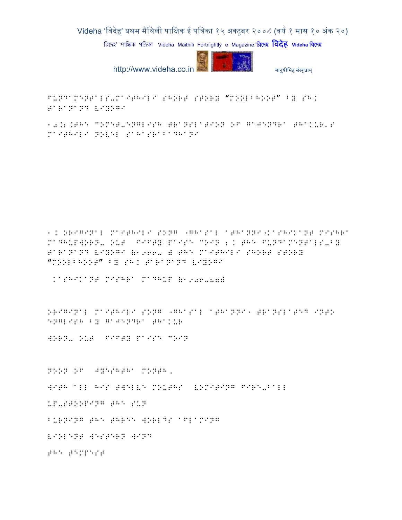NOON OF JYESHTHA MONTH, WITH ALL HIS PERINT MOUTHS VON INTERFERIEFING FIRE UP-STOOPING THE SUN STOOP BURNING THREE WORLDS AFTER VIOLENT WESTERN WIND THE TEMPEST

WORN- OUT FIFTY PAINTY PAIR

ORIGINAL MAITHILI SONG "GHASAL ATHANNI" TRANSLATED INTO ENGLISH BY GAJENDRA THAKUR

KASHIKANT MISHA MUSHA MADHUP (1906-87)

1. ORIGINAL MAITHILI SONG "GHASAL ATHANNI"KASHIKANT MISHRA MADHUPWORN- OUT FIFTY PAISE COIN 2. THE FUNDAMENTALS-BY TARANG VIYOGI (1966- ) THE MAITHILI SHORT STORY SHORT STORY SHORT STORY SHORT STORY SHORT STORY STORY STORY ST **"**MOOLBHOOT**"** BY SH. TARANAND VIYOGI

10.2.THE COMET-ENGLISH TRANSLATION OF GAJENDRA THAKUR'S MAITHILI NOVEL SAHASRABADHANI

FUNDAMENTALS-MAITHILI SHORT STORY **"**MOOLBHOOT**"** BY SH. TARANAND VIYOGI

http://www.videha.co.in <u>Andre Base and</u> History and History and History and History and History and History and H



িরেদহ' পািkক পিtকা Videha Maithili Fortnightly e Magazine িরেদহ िवदेह **Videha** িবেদহ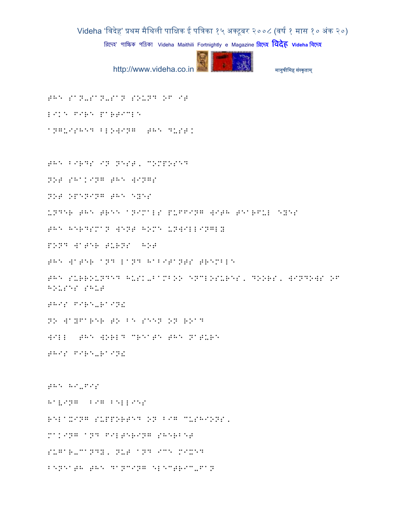LIKE FIRE PARTICLE ANGUISHED BLOWING THE DUST. THE BIRDS IN NEST, COMPOSED NOT SHAKING THE WINGS NOT OPENING THE EYES UNDER THE TREE ANIMALS PUFFING WITH TEARFUL EYES THE HERDSMAN WENT HOME UNWILLINGLY POND WATER TURNS HOT THE WATER AND LAND HABITANTS TREMBLE THE SURROUNDED HUSK-BAMBOO ENCLOSURES, DOORS, WINDOWS OF HOUSES SHUT THIS FIRE-RAIN CONTROL NO WAYFARER TO BE SEEN ON ROAD WILL THE WORLD CREATE THE WORLD CAR THIS FIRE-RAIN! THE HI-FIS HAVING BIG BELLIES RELAXING SUPPORTED ON BIG CUSHIONS, MAKING AND FILTERING SHERBETS SUGAR-CANDY, NUT AND ICE MIXED IN BENEATH THE DANCING ELECTRIC ELECTRIC ELECTRIC ELECTRIC ELECTRIC ELECTRIC ELECTRIC ELECTRIC ELECTRIC ELECTRIC

http://www.videha.co.in स्क्री कार्यक्रम अल्लाम समुगीमिह संस्कृताम्

THE SAN-SAN-SAN SOUND OF IT



Videha 'विदेह' प्रथम मैथिली पाक्षिक ई पत्रिका १५ अक्टूबर २००८ (वर्ष १ मास १० अंक २०) িরেদহ' পািkক পিtকা Videha Maithili Fortnightly e Magazine িরেদহ िवदेह **Videha** িবেদহ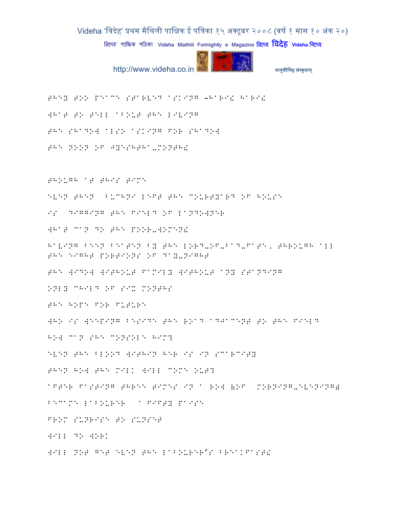WHAT TO THE LIGHT TO THE LIGHT THE LIGHT THE LIGHT THAT THE LIGHT THE LIGHT THE LIGHT THE LIGHT THE LIGHT THE THE SHADOW ALSO ASKING FOR SHADOW THE NOON OF JYESHTHA-MONTH! THOUGH AT THIS TIME EVEN THEN BUCHNI LEFT THE COURTYARD OF HOUSE IS DIGGING THE FIELD OF LANDOWNER WHAT CAN DO THE POOR-WOMEN HAVING BEEN BEEN BY THE LORD-OF-BAD-FATE, THROUGH ALL THE EIGHT PORTIONS OF DAY-NIGHT THE WIDOW WITHOUT FAMILY WITHOUT ANY STANDING ONLY CHILD OF SIX MONTHS THE HOPE FOR FUTURE WHO IS WEEPING BESIDE THE ROAD ADJACENT TO THE FIELD HOW CAN SHEER HIM? MENT PHN FEDDT ACPACT AND CD CT DT BTCPB THEN HOW THE MILK WILL COME OUT? AFTER FASTING THREE TIMES IN A ROW (OF MORNING-EVENING) BECAME LABOURER @ FIFTY PAISE FROM SUNRISE TO SUNCE WILL DO WORK WILL NOT GET EVEN THE LABOURER**'**S BREAKFAST!

http://www.videha.co.in <u>स्क्रियेक स्क</u>्रियेक अपनुषीिमह संस्कृताम्

THEY TOO PEACE STARVED ASKING **–**HARI! HARI!



িরেদহ' পািkক পিtকা Videha Maithili Fortnightly e Magazine িরেদহ िवदेह **Videha** িবেদহ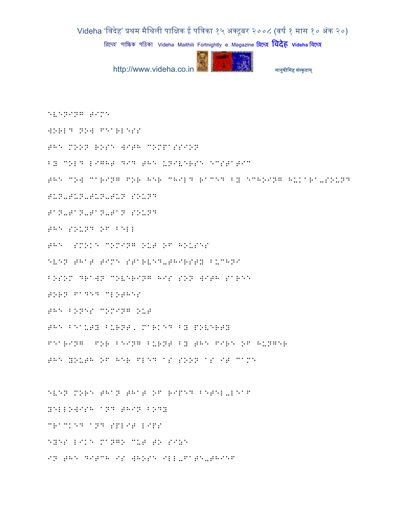EVENING TIME  $\frac{1}{2}$  ,  $\frac{1}{2}$  ,  $\frac{1}{2}$  ,  $\frac{1}{2}$  ,  $\frac{1}{2}$  ,  $\frac{1}{2}$  ,  $\frac{1}{2}$  ,  $\frac{1}{2}$  ,  $\frac{1}{2}$  ,  $\frac{1}{2}$  ,  $\frac{1}{2}$  ,  $\frac{1}{2}$  ,  $\frac{1}{2}$ THE MOON ROSE WITH COMPASSION BY COLD LIGHT DID THE UNIVERSE ECSTATIC THE COW CARING FOR HER CHILD RACED BY ECHOING HUKARA-SOUND TUN-TUN-TUN-TUN SOUND TAN-TAN-TAN-TAN SOUND THE SOUND OF BELL THE SMOKE COMING OUT OF HOUSES MENT THAT THAT THINGS IN THIRSTY BUCHNIC BOSOM DRAWN COVERING HIS SON WITH SARE TORN FADED CLOTHES THE BONES COMING OUT THE BEAUTY BURNT, MARKED BY POVERTY FEARING FOR BEING BURNT BY THE FIRE OF HUNGER THE YOUTH OF HER FLED AS SOON AS IT CAME EVEN MORE THAN THAT OF RIPED BETEL-LEAF YELLOWISH AND THIN BODY THE TEST CRACKED AND SPLIT LIPS EYES LIKE MANGO CUT TO SIZE

IN THE DITCH IS WHOSE ILL-FATE-THIEF

http://www.videha.co.in <u>स्क्रियेक स्कूल स्कूल स्कूल</u> स्कूल स्कूल स्



িরেদহ' পািkক পিtকা Videha Maithili Fortnightly e Magazine িরেদহ िवदेह **Videha** িবেদহ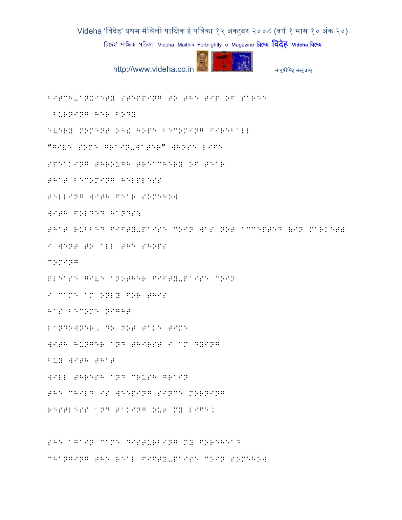SHE AGAIN CAME DISTURBING MY FOREHEAD CHANGING THE REAL FIFTY-PAISE COIN SOMEHOW

EVERY MOMENT OH! HOPE BECOMING FIREBALL **"**GIVE SOME GRAIN-WATER**"** WHOSE LIFE SPEAKING THROUGH TREACHERY OF TEAR THAT BECOMING HELPLESS FELLING WITH FEAR SOME WITH FOLDED HANDS: THAT RUBBED FIFTY-PAISE COIN WAS NOT ACCEPTED (IN MARKET) I WENT TO ALL THE SHOPS TO DI PIPE PLEASE GIVE ANOTHER FIFTY-PAISE COIN I CAME AM ONLY FOR THIS HAS BECOME NIGHT LANDOWNER, DO NOT TAKE TIME WITH HUNGER AND THIRST I AM DYN BUY WITH THAT WILL PRESHE CRUSH CRUSH GRAIN THE CHILD IS WEEPING SINCE MORNING RESTRIKS AND THE STRESS AND TAKING OUT AND TAKING OUT OF THE SET OF A SECOND OUT OF THE SET OF A SECOND OUT OF

http://www.videha.co.in <u>स्क्रियेक स्क</u>्रियेक अपनुषीिमह संस्कृताम्

BITCH-ANXIETY STEPPING TO THE TIP OF SARE

BURNING HER BODY



িরেদহ' পািkক পিtকা Videha Maithili Fortnightly e Magazine িরেদহ िवदेह **Videha** িবেদহ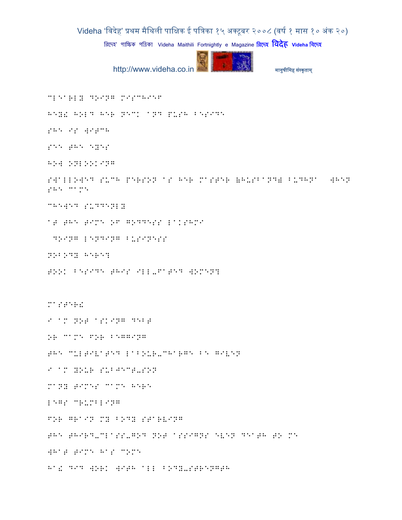িরেদহ' পািkক পিtকা Videha Maithili Fortnightly e Magazine িরেদহ िवदेह **Videha** িবেদহ



CLEARLY DOING MISCHIEF AND ALL AND CLEARLY DESCRIPTION OF A START OF A START OF A START OF A START OF A START

HEY! HOLD HER NECK AND PUSH BESIDE

SHE IS WITCH

SEE THE EYES

HOW ONLOOKING

SWALLOWED SUCH PERSON AS HER MASTER (HUSBAND) BUDHNA WHEN SHE CAME

**CHEWED SUBDIVISION** 

AT THE TIME OF GODDESS LAKSHMI

DOING LENDING BUSINESS

I AM NOT ASKING DEBT

OR CAME FOR BEGGING

I AM YOUR SUBJECT

MANY TIMES CAME HERE

**HAT PASSAGE TIME** 

FOR GRAIN MY BODY STARVING

LEGS CRUMBLING

 $\frac{1}{2}$  ,  $\frac{1}{2}$  ,  $\frac{1}{2}$  ,  $\frac{1}{2}$  ,  $\frac{1}{2}$  ,  $\frac{1}{2}$  ,  $\frac{1}{2}$  ,  $\frac{1}{2}$  ,  $\frac{1}{2}$  ,  $\frac{1}{2}$ 

TOOK BESIDE THIS ILL-FATED WOMEN?

THE CULTIVATED LABOUR-CHARGE BE GIVEN

HA! DID WORK WITH ALL BODY-STRENGTH

THE THIRD-CLASS-GOD NOT ASSIGNS EVEN DEATH TO ME

MASTER!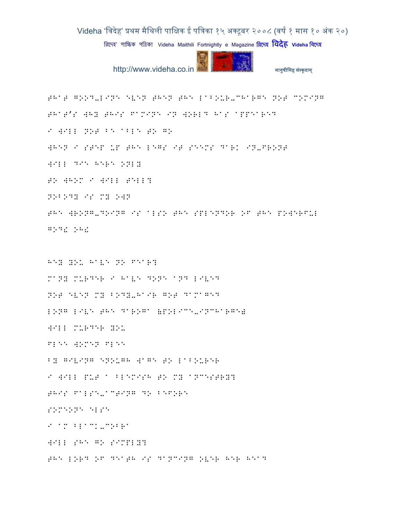WHEN I STEP UP THE LEGS INDUCTING IT SEEMS OF WILL DE HERE ONLY TO WHOM I WILL THE WILL T NOBODY IS MY OWN THE WRONG-DOING IS ALSO THE SPLENDOR OF THE POWERFUL BOS DE HAVE HAVE NO FEAR? MANY MANY MANY MURDER I HAVE DONE AND LIVED ON LIVED ON LIVED ON LIVED ON LIVED ON LIVED ON LIVED ON LIVED ON NOT EVEN MY BODY-HAIR GOT DAMAGED LONG LIVE THE DAROGA (POLICE-INCHARGE) WILL MURDER YOU ARE NOT TO A SERIES OF THE SERIES OF THE SERIES OF THE SERIES OF THE SERIES OF THE SERIES OF T FLEE WOMEN FLEE BY GIVING ENOUGH WAGE TO LABOURER I WILL PUT A BLEMISH TO MY ANCESTRY? THIS FALSE-ACTING DO BEFORE SOMEONE ELSE I AM BLACK-COBRA WILL SHE GO SIMPLY THE LORD OF DEATH IS DANCING OVER HER HEAD

THAT**'**S WHY THIS FAMINE IN WORLD HAS APPEARED I WILL NOT BE ABLE TO GO

THAT GOOD-LINE EVEN THEN THE LABOUR-CHARGE NOT COMING

http://www.videha.co.in <u>स्क्रियेक स्क</u>्रियेक अपनुषीिमह संस्कृताम्



Videha 'विदेह' प्रथम मैथिली पाक्षिक ई पत्रिका १५ अक्टूबर २००८ (वर्ष १ मास १० अंक २०)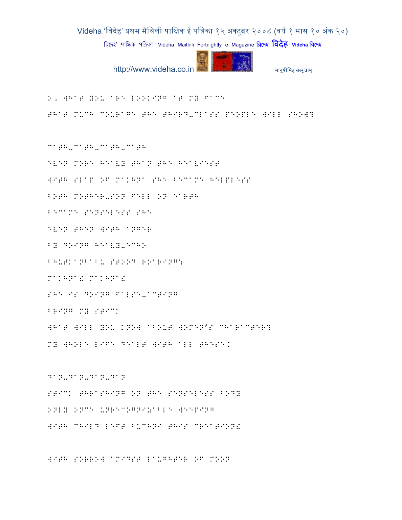WITH SORROW AMIDST LAUGHTER OF MOON

DAN-DAN-DAN-DAN STICK THRASHING ON THE SENSELESS BODY ONLY ONCE UNRECOGNIZABLE WEEPING WITH CHILD LEFT BUCHNIS CREATION

CATH-CATH-CATH-CATH EVEN MORE HEAVY THAN THE HEAVIEST WITH SLAP OF MAKING SHE BECAME BOTH MOTHER-SON FELL ON EARTH BECAME SENSELESS SHE EVEN THEN WITH ANGER BY DOING HEAVY-ECHO BHUTCHANG STOOD STOOD ROARING MAKHNA! MAKHNA! SHE IS DOING FALSE-ACTING BRING MY STICK WHAT WILL YOU KNOW ABOUT WOMEN TO THE WOMEN MY WHOLE LIFE DEALT WITH ALL THESE.

O, WHAT YOU ARE LOOKING AT MY FACE THAT MUCH COURAGE THE THIRD-CLASS PEOPLE WILL SHOW?

http://www.videha.co.in <u>स्क्रियेक स्क</u>्रियेक अपनुषीिमह संस्कृताम्



িরেদহ' পািkক পিtকা Videha Maithili Fortnightly e Magazine িরেদহ िवदेह **Videha** িবেদহ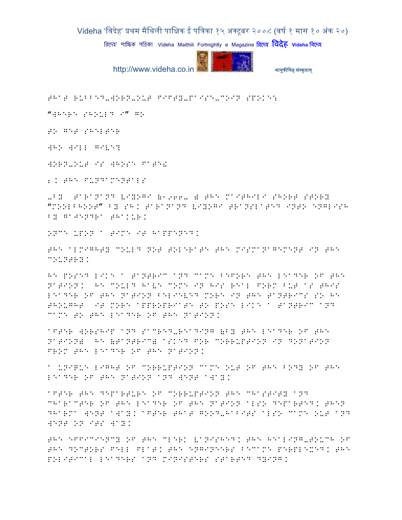THE EFFICIENCY OF THE CLERK VANISHED. THE HEALING-TOUCH OF THE DOCTORS FELL FLAT. THE ENGINEERS BECAME PERPLEXED. THE POLITICAL LEADERS AND MINISTERS STARTED DYING.

AFTER THE DEPARTURE OF CORRUPTION THE CHASTITY AND CHARACTER OF THE LEADER OF THE NATION ALSO DEPARTED. THEN DHARMA WENT AWAY. AFTER THAT GOOD-HABITS ALSO CAME OUT AND WENT ON ITS WAY OF THE SALE

A UNIQUE LIGHT OF CORRUPTION CAME OUT OF THE BODY OF THE LEADER OF THE NATION AND WENT AWAY.

AFTER WORSHIP AND SACRED-READING (BY THE LEADER OF THE NATION) HE (TANTRIC) ASKED FOR CORRUPTION IN DONATION FROM THE LEADER OF THE NATION.

HE POSED LIKE A TANTO POSED A TANTO BEFORE THE LEADER OF THE LEADER OF THE LEAD NATION. HE COULD HAVE COME IN HIS REAL FORM BUT AS THIS LEADER OF THE NATION BELIEVED MORE IN THE TANTRICS SO HE THOUGHT IT MORE APPROPRIATE TO POSE LIKE A TANTRIC AND CAME TO THE LEADER OF THE NATION.

THE ALMIGHTY COULD NOT TOLERATE THE MISMANAGEMENT IN THE **COUNTRY** 

BY GAJENDRA THAKUR. ONCE UPON A TIME IT HAPPENED.

-BY TARANAND VIYOGI (1966- ) THE MAITHILI SHORT STORY **"**MOOLBHOOT**"** BY SH. TARANAND VIYOGI TRANSLATED INTO ENGLISH

 $2.7$  The Fundamental measurement of  $2.7$ 

BS WHE SHELTER

**WHO WILL GIVE** 

**"**WHERE SHOULD I**"** GO

WORLD IS WHOSE FATERS

THAT RUBBED-WORN-OUT FIFTY-PAISE-COIN SPOKE:

http://www.videha.co.in <u>स्कॉल कर अन्य अस्ति</u> मानुषीमिह संस्कृताम्



িরেদহ' পািkক পিtকা Videha Maithili Fortnightly e Magazine িরেদহ िवदेह **Videha** িবেদহ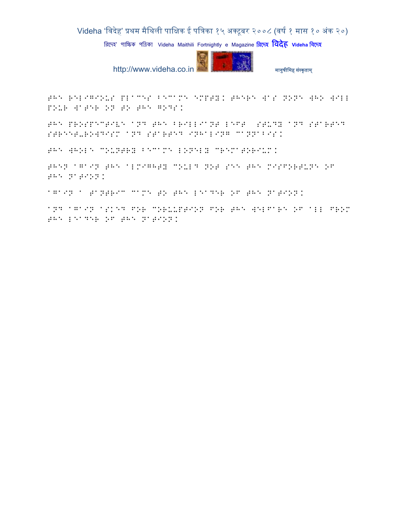িরেদহ' পািkক পিtকা Videha Maithili Fortnightly e Magazine িরেদহ िवदेह **Videha** িবেদহ



THE RELIGIOUS PLACES BECAME EMPTY. THERE WAS NONE WHO WILL POUR WATER ON TO THE GODS.

THE PROSPECTIVE AND THE BRILLIANT LEFT STUDY AND STARTED STREET-ROWDISM AND STARTED INHALING CANNABIS.

THE WHOLE COUNTRY BECAME LONELY CREMATORIUM.

THEN AGAIN THE ALMIGHTY COULD NOT SEE THE MISFORTUNE OF THE NATION.

AGAIN A TANTRIC CAME TO THE LEADER OF THE NATION.

AND AGAIN ASKED FOR CORUUPTION FOR THE WELFARE OF ALL FROM THE LEADER OF THE NATION.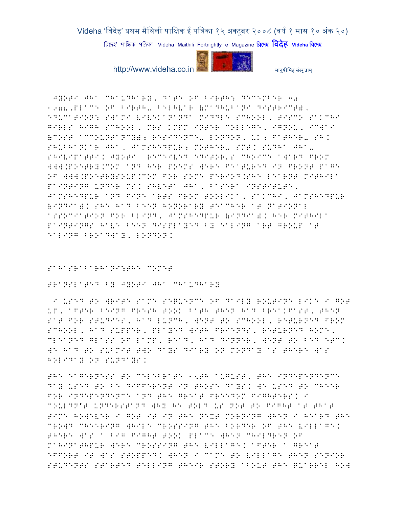THE EAGERNESS TO CELEBRATE 15TH AUGUST, THE INDEPENDENCE DAY USED TO BE DIFFERENT IN THOSE DAYS. WE USED TO CHEER FOR INDEPENDENCE AND THE GREAT FREEDOM FIGHTERS. I COULDN**'**T UNDERSTAND WHY HE TOLD US NOT TO FIGHT AT THAT TIME HOWEVER I GOT IT IN THE NEXT MORNING WHEN I HEARD THE CROWD CHEERING WHILE CONDITIONS THE BORDER OF THE BORDER OF THE BORDER OF THE VIL THERE WAS A BIG FIGHT TOOK PLACE WHEN CHILDREN OF MAHINATHPUR WERE CROSSING THE VILLAGE. AFTER A GREAT EFFORT IT WAS STOPPED. WHEN I CAME TO VILLAGE THEN SENIOR STUDENTS STARTED TELLING TELLING TELLING THE STARTED TELLING THE STORY ABOUT THE  $\alpha$ 

## HOLIDAY ON SUNDAYS.

 I USED TO WRITE SAME SEQUENCE OF DAILY ROUTINE LIKE I GOT UP, AFTER BEING FRESH TOOK BATH THEN HAD BREAKFAST, THEN SAT FOR STUDIES, HAD LUNCH, WENT TO SCHOOL, RETURNED FROM SCHOOL, HAD SUPPER, PLAYED WITH FRIENDS, RETURNED HOME, CLEANED GLASS OF LAMP, READY CONTINUES OF LAMP, WE ARREST TO BE WE HAD TO SUBMIT TWO DAYS DIARY ON MONDAY AS THERE WAS

TRANSLATED BY JYOTI JHA CHAUDHARY

SAHASRABARHANI:THE COMET

1978,PLACE OF BIRTH- BELHVAR (MADHUBANI DISTRICT), EDUCATION: SWAMI VIVEKANANDA MIDDLE SCHOOL, TISCO SAKCHI GIRLS HIGH SCHOOL, MRS KMPM INTER COLLEGE, IGNOU, ICWAI (COST ACCOUNTANCY); RESIDENCE- LONDON, UK; FATHER- SH. SHUBHANKAR JHA, JAMSHEDPUR; MOTHER- SMT. SUDHA JHA-SHIVIPATTI. JYOTI RECEIVED EDITOR'S CHOICE AWARD FROM WWW.POETRY.COM AND HERE WERE FEATURED IN FRONT PAGE OF WWW.POETRYSOUP.COM FOR SOME PERIOD.SHE LEARNT MITHILA PAINTING UNDER MS. SHVETA JHA, BASERA INSTITUTE, JAMSHEDPUR AND FINE ARTS FROM TOOLIKA, SAKCHI, JAMSHEDPUR (INDIA). SHE HAD BEEN HONORARY TEACHER AT NATIONAL ASSOCIATION FOR BLIND, JAMSHEDPUR (INDIA). HER MITHILA PAINTINGS HAVE BEEN DISPLAYED BY EALING ART GROUP AT EALING BROADWAY, LONDON.

http://www.videha.co.in <u>Andre Base and</u> History and History and History and History and History and History and H

JYOTI JHA CHAUDHARY, DATE OF BIRTH: DECEMBER 30



িরেদহ' পািkক পিtকা Videha Maithili Fortnightly e Magazine িরেদহ िवदेह **Videha** িবেদহ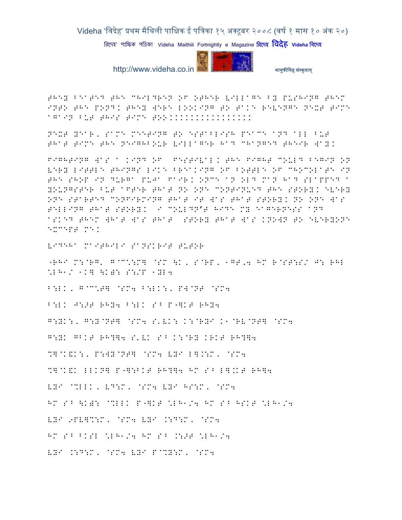িরেদহ' পািkক পিtকা Videha Maithili Fortnightly e Magazine িরেদহ िवदेह **Videha** িবেদহ



THEY BEATED THE CHILDREN OF OTHER VILLAGE BY PUSHING THEM INTO THE POND. THEY WERE LOOKING TO TAKE REVENGE NEXT TIME AGAIN BUT THIS TIME TOO.

NEXT YEAR, SAME MEETING TO ESTABLISH PEACE AND ALL BUT THAT TIME THE SEAL OF TIME TIME OF THE SALE WAY TO A SEAL OF THE SALE WAY.

FIGHTING WAS A KIND OF FESTIVAL. THE FIGHT COULD BEGIN ON ENER LIGHTN BRIDGE LITTLE BREAKING OF BOBBEN OF CHOCOLATE IN THE SHOP IN DURGA PUJA FAIR. ONCE AN OLD MAN HAD SLAPPED A YOUNGSTER BUT AFTER THAT NO ONE CONTINUED THE STORY. EVERY ONE STARTED CONFIRMING THAT IT WAS THAT STORY. NO ONE WAS TELLING THAT STORY. I COULDN**'**T HIDE MY EAGERNESS AND ASKED THEM WHAT WAS THAT STORY THAT WAS KNOWN TO EVERYONE **SEMSER ME.** 

BATTEN MANIELI SANSKRIT SANSKRIT

"RHI M:@RG' G@C\*:M] @SM \K, S@RP, 1GT,4 HM R@ST:S/ J: RHL \*LH1/ 1K] \K): S:/P 1YL4

B:LK, G@C\*T] @SM4 B:LK:, PW@NT @SM4

B:L ANDE BANA PNIC SP RANG BANA

B:YK:, G:YA:, SINT:X:X:X:X:X:X:X:X:X:X:X:X:X

BYSK GRIE RHYDE RIK SO KING SO KERKE

RY WHI, RYD, YM:RN, MON, MM4

VYI 9PV]%:M, @SM4 VYI .:D:M, @SM4

VYI .:D:M, @SM4 VYI P@%Y:M, @SM4

HM ST FISH NIH SA PM ST TEAP NIH SA

**WE MAKE SHIPS PERSONS REPORTED AT SPECIFIC RHIMA** 

%]@K&K:, P:WY@NT] @SM4 VYI L].:M, @SM4

HM STARBED THIS PARE NIP CA HM STARKIE NIP NA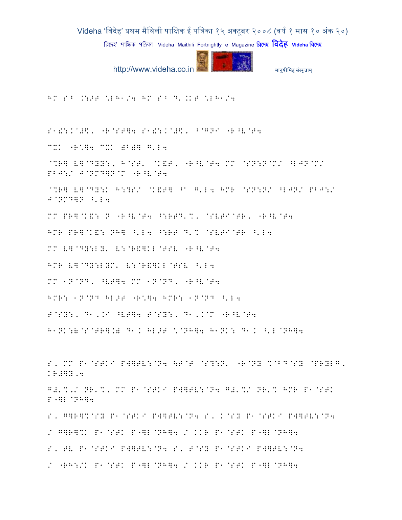িরেদহ' পািkক পিtকা Videha Maithili Fortnightly e Magazine িরেদহ िवदेह **Videha** িবেদহ



HM S^ .:>T \*LH1/4 HM S^ D'.KT \*LH1/4

S1!:.@#\$, "R@ST]4 S1!:.@#\$, ^@GNI "R^V@T4 TH STRIP THE BILE BILE @%R] V]@DYY:, H@ST' @K&T, "R^V@T4 MM @SN:N@M/ ^LJN@M/ PBJ:/ J@NMD]N@M "R^V@T4  $\overline{\mathcal{N}}$  (see the state of  $\overline{\mathcal{N}}$  ) of graph  $\overline{\mathcal{N}}$  , and  $\overline{\mathcal{N}}$  and  $\overline{\mathcal{N}}$  is a state of  $\overline{\mathcal{N}}$ J@NMD]N ^'L4 MM PRESIDENT RANGER PROPERTY (PRESIDENT RANGER HMR PRESIDE PRE LIG PRAF R.T ONLAYER LIG MM V: LY V: LY V: LY V: LY V: LY V: LY V: LY V: LY V: LY V: LY V: LY V: LY V: LY V: LY V: LY V: LY V: LY V: LY HTR LATHER EN LATHER VII VII MM 1NM 1ND, THE 1ND, THE 1ND, THE 1ND, THE 1ND, THE 1ND, THE 1ND, THE 1ND, THE 1ND, THE 1ND, THE 1ND, THE 1ND, HMR: 1979 HLBB HRIM: 1761 (2000) 114 FOR SY: DIA REAL ROOM IN THE REAL PROPERTY H1NK:(@S@TR].) D1. HL>T \*@NH]4 H1NK: D1. ^'L@NH]4 S, MM P1@STKI PW]TV:@N4 \T@T @S?:N' "R@NY %@BD@SY @PRYLG, **TRANSON** G#'%,/ NR'%, MM P1@STKI PW]TV:@N4 G#'%/ NR'% HMR P1@STK P-91 TPR94 S, G]R]%@SY P1@STKI PW]TV:@N4 S, K@SY P1@STKI PW]TV:@N4

/ G]R]%K P1@STK P"]L@NH]4 / KKR P1@STK P"]L@NH]4 S, TV P1@STKI PW]TV:@N4 S, T@SY P1@STKI PW]TV:@N4 / "RH:/K P1@STK P"]L@NH]4 / KKR P1@STK P"]L@NH]4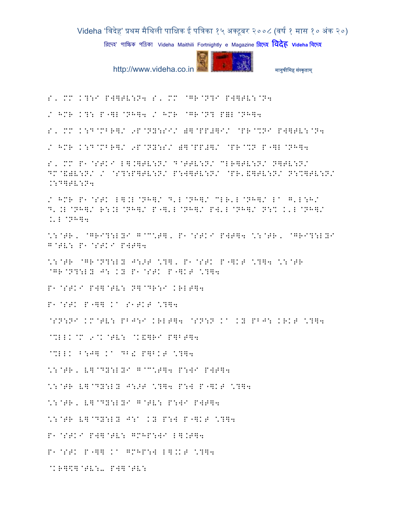িরেদহ' পািkক পিtকা Videha Maithili Fortnightly e Magazine িরেদহ िवदेह **Videha** িবেদহ



http://www.videha.co.in

S, MM KR, MIRING ROOM (1995), MIRING ROOM (1995), MIRING ROOM

/ HMR K?: P"]L@NH]4 / HMR @GR@N? P=L@NH]4 S, MM K:D@MBR]/ 9P@NY:SI/ )]@PP#]I/ @PR@%NI PW]TV:@N4 / HMR K:D@MBR]/ 9P@NY:S/ )]@PP#]/ @PR@%N P"]L@NH]4 S, MM P1 CELA LEGUESTA IN CHARGE AND DESTRUING DM@&)V:N/ / @S?:P]TV:N/ P:W]TV:N/ @PR'&]TV:N/ N:%]TV:N/ .:D]TV:N4 / HMR P1@STK L].L@NH]/ D'L@NH]/ CLR'L@NH]/ LA G'L:H/ D'.L@NH]/ R:.L@NH]/ P"]'L@NH]/ PW'L@NH]/ N:% K'L@NH]/ .'L@NH]4 \*:@TR, @GRI?:LYI G@C\*T], P1@STKI PWT]4 \*:@TR, @GRI?:LYI BORS BORSTON PARKS th the component in an are the state of the state of the state  $\sim$ **MENTHS AND LEATH THE PERSONS** P1 MORE PUBLIC PUBLIC CONTROL P1@STK P+99 (1000) ROOM TO STATE @SN:NI KM@TV: PBJ:I KRLT]4 @SN:N KA KY PBJ: KRKT \*?]4 **WEBSTER MONEY CONSTRUCTS** @%LLK B:J] KA DB! P]BKT \*?]4 \*:@TR, V]@DY:LYI G@C\*T]4 P:WI PWT]4 \*:@TR V]@DY:LY J:>T \*?]4 P:W P"]KT \*?]4 \*:@TR, V]@DY:LYI G@TV: P:WI PWT]4 \*: TR VAN TR VI AND THE POST TO UP TO A CONTROL TO UP TO A LIGHT TO UP TO A LIGHT  $\sim$ P1@STKI PW]@TV: GMHP:WI L].T]4 POSSES PORT OF STREET PRIZE STRE @KR]\$]@TV:- PW]@TV: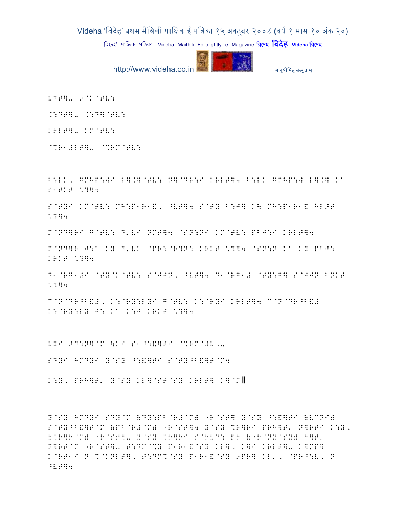িরেদহ' পািkক পিtকা Videha Maithili Fortnightly e Magazine িরেদহ िवदेह **Videha** িবেদহ



VDT]- 9@K@TV:

.:DT]- .:D]@TV:

KRLT. KONGER

When R1: R1: CONTROLLER

B:LK, GMHP:WI L].]@TV: N]@DR:I KRLT]4 B:LK GMHP:W L].] KA STATE STREET SMTPIR SOMETING METHODS IN THE REPORT OF THE PHYSICAL BEFORE \*?]4 MONDER RIGHT RIF BY: NORTH CONTROL PRINT (BIFF

M MARDEN AND ROOM RESEARCHED AND ROOM IN KREAKING THE ROOM IN A KY PAGE. **TEDE TIME** 

D1@RG1#I @TY@K@TV: S@JJN, ONT@RG1# OFFIC: S@JJNA @TY:GADIA BNKT  $^{\prime}$ .  $^{\prime}$   $^{\prime}$   $^{\prime}$   $^{\prime}$   $^{\prime}$   $^{\prime}$   $^{\prime}$   $^{\prime}$   $^{\prime}$   $^{\prime}$   $^{\prime}$   $^{\prime}$   $^{\prime}$   $^{\prime}$   $^{\prime}$   $^{\prime}$   $^{\prime}$   $^{\prime}$   $^{\prime}$   $^{\prime}$   $^{\prime}$   $^{\prime}$   $^{\prime}$   $^{\prime}$   $^{\prime}$   $^{\prime}$   $^{\prime}$   $^{\prime}$   $^{\prime}$   $^{\prime}$   $^{\$ 

CONDROBER CAN DROBBER (K: PORCE) CAN BAY (CA: PH) ARE CONDROBER AT K: B: H: H: K: K: K: K: K: K: K

VII > D:NI SI & ROOM & ROOM & ROOM & ROOM & ROOM & ROOM & ROOM & ROOM & ROOM & ROOM & ROOM & ROOM & ROOM & ROOM

SORI HORI SID HAMA SYRIPAR OS

K:Y, PRHAT, YOSY KALIFIYA KALIFIYARI KALIFIYA

 $\mathcal{V}$ 

Y@SY HMDYI SDY@M (DY:PB@R#@M) "R@ST] Y@SY ^:&]TI (VCNI) SMTYPOR PRESIDENT (PD) "PROTHER "RESTRIKE WORK WARDER (PRINTED ARE LIGHT) (%R]R@M) "R@ST]- Y@SY %R]RI S@RVD: PR ("R@NY@SY) H]T' NART POST "PROSTER "REPORT TO THE REPORT OF THE UNITED STATEMENT OF THE PARTIES. KORT I N % DISTORE HE WAS SERVED ON THE DISTORTED AS A SY PROPERTY OF A SYSTEM OF DISTORTION OF THE SYSTEM OF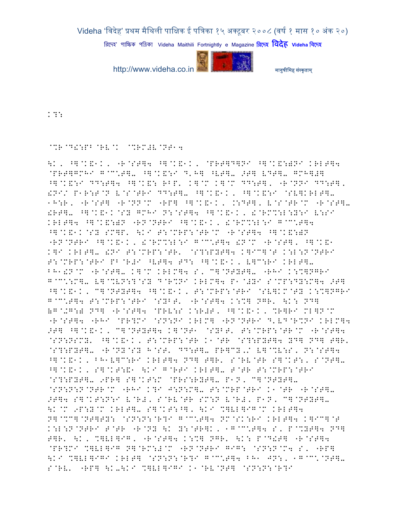িরেদহ' পািkক পিtকা Videha Maithili Fortnightly e Magazine িরেদহ िवदेह **Videha** িবেদহ



 $\mathbb{R}^n$ 

@%R@D!:PB@RV@K @%RM#V@NT14

\K, ^]@K&1K, "R@ST]4 ^]@K&1K, @PRT]D]NI ^]@K&:)NI KRLT]4 @PRT]GMHI G@C\*T]- ^]@K&:I D'H] ^VT]- >T] VDT]- GMH]#]  $\overline{1}$  DD:I DD:Theory and the Research of the USD control DD:  $\overline{1}$  and  $\overline{1}$ ,  $\overline{1}$  $R$ : Particles of the three controls of the total position of the equation of  $\mathbb{R}^n$  and  $\mathbb{R}^n$ 1H:R, "R@ST] "R@NN@M "RP] ^]@K&1K, .:DT], V@S@TR@M "R@ST]-  $\langle R\Phi\Phi\Psi_{\alpha\beta} \rangle$  . For the contract of the state of the state  $\langle R\Phi\rangle$  is the state of the state of the state of the state of the state of the state of the state of the state of the state of the state of the state of KRLT (ARLT) ARLT (ARLT) AR DIG DER MED DER SCHLICHE DER DIG MAN MET TOT GEHALL ^]@K&1K@SY SM]P' \KI T:@MRP:@TR@M "R@ST]4 ^]@K&:)N  $R$  . The normal contribution of the complete  $R$  is the contribution of  $R$  in  $\mathbb{R}$  in  $\mathbb{R}$  . The contribution of the contribution of the contribution of  $R$ KI ARLI KRALTI I KRLTIJE I KRLTIJE GODINA KOMIKANJA U KORISTI A MILI TIGA NORDE PO F: TRP: TRP PROBLE REAGE FOR PROBLEM LATOR (PREF. BH1!N@M "R@ST]- K]@M KRLM]4 S, C]@NTYT]- "RHI K:%]NGRI G@C\*:M]- V]@%VN:?@SY D@R%NI KRLM]4 P1@#YI S@MP:DY:M]4 >T] ^]@K&1K, C]@NTYT]4 ^]@K&1K, T:@MRP:@TRI @SV]KM@TY K:%]NGRI GETTLANA SERITAKAN MARY INDIANA. SA MANANG INDIA INDIA KE SYB (G@+G:) ND] "R@ST]4 @PRV:S K:R#T, ^]@K&1K, %R]RI ML]N@M "REST ARHI "REPORT" "REPORT" (RED PROVINCE D'ANN AN EST PASSAGE D'EN DIVER  $\mathcal{P}$  and the state of the state of the Matters of the State of the Matters of the Matters of a traditional MEDIGERED AN MEDIG AT STRIP OF THE CONTROL OF THE SEPTEMBER OF THE SPIRE OF THE SAFE OF THE SAFE OF THE SAFE O WORTH- "ROW THE FYTH, TREEL PRETIL' LECTURE, FYTHER ^]@K&1K, BH1V]C:RI KRLT]4 ND] T]R' S@RV@TR S]@KT:, S@NT]- ^]@K&1K, S]@KT:&1 \KI G@RTI KRLT]- T@TR T:@MRP:@TRI @S?:PYT]- 9PR] S]@KT:M @PRS:RYT]- P1N, C]@NTYT]- @SN:N:N@NTR@M "RHI K?I J:N:M]- T:@MRP@TRI K1@TR "R@ST]- >T]4 S]@KT:N:I V@R#, S@RV@TR SM:N V@R#, P1N, C]@NTYT]-  $\kappa$  of  $\kappa$  and  $\kappa$  (see Fig. ), the set of  $\kappa$  is  $\kappa$  . Then the set of  $\kappa$ RACTOR: CARACTER COMO CORTAGINAL COMPOSITION CONTROL CONTROL K:L:N@NTRI T@TR "R@NY \K Y:@TR]K, 1G@C\*T]4 S, P@%YT]4 ND]  $\overline{B}$ GR),  $\overline{B}$ vlasi gyer, "Ab (2009-) (1979-) Personalis (1970-) Ab (2009-) @PR?MI %]VL]IG N]@RM:#@M "RN@NTRI GIG: @SN:N@M4 S, "RP] \KI %]VL]IGI KRLT] @SN:N:@R?I G@C\*T]4 BH1 JN:, 1G@C\*@NT]-  $S$  (RP)  $\mathbb{R} \rightarrow \mathbb{R}$  (RP)  $\mathbb{R} \rightarrow \mathbb{R}$  (RP)  $\mathbb{R} \rightarrow \mathbb{R}$  (RPV  $\mathbb{R} \rightarrow \mathbb{R}$  )  $\mathbb{R} \rightarrow \mathbb{R}$  (RPV  $\mathbb{R} \rightarrow \mathbb{R}$  )  $\mathbb{R} \rightarrow \mathbb{R}$  (RPV  $\mathbb{R} \rightarrow \mathbb{R}$  )  $\mathbb{R} \rightarrow \mathbb{R}$  (RPV  $\mathbb{R} \rightarrow \mathbb{R}$  )  $\mathbb{$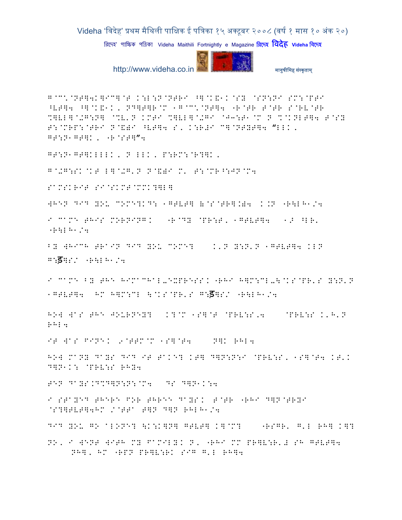িরেদহ' পািkক পিtকা Videha Maithili Fortnightly e Magazine িরেদহ िवदेह **Videha** িবেদহ



GE TO NTRIBUTE THIS CONTRIGENT CHEST BY CONTRIGUING WITH THE THING ^VT]4 ^]@K&1K, ND]T]R@M 1G@C\*@NT]4 "R@TR T@TR S@RV@TR WHEEFINGS IN AN IN KATER WELL AND MANIFOR A WIN SERIES FIND T:@MRP:@TRI N@&)I ^VT]4 S, K:R#I C]@NTYT]4 **"**LLK, GT:N1GT]K, "R@ST]**"**4

GT:N1GT]KLLLK, N LLK, P:RM:@R?]K,

GANGER GOOD DE COMPART IN THE CONFIDENCE OF THE CONFIDENCE OF THE CONFIDENCE.

SAMSKRIT SIGNER STRIP SIGNER

WHEN SAN ON THING ARE READY OF THE COME OF THE RAIN (A

I CAME THIS MORNING. "ROW ARDEN'S REDUCTION OF RESPONSIVI "R\LH1/4

BY WHICH TRAIN DID YOU COME? KIN YOU COME ? KIN YEN YEN Y

 $\overline{B}$ :  $\overline{S}$   $\overline{B}$   $\overline{B}$   $\overline{B}$   $\overline{C}$   $\overline{C}$   $\overline{B}$   $\overline{B}$   $\overline{B}$   $\overline{B}$   $\overline{B}$   $\overline{B}$   $\overline{B}$   $\overline{B}$   $\overline{B}$   $\overline{B}$   $\overline{B}$   $\overline{B}$   $\overline{B}$   $\overline{B}$   $\overline{B}$   $\overline{B}$   $\overline{B}$   $\overline$ 

I CAME BY THE HIMACHAL STREET IS THE HIMACHALE CONTROL TO STREET 1GTVTH AM HIM: CLIPS COOPS

HOW WAS THE JOURNEY? THE JOURNEY? IN THE JOURNEY? IN THE SAME IN THE SAME IN THE SAME IN THE SAME IN THE SAME IN THE SAME IN THE SAME IN THE SAME IN THE SAME IN THE SAME IN THE SAME IN THE SAME IN THE SAME IN THE SAME IN T RHL4

IT WAS FINE. 9@TTM@M 1S]@T4 N]K RHL4

HOW MANY DAYS OF PAIRS OF THE PROPERTY CONSISTS THE TAKE COULD

D]N1K: @PRV:S RHY4

TEN DAYS. DENING DENING TRANSPORTER

I STAYED THERE FOR THREE DAYS. T@TR "RHI D]N@TRYI @S?]TVT]4 HM /@TTA T]N D]N RHLH1/4

DAR BIZ AN TENDAT ALONEDE APLAN LATUR (ANOMER ALE RHN LAT

NO, I WENT WITH MY FAMILY. NAMILY PRESS IN SHERBY NH], HM "RPN PR]V:RK SIG G'L RH]4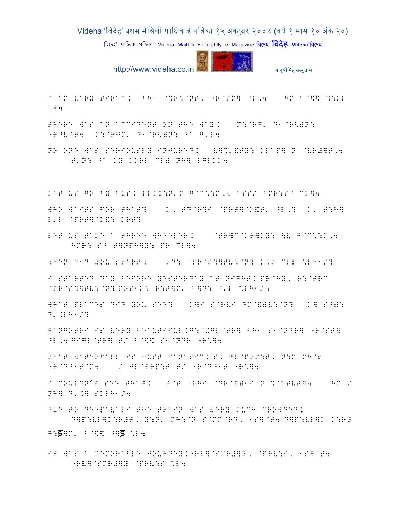DUE TO DEEPAVALI THE TRAIN WAS VERY MUCH CROWDED. D]P:VL]K:R#T, Y:N' MH:@N S@MM@RD, 1S]@T4 D]P:VL]K K:R#  $H: \overline{S} H: L \to H \oplus L \to H \overline{S} \to H \oplus L$ IT WAS A MEMORABLE JOURNEY. "RV]@SMR#]Y, @PRV:S, 1S]@T4 "RAH" RY DE STAR PRODUCED A PRODUCED A PRODUCED A PRODUCED A PRODUCED A PRODUCED A PRODUCED A PRODUCED A PRODUCED A PRODUCED A PRODUCED A PRODUCED A PRODUCED A PRODUCED A PRODUCED A PRODUCED A PRODUCED A PRODUCED A PRODUCE

I COULDN**'**T SEE THAT. T@T "RHI @DR@&)1I N %@KTVT]4 HM / NH] D'.] SKLH1/4

THAT WATERFALL IS JUST FANATICE. S, JUST FANATIC  $R$  (Radiative ) and the problems of the problems  $R$  and  $R$   $\bar{R}$   $\bar{R}$   $\bar{R}$ 

GANGOTRI IS VERY BEAUTIFUL. G:@+GL@TR] BH1 S1@NDR] "R@ST]  $H$ ,  $H$  Gigal Tripe  $R$  single  $R$  of  $T$  and  $R$  is  $T$  . The single  $H$ 

WHAT PLACES ON THE YOU SEE? KING ON THE SAME RANGER OF SAME RANGER. D'.LH1/?

I STARTED DAY BEFORE YESTERDAY AT NIGHT. PR@HY, R:@TRC @PR@S?]TV:@N? PRS1K: R:T]M' B]D: ^'L \*LH1/4

WHEN DID START START REPORTS TO THE START RELEASED ON THE UNE HAVING

LET US TAKE A THREE WHEELER. @TR]C@KR]KY: \V G@C\*:M,4 HOR: SO THE SOUTH PRODUCED TO THE CLIPS

WHO WAITS FOR THAT? KI, THATS FOR THAT? CONTROLLING TO A THAT? L.E MERRETIEN CHAR

LSA GO AS AN SUO BILINA A MOSCOLI EN SON ANDRE STIAL

NO ONE WAS SERIOUSLY INJURED. V]%'&TY: KLAP] N @VR#]T,4 F. T'A' CHOIDE THE THE LGLK

THERE WAS AN ACCIDENT ON THE WAY. M:@RG' D1@R<)N:  $R^T$  Robert Miller Distribution and  $R^T$ 

 $^{\circ}$  . Here  $^{\circ}$ 

I AM VERY TIRED. BH1 @%R:@NT, "R@SM] ^L,4 HM B@\$\$ ?:KL

http://www.videha.co.in स्क्री स्कूलाम् स्कूलाम् स्कूलाम्

িরেদহ' পািkক পিtকা Videha Maithili Fortnightly e Magazine িরেদহ िवदेह **Videha** িবেদহ